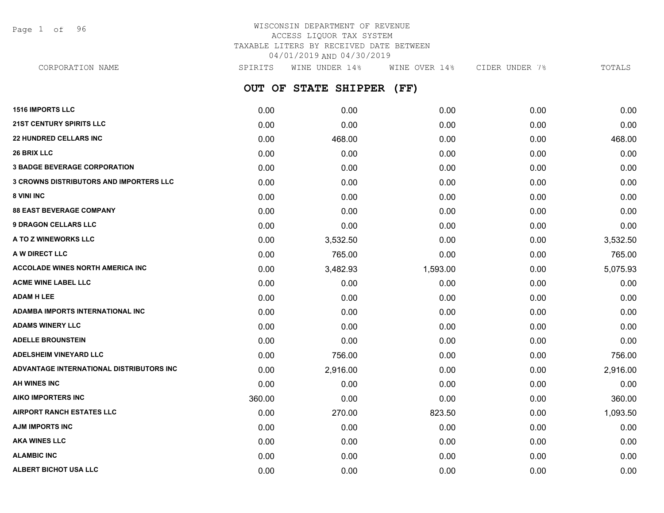Page 1 of 96

# WISCONSIN DEPARTMENT OF REVENUE ACCESS LIQUOR TAX SYSTEM TAXABLE LITERS BY RECEIVED DATE BETWEEN 04/01/2019 AND 04/30/2019

**OUT OF STATE SHIPPER (FF) 1516 IMPORTS LLC** 0.00 0.00 0.00 0.00 0.00 **21ST CENTURY SPIRITS LLC** 0.00 0.00 0.00 0.00 0.00 **22 HUNDRED CELLARS INC** 0.00 468.00 0.00 0.00 468.00 **26 BRIX LLC** 0.00 0.00 0.00 0.00 0.00 **3 BADGE BEVERAGE CORPORATION** 0.00 0.00 0.00 0.00 0.00 **3 CROWNS DISTRIBUTORS AND IMPORTERS LLC** 0.00 0.00 0.00 0.00 0.00 **8 VINI INC** 0.00 0.00 0.00 0.00 0.00 **88 EAST BEVERAGE COMPANY** 0.00 0.00 0.00 0.00 0.00 **9 DRAGON CELLARS LLC** 0.00 0.00 0.00 0.00 0.00 **A TO Z WINEWORKS LLC** 0.00 3,532.50 0.00 0.00 3,532.50 **A W DIRECT LLC** 200 2765.00 2765.00 2765.00 2765.00 0.00 2765.00 0.00 0.00 0.00 0.00 0.00 2765.00 **ACCOLADE WINES NORTH AMERICA INC**  $0.00$   $3.482.93$   $1.593.00$   $0.00$   $5.075.93$ **ACME WINE LABEL LLC** 0.00 0.00 0.00 0.00 0.00 **ADAM H LEE** 0.00 0.00 0.00 0.00 0.00 **ADAMBA IMPORTS INTERNATIONAL INC** 0.00 0.00 0.00 0.00 0.00 **ADAMS WINERY LLC** 0.00 0.00 0.00 0.00 0.00 **ADELLE BROUNSTEIN** 0.00 0.00 0.00 0.00 0.00 **ADELSHEIM VINEYARD LLC** 0.00 756.00 0.00 0.00 756.00 **ADVANTAGE INTERNATIONAL DISTRIBUTORS INC** 0.00 2,916.00 0.00 0.00 2,916.00 **AH WINES INC** 0.00 0.00 0.00 0.00 0.00 **AIKO IMPORTERS INC** 360.00 0.00 0.00 0.00 360.00 **AIRPORT RANCH ESTATES LLC** 0.00 270.00 823.50 0.00 1,093.50 **AJM IMPORTS INC** 0.00 0.00 0.00 0.00 0.00 CORPORATION NAME SPIRITS WINE UNDER 14% WINE OVER 14% CIDER UNDER 7% TOTALS

**AKA WINES LLC** 0.00 0.00 0.00 0.00 0.00 **ALAMBIC INC** 0.00 0.00 0.00 0.00 0.00 **ALBERT BICHOT USA LLC** 0.00 0.00 0.00 0.00 0.00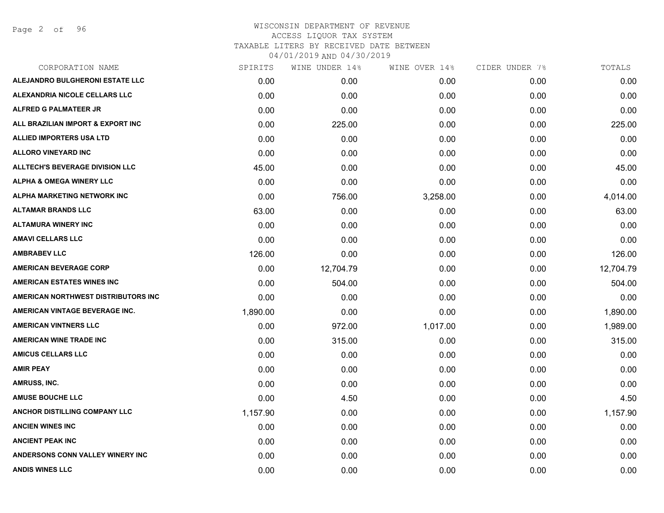Page 2 of 96

| CORPORATION NAME                       | SPIRITS  | WINE UNDER 14% | WINE OVER 14% | CIDER UNDER 7% | TOTALS    |
|----------------------------------------|----------|----------------|---------------|----------------|-----------|
| ALEJANDRO BULGHERONI ESTATE LLC        | 0.00     | 0.00           | 0.00          | 0.00           | 0.00      |
| ALEXANDRIA NICOLE CELLARS LLC          | 0.00     | 0.00           | 0.00          | 0.00           | 0.00      |
| <b>ALFRED G PALMATEER JR</b>           | 0.00     | 0.00           | 0.00          | 0.00           | 0.00      |
| ALL BRAZILIAN IMPORT & EXPORT INC      | 0.00     | 225.00         | 0.00          | 0.00           | 225.00    |
| <b>ALLIED IMPORTERS USA LTD</b>        | 0.00     | 0.00           | 0.00          | 0.00           | 0.00      |
| <b>ALLORO VINEYARD INC</b>             | 0.00     | 0.00           | 0.00          | 0.00           | 0.00      |
| <b>ALLTECH'S BEVERAGE DIVISION LLC</b> | 45.00    | 0.00           | 0.00          | 0.00           | 45.00     |
| <b>ALPHA &amp; OMEGA WINERY LLC</b>    | 0.00     | 0.00           | 0.00          | 0.00           | 0.00      |
| ALPHA MARKETING NETWORK INC            | 0.00     | 756.00         | 3,258.00      | 0.00           | 4,014.00  |
| <b>ALTAMAR BRANDS LLC</b>              | 63.00    | 0.00           | 0.00          | 0.00           | 63.00     |
| <b>ALTAMURA WINERY INC</b>             | 0.00     | 0.00           | 0.00          | 0.00           | 0.00      |
| <b>AMAVI CELLARS LLC</b>               | 0.00     | 0.00           | 0.00          | 0.00           | 0.00      |
| <b>AMBRABEV LLC</b>                    | 126.00   | 0.00           | 0.00          | 0.00           | 126.00    |
| <b>AMERICAN BEVERAGE CORP</b>          | 0.00     | 12,704.79      | 0.00          | 0.00           | 12,704.79 |
| <b>AMERICAN ESTATES WINES INC</b>      | 0.00     | 504.00         | 0.00          | 0.00           | 504.00    |
| AMERICAN NORTHWEST DISTRIBUTORS INC    | 0.00     | 0.00           | 0.00          | 0.00           | 0.00      |
| AMERICAN VINTAGE BEVERAGE INC.         | 1,890.00 | 0.00           | 0.00          | 0.00           | 1,890.00  |
| <b>AMERICAN VINTNERS LLC</b>           | 0.00     | 972.00         | 1,017.00      | 0.00           | 1,989.00  |
| <b>AMERICAN WINE TRADE INC</b>         | 0.00     | 315.00         | 0.00          | 0.00           | 315.00    |
| <b>AMICUS CELLARS LLC</b>              | 0.00     | 0.00           | 0.00          | 0.00           | 0.00      |
| <b>AMIR PEAY</b>                       | 0.00     | 0.00           | 0.00          | 0.00           | 0.00      |
| AMRUSS, INC.                           | 0.00     | 0.00           | 0.00          | 0.00           | 0.00      |
| <b>AMUSE BOUCHE LLC</b>                | 0.00     | 4.50           | 0.00          | 0.00           | 4.50      |
| ANCHOR DISTILLING COMPANY LLC          | 1,157.90 | 0.00           | 0.00          | 0.00           | 1,157.90  |
| <b>ANCIEN WINES INC</b>                | 0.00     | 0.00           | 0.00          | 0.00           | 0.00      |
| <b>ANCIENT PEAK INC</b>                | 0.00     | 0.00           | 0.00          | 0.00           | 0.00      |
| ANDERSONS CONN VALLEY WINERY INC       | 0.00     | 0.00           | 0.00          | 0.00           | 0.00      |
| <b>ANDIS WINES LLC</b>                 | 0.00     | 0.00           | 0.00          | 0.00           | 0.00      |
|                                        |          |                |               |                |           |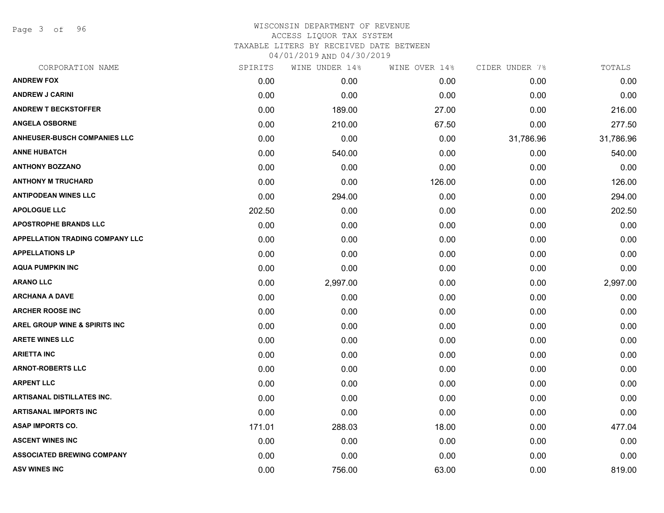Page 3 of 96

| CORPORATION NAME                         | SPIRITS | WINE UNDER 14% | WINE OVER 14% | CIDER UNDER 7% | TOTALS    |
|------------------------------------------|---------|----------------|---------------|----------------|-----------|
| <b>ANDREW FOX</b>                        | 0.00    | 0.00           | 0.00          | 0.00           | 0.00      |
| <b>ANDREW J CARINI</b>                   | 0.00    | 0.00           | 0.00          | 0.00           | 0.00      |
| <b>ANDREW T BECKSTOFFER</b>              | 0.00    | 189.00         | 27.00         | 0.00           | 216.00    |
| <b>ANGELA OSBORNE</b>                    | 0.00    | 210.00         | 67.50         | 0.00           | 277.50    |
| <b>ANHEUSER-BUSCH COMPANIES LLC</b>      | 0.00    | 0.00           | 0.00          | 31,786.96      | 31,786.96 |
| <b>ANNE HUBATCH</b>                      | 0.00    | 540.00         | 0.00          | 0.00           | 540.00    |
| <b>ANTHONY BOZZANO</b>                   | 0.00    | 0.00           | 0.00          | 0.00           | 0.00      |
| <b>ANTHONY M TRUCHARD</b>                | 0.00    | 0.00           | 126.00        | 0.00           | 126.00    |
| <b>ANTIPODEAN WINES LLC</b>              | 0.00    | 294.00         | 0.00          | 0.00           | 294.00    |
| <b>APOLOGUE LLC</b>                      | 202.50  | 0.00           | 0.00          | 0.00           | 202.50    |
| <b>APOSTROPHE BRANDS LLC</b>             | 0.00    | 0.00           | 0.00          | 0.00           | 0.00      |
| <b>APPELLATION TRADING COMPANY LLC</b>   | 0.00    | 0.00           | 0.00          | 0.00           | 0.00      |
| <b>APPELLATIONS LP</b>                   | 0.00    | 0.00           | 0.00          | 0.00           | 0.00      |
| <b>AQUA PUMPKIN INC</b>                  | 0.00    | 0.00           | 0.00          | 0.00           | 0.00      |
| <b>ARANO LLC</b>                         | 0.00    | 2,997.00       | 0.00          | 0.00           | 2,997.00  |
| <b>ARCHANA A DAVE</b>                    | 0.00    | 0.00           | 0.00          | 0.00           | 0.00      |
| <b>ARCHER ROOSE INC</b>                  | 0.00    | 0.00           | 0.00          | 0.00           | 0.00      |
| <b>AREL GROUP WINE &amp; SPIRITS INC</b> | 0.00    | 0.00           | 0.00          | 0.00           | 0.00      |
| <b>ARETE WINES LLC</b>                   | 0.00    | 0.00           | 0.00          | 0.00           | 0.00      |
| <b>ARIETTA INC</b>                       | 0.00    | 0.00           | 0.00          | 0.00           | 0.00      |
| <b>ARNOT-ROBERTS LLC</b>                 | 0.00    | 0.00           | 0.00          | 0.00           | 0.00      |
| <b>ARPENT LLC</b>                        | 0.00    | 0.00           | 0.00          | 0.00           | 0.00      |
| <b>ARTISANAL DISTILLATES INC.</b>        | 0.00    | 0.00           | 0.00          | 0.00           | 0.00      |
| <b>ARTISANAL IMPORTS INC</b>             | 0.00    | 0.00           | 0.00          | 0.00           | 0.00      |
| <b>ASAP IMPORTS CO.</b>                  | 171.01  | 288.03         | 18.00         | 0.00           | 477.04    |
| <b>ASCENT WINES INC</b>                  | 0.00    | 0.00           | 0.00          | 0.00           | 0.00      |
| <b>ASSOCIATED BREWING COMPANY</b>        | 0.00    | 0.00           | 0.00          | 0.00           | 0.00      |
| <b>ASV WINES INC</b>                     | 0.00    | 756.00         | 63.00         | 0.00           | 819.00    |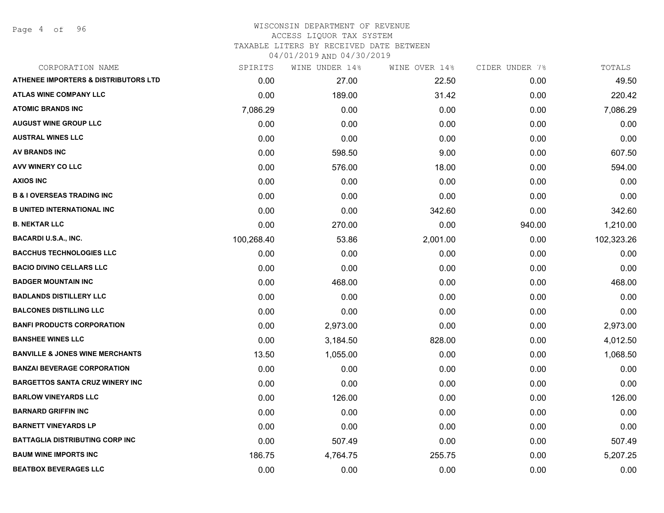Page 4 of 96

| CORPORATION NAME                                | SPIRITS    | WINE UNDER 14% | WINE OVER 14% | CIDER UNDER 7% | TOTALS     |
|-------------------------------------------------|------------|----------------|---------------|----------------|------------|
| <b>ATHENEE IMPORTERS &amp; DISTRIBUTORS LTD</b> | 0.00       | 27.00          | 22.50         | 0.00           | 49.50      |
| <b>ATLAS WINE COMPANY LLC</b>                   | 0.00       | 189.00         | 31.42         | 0.00           | 220.42     |
| <b>ATOMIC BRANDS INC</b>                        | 7,086.29   | 0.00           | 0.00          | 0.00           | 7,086.29   |
| <b>AUGUST WINE GROUP LLC</b>                    | 0.00       | 0.00           | 0.00          | 0.00           | 0.00       |
| <b>AUSTRAL WINES LLC</b>                        | 0.00       | 0.00           | 0.00          | 0.00           | 0.00       |
| <b>AV BRANDS INC</b>                            | 0.00       | 598.50         | 9.00          | 0.00           | 607.50     |
| AVV WINERY CO LLC                               | 0.00       | 576.00         | 18.00         | 0.00           | 594.00     |
| <b>AXIOS INC</b>                                | 0.00       | 0.00           | 0.00          | 0.00           | 0.00       |
| <b>B &amp; I OVERSEAS TRADING INC</b>           | 0.00       | 0.00           | 0.00          | 0.00           | 0.00       |
| <b>B UNITED INTERNATIONAL INC</b>               | 0.00       | 0.00           | 342.60        | 0.00           | 342.60     |
| <b>B. NEKTAR LLC</b>                            | 0.00       | 270.00         | 0.00          | 940.00         | 1,210.00   |
| <b>BACARDI U.S.A., INC.</b>                     | 100,268.40 | 53.86          | 2,001.00      | 0.00           | 102,323.26 |
| <b>BACCHUS TECHNOLOGIES LLC</b>                 | 0.00       | 0.00           | 0.00          | 0.00           | 0.00       |
| <b>BACIO DIVINO CELLARS LLC</b>                 | 0.00       | 0.00           | 0.00          | 0.00           | 0.00       |
| <b>BADGER MOUNTAIN INC</b>                      | 0.00       | 468.00         | 0.00          | 0.00           | 468.00     |
| <b>BADLANDS DISTILLERY LLC</b>                  | 0.00       | 0.00           | 0.00          | 0.00           | 0.00       |
| <b>BALCONES DISTILLING LLC</b>                  | 0.00       | 0.00           | 0.00          | 0.00           | 0.00       |
| <b>BANFI PRODUCTS CORPORATION</b>               | 0.00       | 2,973.00       | 0.00          | 0.00           | 2,973.00   |
| <b>BANSHEE WINES LLC</b>                        | 0.00       | 3,184.50       | 828.00        | 0.00           | 4,012.50   |
| <b>BANVILLE &amp; JONES WINE MERCHANTS</b>      | 13.50      | 1,055.00       | 0.00          | 0.00           | 1,068.50   |
| <b>BANZAI BEVERAGE CORPORATION</b>              | 0.00       | 0.00           | 0.00          | 0.00           | 0.00       |
| <b>BARGETTOS SANTA CRUZ WINERY INC</b>          | 0.00       | 0.00           | 0.00          | 0.00           | 0.00       |
| <b>BARLOW VINEYARDS LLC</b>                     | 0.00       | 126.00         | 0.00          | 0.00           | 126.00     |
| <b>BARNARD GRIFFIN INC</b>                      | 0.00       | 0.00           | 0.00          | 0.00           | 0.00       |
| <b>BARNETT VINEYARDS LP</b>                     | 0.00       | 0.00           | 0.00          | 0.00           | 0.00       |
| <b>BATTAGLIA DISTRIBUTING CORP INC</b>          | 0.00       | 507.49         | 0.00          | 0.00           | 507.49     |
| <b>BAUM WINE IMPORTS INC</b>                    | 186.75     | 4,764.75       | 255.75        | 0.00           | 5,207.25   |
| <b>BEATBOX BEVERAGES LLC</b>                    | 0.00       | 0.00           | 0.00          | 0.00           | 0.00       |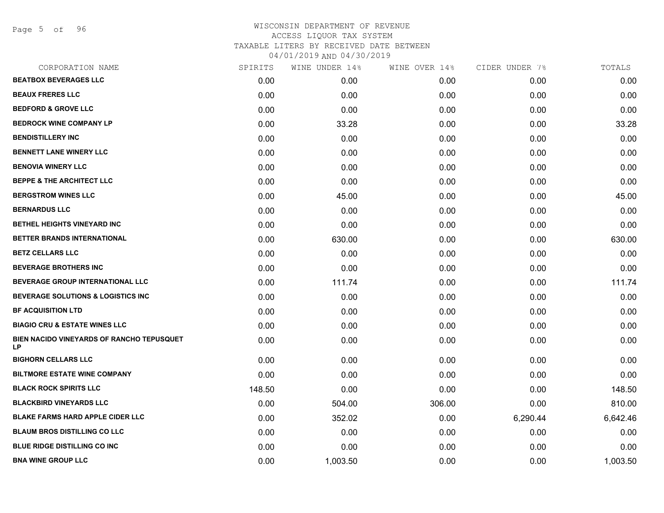Page 5 of 96

| CORPORATION NAME                                       | SPIRITS | WINE UNDER 14% | WINE OVER 14% | CIDER UNDER 7% | TOTALS   |
|--------------------------------------------------------|---------|----------------|---------------|----------------|----------|
| <b>BEATBOX BEVERAGES LLC</b>                           | 0.00    | 0.00           | 0.00          | 0.00           | 0.00     |
| <b>BEAUX FRERES LLC</b>                                | 0.00    | 0.00           | 0.00          | 0.00           | 0.00     |
| <b>BEDFORD &amp; GROVE LLC</b>                         | 0.00    | 0.00           | 0.00          | 0.00           | 0.00     |
| <b>BEDROCK WINE COMPANY LP</b>                         | 0.00    | 33.28          | 0.00          | 0.00           | 33.28    |
| <b>BENDISTILLERY INC</b>                               | 0.00    | 0.00           | 0.00          | 0.00           | 0.00     |
| <b>BENNETT LANE WINERY LLC</b>                         | 0.00    | 0.00           | 0.00          | 0.00           | 0.00     |
| <b>BENOVIA WINERY LLC</b>                              | 0.00    | 0.00           | 0.00          | 0.00           | 0.00     |
| <b>BEPPE &amp; THE ARCHITECT LLC</b>                   | 0.00    | 0.00           | 0.00          | 0.00           | 0.00     |
| <b>BERGSTROM WINES LLC</b>                             | 0.00    | 45.00          | 0.00          | 0.00           | 45.00    |
| <b>BERNARDUS LLC</b>                                   | 0.00    | 0.00           | 0.00          | 0.00           | 0.00     |
| <b>BETHEL HEIGHTS VINEYARD INC</b>                     | 0.00    | 0.00           | 0.00          | 0.00           | 0.00     |
| BETTER BRANDS INTERNATIONAL                            | 0.00    | 630.00         | 0.00          | 0.00           | 630.00   |
| <b>BETZ CELLARS LLC</b>                                | 0.00    | 0.00           | 0.00          | 0.00           | 0.00     |
| <b>BEVERAGE BROTHERS INC</b>                           | 0.00    | 0.00           | 0.00          | 0.00           | 0.00     |
| <b>BEVERAGE GROUP INTERNATIONAL LLC</b>                | 0.00    | 111.74         | 0.00          | 0.00           | 111.74   |
| <b>BEVERAGE SOLUTIONS &amp; LOGISTICS INC</b>          | 0.00    | 0.00           | 0.00          | 0.00           | 0.00     |
| <b>BF ACQUISITION LTD</b>                              | 0.00    | 0.00           | 0.00          | 0.00           | 0.00     |
| <b>BIAGIO CRU &amp; ESTATE WINES LLC</b>               | 0.00    | 0.00           | 0.00          | 0.00           | 0.00     |
| BIEN NACIDO VINEYARDS OF RANCHO TEPUSQUET<br><b>LP</b> | 0.00    | 0.00           | 0.00          | 0.00           | 0.00     |
| <b>BIGHORN CELLARS LLC</b>                             | 0.00    | 0.00           | 0.00          | 0.00           | 0.00     |
| <b>BILTMORE ESTATE WINE COMPANY</b>                    | 0.00    | 0.00           | 0.00          | 0.00           | 0.00     |
| <b>BLACK ROCK SPIRITS LLC</b>                          | 148.50  | 0.00           | 0.00          | 0.00           | 148.50   |
| <b>BLACKBIRD VINEYARDS LLC</b>                         | 0.00    | 504.00         | 306.00        | 0.00           | 810.00   |
| <b>BLAKE FARMS HARD APPLE CIDER LLC</b>                | 0.00    | 352.02         | 0.00          | 6,290.44       | 6,642.46 |
| <b>BLAUM BROS DISTILLING CO LLC</b>                    | 0.00    | 0.00           | 0.00          | 0.00           | 0.00     |
| <b>BLUE RIDGE DISTILLING CO INC</b>                    | 0.00    | 0.00           | 0.00          | 0.00           | 0.00     |
| <b>BNA WINE GROUP LLC</b>                              | 0.00    | 1,003.50       | 0.00          | 0.00           | 1,003.50 |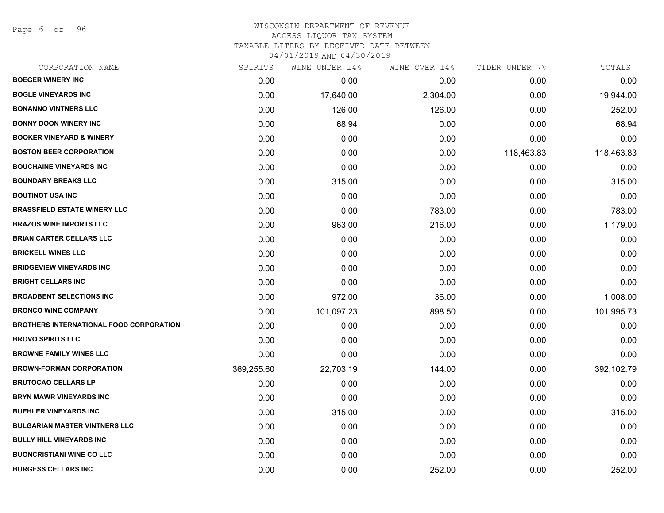Page 6 of 96

| CORPORATION NAME                               | SPIRITS    | WINE UNDER 14% | WINE OVER 14% | CIDER UNDER 7% | TOTALS     |
|------------------------------------------------|------------|----------------|---------------|----------------|------------|
| <b>BOEGER WINERY INC</b>                       | 0.00       | 0.00           | 0.00          | 0.00           | 0.00       |
| <b>BOGLE VINEYARDS INC</b>                     | 0.00       | 17,640.00      | 2,304.00      | 0.00           | 19,944.00  |
| <b>BONANNO VINTNERS LLC</b>                    | 0.00       | 126.00         | 126.00        | 0.00           | 252.00     |
| <b>BONNY DOON WINERY INC</b>                   | 0.00       | 68.94          | 0.00          | 0.00           | 68.94      |
| <b>BOOKER VINEYARD &amp; WINERY</b>            | 0.00       | 0.00           | 0.00          | 0.00           | 0.00       |
| <b>BOSTON BEER CORPORATION</b>                 | 0.00       | 0.00           | 0.00          | 118,463.83     | 118,463.83 |
| <b>BOUCHAINE VINEYARDS INC</b>                 | 0.00       | 0.00           | 0.00          | 0.00           | 0.00       |
| <b>BOUNDARY BREAKS LLC</b>                     | 0.00       | 315.00         | 0.00          | 0.00           | 315.00     |
| <b>BOUTINOT USA INC</b>                        | 0.00       | 0.00           | 0.00          | 0.00           | 0.00       |
| <b>BRASSFIELD ESTATE WINERY LLC</b>            | 0.00       | 0.00           | 783.00        | 0.00           | 783.00     |
| <b>BRAZOS WINE IMPORTS LLC</b>                 | 0.00       | 963.00         | 216.00        | 0.00           | 1,179.00   |
| <b>BRIAN CARTER CELLARS LLC</b>                | 0.00       | 0.00           | 0.00          | 0.00           | 0.00       |
| <b>BRICKELL WINES LLC</b>                      | 0.00       | 0.00           | 0.00          | 0.00           | 0.00       |
| <b>BRIDGEVIEW VINEYARDS INC</b>                | 0.00       | 0.00           | 0.00          | 0.00           | 0.00       |
| <b>BRIGHT CELLARS INC</b>                      | 0.00       | 0.00           | 0.00          | 0.00           | 0.00       |
| <b>BROADBENT SELECTIONS INC</b>                | 0.00       | 972.00         | 36.00         | 0.00           | 1,008.00   |
| <b>BRONCO WINE COMPANY</b>                     | 0.00       | 101,097.23     | 898.50        | 0.00           | 101,995.73 |
| <b>BROTHERS INTERNATIONAL FOOD CORPORATION</b> | 0.00       | 0.00           | 0.00          | 0.00           | 0.00       |
| <b>BROVO SPIRITS LLC</b>                       | 0.00       | 0.00           | 0.00          | 0.00           | 0.00       |
| <b>BROWNE FAMILY WINES LLC</b>                 | 0.00       | 0.00           | 0.00          | 0.00           | 0.00       |
| <b>BROWN-FORMAN CORPORATION</b>                | 369,255.60 | 22,703.19      | 144.00        | 0.00           | 392,102.79 |
| <b>BRUTOCAO CELLARS LP</b>                     | 0.00       | 0.00           | 0.00          | 0.00           | 0.00       |
| <b>BRYN MAWR VINEYARDS INC</b>                 | 0.00       | 0.00           | 0.00          | 0.00           | 0.00       |
| <b>BUEHLER VINEYARDS INC</b>                   | 0.00       | 315.00         | 0.00          | 0.00           | 315.00     |
| <b>BULGARIAN MASTER VINTNERS LLC</b>           | 0.00       | 0.00           | 0.00          | 0.00           | 0.00       |
| <b>BULLY HILL VINEYARDS INC</b>                | 0.00       | 0.00           | 0.00          | 0.00           | 0.00       |
| <b>BUONCRISTIANI WINE CO LLC</b>               | 0.00       | 0.00           | 0.00          | 0.00           | 0.00       |
| <b>BURGESS CELLARS INC</b>                     | 0.00       | 0.00           | 252.00        | 0.00           | 252.00     |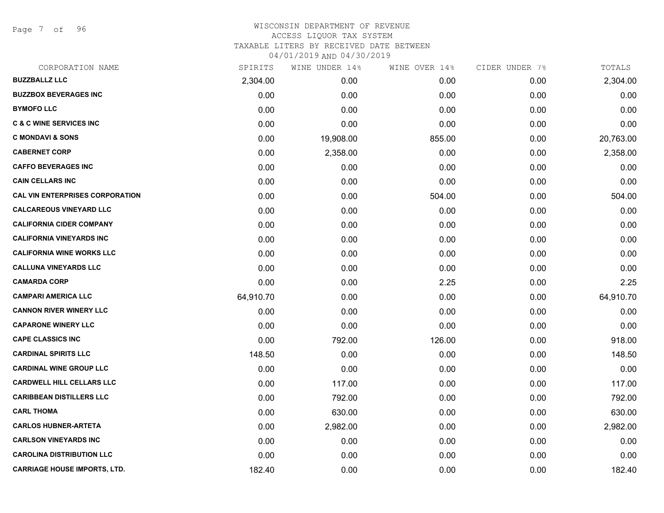Page 7 of 96

| CORPORATION NAME                       | SPIRITS   | WINE UNDER 14% | WINE OVER 14% | CIDER UNDER 7% | TOTALS    |
|----------------------------------------|-----------|----------------|---------------|----------------|-----------|
| <b>BUZZBALLZ LLC</b>                   | 2,304.00  | 0.00           | 0.00          | 0.00           | 2,304.00  |
| <b>BUZZBOX BEVERAGES INC</b>           | 0.00      | 0.00           | 0.00          | 0.00           | 0.00      |
| <b>BYMOFO LLC</b>                      | 0.00      | 0.00           | 0.00          | 0.00           | 0.00      |
| <b>C &amp; C WINE SERVICES INC</b>     | 0.00      | 0.00           | 0.00          | 0.00           | 0.00      |
| <b>C MONDAVI &amp; SONS</b>            | 0.00      | 19,908.00      | 855.00        | 0.00           | 20,763.00 |
| <b>CABERNET CORP</b>                   | 0.00      | 2,358.00       | 0.00          | 0.00           | 2,358.00  |
| <b>CAFFO BEVERAGES INC</b>             | 0.00      | 0.00           | 0.00          | 0.00           | 0.00      |
| <b>CAIN CELLARS INC</b>                | 0.00      | 0.00           | 0.00          | 0.00           | 0.00      |
| <b>CAL VIN ENTERPRISES CORPORATION</b> | 0.00      | 0.00           | 504.00        | 0.00           | 504.00    |
| <b>CALCAREOUS VINEYARD LLC</b>         | 0.00      | 0.00           | 0.00          | 0.00           | 0.00      |
| <b>CALIFORNIA CIDER COMPANY</b>        | 0.00      | 0.00           | 0.00          | 0.00           | 0.00      |
| <b>CALIFORNIA VINEYARDS INC</b>        | 0.00      | 0.00           | 0.00          | 0.00           | 0.00      |
| <b>CALIFORNIA WINE WORKS LLC</b>       | 0.00      | 0.00           | 0.00          | 0.00           | 0.00      |
| <b>CALLUNA VINEYARDS LLC</b>           | 0.00      | 0.00           | 0.00          | 0.00           | 0.00      |
| <b>CAMARDA CORP</b>                    | 0.00      | 0.00           | 2.25          | 0.00           | 2.25      |
| <b>CAMPARI AMERICA LLC</b>             | 64,910.70 | 0.00           | 0.00          | 0.00           | 64,910.70 |
| <b>CANNON RIVER WINERY LLC</b>         | 0.00      | 0.00           | 0.00          | 0.00           | 0.00      |
| <b>CAPARONE WINERY LLC</b>             | 0.00      | 0.00           | 0.00          | 0.00           | 0.00      |
| <b>CAPE CLASSICS INC</b>               | 0.00      | 792.00         | 126.00        | 0.00           | 918.00    |
| <b>CARDINAL SPIRITS LLC</b>            | 148.50    | 0.00           | 0.00          | 0.00           | 148.50    |
| <b>CARDINAL WINE GROUP LLC</b>         | 0.00      | 0.00           | 0.00          | 0.00           | 0.00      |
| <b>CARDWELL HILL CELLARS LLC</b>       | 0.00      | 117.00         | 0.00          | 0.00           | 117.00    |
| <b>CARIBBEAN DISTILLERS LLC</b>        | 0.00      | 792.00         | 0.00          | 0.00           | 792.00    |
| <b>CARL THOMA</b>                      | 0.00      | 630.00         | 0.00          | 0.00           | 630.00    |
| <b>CARLOS HUBNER-ARTETA</b>            | 0.00      | 2,982.00       | 0.00          | 0.00           | 2,982.00  |
| <b>CARLSON VINEYARDS INC</b>           | 0.00      | 0.00           | 0.00          | 0.00           | 0.00      |
| <b>CAROLINA DISTRIBUTION LLC</b>       | 0.00      | 0.00           | 0.00          | 0.00           | 0.00      |
| <b>CARRIAGE HOUSE IMPORTS, LTD.</b>    | 182.40    | 0.00           | 0.00          | 0.00           | 182.40    |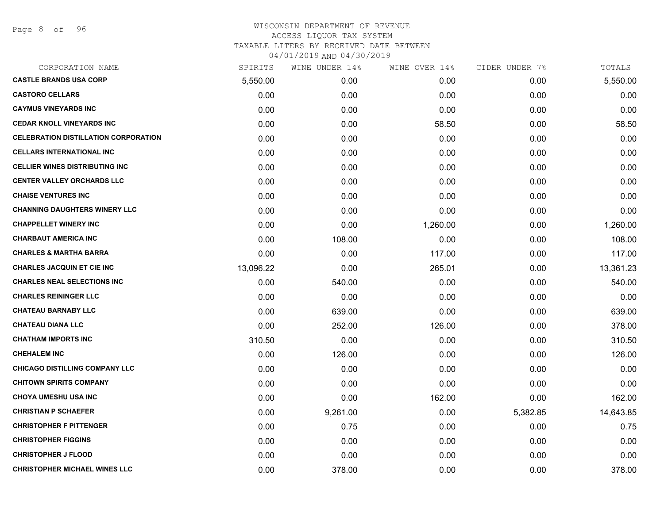| SPIRITS   | WINE UNDER 14% | WINE OVER 14% |          | TOTALS         |
|-----------|----------------|---------------|----------|----------------|
| 5,550.00  | 0.00           | 0.00          | 0.00     | 5,550.00       |
| 0.00      | 0.00           | 0.00          | 0.00     | 0.00           |
| 0.00      | 0.00           | 0.00          | 0.00     | 0.00           |
| 0.00      | 0.00           | 58.50         | 0.00     | 58.50          |
| 0.00      | 0.00           | 0.00          | 0.00     | 0.00           |
| 0.00      | 0.00           | 0.00          | 0.00     | 0.00           |
| 0.00      | 0.00           | 0.00          | 0.00     | 0.00           |
| 0.00      | 0.00           | 0.00          | 0.00     | 0.00           |
| 0.00      | 0.00           | 0.00          | 0.00     | 0.00           |
| 0.00      | 0.00           | 0.00          | 0.00     | 0.00           |
| 0.00      | 0.00           | 1,260.00      | 0.00     | 1,260.00       |
| 0.00      | 108.00         | 0.00          | 0.00     | 108.00         |
| 0.00      | 0.00           | 117.00        | 0.00     | 117.00         |
| 13,096.22 | 0.00           | 265.01        | 0.00     | 13,361.23      |
| 0.00      | 540.00         | 0.00          | 0.00     | 540.00         |
| 0.00      | 0.00           | 0.00          | 0.00     | 0.00           |
| 0.00      | 639.00         | 0.00          | 0.00     | 639.00         |
| 0.00      | 252.00         | 126.00        | 0.00     | 378.00         |
| 310.50    | 0.00           | 0.00          | 0.00     | 310.50         |
| 0.00      | 126.00         | 0.00          | 0.00     | 126.00         |
| 0.00      | 0.00           | 0.00          | 0.00     | 0.00           |
| 0.00      | 0.00           | 0.00          | 0.00     | 0.00           |
| 0.00      | 0.00           | 162.00        | 0.00     | 162.00         |
| 0.00      | 9,261.00       | 0.00          | 5,382.85 | 14,643.85      |
| 0.00      | 0.75           | 0.00          | 0.00     | 0.75           |
| 0.00      | 0.00           | 0.00          | 0.00     | 0.00           |
| 0.00      | 0.00           | 0.00          | 0.00     | 0.00           |
| 0.00      | 378.00         | 0.00          | 0.00     | 378.00         |
|           |                |               |          | CIDER UNDER 7% |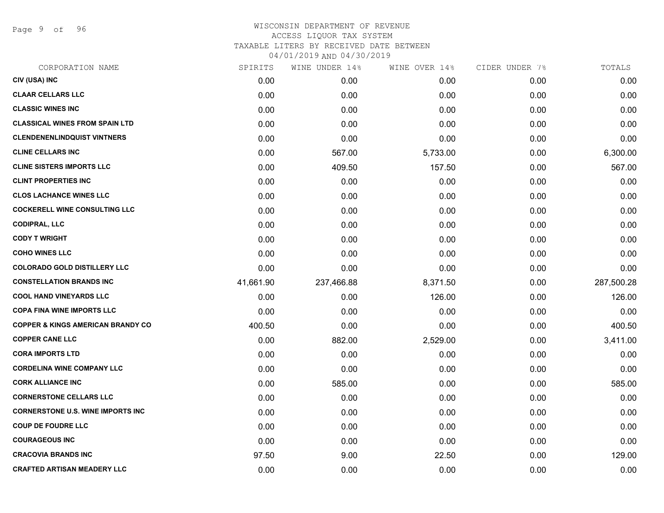Page 9 of 96

| SPIRITS   | WINE UNDER 14% | WINE OVER 14% | CIDER UNDER 7% | TOTALS     |
|-----------|----------------|---------------|----------------|------------|
| 0.00      | 0.00           | 0.00          | 0.00           | 0.00       |
| 0.00      | 0.00           | 0.00          | 0.00           | 0.00       |
| 0.00      | 0.00           | 0.00          | 0.00           | 0.00       |
| 0.00      | 0.00           | 0.00          | 0.00           | 0.00       |
| 0.00      | 0.00           | 0.00          | 0.00           | 0.00       |
| 0.00      | 567.00         | 5,733.00      | 0.00           | 6,300.00   |
| 0.00      | 409.50         | 157.50        | 0.00           | 567.00     |
| 0.00      | 0.00           | 0.00          | 0.00           | 0.00       |
| 0.00      | 0.00           | 0.00          | 0.00           | 0.00       |
| 0.00      | 0.00           | 0.00          | 0.00           | 0.00       |
| 0.00      | 0.00           | 0.00          | 0.00           | 0.00       |
| 0.00      | 0.00           | 0.00          | 0.00           | 0.00       |
| 0.00      | 0.00           | 0.00          | 0.00           | 0.00       |
| 0.00      | 0.00           | 0.00          | 0.00           | 0.00       |
| 41,661.90 | 237,466.88     | 8,371.50      | 0.00           | 287,500.28 |
| 0.00      | 0.00           | 126.00        | 0.00           | 126.00     |
| 0.00      | 0.00           | 0.00          | 0.00           | 0.00       |
| 400.50    | 0.00           | 0.00          | 0.00           | 400.50     |
| 0.00      | 882.00         | 2,529.00      | 0.00           | 3,411.00   |
| 0.00      | 0.00           | 0.00          | 0.00           | 0.00       |
| 0.00      | 0.00           | 0.00          | 0.00           | 0.00       |
| 0.00      | 585.00         | 0.00          | 0.00           | 585.00     |
| 0.00      | 0.00           | 0.00          | 0.00           | 0.00       |
| 0.00      | 0.00           | 0.00          | 0.00           | 0.00       |
| 0.00      | 0.00           | 0.00          | 0.00           | 0.00       |
| 0.00      | 0.00           | 0.00          | 0.00           | 0.00       |
| 97.50     | 9.00           | 22.50         | 0.00           | 129.00     |
| 0.00      | 0.00           | 0.00          | 0.00           | 0.00       |
|           |                |               |                |            |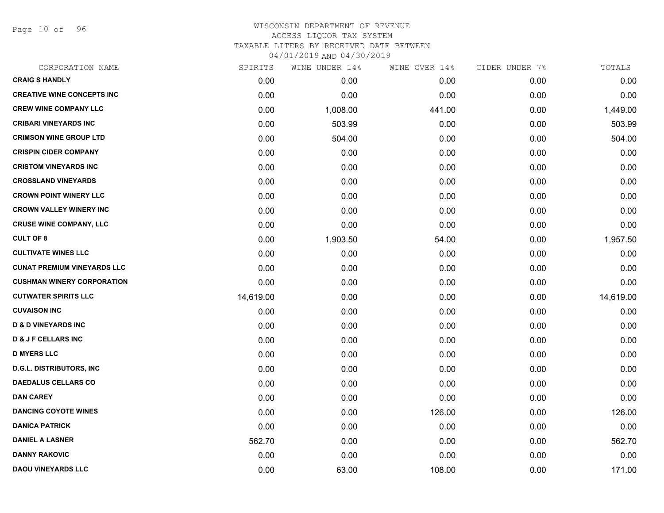Page 10 of 96

| CORPORATION NAME                   | SPIRITS   | WINE UNDER 14% | WINE OVER 14% | CIDER UNDER 7% | TOTALS    |
|------------------------------------|-----------|----------------|---------------|----------------|-----------|
| <b>CRAIG S HANDLY</b>              | 0.00      | 0.00           | 0.00          | 0.00           | 0.00      |
| <b>CREATIVE WINE CONCEPTS INC</b>  | 0.00      | 0.00           | 0.00          | 0.00           | 0.00      |
| <b>CREW WINE COMPANY LLC</b>       | 0.00      | 1,008.00       | 441.00        | 0.00           | 1,449.00  |
| <b>CRIBARI VINEYARDS INC</b>       | 0.00      | 503.99         | 0.00          | 0.00           | 503.99    |
| <b>CRIMSON WINE GROUP LTD</b>      | 0.00      | 504.00         | 0.00          | 0.00           | 504.00    |
| <b>CRISPIN CIDER COMPANY</b>       | 0.00      | 0.00           | 0.00          | 0.00           | 0.00      |
| <b>CRISTOM VINEYARDS INC</b>       | 0.00      | 0.00           | 0.00          | 0.00           | 0.00      |
| <b>CROSSLAND VINEYARDS</b>         | 0.00      | 0.00           | 0.00          | 0.00           | 0.00      |
| <b>CROWN POINT WINERY LLC</b>      | 0.00      | 0.00           | 0.00          | 0.00           | 0.00      |
| <b>CROWN VALLEY WINERY INC</b>     | 0.00      | 0.00           | 0.00          | 0.00           | 0.00      |
| <b>CRUSE WINE COMPANY, LLC</b>     | 0.00      | 0.00           | 0.00          | 0.00           | 0.00      |
| <b>CULT OF 8</b>                   | 0.00      | 1,903.50       | 54.00         | 0.00           | 1,957.50  |
| <b>CULTIVATE WINES LLC</b>         | 0.00      | 0.00           | 0.00          | 0.00           | 0.00      |
| <b>CUNAT PREMIUM VINEYARDS LLC</b> | 0.00      | 0.00           | 0.00          | 0.00           | 0.00      |
| <b>CUSHMAN WINERY CORPORATION</b>  | 0.00      | 0.00           | 0.00          | 0.00           | 0.00      |
| <b>CUTWATER SPIRITS LLC</b>        | 14,619.00 | 0.00           | 0.00          | 0.00           | 14,619.00 |
| <b>CUVAISON INC</b>                | 0.00      | 0.00           | 0.00          | 0.00           | 0.00      |
| <b>D &amp; D VINEYARDS INC</b>     | 0.00      | 0.00           | 0.00          | 0.00           | 0.00      |
| <b>D &amp; J F CELLARS INC</b>     | 0.00      | 0.00           | 0.00          | 0.00           | 0.00      |
| <b>D MYERS LLC</b>                 | 0.00      | 0.00           | 0.00          | 0.00           | 0.00      |
| <b>D.G.L. DISTRIBUTORS, INC</b>    | 0.00      | 0.00           | 0.00          | 0.00           | 0.00      |
| <b>DAEDALUS CELLARS CO</b>         | 0.00      | 0.00           | 0.00          | 0.00           | 0.00      |
| <b>DAN CAREY</b>                   | 0.00      | 0.00           | 0.00          | 0.00           | 0.00      |
| <b>DANCING COYOTE WINES</b>        | 0.00      | 0.00           | 126.00        | 0.00           | 126.00    |
| <b>DANICA PATRICK</b>              | 0.00      | 0.00           | 0.00          | 0.00           | 0.00      |
| <b>DANIEL A LASNER</b>             | 562.70    | 0.00           | 0.00          | 0.00           | 562.70    |
| <b>DANNY RAKOVIC</b>               | 0.00      | 0.00           | 0.00          | 0.00           | 0.00      |
| <b>DAOU VINEYARDS LLC</b>          | 0.00      | 63.00          | 108.00        | 0.00           | 171.00    |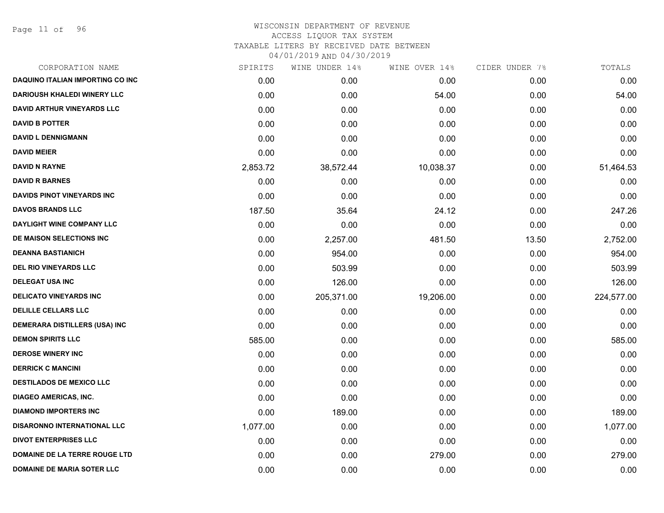Page 11 of 96

|          | WINE UNDER 14% |           |               | TOTALS         |
|----------|----------------|-----------|---------------|----------------|
| 0.00     | 0.00           | 0.00      | 0.00          | 0.00           |
| 0.00     | 0.00           | 54.00     | 0.00          | 54.00          |
| 0.00     | 0.00           | 0.00      | 0.00          | 0.00           |
| 0.00     | 0.00           | 0.00      | 0.00          | 0.00           |
| 0.00     | 0.00           | 0.00      | 0.00          | 0.00           |
| 0.00     | 0.00           | 0.00      | 0.00          | 0.00           |
| 2,853.72 | 38,572.44      | 10,038.37 | 0.00          | 51,464.53      |
| 0.00     | 0.00           | 0.00      | 0.00          | 0.00           |
| 0.00     | 0.00           | 0.00      | 0.00          | 0.00           |
| 187.50   | 35.64          | 24.12     | 0.00          | 247.26         |
| 0.00     | 0.00           | 0.00      | 0.00          | 0.00           |
| 0.00     | 2,257.00       | 481.50    | 13.50         | 2,752.00       |
| 0.00     | 954.00         | 0.00      | 0.00          | 954.00         |
| 0.00     | 503.99         | 0.00      | 0.00          | 503.99         |
| 0.00     | 126.00         | 0.00      | 0.00          | 126.00         |
| 0.00     | 205,371.00     | 19,206.00 | 0.00          | 224,577.00     |
| 0.00     | 0.00           | 0.00      | 0.00          | 0.00           |
| 0.00     | 0.00           | 0.00      | 0.00          | 0.00           |
| 585.00   | 0.00           | 0.00      | 0.00          | 585.00         |
| 0.00     | 0.00           | 0.00      | 0.00          | 0.00           |
| 0.00     | 0.00           | 0.00      | 0.00          | 0.00           |
| 0.00     | 0.00           | 0.00      | 0.00          | 0.00           |
| 0.00     | 0.00           | 0.00      | 0.00          | 0.00           |
| 0.00     | 189.00         | 0.00      | 0.00          | 189.00         |
| 1,077.00 | 0.00           | 0.00      | 0.00          | 1,077.00       |
| 0.00     | 0.00           | 0.00      | 0.00          | 0.00           |
| 0.00     | 0.00           | 279.00    | 0.00          | 279.00         |
| 0.00     | 0.00           | 0.00      | 0.00          | 0.00           |
|          | SPIRITS        |           | WINE OVER 14% | CIDER UNDER 7% |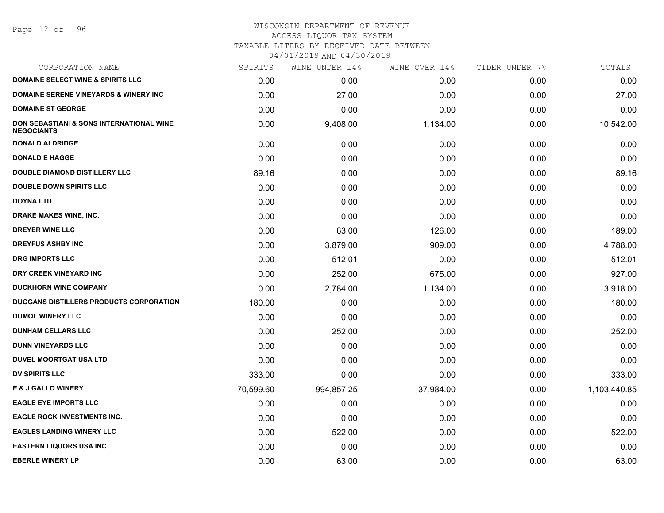# WISCONSIN DEPARTMENT OF REVENUE ACCESS LIQUOR TAX SYSTEM

TAXABLE LITERS BY RECEIVED DATE BETWEEN

| CORPORATION NAME                                                         | SPIRITS   | WINE UNDER 14% | WINE OVER 14% | CIDER UNDER 7% | TOTALS       |
|--------------------------------------------------------------------------|-----------|----------------|---------------|----------------|--------------|
| <b>DOMAINE SELECT WINE &amp; SPIRITS LLC</b>                             | 0.00      | 0.00           | 0.00          | 0.00           | 0.00         |
| <b>DOMAINE SERENE VINEYARDS &amp; WINERY INC</b>                         | 0.00      | 27.00          | 0.00          | 0.00           | 27.00        |
| <b>DOMAINE ST GEORGE</b>                                                 | 0.00      | 0.00           | 0.00          | 0.00           | 0.00         |
| <b>DON SEBASTIANI &amp; SONS INTERNATIONAL WINE</b><br><b>NEGOCIANTS</b> | 0.00      | 9,408.00       | 1,134.00      | 0.00           | 10,542.00    |
| <b>DONALD ALDRIDGE</b>                                                   | 0.00      | 0.00           | 0.00          | 0.00           | 0.00         |
| <b>DONALD E HAGGE</b>                                                    | 0.00      | 0.00           | 0.00          | 0.00           | 0.00         |
| <b>DOUBLE DIAMOND DISTILLERY LLC</b>                                     | 89.16     | 0.00           | 0.00          | 0.00           | 89.16        |
| <b>DOUBLE DOWN SPIRITS LLC</b>                                           | 0.00      | 0.00           | 0.00          | 0.00           | 0.00         |
| <b>DOYNA LTD</b>                                                         | 0.00      | 0.00           | 0.00          | 0.00           | 0.00         |
| DRAKE MAKES WINE, INC.                                                   | 0.00      | 0.00           | 0.00          | 0.00           | 0.00         |
| <b>DREYER WINE LLC</b>                                                   | 0.00      | 63.00          | 126.00        | 0.00           | 189.00       |
| <b>DREYFUS ASHBY INC</b>                                                 | 0.00      | 3,879.00       | 909.00        | 0.00           | 4,788.00     |
| <b>DRG IMPORTS LLC</b>                                                   | 0.00      | 512.01         | 0.00          | 0.00           | 512.01       |
| DRY CREEK VINEYARD INC                                                   | 0.00      | 252.00         | 675.00        | 0.00           | 927.00       |
| <b>DUCKHORN WINE COMPANY</b>                                             | 0.00      | 2,784.00       | 1,134.00      | 0.00           | 3,918.00     |
| DUGGANS DISTILLERS PRODUCTS CORPORATION                                  | 180.00    | 0.00           | 0.00          | 0.00           | 180.00       |
| <b>DUMOL WINERY LLC</b>                                                  | 0.00      | 0.00           | 0.00          | 0.00           | 0.00         |
| <b>DUNHAM CELLARS LLC</b>                                                | 0.00      | 252.00         | 0.00          | 0.00           | 252.00       |
| <b>DUNN VINEYARDS LLC</b>                                                | 0.00      | 0.00           | 0.00          | 0.00           | 0.00         |
| <b>DUVEL MOORTGAT USA LTD</b>                                            | 0.00      | 0.00           | 0.00          | 0.00           | 0.00         |
| <b>DV SPIRITS LLC</b>                                                    | 333.00    | 0.00           | 0.00          | 0.00           | 333.00       |
| <b>E &amp; J GALLO WINERY</b>                                            | 70,599.60 | 994,857.25     | 37,984.00     | 0.00           | 1,103,440.85 |
| <b>EAGLE EYE IMPORTS LLC</b>                                             | 0.00      | 0.00           | 0.00          | 0.00           | 0.00         |
| <b>EAGLE ROCK INVESTMENTS INC.</b>                                       | 0.00      | 0.00           | 0.00          | 0.00           | 0.00         |
| <b>EAGLES LANDING WINERY LLC</b>                                         | 0.00      | 522.00         | 0.00          | 0.00           | 522.00       |
| <b>EASTERN LIQUORS USA INC</b>                                           | 0.00      | 0.00           | 0.00          | 0.00           | 0.00         |
| <b>EBERLE WINERY LP</b>                                                  | 0.00      | 63.00          | 0.00          | 0.00           | 63.00        |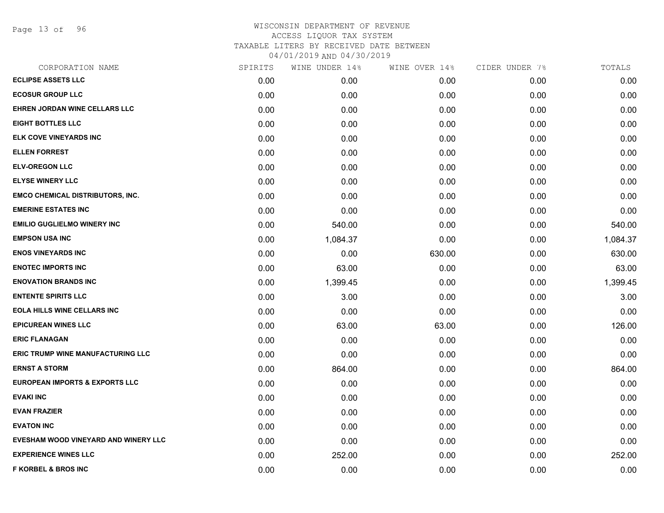Page 13 of 96

| SPIRITS | WINE UNDER 14% |        | CIDER UNDER 7% | TOTALS   |
|---------|----------------|--------|----------------|----------|
| 0.00    | 0.00           | 0.00   | 0.00           | 0.00     |
| 0.00    | 0.00           | 0.00   | 0.00           | 0.00     |
| 0.00    | 0.00           | 0.00   | 0.00           | 0.00     |
| 0.00    | 0.00           | 0.00   | 0.00           | 0.00     |
| 0.00    | 0.00           | 0.00   | 0.00           | 0.00     |
| 0.00    | 0.00           | 0.00   | 0.00           | 0.00     |
| 0.00    | 0.00           | 0.00   | 0.00           | 0.00     |
| 0.00    | 0.00           | 0.00   | 0.00           | 0.00     |
| 0.00    | 0.00           | 0.00   | 0.00           | 0.00     |
| 0.00    | 0.00           | 0.00   | 0.00           | 0.00     |
| 0.00    | 540.00         | 0.00   | 0.00           | 540.00   |
| 0.00    | 1,084.37       | 0.00   | 0.00           | 1,084.37 |
| 0.00    | 0.00           | 630.00 | 0.00           | 630.00   |
| 0.00    | 63.00          | 0.00   | 0.00           | 63.00    |
| 0.00    | 1,399.45       | 0.00   | 0.00           | 1,399.45 |
| 0.00    | 3.00           | 0.00   | 0.00           | 3.00     |
| 0.00    | 0.00           | 0.00   | 0.00           | 0.00     |
| 0.00    | 63.00          | 63.00  | 0.00           | 126.00   |
| 0.00    | 0.00           | 0.00   | 0.00           | 0.00     |
| 0.00    | 0.00           | 0.00   | 0.00           | 0.00     |
| 0.00    | 864.00         | 0.00   | 0.00           | 864.00   |
| 0.00    | 0.00           | 0.00   | 0.00           | 0.00     |
| 0.00    | 0.00           | 0.00   | 0.00           | 0.00     |
| 0.00    | 0.00           | 0.00   | 0.00           | 0.00     |
| 0.00    | 0.00           | 0.00   | 0.00           | 0.00     |
| 0.00    | 0.00           | 0.00   | 0.00           | 0.00     |
| 0.00    | 252.00         | 0.00   | 0.00           | 252.00   |
| 0.00    | 0.00           | 0.00   | 0.00           | 0.00     |
|         |                |        | WINE OVER 14%  |          |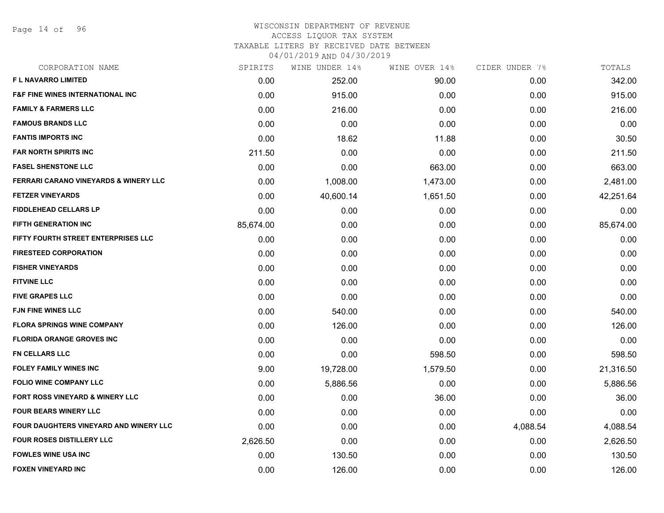Page 14 of 96

#### WISCONSIN DEPARTMENT OF REVENUE ACCESS LIQUOR TAX SYSTEM TAXABLE LITERS BY RECEIVED DATE BETWEEN

| CORPORATION NAME                                 | SPIRITS   | WINE UNDER 14% | WINE OVER 14% | CIDER UNDER 7% | TOTALS    |
|--------------------------------------------------|-----------|----------------|---------------|----------------|-----------|
| <b>FL NAVARRO LIMITED</b>                        | 0.00      | 252.00         | 90.00         | 0.00           | 342.00    |
| <b>F&amp;F FINE WINES INTERNATIONAL INC</b>      | 0.00      | 915.00         | 0.00          | 0.00           | 915.00    |
| <b>FAMILY &amp; FARMERS LLC</b>                  | 0.00      | 216.00         | 0.00          | 0.00           | 216.00    |
| <b>FAMOUS BRANDS LLC</b>                         | 0.00      | 0.00           | 0.00          | 0.00           | 0.00      |
| <b>FANTIS IMPORTS INC</b>                        | 0.00      | 18.62          | 11.88         | 0.00           | 30.50     |
| <b>FAR NORTH SPIRITS INC</b>                     | 211.50    | 0.00           | 0.00          | 0.00           | 211.50    |
| <b>FASEL SHENSTONE LLC</b>                       | 0.00      | 0.00           | 663.00        | 0.00           | 663.00    |
| <b>FERRARI CARANO VINEYARDS &amp; WINERY LLC</b> | 0.00      | 1,008.00       | 1,473.00      | 0.00           | 2,481.00  |
| <b>FETZER VINEYARDS</b>                          | 0.00      | 40,600.14      | 1,651.50      | 0.00           | 42,251.64 |
| <b>FIDDLEHEAD CELLARS LP</b>                     | 0.00      | 0.00           | 0.00          | 0.00           | 0.00      |
| <b>FIFTH GENERATION INC</b>                      | 85,674.00 | 0.00           | 0.00          | 0.00           | 85,674.00 |
| FIFTY FOURTH STREET ENTERPRISES LLC              | 0.00      | 0.00           | 0.00          | 0.00           | 0.00      |
| <b>FIRESTEED CORPORATION</b>                     | 0.00      | 0.00           | 0.00          | 0.00           | 0.00      |
| <b>FISHER VINEYARDS</b>                          | 0.00      | 0.00           | 0.00          | 0.00           | 0.00      |
| <b>FITVINE LLC</b>                               | 0.00      | 0.00           | 0.00          | 0.00           | 0.00      |
| <b>FIVE GRAPES LLC</b>                           | 0.00      | 0.00           | 0.00          | 0.00           | 0.00      |
| <b>FJN FINE WINES LLC</b>                        | 0.00      | 540.00         | 0.00          | 0.00           | 540.00    |
| <b>FLORA SPRINGS WINE COMPANY</b>                | 0.00      | 126.00         | 0.00          | 0.00           | 126.00    |
| <b>FLORIDA ORANGE GROVES INC</b>                 | 0.00      | 0.00           | 0.00          | 0.00           | 0.00      |
| <b>FN CELLARS LLC</b>                            | 0.00      | 0.00           | 598.50        | 0.00           | 598.50    |
| <b>FOLEY FAMILY WINES INC</b>                    | 9.00      | 19,728.00      | 1,579.50      | 0.00           | 21,316.50 |
| <b>FOLIO WINE COMPANY LLC</b>                    | 0.00      | 5,886.56       | 0.00          | 0.00           | 5,886.56  |
| FORT ROSS VINEYARD & WINERY LLC                  | 0.00      | 0.00           | 36.00         | 0.00           | 36.00     |
| <b>FOUR BEARS WINERY LLC</b>                     | 0.00      | 0.00           | 0.00          | 0.00           | 0.00      |
| FOUR DAUGHTERS VINEYARD AND WINERY LLC           | 0.00      | 0.00           | 0.00          | 4,088.54       | 4,088.54  |
| FOUR ROSES DISTILLERY LLC                        | 2,626.50  | 0.00           | 0.00          | 0.00           | 2,626.50  |
| <b>FOWLES WINE USA INC</b>                       | 0.00      | 130.50         | 0.00          | 0.00           | 130.50    |
| <b>FOXEN VINEYARD INC</b>                        | 0.00      | 126.00         | 0.00          | 0.00           | 126.00    |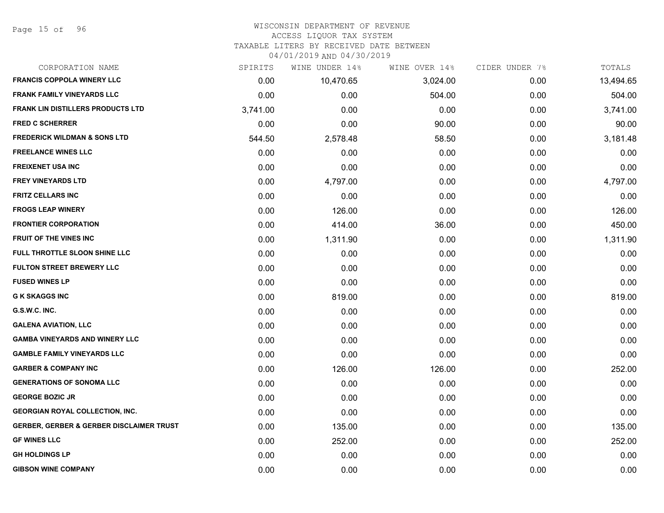#### WISCONSIN DEPARTMENT OF REVENUE ACCESS LIQUOR TAX SYSTEM

TAXABLE LITERS BY RECEIVED DATE BETWEEN

| CORPORATION NAME                                    | SPIRITS  | WINE UNDER 14% | WINE OVER 14% | CIDER UNDER 7% | TOTALS    |
|-----------------------------------------------------|----------|----------------|---------------|----------------|-----------|
| <b>FRANCIS COPPOLA WINERY LLC</b>                   | 0.00     | 10,470.65      | 3,024.00      | 0.00           | 13,494.65 |
| <b>FRANK FAMILY VINEYARDS LLC</b>                   | 0.00     | 0.00           | 504.00        | 0.00           | 504.00    |
| <b>FRANK LIN DISTILLERS PRODUCTS LTD</b>            | 3,741.00 | 0.00           | 0.00          | 0.00           | 3,741.00  |
| <b>FRED C SCHERRER</b>                              | 0.00     | 0.00           | 90.00         | 0.00           | 90.00     |
| <b>FREDERICK WILDMAN &amp; SONS LTD</b>             | 544.50   | 2,578.48       | 58.50         | 0.00           | 3,181.48  |
| <b>FREELANCE WINES LLC</b>                          | 0.00     | 0.00           | 0.00          | 0.00           | 0.00      |
| <b>FREIXENET USA INC</b>                            | 0.00     | 0.00           | 0.00          | 0.00           | 0.00      |
| <b>FREY VINEYARDS LTD</b>                           | 0.00     | 4,797.00       | 0.00          | 0.00           | 4,797.00  |
| <b>FRITZ CELLARS INC</b>                            | 0.00     | 0.00           | 0.00          | 0.00           | 0.00      |
| <b>FROGS LEAP WINERY</b>                            | 0.00     | 126.00         | 0.00          | 0.00           | 126.00    |
| <b>FRONTIER CORPORATION</b>                         | 0.00     | 414.00         | 36.00         | 0.00           | 450.00    |
| FRUIT OF THE VINES INC                              | 0.00     | 1,311.90       | 0.00          | 0.00           | 1,311.90  |
| FULL THROTTLE SLOON SHINE LLC                       | 0.00     | 0.00           | 0.00          | 0.00           | 0.00      |
| <b>FULTON STREET BREWERY LLC</b>                    | 0.00     | 0.00           | 0.00          | 0.00           | 0.00      |
| <b>FUSED WINES LP</b>                               | 0.00     | 0.00           | 0.00          | 0.00           | 0.00      |
| <b>G K SKAGGS INC</b>                               | 0.00     | 819.00         | 0.00          | 0.00           | 819.00    |
| G.S.W.C. INC.                                       | 0.00     | 0.00           | 0.00          | 0.00           | 0.00      |
| <b>GALENA AVIATION, LLC</b>                         | 0.00     | 0.00           | 0.00          | 0.00           | 0.00      |
| <b>GAMBA VINEYARDS AND WINERY LLC</b>               | 0.00     | 0.00           | 0.00          | 0.00           | 0.00      |
| <b>GAMBLE FAMILY VINEYARDS LLC</b>                  | 0.00     | 0.00           | 0.00          | 0.00           | 0.00      |
| <b>GARBER &amp; COMPANY INC</b>                     | 0.00     | 126.00         | 126.00        | 0.00           | 252.00    |
| <b>GENERATIONS OF SONOMA LLC</b>                    | 0.00     | 0.00           | 0.00          | 0.00           | 0.00      |
| <b>GEORGE BOZIC JR</b>                              | 0.00     | 0.00           | 0.00          | 0.00           | 0.00      |
| <b>GEORGIAN ROYAL COLLECTION, INC.</b>              | 0.00     | 0.00           | 0.00          | 0.00           | 0.00      |
| <b>GERBER, GERBER &amp; GERBER DISCLAIMER TRUST</b> | 0.00     | 135.00         | 0.00          | 0.00           | 135.00    |
| <b>GF WINES LLC</b>                                 | 0.00     | 252.00         | 0.00          | 0.00           | 252.00    |
| <b>GH HOLDINGS LP</b>                               | 0.00     | 0.00           | 0.00          | 0.00           | 0.00      |
| <b>GIBSON WINE COMPANY</b>                          | 0.00     | 0.00           | 0.00          | 0.00           | 0.00      |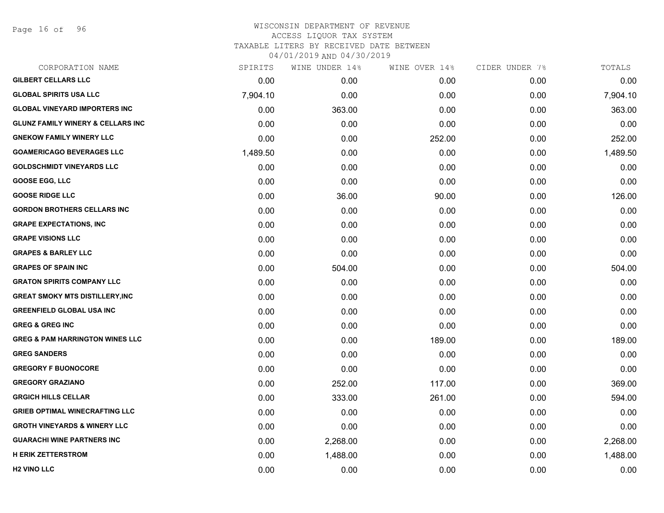Page 16 of 96

| CORPORATION NAME                             | SPIRITS  | WINE UNDER 14% | WINE OVER 14% | CIDER UNDER 7% | TOTALS   |
|----------------------------------------------|----------|----------------|---------------|----------------|----------|
| <b>GILBERT CELLARS LLC</b>                   | 0.00     | 0.00           | 0.00          | 0.00           | 0.00     |
| <b>GLOBAL SPIRITS USA LLC</b>                | 7,904.10 | 0.00           | 0.00          | 0.00           | 7,904.10 |
| <b>GLOBAL VINEYARD IMPORTERS INC</b>         | 0.00     | 363.00         | 0.00          | 0.00           | 363.00   |
| <b>GLUNZ FAMILY WINERY &amp; CELLARS INC</b> | 0.00     | 0.00           | 0.00          | 0.00           | 0.00     |
| <b>GNEKOW FAMILY WINERY LLC</b>              | 0.00     | 0.00           | 252.00        | 0.00           | 252.00   |
| <b>GOAMERICAGO BEVERAGES LLC</b>             | 1,489.50 | 0.00           | 0.00          | 0.00           | 1,489.50 |
| <b>GOLDSCHMIDT VINEYARDS LLC</b>             | 0.00     | 0.00           | 0.00          | 0.00           | 0.00     |
| <b>GOOSE EGG, LLC</b>                        | 0.00     | 0.00           | 0.00          | 0.00           | 0.00     |
| <b>GOOSE RIDGE LLC</b>                       | 0.00     | 36.00          | 90.00         | 0.00           | 126.00   |
| <b>GORDON BROTHERS CELLARS INC</b>           | 0.00     | 0.00           | 0.00          | 0.00           | 0.00     |
| <b>GRAPE EXPECTATIONS, INC</b>               | 0.00     | 0.00           | 0.00          | 0.00           | 0.00     |
| <b>GRAPE VISIONS LLC</b>                     | 0.00     | 0.00           | 0.00          | 0.00           | 0.00     |
| <b>GRAPES &amp; BARLEY LLC</b>               | 0.00     | 0.00           | 0.00          | 0.00           | 0.00     |
| <b>GRAPES OF SPAIN INC</b>                   | 0.00     | 504.00         | 0.00          | 0.00           | 504.00   |
| <b>GRATON SPIRITS COMPANY LLC</b>            | 0.00     | 0.00           | 0.00          | 0.00           | 0.00     |
| <b>GREAT SMOKY MTS DISTILLERY, INC</b>       | 0.00     | 0.00           | 0.00          | 0.00           | 0.00     |
| <b>GREENFIELD GLOBAL USA INC</b>             | 0.00     | 0.00           | 0.00          | 0.00           | 0.00     |
| <b>GREG &amp; GREG INC</b>                   | 0.00     | 0.00           | 0.00          | 0.00           | 0.00     |
| <b>GREG &amp; PAM HARRINGTON WINES LLC</b>   | 0.00     | 0.00           | 189.00        | 0.00           | 189.00   |
| <b>GREG SANDERS</b>                          | 0.00     | 0.00           | 0.00          | 0.00           | 0.00     |
| <b>GREGORY F BUONOCORE</b>                   | 0.00     | 0.00           | 0.00          | 0.00           | 0.00     |
| <b>GREGORY GRAZIANO</b>                      | 0.00     | 252.00         | 117.00        | 0.00           | 369.00   |
| <b>GRGICH HILLS CELLAR</b>                   | 0.00     | 333.00         | 261.00        | 0.00           | 594.00   |
| <b>GRIEB OPTIMAL WINECRAFTING LLC</b>        | 0.00     | 0.00           | 0.00          | 0.00           | 0.00     |
| <b>GROTH VINEYARDS &amp; WINERY LLC</b>      | 0.00     | 0.00           | 0.00          | 0.00           | 0.00     |
| <b>GUARACHI WINE PARTNERS INC</b>            | 0.00     | 2,268.00       | 0.00          | 0.00           | 2,268.00 |
| <b>H ERIK ZETTERSTROM</b>                    | 0.00     | 1,488.00       | 0.00          | 0.00           | 1,488.00 |
| <b>H2 VINO LLC</b>                           | 0.00     | 0.00           | 0.00          | 0.00           | 0.00     |
|                                              |          |                |               |                |          |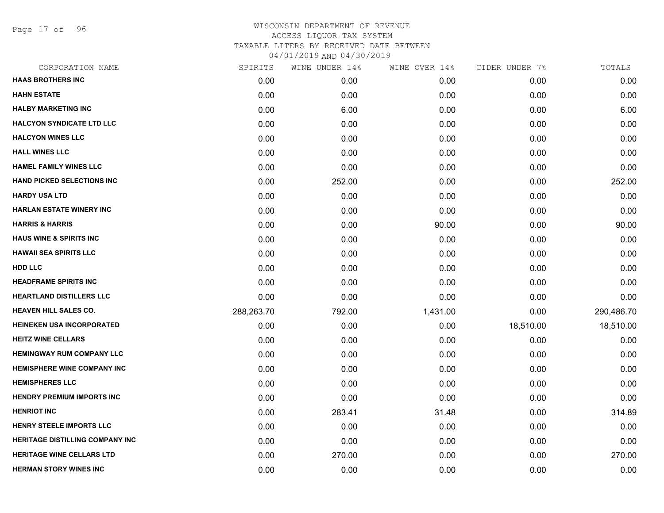Page 17 of 96

| <b>HAAS BROTHERS INC</b><br>0.00<br>0.00<br>0.00<br>0.00<br><b>HAHN ESTATE</b><br>0.00<br>0.00<br>0.00<br>0.00<br><b>HALBY MARKETING INC</b><br>0.00<br>6.00<br>0.00<br>0.00<br><b>HALCYON SYNDICATE LTD LLC</b><br>0.00<br>0.00<br>0.00<br>0.00<br><b>HALCYON WINES LLC</b><br>0.00<br>0.00<br>0.00<br>0.00<br><b>HALL WINES LLC</b><br>0.00<br>0.00<br>0.00<br>0.00<br><b>HAMEL FAMILY WINES LLC</b><br>0.00<br>0.00<br>0.00<br>0.00<br><b>HAND PICKED SELECTIONS INC</b><br>0.00<br>252.00<br>0.00<br>0.00<br><b>HARDY USA LTD</b><br>0.00<br>0.00<br>0.00<br>0.00<br><b>HARLAN ESTATE WINERY INC</b><br>0.00<br>0.00<br>0.00<br>0.00<br><b>HARRIS &amp; HARRIS</b><br>0.00<br>0.00<br>90.00<br>0.00<br><b>HAUS WINE &amp; SPIRITS INC</b><br>0.00<br>0.00<br>0.00<br>0.00<br><b>HAWAII SEA SPIRITS LLC</b><br>0.00<br>0.00<br>0.00<br>0.00<br><b>HDD LLC</b><br>0.00<br>0.00<br>0.00<br>0.00<br><b>HEADFRAME SPIRITS INC</b><br>0.00<br>0.00<br>0.00<br>0.00<br><b>HEARTLAND DISTILLERS LLC</b><br>0.00<br>0.00<br>0.00<br>0.00<br><b>HEAVEN HILL SALES CO.</b><br>288,263.70<br>792.00<br>1,431.00<br>0.00<br><b>HEINEKEN USA INCORPORATED</b><br>0.00<br>0.00<br>18,510.00<br>0.00<br><b>HEITZ WINE CELLARS</b><br>0.00<br>0.00<br>0.00<br>0.00<br><b>HEMINGWAY RUM COMPANY LLC</b><br>0.00<br>0.00<br>0.00<br>0.00<br><b>HEMISPHERE WINE COMPANY INC</b><br>0.00<br>0.00<br>0.00<br>0.00<br><b>HEMISPHERES LLC</b><br>0.00<br>0.00<br>0.00<br>0.00<br><b>HENDRY PREMIUM IMPORTS INC</b><br>0.00<br>0.00<br>0.00<br>0.00<br><b>HENRIOT INC</b><br>0.00<br>283.41<br>31.48<br>0.00<br><b>HENRY STEELE IMPORTS LLC</b><br>0.00<br>0.00<br>0.00<br>0.00<br><b>HERITAGE DISTILLING COMPANY INC</b><br>0.00<br>0.00<br>0.00<br>0.00<br><b>HERITAGE WINE CELLARS LTD</b><br>0.00<br>270.00<br>0.00<br>0.00<br><b>HERMAN STORY WINES INC</b><br>0.00<br>0.00<br>0.00<br>0.00 | CORPORATION NAME | SPIRITS | WINE UNDER 14% | WINE OVER 14% | CIDER UNDER 7% | TOTALS     |
|-----------------------------------------------------------------------------------------------------------------------------------------------------------------------------------------------------------------------------------------------------------------------------------------------------------------------------------------------------------------------------------------------------------------------------------------------------------------------------------------------------------------------------------------------------------------------------------------------------------------------------------------------------------------------------------------------------------------------------------------------------------------------------------------------------------------------------------------------------------------------------------------------------------------------------------------------------------------------------------------------------------------------------------------------------------------------------------------------------------------------------------------------------------------------------------------------------------------------------------------------------------------------------------------------------------------------------------------------------------------------------------------------------------------------------------------------------------------------------------------------------------------------------------------------------------------------------------------------------------------------------------------------------------------------------------------------------------------------------------------------------------------------------------------------------------------------------------------------------------------------------|------------------|---------|----------------|---------------|----------------|------------|
|                                                                                                                                                                                                                                                                                                                                                                                                                                                                                                                                                                                                                                                                                                                                                                                                                                                                                                                                                                                                                                                                                                                                                                                                                                                                                                                                                                                                                                                                                                                                                                                                                                                                                                                                                                                                                                                                             |                  |         |                |               |                | 0.00       |
|                                                                                                                                                                                                                                                                                                                                                                                                                                                                                                                                                                                                                                                                                                                                                                                                                                                                                                                                                                                                                                                                                                                                                                                                                                                                                                                                                                                                                                                                                                                                                                                                                                                                                                                                                                                                                                                                             |                  |         |                |               |                | 0.00       |
|                                                                                                                                                                                                                                                                                                                                                                                                                                                                                                                                                                                                                                                                                                                                                                                                                                                                                                                                                                                                                                                                                                                                                                                                                                                                                                                                                                                                                                                                                                                                                                                                                                                                                                                                                                                                                                                                             |                  |         |                |               |                | 6.00       |
|                                                                                                                                                                                                                                                                                                                                                                                                                                                                                                                                                                                                                                                                                                                                                                                                                                                                                                                                                                                                                                                                                                                                                                                                                                                                                                                                                                                                                                                                                                                                                                                                                                                                                                                                                                                                                                                                             |                  |         |                |               |                | 0.00       |
|                                                                                                                                                                                                                                                                                                                                                                                                                                                                                                                                                                                                                                                                                                                                                                                                                                                                                                                                                                                                                                                                                                                                                                                                                                                                                                                                                                                                                                                                                                                                                                                                                                                                                                                                                                                                                                                                             |                  |         |                |               |                | 0.00       |
|                                                                                                                                                                                                                                                                                                                                                                                                                                                                                                                                                                                                                                                                                                                                                                                                                                                                                                                                                                                                                                                                                                                                                                                                                                                                                                                                                                                                                                                                                                                                                                                                                                                                                                                                                                                                                                                                             |                  |         |                |               |                | 0.00       |
|                                                                                                                                                                                                                                                                                                                                                                                                                                                                                                                                                                                                                                                                                                                                                                                                                                                                                                                                                                                                                                                                                                                                                                                                                                                                                                                                                                                                                                                                                                                                                                                                                                                                                                                                                                                                                                                                             |                  |         |                |               |                | 0.00       |
|                                                                                                                                                                                                                                                                                                                                                                                                                                                                                                                                                                                                                                                                                                                                                                                                                                                                                                                                                                                                                                                                                                                                                                                                                                                                                                                                                                                                                                                                                                                                                                                                                                                                                                                                                                                                                                                                             |                  |         |                |               |                | 252.00     |
|                                                                                                                                                                                                                                                                                                                                                                                                                                                                                                                                                                                                                                                                                                                                                                                                                                                                                                                                                                                                                                                                                                                                                                                                                                                                                                                                                                                                                                                                                                                                                                                                                                                                                                                                                                                                                                                                             |                  |         |                |               |                | 0.00       |
|                                                                                                                                                                                                                                                                                                                                                                                                                                                                                                                                                                                                                                                                                                                                                                                                                                                                                                                                                                                                                                                                                                                                                                                                                                                                                                                                                                                                                                                                                                                                                                                                                                                                                                                                                                                                                                                                             |                  |         |                |               |                | 0.00       |
|                                                                                                                                                                                                                                                                                                                                                                                                                                                                                                                                                                                                                                                                                                                                                                                                                                                                                                                                                                                                                                                                                                                                                                                                                                                                                                                                                                                                                                                                                                                                                                                                                                                                                                                                                                                                                                                                             |                  |         |                |               |                | 90.00      |
|                                                                                                                                                                                                                                                                                                                                                                                                                                                                                                                                                                                                                                                                                                                                                                                                                                                                                                                                                                                                                                                                                                                                                                                                                                                                                                                                                                                                                                                                                                                                                                                                                                                                                                                                                                                                                                                                             |                  |         |                |               |                | 0.00       |
|                                                                                                                                                                                                                                                                                                                                                                                                                                                                                                                                                                                                                                                                                                                                                                                                                                                                                                                                                                                                                                                                                                                                                                                                                                                                                                                                                                                                                                                                                                                                                                                                                                                                                                                                                                                                                                                                             |                  |         |                |               |                | 0.00       |
|                                                                                                                                                                                                                                                                                                                                                                                                                                                                                                                                                                                                                                                                                                                                                                                                                                                                                                                                                                                                                                                                                                                                                                                                                                                                                                                                                                                                                                                                                                                                                                                                                                                                                                                                                                                                                                                                             |                  |         |                |               |                | 0.00       |
|                                                                                                                                                                                                                                                                                                                                                                                                                                                                                                                                                                                                                                                                                                                                                                                                                                                                                                                                                                                                                                                                                                                                                                                                                                                                                                                                                                                                                                                                                                                                                                                                                                                                                                                                                                                                                                                                             |                  |         |                |               |                | 0.00       |
|                                                                                                                                                                                                                                                                                                                                                                                                                                                                                                                                                                                                                                                                                                                                                                                                                                                                                                                                                                                                                                                                                                                                                                                                                                                                                                                                                                                                                                                                                                                                                                                                                                                                                                                                                                                                                                                                             |                  |         |                |               |                | 0.00       |
|                                                                                                                                                                                                                                                                                                                                                                                                                                                                                                                                                                                                                                                                                                                                                                                                                                                                                                                                                                                                                                                                                                                                                                                                                                                                                                                                                                                                                                                                                                                                                                                                                                                                                                                                                                                                                                                                             |                  |         |                |               |                | 290,486.70 |
|                                                                                                                                                                                                                                                                                                                                                                                                                                                                                                                                                                                                                                                                                                                                                                                                                                                                                                                                                                                                                                                                                                                                                                                                                                                                                                                                                                                                                                                                                                                                                                                                                                                                                                                                                                                                                                                                             |                  |         |                |               |                | 18,510.00  |
|                                                                                                                                                                                                                                                                                                                                                                                                                                                                                                                                                                                                                                                                                                                                                                                                                                                                                                                                                                                                                                                                                                                                                                                                                                                                                                                                                                                                                                                                                                                                                                                                                                                                                                                                                                                                                                                                             |                  |         |                |               |                | 0.00       |
|                                                                                                                                                                                                                                                                                                                                                                                                                                                                                                                                                                                                                                                                                                                                                                                                                                                                                                                                                                                                                                                                                                                                                                                                                                                                                                                                                                                                                                                                                                                                                                                                                                                                                                                                                                                                                                                                             |                  |         |                |               |                | 0.00       |
|                                                                                                                                                                                                                                                                                                                                                                                                                                                                                                                                                                                                                                                                                                                                                                                                                                                                                                                                                                                                                                                                                                                                                                                                                                                                                                                                                                                                                                                                                                                                                                                                                                                                                                                                                                                                                                                                             |                  |         |                |               |                | 0.00       |
|                                                                                                                                                                                                                                                                                                                                                                                                                                                                                                                                                                                                                                                                                                                                                                                                                                                                                                                                                                                                                                                                                                                                                                                                                                                                                                                                                                                                                                                                                                                                                                                                                                                                                                                                                                                                                                                                             |                  |         |                |               |                | 0.00       |
|                                                                                                                                                                                                                                                                                                                                                                                                                                                                                                                                                                                                                                                                                                                                                                                                                                                                                                                                                                                                                                                                                                                                                                                                                                                                                                                                                                                                                                                                                                                                                                                                                                                                                                                                                                                                                                                                             |                  |         |                |               |                | 0.00       |
|                                                                                                                                                                                                                                                                                                                                                                                                                                                                                                                                                                                                                                                                                                                                                                                                                                                                                                                                                                                                                                                                                                                                                                                                                                                                                                                                                                                                                                                                                                                                                                                                                                                                                                                                                                                                                                                                             |                  |         |                |               |                | 314.89     |
|                                                                                                                                                                                                                                                                                                                                                                                                                                                                                                                                                                                                                                                                                                                                                                                                                                                                                                                                                                                                                                                                                                                                                                                                                                                                                                                                                                                                                                                                                                                                                                                                                                                                                                                                                                                                                                                                             |                  |         |                |               |                | 0.00       |
|                                                                                                                                                                                                                                                                                                                                                                                                                                                                                                                                                                                                                                                                                                                                                                                                                                                                                                                                                                                                                                                                                                                                                                                                                                                                                                                                                                                                                                                                                                                                                                                                                                                                                                                                                                                                                                                                             |                  |         |                |               |                | 0.00       |
|                                                                                                                                                                                                                                                                                                                                                                                                                                                                                                                                                                                                                                                                                                                                                                                                                                                                                                                                                                                                                                                                                                                                                                                                                                                                                                                                                                                                                                                                                                                                                                                                                                                                                                                                                                                                                                                                             |                  |         |                |               |                | 270.00     |
|                                                                                                                                                                                                                                                                                                                                                                                                                                                                                                                                                                                                                                                                                                                                                                                                                                                                                                                                                                                                                                                                                                                                                                                                                                                                                                                                                                                                                                                                                                                                                                                                                                                                                                                                                                                                                                                                             |                  |         |                |               |                | 0.00       |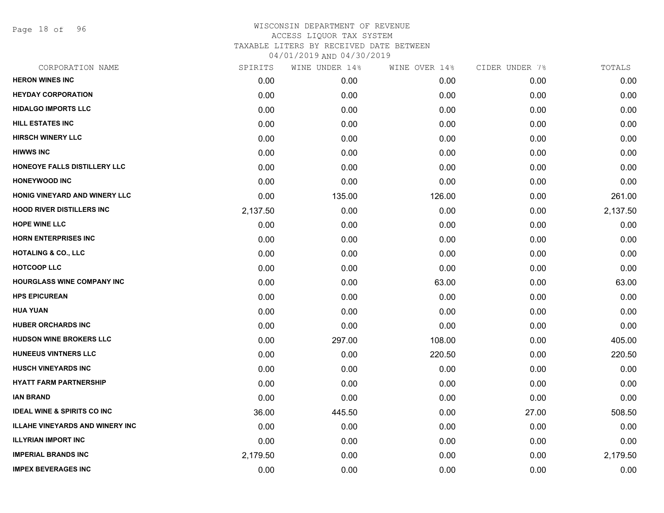Page 18 of 96

| CORPORATION NAME                       | SPIRITS  | WINE UNDER 14% | WINE OVER 14% | CIDER UNDER 7% | TOTALS   |
|----------------------------------------|----------|----------------|---------------|----------------|----------|
| <b>HERON WINES INC</b>                 | 0.00     | 0.00           | 0.00          | 0.00           | 0.00     |
| <b>HEYDAY CORPORATION</b>              | 0.00     | 0.00           | 0.00          | 0.00           | 0.00     |
| <b>HIDALGO IMPORTS LLC</b>             | 0.00     | 0.00           | 0.00          | 0.00           | 0.00     |
| <b>HILL ESTATES INC</b>                | 0.00     | 0.00           | 0.00          | 0.00           | 0.00     |
| <b>HIRSCH WINERY LLC</b>               | 0.00     | 0.00           | 0.00          | 0.00           | 0.00     |
| <b>HIWWS INC</b>                       | 0.00     | 0.00           | 0.00          | 0.00           | 0.00     |
| HONEOYE FALLS DISTILLERY LLC           | 0.00     | 0.00           | 0.00          | 0.00           | 0.00     |
| <b>HONEYWOOD INC</b>                   | 0.00     | 0.00           | 0.00          | 0.00           | 0.00     |
| HONIG VINEYARD AND WINERY LLC          | 0.00     | 135.00         | 126.00        | 0.00           | 261.00   |
| <b>HOOD RIVER DISTILLERS INC</b>       | 2,137.50 | 0.00           | 0.00          | 0.00           | 2,137.50 |
| <b>HOPE WINE LLC</b>                   | 0.00     | 0.00           | 0.00          | 0.00           | 0.00     |
| <b>HORN ENTERPRISES INC</b>            | 0.00     | 0.00           | 0.00          | 0.00           | 0.00     |
| <b>HOTALING &amp; CO., LLC</b>         | 0.00     | 0.00           | 0.00          | 0.00           | 0.00     |
| <b>HOTCOOP LLC</b>                     | 0.00     | 0.00           | 0.00          | 0.00           | 0.00     |
| <b>HOURGLASS WINE COMPANY INC</b>      | 0.00     | 0.00           | 63.00         | 0.00           | 63.00    |
| <b>HPS EPICUREAN</b>                   | 0.00     | 0.00           | 0.00          | 0.00           | 0.00     |
| <b>HUA YUAN</b>                        | 0.00     | 0.00           | 0.00          | 0.00           | 0.00     |
| <b>HUBER ORCHARDS INC</b>              | 0.00     | 0.00           | 0.00          | 0.00           | 0.00     |
| HUDSON WINE BROKERS LLC                | 0.00     | 297.00         | 108.00        | 0.00           | 405.00   |
| <b>HUNEEUS VINTNERS LLC</b>            | 0.00     | 0.00           | 220.50        | 0.00           | 220.50   |
| <b>HUSCH VINEYARDS INC</b>             | 0.00     | 0.00           | 0.00          | 0.00           | 0.00     |
| <b>HYATT FARM PARTNERSHIP</b>          | 0.00     | 0.00           | 0.00          | 0.00           | 0.00     |
| <b>IAN BRAND</b>                       | 0.00     | 0.00           | 0.00          | 0.00           | 0.00     |
| <b>IDEAL WINE &amp; SPIRITS CO INC</b> | 36.00    | 445.50         | 0.00          | 27.00          | 508.50   |
| <b>ILLAHE VINEYARDS AND WINERY INC</b> | 0.00     | 0.00           | 0.00          | 0.00           | 0.00     |
| <b>ILLYRIAN IMPORT INC</b>             | 0.00     | 0.00           | 0.00          | 0.00           | 0.00     |
| <b>IMPERIAL BRANDS INC</b>             | 2,179.50 | 0.00           | 0.00          | 0.00           | 2,179.50 |
| <b>IMPEX BEVERAGES INC</b>             | 0.00     | 0.00           | 0.00          | 0.00           | 0.00     |
|                                        |          |                |               |                |          |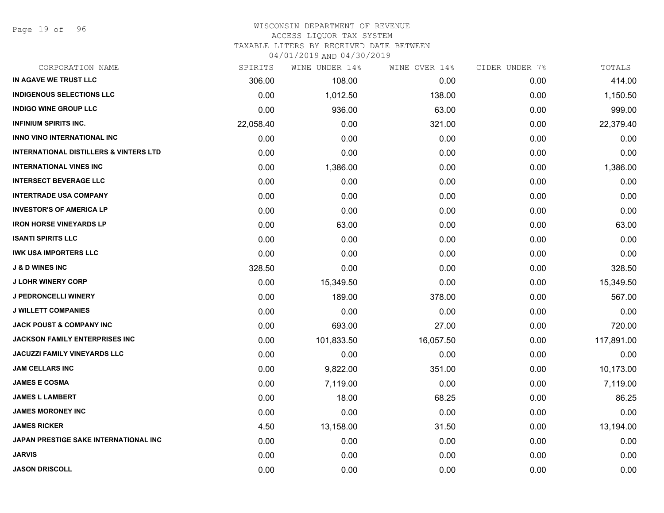Page 19 of 96

#### WISCONSIN DEPARTMENT OF REVENUE ACCESS LIQUOR TAX SYSTEM

TAXABLE LITERS BY RECEIVED DATE BETWEEN

| CORPORATION NAME                                  | SPIRITS   | WINE UNDER 14% | WINE OVER 14% | CIDER UNDER 7% | TOTALS     |
|---------------------------------------------------|-----------|----------------|---------------|----------------|------------|
| IN AGAVE WE TRUST LLC                             | 306.00    | 108.00         | 0.00          | 0.00           | 414.00     |
| <b>INDIGENOUS SELECTIONS LLC</b>                  | 0.00      | 1,012.50       | 138.00        | 0.00           | 1,150.50   |
| <b>INDIGO WINE GROUP LLC</b>                      | 0.00      | 936.00         | 63.00         | 0.00           | 999.00     |
| <b>INFINIUM SPIRITS INC.</b>                      | 22,058.40 | 0.00           | 321.00        | 0.00           | 22,379.40  |
| <b>INNO VINO INTERNATIONAL INC</b>                | 0.00      | 0.00           | 0.00          | 0.00           | 0.00       |
| <b>INTERNATIONAL DISTILLERS &amp; VINTERS LTD</b> | 0.00      | 0.00           | 0.00          | 0.00           | 0.00       |
| <b>INTERNATIONAL VINES INC</b>                    | 0.00      | 1,386.00       | 0.00          | 0.00           | 1,386.00   |
| <b>INTERSECT BEVERAGE LLC</b>                     | 0.00      | 0.00           | 0.00          | 0.00           | 0.00       |
| <b>INTERTRADE USA COMPANY</b>                     | 0.00      | 0.00           | 0.00          | 0.00           | 0.00       |
| <b>INVESTOR'S OF AMERICA LP</b>                   | 0.00      | 0.00           | 0.00          | 0.00           | 0.00       |
| <b>IRON HORSE VINEYARDS LP</b>                    | 0.00      | 63.00          | 0.00          | 0.00           | 63.00      |
| <b>ISANTI SPIRITS LLC</b>                         | 0.00      | 0.00           | 0.00          | 0.00           | 0.00       |
| <b>IWK USA IMPORTERS LLC</b>                      | 0.00      | 0.00           | 0.00          | 0.00           | 0.00       |
| <b>J &amp; D WINES INC</b>                        | 328.50    | 0.00           | 0.00          | 0.00           | 328.50     |
| <b>J LOHR WINERY CORP</b>                         | 0.00      | 15,349.50      | 0.00          | 0.00           | 15,349.50  |
| <b>J PEDRONCELLI WINERY</b>                       | 0.00      | 189.00         | 378.00        | 0.00           | 567.00     |
| <b>J WILLETT COMPANIES</b>                        | 0.00      | 0.00           | 0.00          | 0.00           | 0.00       |
| <b>JACK POUST &amp; COMPANY INC</b>               | 0.00      | 693.00         | 27.00         | 0.00           | 720.00     |
| <b>JACKSON FAMILY ENTERPRISES INC</b>             | 0.00      | 101,833.50     | 16,057.50     | 0.00           | 117,891.00 |
| <b>JACUZZI FAMILY VINEYARDS LLC</b>               | 0.00      | 0.00           | 0.00          | 0.00           | 0.00       |
| JAM CELLARS INC                                   | 0.00      | 9,822.00       | 351.00        | 0.00           | 10,173.00  |
| <b>JAMES E COSMA</b>                              | 0.00      | 7,119.00       | 0.00          | 0.00           | 7,119.00   |
| <b>JAMES L LAMBERT</b>                            | 0.00      | 18.00          | 68.25         | 0.00           | 86.25      |
| <b>JAMES MORONEY INC</b>                          | 0.00      | 0.00           | 0.00          | 0.00           | 0.00       |
| <b>JAMES RICKER</b>                               | 4.50      | 13,158.00      | 31.50         | 0.00           | 13,194.00  |
| JAPAN PRESTIGE SAKE INTERNATIONAL INC             | 0.00      | 0.00           | 0.00          | 0.00           | 0.00       |
| <b>JARVIS</b>                                     | 0.00      | 0.00           | 0.00          | 0.00           | 0.00       |
| <b>JASON DRISCOLL</b>                             | 0.00      | 0.00           | 0.00          | 0.00           | 0.00       |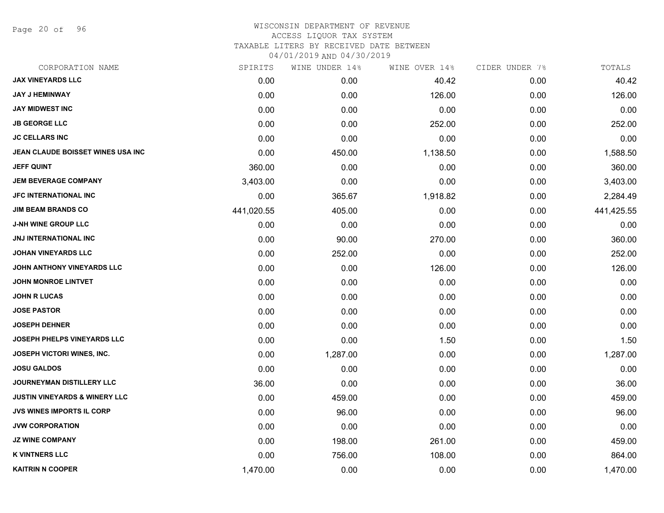Page 20 of 96

# WISCONSIN DEPARTMENT OF REVENUE ACCESS LIQUOR TAX SYSTEM TAXABLE LITERS BY RECEIVED DATE BETWEEN

| CORPORATION NAME                         | SPIRITS    | WINE UNDER 14% | WINE OVER 14% | CIDER UNDER 7% | TOTALS     |
|------------------------------------------|------------|----------------|---------------|----------------|------------|
| <b>JAX VINEYARDS LLC</b>                 | 0.00       | 0.00           | 40.42         | 0.00           | 40.42      |
| <b>JAY J HEMINWAY</b>                    | 0.00       | 0.00           | 126.00        | 0.00           | 126.00     |
| <b>JAY MIDWEST INC</b>                   | 0.00       | 0.00           | 0.00          | 0.00           | 0.00       |
| <b>JB GEORGE LLC</b>                     | 0.00       | 0.00           | 252.00        | 0.00           | 252.00     |
| <b>JC CELLARS INC</b>                    | 0.00       | 0.00           | 0.00          | 0.00           | 0.00       |
| JEAN CLAUDE BOISSET WINES USA INC        | 0.00       | 450.00         | 1,138.50      | 0.00           | 1,588.50   |
| <b>JEFF QUINT</b>                        | 360.00     | 0.00           | 0.00          | 0.00           | 360.00     |
| <b>JEM BEVERAGE COMPANY</b>              | 3,403.00   | 0.00           | 0.00          | 0.00           | 3,403.00   |
| <b>JFC INTERNATIONAL INC</b>             | 0.00       | 365.67         | 1,918.82      | 0.00           | 2,284.49   |
| <b>JIM BEAM BRANDS CO</b>                | 441,020.55 | 405.00         | 0.00          | 0.00           | 441,425.55 |
| <b>J-NH WINE GROUP LLC</b>               | 0.00       | 0.00           | 0.00          | 0.00           | 0.00       |
| JNJ INTERNATIONAL INC                    | 0.00       | 90.00          | 270.00        | 0.00           | 360.00     |
| <b>JOHAN VINEYARDS LLC</b>               | 0.00       | 252.00         | 0.00          | 0.00           | 252.00     |
| JOHN ANTHONY VINEYARDS LLC               | 0.00       | 0.00           | 126.00        | 0.00           | 126.00     |
| <b>JOHN MONROE LINTVET</b>               | 0.00       | 0.00           | 0.00          | 0.00           | 0.00       |
| <b>JOHN R LUCAS</b>                      | 0.00       | 0.00           | 0.00          | 0.00           | 0.00       |
| <b>JOSE PASTOR</b>                       | 0.00       | 0.00           | 0.00          | 0.00           | 0.00       |
| <b>JOSEPH DEHNER</b>                     | 0.00       | 0.00           | 0.00          | 0.00           | 0.00       |
| JOSEPH PHELPS VINEYARDS LLC              | 0.00       | 0.00           | 1.50          | 0.00           | 1.50       |
| <b>JOSEPH VICTORI WINES, INC.</b>        | 0.00       | 1,287.00       | 0.00          | 0.00           | 1,287.00   |
| <b>JOSU GALDOS</b>                       | 0.00       | 0.00           | 0.00          | 0.00           | 0.00       |
| JOURNEYMAN DISTILLERY LLC                | 36.00      | 0.00           | 0.00          | 0.00           | 36.00      |
| <b>JUSTIN VINEYARDS &amp; WINERY LLC</b> | 0.00       | 459.00         | 0.00          | 0.00           | 459.00     |
| <b>JVS WINES IMPORTS IL CORP</b>         | 0.00       | 96.00          | 0.00          | 0.00           | 96.00      |
| <b>JVW CORPORATION</b>                   | 0.00       | 0.00           | 0.00          | 0.00           | 0.00       |
| <b>JZ WINE COMPANY</b>                   | 0.00       | 198.00         | 261.00        | 0.00           | 459.00     |
| <b>K VINTNERS LLC</b>                    | 0.00       | 756.00         | 108.00        | 0.00           | 864.00     |
| <b>KAITRIN N COOPER</b>                  | 1,470.00   | 0.00           | 0.00          | 0.00           | 1,470.00   |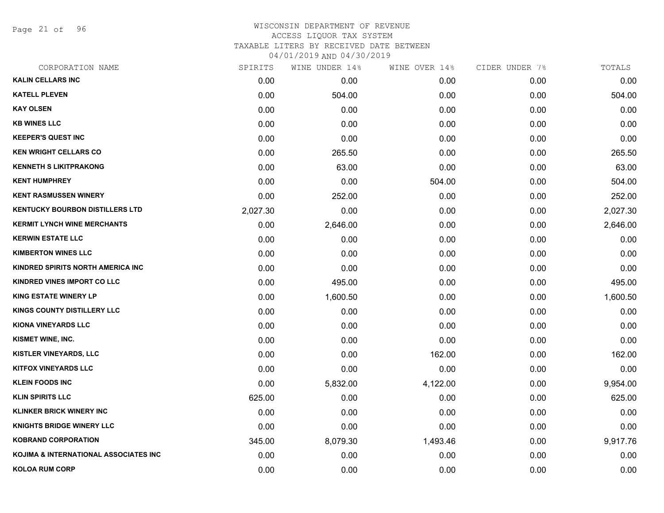Page 21 of 96

# WISCONSIN DEPARTMENT OF REVENUE ACCESS LIQUOR TAX SYSTEM TAXABLE LITERS BY RECEIVED DATE BETWEEN

| CORPORATION NAME                       | SPIRITS  | WINE UNDER 14% | WINE OVER 14% | CIDER UNDER 7% | TOTALS   |
|----------------------------------------|----------|----------------|---------------|----------------|----------|
| <b>KALIN CELLARS INC</b>               | 0.00     | 0.00           | 0.00          | 0.00           | 0.00     |
| <b>KATELL PLEVEN</b>                   | 0.00     | 504.00         | 0.00          | 0.00           | 504.00   |
| <b>KAY OLSEN</b>                       | 0.00     | 0.00           | 0.00          | 0.00           | 0.00     |
| <b>KB WINES LLC</b>                    | 0.00     | 0.00           | 0.00          | 0.00           | 0.00     |
| <b>KEEPER'S QUEST INC</b>              | 0.00     | 0.00           | 0.00          | 0.00           | 0.00     |
| <b>KEN WRIGHT CELLARS CO</b>           | 0.00     | 265.50         | 0.00          | 0.00           | 265.50   |
| <b>KENNETH S LIKITPRAKONG</b>          | 0.00     | 63.00          | 0.00          | 0.00           | 63.00    |
| <b>KENT HUMPHREY</b>                   | 0.00     | 0.00           | 504.00        | 0.00           | 504.00   |
| <b>KENT RASMUSSEN WINERY</b>           | 0.00     | 252.00         | 0.00          | 0.00           | 252.00   |
| <b>KENTUCKY BOURBON DISTILLERS LTD</b> | 2,027.30 | 0.00           | 0.00          | 0.00           | 2,027.30 |
| <b>KERMIT LYNCH WINE MERCHANTS</b>     | 0.00     | 2,646.00       | 0.00          | 0.00           | 2,646.00 |
| <b>KERWIN ESTATE LLC</b>               | 0.00     | 0.00           | 0.00          | 0.00           | 0.00     |
| <b>KIMBERTON WINES LLC</b>             | 0.00     | 0.00           | 0.00          | 0.00           | 0.00     |
| KINDRED SPIRITS NORTH AMERICA INC      | 0.00     | 0.00           | 0.00          | 0.00           | 0.00     |
| <b>KINDRED VINES IMPORT CO LLC</b>     | 0.00     | 495.00         | 0.00          | 0.00           | 495.00   |
| <b>KING ESTATE WINERY LP</b>           | 0.00     | 1,600.50       | 0.00          | 0.00           | 1,600.50 |
| <b>KINGS COUNTY DISTILLERY LLC</b>     | 0.00     | 0.00           | 0.00          | 0.00           | 0.00     |
| KIONA VINEYARDS LLC                    | 0.00     | 0.00           | 0.00          | 0.00           | 0.00     |
| KISMET WINE, INC.                      | 0.00     | 0.00           | 0.00          | 0.00           | 0.00     |
| <b>KISTLER VINEYARDS, LLC</b>          | 0.00     | 0.00           | 162.00        | 0.00           | 162.00   |
| <b>KITFOX VINEYARDS LLC</b>            | 0.00     | 0.00           | 0.00          | 0.00           | 0.00     |
| <b>KLEIN FOODS INC</b>                 | 0.00     | 5,832.00       | 4,122.00      | 0.00           | 9,954.00 |
| <b>KLIN SPIRITS LLC</b>                | 625.00   | 0.00           | 0.00          | 0.00           | 625.00   |
| <b>KLINKER BRICK WINERY INC</b>        | 0.00     | 0.00           | 0.00          | 0.00           | 0.00     |
| <b>KNIGHTS BRIDGE WINERY LLC</b>       | 0.00     | 0.00           | 0.00          | 0.00           | 0.00     |
| <b>KOBRAND CORPORATION</b>             | 345.00   | 8,079.30       | 1,493.46      | 0.00           | 9,917.76 |
| KOJIMA & INTERNATIONAL ASSOCIATES INC  | 0.00     | 0.00           | 0.00          | 0.00           | 0.00     |
| <b>KOLOA RUM CORP</b>                  | 0.00     | 0.00           | 0.00          | 0.00           | 0.00     |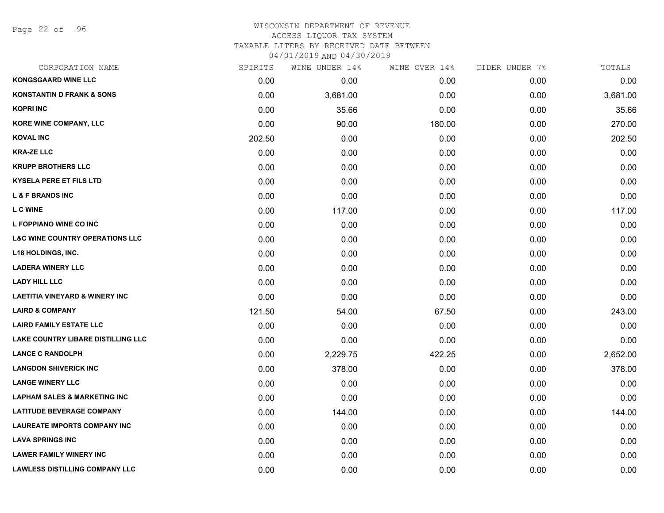Page 22 of 96

#### WISCONSIN DEPARTMENT OF REVENUE ACCESS LIQUOR TAX SYSTEM TAXABLE LITERS BY RECEIVED DATE BETWEEN

| CORPORATION NAME                           | SPIRITS | WINE UNDER 14% | WINE OVER 14% | CIDER UNDER 7% | TOTALS   |
|--------------------------------------------|---------|----------------|---------------|----------------|----------|
| <b>KONGSGAARD WINE LLC</b>                 | 0.00    | 0.00           | 0.00          | 0.00           | 0.00     |
| <b>KONSTANTIN D FRANK &amp; SONS</b>       | 0.00    | 3,681.00       | 0.00          | 0.00           | 3,681.00 |
| <b>KOPRI INC</b>                           | 0.00    | 35.66          | 0.00          | 0.00           | 35.66    |
| <b>KORE WINE COMPANY, LLC</b>              | 0.00    | 90.00          | 180.00        | 0.00           | 270.00   |
| <b>KOVAL INC</b>                           | 202.50  | 0.00           | 0.00          | 0.00           | 202.50   |
| <b>KRA-ZE LLC</b>                          | 0.00    | 0.00           | 0.00          | 0.00           | 0.00     |
| <b>KRUPP BROTHERS LLC</b>                  | 0.00    | 0.00           | 0.00          | 0.00           | 0.00     |
| <b>KYSELA PERE ET FILS LTD</b>             | 0.00    | 0.00           | 0.00          | 0.00           | 0.00     |
| <b>L &amp; F BRANDS INC</b>                | 0.00    | 0.00           | 0.00          | 0.00           | 0.00     |
| <b>L C WINE</b>                            | 0.00    | 117.00         | 0.00          | 0.00           | 117.00   |
| L FOPPIANO WINE CO INC                     | 0.00    | 0.00           | 0.00          | 0.00           | 0.00     |
| <b>L&amp;C WINE COUNTRY OPERATIONS LLC</b> | 0.00    | 0.00           | 0.00          | 0.00           | 0.00     |
| <b>L18 HOLDINGS, INC.</b>                  | 0.00    | 0.00           | 0.00          | 0.00           | 0.00     |
| <b>LADERA WINERY LLC</b>                   | 0.00    | 0.00           | 0.00          | 0.00           | 0.00     |
| <b>LADY HILL LLC</b>                       | 0.00    | 0.00           | 0.00          | 0.00           | 0.00     |
| <b>LAETITIA VINEYARD &amp; WINERY INC</b>  | 0.00    | 0.00           | 0.00          | 0.00           | 0.00     |
| <b>LAIRD &amp; COMPANY</b>                 | 121.50  | 54.00          | 67.50         | 0.00           | 243.00   |
| <b>LAIRD FAMILY ESTATE LLC</b>             | 0.00    | 0.00           | 0.00          | 0.00           | 0.00     |
| <b>LAKE COUNTRY LIBARE DISTILLING LLC</b>  | 0.00    | 0.00           | 0.00          | 0.00           | 0.00     |
| <b>LANCE C RANDOLPH</b>                    | 0.00    | 2,229.75       | 422.25        | 0.00           | 2,652.00 |
| <b>LANGDON SHIVERICK INC</b>               | 0.00    | 378.00         | 0.00          | 0.00           | 378.00   |
| <b>LANGE WINERY LLC</b>                    | 0.00    | 0.00           | 0.00          | 0.00           | 0.00     |
| <b>LAPHAM SALES &amp; MARKETING INC</b>    | 0.00    | 0.00           | 0.00          | 0.00           | 0.00     |
| <b>LATITUDE BEVERAGE COMPANY</b>           | 0.00    | 144.00         | 0.00          | 0.00           | 144.00   |
| <b>LAUREATE IMPORTS COMPANY INC</b>        | 0.00    | 0.00           | 0.00          | 0.00           | 0.00     |
| <b>LAVA SPRINGS INC</b>                    | 0.00    | 0.00           | 0.00          | 0.00           | 0.00     |
| <b>LAWER FAMILY WINERY INC</b>             | 0.00    | 0.00           | 0.00          | 0.00           | 0.00     |
| <b>LAWLESS DISTILLING COMPANY LLC</b>      | 0.00    | 0.00           | 0.00          | 0.00           | 0.00     |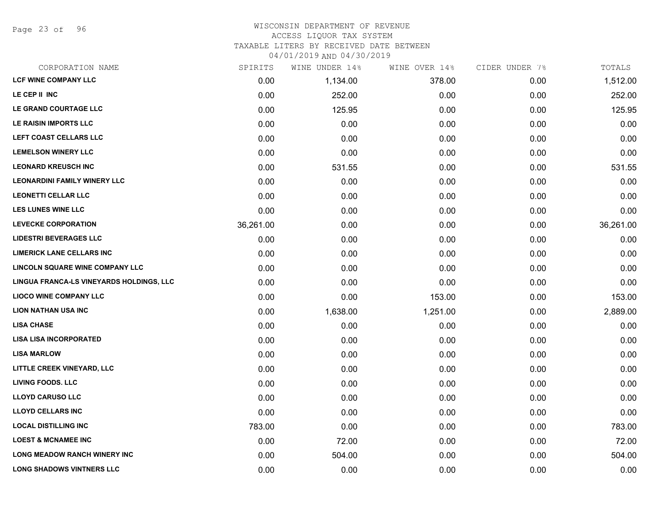Page 23 of 96

# WISCONSIN DEPARTMENT OF REVENUE ACCESS LIQUOR TAX SYSTEM

TAXABLE LITERS BY RECEIVED DATE BETWEEN

| CORPORATION NAME                         | SPIRITS   | WINE UNDER 14% | WINE OVER 14% | CIDER UNDER 7% | TOTALS    |
|------------------------------------------|-----------|----------------|---------------|----------------|-----------|
| <b>LCF WINE COMPANY LLC</b>              | 0.00      | 1,134.00       | 378.00        | 0.00           | 1,512.00  |
| LE CEP II INC                            | 0.00      | 252.00         | 0.00          | 0.00           | 252.00    |
| LE GRAND COURTAGE LLC                    | 0.00      | 125.95         | 0.00          | 0.00           | 125.95    |
| LE RAISIN IMPORTS LLC                    | 0.00      | 0.00           | 0.00          | 0.00           | 0.00      |
| LEFT COAST CELLARS LLC                   | 0.00      | 0.00           | 0.00          | 0.00           | 0.00      |
| <b>LEMELSON WINERY LLC</b>               | 0.00      | 0.00           | 0.00          | 0.00           | 0.00      |
| <b>LEONARD KREUSCH INC</b>               | 0.00      | 531.55         | 0.00          | 0.00           | 531.55    |
| <b>LEONARDINI FAMILY WINERY LLC</b>      | 0.00      | 0.00           | 0.00          | 0.00           | 0.00      |
| <b>LEONETTI CELLAR LLC</b>               | 0.00      | 0.00           | 0.00          | 0.00           | 0.00      |
| <b>LES LUNES WINE LLC</b>                | 0.00      | 0.00           | 0.00          | 0.00           | 0.00      |
| <b>LEVECKE CORPORATION</b>               | 36,261.00 | 0.00           | 0.00          | 0.00           | 36,261.00 |
| <b>LIDESTRI BEVERAGES LLC</b>            | 0.00      | 0.00           | 0.00          | 0.00           | 0.00      |
| <b>LIMERICK LANE CELLARS INC</b>         | 0.00      | 0.00           | 0.00          | 0.00           | 0.00      |
| <b>LINCOLN SQUARE WINE COMPANY LLC</b>   | 0.00      | 0.00           | 0.00          | 0.00           | 0.00      |
| LINGUA FRANCA-LS VINEYARDS HOLDINGS, LLC | 0.00      | 0.00           | 0.00          | 0.00           | 0.00      |
| <b>LIOCO WINE COMPANY LLC</b>            | 0.00      | 0.00           | 153.00        | 0.00           | 153.00    |
| <b>LION NATHAN USA INC</b>               | 0.00      | 1,638.00       | 1,251.00      | 0.00           | 2,889.00  |
| <b>LISA CHASE</b>                        | 0.00      | 0.00           | 0.00          | 0.00           | 0.00      |
| <b>LISA LISA INCORPORATED</b>            | 0.00      | 0.00           | 0.00          | 0.00           | 0.00      |
| <b>LISA MARLOW</b>                       | 0.00      | 0.00           | 0.00          | 0.00           | 0.00      |
| LITTLE CREEK VINEYARD, LLC               | 0.00      | 0.00           | 0.00          | 0.00           | 0.00      |
| <b>LIVING FOODS. LLC</b>                 | 0.00      | 0.00           | 0.00          | 0.00           | 0.00      |
| <b>LLOYD CARUSO LLC</b>                  | 0.00      | 0.00           | 0.00          | 0.00           | 0.00      |
| <b>LLOYD CELLARS INC</b>                 | 0.00      | 0.00           | 0.00          | 0.00           | 0.00      |
| <b>LOCAL DISTILLING INC</b>              | 783.00    | 0.00           | 0.00          | 0.00           | 783.00    |
| <b>LOEST &amp; MCNAMEE INC</b>           | 0.00      | 72.00          | 0.00          | 0.00           | 72.00     |
| <b>LONG MEADOW RANCH WINERY INC</b>      | 0.00      | 504.00         | 0.00          | 0.00           | 504.00    |
| <b>LONG SHADOWS VINTNERS LLC</b>         | 0.00      | 0.00           | 0.00          | 0.00           | 0.00      |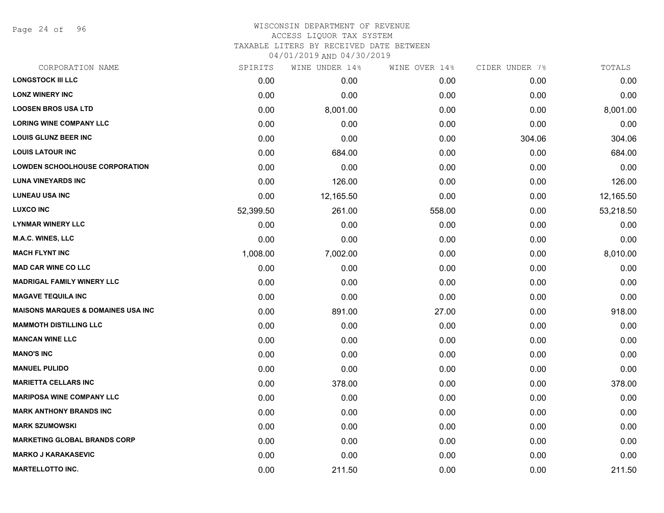Page 24 of 96

#### WISCONSIN DEPARTMENT OF REVENUE ACCESS LIQUOR TAX SYSTEM TAXABLE LITERS BY RECEIVED DATE BETWEEN

| CORPORATION NAME                              | SPIRITS   | WINE UNDER 14% | WINE OVER 14% | CIDER UNDER 7% | TOTALS    |
|-----------------------------------------------|-----------|----------------|---------------|----------------|-----------|
| <b>LONGSTOCK III LLC</b>                      | 0.00      | 0.00           | 0.00          | 0.00           | 0.00      |
| <b>LONZ WINERY INC</b>                        | 0.00      | 0.00           | 0.00          | 0.00           | 0.00      |
| <b>LOOSEN BROS USA LTD</b>                    | 0.00      | 8,001.00       | 0.00          | 0.00           | 8,001.00  |
| <b>LORING WINE COMPANY LLC</b>                | 0.00      | 0.00           | 0.00          | 0.00           | 0.00      |
| <b>LOUIS GLUNZ BEER INC</b>                   | 0.00      | 0.00           | 0.00          | 304.06         | 304.06    |
| <b>LOUIS LATOUR INC</b>                       | 0.00      | 684.00         | 0.00          | 0.00           | 684.00    |
| <b>LOWDEN SCHOOLHOUSE CORPORATION</b>         | 0.00      | 0.00           | 0.00          | 0.00           | 0.00      |
| <b>LUNA VINEYARDS INC</b>                     | 0.00      | 126.00         | 0.00          | 0.00           | 126.00    |
| <b>LUNEAU USA INC</b>                         | 0.00      | 12,165.50      | 0.00          | 0.00           | 12,165.50 |
| <b>LUXCO INC</b>                              | 52,399.50 | 261.00         | 558.00        | 0.00           | 53,218.50 |
| <b>LYNMAR WINERY LLC</b>                      | 0.00      | 0.00           | 0.00          | 0.00           | 0.00      |
| M.A.C. WINES, LLC                             | 0.00      | 0.00           | 0.00          | 0.00           | 0.00      |
| <b>MACH FLYNT INC</b>                         | 1,008.00  | 7,002.00       | 0.00          | 0.00           | 8,010.00  |
| <b>MAD CAR WINE CO LLC</b>                    | 0.00      | 0.00           | 0.00          | 0.00           | 0.00      |
| <b>MADRIGAL FAMILY WINERY LLC</b>             | 0.00      | 0.00           | 0.00          | 0.00           | 0.00      |
| <b>MAGAVE TEQUILA INC</b>                     | 0.00      | 0.00           | 0.00          | 0.00           | 0.00      |
| <b>MAISONS MARQUES &amp; DOMAINES USA INC</b> | 0.00      | 891.00         | 27.00         | 0.00           | 918.00    |
| <b>MAMMOTH DISTILLING LLC</b>                 | 0.00      | 0.00           | 0.00          | 0.00           | 0.00      |
| <b>MANCAN WINE LLC</b>                        | 0.00      | 0.00           | 0.00          | 0.00           | 0.00      |
| <b>MANO'S INC</b>                             | 0.00      | 0.00           | 0.00          | 0.00           | 0.00      |
| <b>MANUEL PULIDO</b>                          | 0.00      | 0.00           | 0.00          | 0.00           | 0.00      |
| <b>MARIETTA CELLARS INC</b>                   | 0.00      | 378.00         | 0.00          | 0.00           | 378.00    |
| <b>MARIPOSA WINE COMPANY LLC</b>              | 0.00      | 0.00           | 0.00          | 0.00           | 0.00      |
| <b>MARK ANTHONY BRANDS INC</b>                | 0.00      | 0.00           | 0.00          | 0.00           | 0.00      |
| <b>MARK SZUMOWSKI</b>                         | 0.00      | 0.00           | 0.00          | 0.00           | 0.00      |
| <b>MARKETING GLOBAL BRANDS CORP</b>           | 0.00      | 0.00           | 0.00          | 0.00           | 0.00      |
| <b>MARKO J KARAKASEVIC</b>                    | 0.00      | 0.00           | 0.00          | 0.00           | 0.00      |
| <b>MARTELLOTTO INC.</b>                       | 0.00      | 211.50         | 0.00          | 0.00           | 211.50    |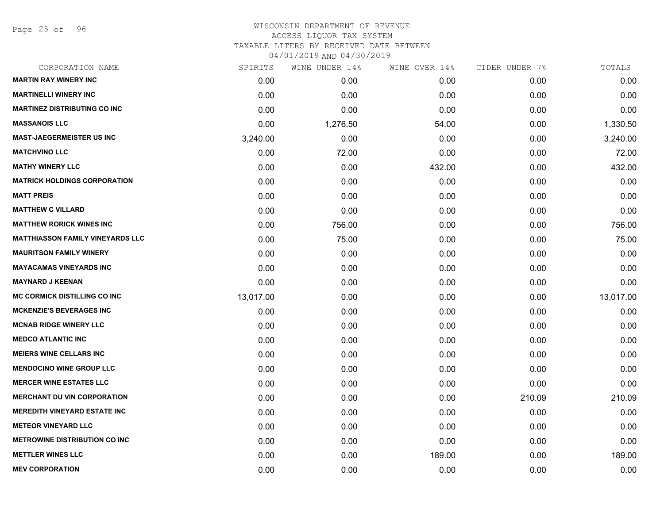Page 25 of 96

| SPIRITS   | WINE UNDER 14% | WINE OVER 14% | CIDER UNDER 7% | TOTALS    |
|-----------|----------------|---------------|----------------|-----------|
| 0.00      | 0.00           | 0.00          | 0.00           | 0.00      |
| 0.00      | 0.00           | 0.00          | 0.00           | 0.00      |
| 0.00      | 0.00           | 0.00          | 0.00           | 0.00      |
| 0.00      | 1,276.50       | 54.00         | 0.00           | 1,330.50  |
| 3,240.00  | 0.00           | 0.00          | 0.00           | 3,240.00  |
| 0.00      | 72.00          | 0.00          | 0.00           | 72.00     |
| 0.00      | 0.00           | 432.00        | 0.00           | 432.00    |
| 0.00      | 0.00           | 0.00          | 0.00           | 0.00      |
| 0.00      | 0.00           | 0.00          | 0.00           | 0.00      |
| 0.00      | 0.00           | 0.00          | 0.00           | 0.00      |
| 0.00      | 756.00         | 0.00          | 0.00           | 756.00    |
| 0.00      | 75.00          | 0.00          | 0.00           | 75.00     |
| 0.00      | 0.00           | 0.00          | 0.00           | 0.00      |
| 0.00      | 0.00           | 0.00          | 0.00           | 0.00      |
| 0.00      | 0.00           | 0.00          | 0.00           | 0.00      |
| 13,017.00 | 0.00           | 0.00          | 0.00           | 13,017.00 |
| 0.00      | 0.00           | 0.00          | 0.00           | 0.00      |
| 0.00      | 0.00           | 0.00          | 0.00           | 0.00      |
| 0.00      | 0.00           | 0.00          | 0.00           | 0.00      |
| 0.00      | 0.00           | 0.00          | 0.00           | 0.00      |
| 0.00      | 0.00           | 0.00          | 0.00           | 0.00      |
| 0.00      | 0.00           | 0.00          | 0.00           | 0.00      |
| 0.00      | 0.00           | 0.00          | 210.09         | 210.09    |
| 0.00      | 0.00           | 0.00          | 0.00           | 0.00      |
| 0.00      | 0.00           | 0.00          | 0.00           | 0.00      |
| 0.00      | 0.00           | 0.00          | 0.00           | 0.00      |
| 0.00      | 0.00           | 189.00        | 0.00           | 189.00    |
| 0.00      | 0.00           | 0.00          | 0.00           | 0.00      |
|           |                |               |                |           |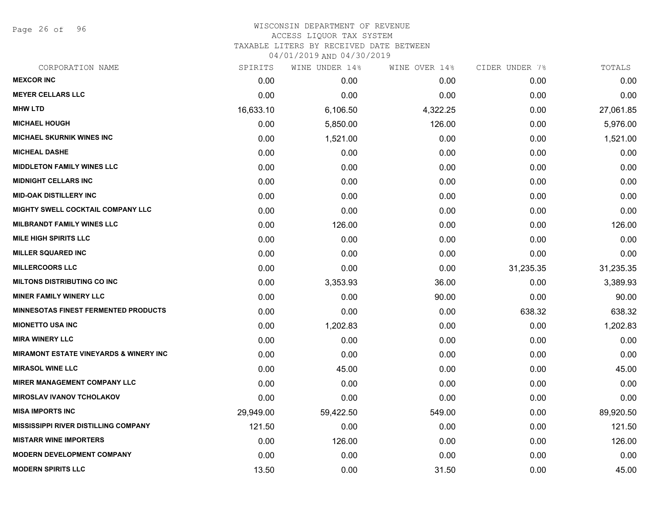Page 26 of 96

| SPIRITS   | WINE UNDER 14% | WINE OVER 14% | CIDER UNDER 7% | TOTALS    |
|-----------|----------------|---------------|----------------|-----------|
| 0.00      | 0.00           | 0.00          | 0.00           | 0.00      |
| 0.00      | 0.00           | 0.00          | 0.00           | 0.00      |
| 16,633.10 | 6,106.50       | 4,322.25      | 0.00           | 27,061.85 |
| 0.00      | 5,850.00       | 126.00        | 0.00           | 5,976.00  |
| 0.00      | 1,521.00       | 0.00          | 0.00           | 1,521.00  |
| 0.00      | 0.00           | 0.00          | 0.00           | 0.00      |
| 0.00      | 0.00           | 0.00          | 0.00           | 0.00      |
| 0.00      | 0.00           | 0.00          | 0.00           | 0.00      |
| 0.00      | 0.00           | 0.00          | 0.00           | 0.00      |
| 0.00      | 0.00           | 0.00          | 0.00           | 0.00      |
| 0.00      | 126.00         | 0.00          | 0.00           | 126.00    |
| 0.00      | 0.00           | 0.00          | 0.00           | 0.00      |
| 0.00      | 0.00           | 0.00          | 0.00           | 0.00      |
| 0.00      | 0.00           | 0.00          | 31,235.35      | 31,235.35 |
| 0.00      | 3,353.93       | 36.00         | 0.00           | 3,389.93  |
| 0.00      | 0.00           | 90.00         | 0.00           | 90.00     |
| 0.00      | 0.00           | 0.00          | 638.32         | 638.32    |
| 0.00      | 1,202.83       | 0.00          | 0.00           | 1,202.83  |
| 0.00      | 0.00           | 0.00          | 0.00           | 0.00      |
| 0.00      | 0.00           | 0.00          | 0.00           | 0.00      |
| 0.00      | 45.00          | 0.00          | 0.00           | 45.00     |
| 0.00      | 0.00           | 0.00          | 0.00           | 0.00      |
| 0.00      | 0.00           | 0.00          | 0.00           | 0.00      |
| 29,949.00 | 59,422.50      | 549.00        | 0.00           | 89,920.50 |
| 121.50    | 0.00           | 0.00          | 0.00           | 121.50    |
| 0.00      | 126.00         | 0.00          | 0.00           | 126.00    |
| 0.00      | 0.00           | 0.00          | 0.00           | 0.00      |
| 13.50     | 0.00           | 31.50         | 0.00           | 45.00     |
|           |                |               |                |           |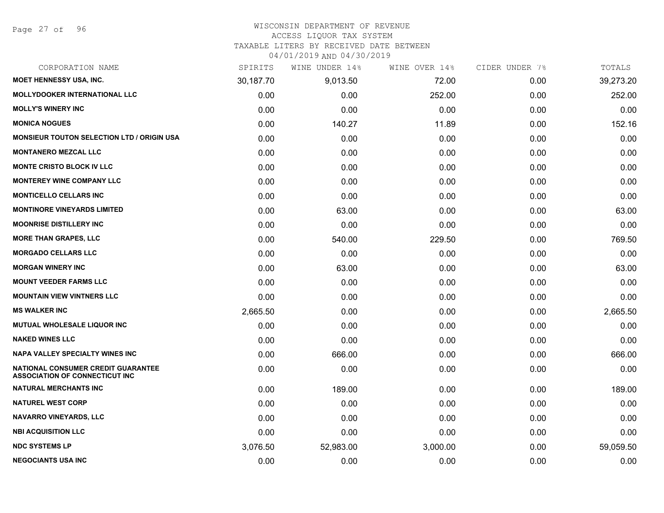# WISCONSIN DEPARTMENT OF REVENUE

# ACCESS LIQUOR TAX SYSTEM

TAXABLE LITERS BY RECEIVED DATE BETWEEN

| CORPORATION NAME                                                                   | SPIRITS   | WINE UNDER 14% | WINE OVER 14% | CIDER UNDER 7% | TOTALS    |
|------------------------------------------------------------------------------------|-----------|----------------|---------------|----------------|-----------|
| MOET HENNESSY USA, INC.                                                            | 30,187.70 | 9,013.50       | 72.00         | 0.00           | 39,273.20 |
| <b>MOLLYDOOKER INTERNATIONAL LLC</b>                                               | 0.00      | 0.00           | 252.00        | 0.00           | 252.00    |
| <b>MOLLY'S WINERY INC</b>                                                          | 0.00      | 0.00           | 0.00          | 0.00           | 0.00      |
| <b>MONICA NOGUES</b>                                                               | 0.00      | 140.27         | 11.89         | 0.00           | 152.16    |
| <b>MONSIEUR TOUTON SELECTION LTD / ORIGIN USA</b>                                  | 0.00      | 0.00           | 0.00          | 0.00           | 0.00      |
| <b>MONTANERO MEZCAL LLC</b>                                                        | 0.00      | 0.00           | 0.00          | 0.00           | 0.00      |
| <b>MONTE CRISTO BLOCK IV LLC</b>                                                   | 0.00      | 0.00           | 0.00          | 0.00           | 0.00      |
| <b>MONTEREY WINE COMPANY LLC</b>                                                   | 0.00      | 0.00           | 0.00          | 0.00           | 0.00      |
| <b>MONTICELLO CELLARS INC</b>                                                      | 0.00      | 0.00           | 0.00          | 0.00           | 0.00      |
| <b>MONTINORE VINEYARDS LIMITED</b>                                                 | 0.00      | 63.00          | 0.00          | 0.00           | 63.00     |
| <b>MOONRISE DISTILLERY INC</b>                                                     | 0.00      | 0.00           | 0.00          | 0.00           | 0.00      |
| <b>MORE THAN GRAPES, LLC</b>                                                       | 0.00      | 540.00         | 229.50        | 0.00           | 769.50    |
| <b>MORGADO CELLARS LLC</b>                                                         | 0.00      | 0.00           | 0.00          | 0.00           | 0.00      |
| <b>MORGAN WINERY INC</b>                                                           | 0.00      | 63.00          | 0.00          | 0.00           | 63.00     |
| <b>MOUNT VEEDER FARMS LLC</b>                                                      | 0.00      | 0.00           | 0.00          | 0.00           | 0.00      |
| <b>MOUNTAIN VIEW VINTNERS LLC</b>                                                  | 0.00      | 0.00           | 0.00          | 0.00           | 0.00      |
| <b>MS WALKER INC</b>                                                               | 2,665.50  | 0.00           | 0.00          | 0.00           | 2,665.50  |
| <b>MUTUAL WHOLESALE LIQUOR INC</b>                                                 | 0.00      | 0.00           | 0.00          | 0.00           | 0.00      |
| <b>NAKED WINES LLC</b>                                                             | 0.00      | 0.00           | 0.00          | 0.00           | 0.00      |
| <b>NAPA VALLEY SPECIALTY WINES INC</b>                                             | 0.00      | 666.00         | 0.00          | 0.00           | 666.00    |
| <b>NATIONAL CONSUMER CREDIT GUARANTEE</b><br><b>ASSOCIATION OF CONNECTICUT INC</b> | 0.00      | 0.00           | 0.00          | 0.00           | 0.00      |
| <b>NATURAL MERCHANTS INC</b>                                                       | 0.00      | 189.00         | 0.00          | 0.00           | 189.00    |
| <b>NATUREL WEST CORP</b>                                                           | 0.00      | 0.00           | 0.00          | 0.00           | 0.00      |
| <b>NAVARRO VINEYARDS, LLC</b>                                                      | 0.00      | 0.00           | 0.00          | 0.00           | 0.00      |
| <b>NBI ACQUISITION LLC</b>                                                         | 0.00      | 0.00           | 0.00          | 0.00           | 0.00      |
| <b>NDC SYSTEMS LP</b>                                                              | 3,076.50  | 52,983.00      | 3,000.00      | 0.00           | 59,059.50 |
| <b>NEGOCIANTS USA INC</b>                                                          | 0.00      | 0.00           | 0.00          | 0.00           | 0.00      |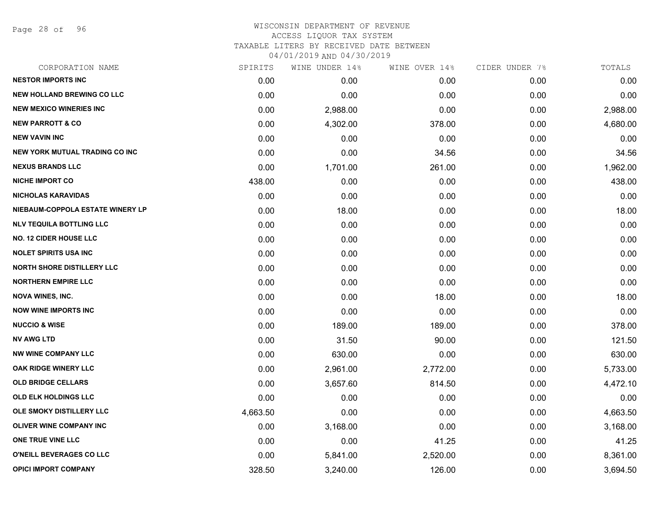Page 28 of 96

| CORPORATION NAME                      | SPIRITS  | WINE UNDER 14% | WINE OVER 14% | CIDER UNDER 7% | TOTALS   |
|---------------------------------------|----------|----------------|---------------|----------------|----------|
| <b>NESTOR IMPORTS INC</b>             | 0.00     | 0.00           | 0.00          | 0.00           | 0.00     |
| <b>NEW HOLLAND BREWING CO LLC</b>     | 0.00     | 0.00           | 0.00          | 0.00           | 0.00     |
| <b>NEW MEXICO WINERIES INC</b>        | 0.00     | 2,988.00       | 0.00          | 0.00           | 2,988.00 |
| <b>NEW PARROTT &amp; CO</b>           | 0.00     | 4,302.00       | 378.00        | 0.00           | 4,680.00 |
| <b>NEW VAVIN INC</b>                  | 0.00     | 0.00           | 0.00          | 0.00           | 0.00     |
| <b>NEW YORK MUTUAL TRADING CO INC</b> | 0.00     | 0.00           | 34.56         | 0.00           | 34.56    |
| <b>NEXUS BRANDS LLC</b>               | 0.00     | 1,701.00       | 261.00        | 0.00           | 1,962.00 |
| <b>NICHE IMPORT CO</b>                | 438.00   | 0.00           | 0.00          | 0.00           | 438.00   |
| <b>NICHOLAS KARAVIDAS</b>             | 0.00     | 0.00           | 0.00          | 0.00           | 0.00     |
| NIEBAUM-COPPOLA ESTATE WINERY LP      | 0.00     | 18.00          | 0.00          | 0.00           | 18.00    |
| <b>NLV TEQUILA BOTTLING LLC</b>       | 0.00     | 0.00           | 0.00          | 0.00           | 0.00     |
| <b>NO. 12 CIDER HOUSE LLC</b>         | 0.00     | 0.00           | 0.00          | 0.00           | 0.00     |
| <b>NOLET SPIRITS USA INC</b>          | 0.00     | 0.00           | 0.00          | 0.00           | 0.00     |
| NORTH SHORE DISTILLERY LLC            | 0.00     | 0.00           | 0.00          | 0.00           | 0.00     |
| <b>NORTHERN EMPIRE LLC</b>            | 0.00     | 0.00           | 0.00          | 0.00           | 0.00     |
| <b>NOVA WINES, INC.</b>               | 0.00     | 0.00           | 18.00         | 0.00           | 18.00    |
| <b>NOW WINE IMPORTS INC</b>           | 0.00     | 0.00           | 0.00          | 0.00           | 0.00     |
| <b>NUCCIO &amp; WISE</b>              | 0.00     | 189.00         | 189.00        | 0.00           | 378.00   |
| <b>NV AWG LTD</b>                     | 0.00     | 31.50          | 90.00         | 0.00           | 121.50   |
| <b>NW WINE COMPANY LLC</b>            | 0.00     | 630.00         | 0.00          | 0.00           | 630.00   |
| OAK RIDGE WINERY LLC                  | 0.00     | 2,961.00       | 2,772.00      | 0.00           | 5,733.00 |
| <b>OLD BRIDGE CELLARS</b>             | 0.00     | 3,657.60       | 814.50        | 0.00           | 4,472.10 |
| <b>OLD ELK HOLDINGS LLC</b>           | 0.00     | 0.00           | 0.00          | 0.00           | 0.00     |
| OLE SMOKY DISTILLERY LLC              | 4,663.50 | 0.00           | 0.00          | 0.00           | 4,663.50 |
| <b>OLIVER WINE COMPANY INC</b>        | 0.00     | 3,168.00       | 0.00          | 0.00           | 3,168.00 |
| ONE TRUE VINE LLC                     | 0.00     | 0.00           | 41.25         | 0.00           | 41.25    |
| O'NEILL BEVERAGES CO LLC              | 0.00     | 5,841.00       | 2,520.00      | 0.00           | 8,361.00 |
| <b>OPICI IMPORT COMPANY</b>           | 328.50   | 3,240.00       | 126.00        | 0.00           | 3,694.50 |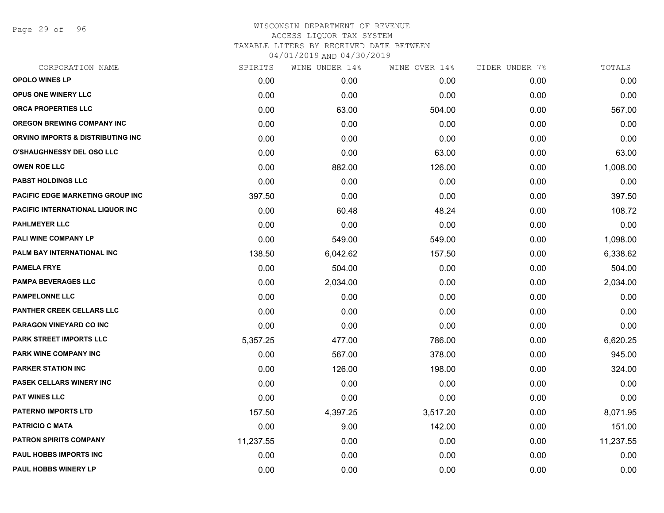Page 29 of 96

| CORPORATION NAME                         | SPIRITS   | WINE UNDER 14% | WINE OVER 14% | CIDER UNDER 7% | TOTALS    |
|------------------------------------------|-----------|----------------|---------------|----------------|-----------|
| <b>OPOLO WINES LP</b>                    | 0.00      | 0.00           | 0.00          | 0.00           | 0.00      |
| <b>OPUS ONE WINERY LLC</b>               | 0.00      | 0.00           | 0.00          | 0.00           | 0.00      |
| <b>ORCA PROPERTIES LLC</b>               | 0.00      | 63.00          | 504.00        | 0.00           | 567.00    |
| <b>OREGON BREWING COMPANY INC</b>        | 0.00      | 0.00           | 0.00          | 0.00           | 0.00      |
| ORVINO IMPORTS & DISTRIBUTING INC        | 0.00      | 0.00           | 0.00          | 0.00           | 0.00      |
| <b>O'SHAUGHNESSY DEL OSO LLC</b>         | 0.00      | 0.00           | 63.00         | 0.00           | 63.00     |
| <b>OWEN ROE LLC</b>                      | 0.00      | 882.00         | 126.00        | 0.00           | 1,008.00  |
| <b>PABST HOLDINGS LLC</b>                | 0.00      | 0.00           | 0.00          | 0.00           | 0.00      |
| PACIFIC EDGE MARKETING GROUP INC         | 397.50    | 0.00           | 0.00          | 0.00           | 397.50    |
| <b>PACIFIC INTERNATIONAL LIQUOR INC.</b> | 0.00      | 60.48          | 48.24         | 0.00           | 108.72    |
| <b>PAHLMEYER LLC</b>                     | 0.00      | 0.00           | 0.00          | 0.00           | 0.00      |
| <b>PALI WINE COMPANY LP</b>              | 0.00      | 549.00         | 549.00        | 0.00           | 1,098.00  |
| PALM BAY INTERNATIONAL INC               | 138.50    | 6,042.62       | 157.50        | 0.00           | 6,338.62  |
| <b>PAMELA FRYE</b>                       | 0.00      | 504.00         | 0.00          | 0.00           | 504.00    |
| PAMPA BEVERAGES LLC                      | 0.00      | 2,034.00       | 0.00          | 0.00           | 2,034.00  |
| <b>PAMPELONNE LLC</b>                    | 0.00      | 0.00           | 0.00          | 0.00           | 0.00      |
| <b>PANTHER CREEK CELLARS LLC</b>         | 0.00      | 0.00           | 0.00          | 0.00           | 0.00      |
| <b>PARAGON VINEYARD CO INC</b>           | 0.00      | 0.00           | 0.00          | 0.00           | 0.00      |
| <b>PARK STREET IMPORTS LLC</b>           | 5,357.25  | 477.00         | 786.00        | 0.00           | 6,620.25  |
| PARK WINE COMPANY INC                    | 0.00      | 567.00         | 378.00        | 0.00           | 945.00    |
| <b>PARKER STATION INC</b>                | 0.00      | 126.00         | 198.00        | 0.00           | 324.00    |
| <b>PASEK CELLARS WINERY INC</b>          | 0.00      | 0.00           | 0.00          | 0.00           | 0.00      |
| <b>PAT WINES LLC</b>                     | 0.00      | 0.00           | 0.00          | 0.00           | 0.00      |
| <b>PATERNO IMPORTS LTD</b>               | 157.50    | 4,397.25       | 3,517.20      | 0.00           | 8,071.95  |
| <b>PATRICIO C MATA</b>                   | 0.00      | 9.00           | 142.00        | 0.00           | 151.00    |
| <b>PATRON SPIRITS COMPANY</b>            | 11,237.55 | 0.00           | 0.00          | 0.00           | 11,237.55 |
| <b>PAUL HOBBS IMPORTS INC</b>            | 0.00      | 0.00           | 0.00          | 0.00           | 0.00      |
| <b>PAUL HOBBS WINERY LP</b>              | 0.00      | 0.00           | 0.00          | 0.00           | 0.00      |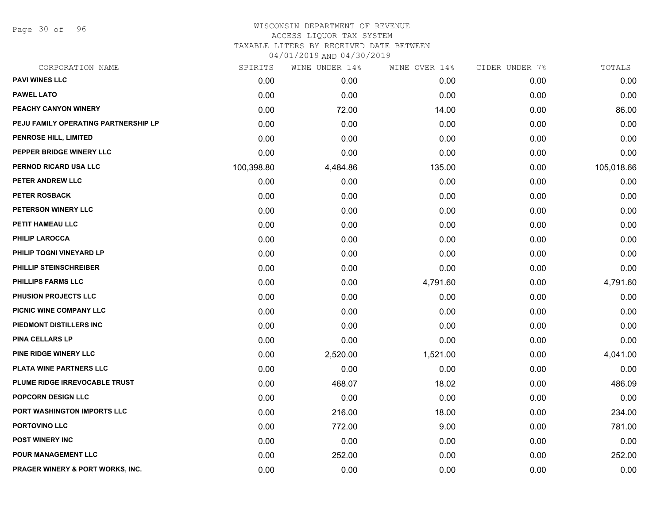Page 30 of 96

| CORPORATION NAME                     | SPIRITS    | WINE UNDER 14% | WINE OVER 14% | CIDER UNDER 7% | TOTALS     |
|--------------------------------------|------------|----------------|---------------|----------------|------------|
| <b>PAVI WINES LLC</b>                | 0.00       | 0.00           | 0.00          | 0.00           | 0.00       |
| <b>PAWEL LATO</b>                    | 0.00       | 0.00           | 0.00          | 0.00           | 0.00       |
| PEACHY CANYON WINERY                 | 0.00       | 72.00          | 14.00         | 0.00           | 86.00      |
| PEJU FAMILY OPERATING PARTNERSHIP LP | 0.00       | 0.00           | 0.00          | 0.00           | 0.00       |
| PENROSE HILL, LIMITED                | 0.00       | 0.00           | 0.00          | 0.00           | 0.00       |
| PEPPER BRIDGE WINERY LLC             | 0.00       | 0.00           | 0.00          | 0.00           | 0.00       |
| PERNOD RICARD USA LLC                | 100,398.80 | 4,484.86       | 135.00        | 0.00           | 105,018.66 |
| PETER ANDREW LLC                     | 0.00       | 0.00           | 0.00          | 0.00           | 0.00       |
| PETER ROSBACK                        | 0.00       | 0.00           | 0.00          | 0.00           | 0.00       |
| PETERSON WINERY LLC                  | 0.00       | 0.00           | 0.00          | 0.00           | 0.00       |
| PETIT HAMEAU LLC                     | 0.00       | 0.00           | 0.00          | 0.00           | 0.00       |
| <b>PHILIP LAROCCA</b>                | 0.00       | 0.00           | 0.00          | 0.00           | 0.00       |
| PHILIP TOGNI VINEYARD LP             | 0.00       | 0.00           | 0.00          | 0.00           | 0.00       |
| PHILLIP STEINSCHREIBER               | 0.00       | 0.00           | 0.00          | 0.00           | 0.00       |
| <b>PHILLIPS FARMS LLC</b>            | 0.00       | 0.00           | 4,791.60      | 0.00           | 4,791.60   |
| PHUSION PROJECTS LLC                 | 0.00       | 0.00           | 0.00          | 0.00           | 0.00       |
| PICNIC WINE COMPANY LLC              | 0.00       | 0.00           | 0.00          | 0.00           | 0.00       |
| PIEDMONT DISTILLERS INC              | 0.00       | 0.00           | 0.00          | 0.00           | 0.00       |
| PINA CELLARS LP                      | 0.00       | 0.00           | 0.00          | 0.00           | 0.00       |
| PINE RIDGE WINERY LLC                | 0.00       | 2,520.00       | 1,521.00      | 0.00           | 4,041.00   |
| PLATA WINE PARTNERS LLC              | 0.00       | 0.00           | 0.00          | 0.00           | 0.00       |
| PLUME RIDGE IRREVOCABLE TRUST        | 0.00       | 468.07         | 18.02         | 0.00           | 486.09     |
| POPCORN DESIGN LLC                   | 0.00       | 0.00           | 0.00          | 0.00           | 0.00       |
| PORT WASHINGTON IMPORTS LLC          | 0.00       | 216.00         | 18.00         | 0.00           | 234.00     |
| PORTOVINO LLC                        | 0.00       | 772.00         | 9.00          | 0.00           | 781.00     |
| <b>POST WINERY INC</b>               | 0.00       | 0.00           | 0.00          | 0.00           | 0.00       |
| <b>POUR MANAGEMENT LLC</b>           | 0.00       | 252.00         | 0.00          | 0.00           | 252.00     |
| PRAGER WINERY & PORT WORKS, INC.     | 0.00       | 0.00           | 0.00          | 0.00           | 0.00       |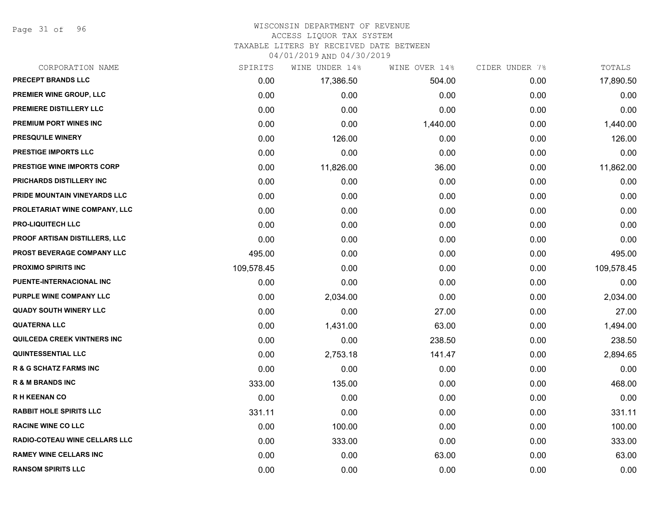Page 31 of 96

#### WISCONSIN DEPARTMENT OF REVENUE ACCESS LIQUOR TAX SYSTEM

TAXABLE LITERS BY RECEIVED DATE BETWEEN

| CORPORATION NAME                     | SPIRITS    | WINE UNDER 14% | WINE OVER 14% | CIDER UNDER 7% | TOTALS     |
|--------------------------------------|------------|----------------|---------------|----------------|------------|
| PRECEPT BRANDS LLC                   | 0.00       | 17,386.50      | 504.00        | 0.00           | 17,890.50  |
| PREMIER WINE GROUP, LLC              | 0.00       | 0.00           | 0.00          | 0.00           | 0.00       |
| PREMIERE DISTILLERY LLC              | 0.00       | 0.00           | 0.00          | 0.00           | 0.00       |
| PREMIUM PORT WINES INC               | 0.00       | 0.00           | 1,440.00      | 0.00           | 1,440.00   |
| <b>PRESQU'ILE WINERY</b>             | 0.00       | 126.00         | 0.00          | 0.00           | 126.00     |
| <b>PRESTIGE IMPORTS LLC</b>          | 0.00       | 0.00           | 0.00          | 0.00           | 0.00       |
| <b>PRESTIGE WINE IMPORTS CORP</b>    | 0.00       | 11,826.00      | 36.00         | 0.00           | 11,862.00  |
| PRICHARDS DISTILLERY INC             | 0.00       | 0.00           | 0.00          | 0.00           | 0.00       |
| PRIDE MOUNTAIN VINEYARDS LLC         | 0.00       | 0.00           | 0.00          | 0.00           | 0.00       |
| PROLETARIAT WINE COMPANY, LLC        | 0.00       | 0.00           | 0.00          | 0.00           | 0.00       |
| <b>PRO-LIQUITECH LLC</b>             | 0.00       | 0.00           | 0.00          | 0.00           | 0.00       |
| PROOF ARTISAN DISTILLERS, LLC        | 0.00       | 0.00           | 0.00          | 0.00           | 0.00       |
| PROST BEVERAGE COMPANY LLC           | 495.00     | 0.00           | 0.00          | 0.00           | 495.00     |
| <b>PROXIMO SPIRITS INC</b>           | 109,578.45 | 0.00           | 0.00          | 0.00           | 109,578.45 |
| PUENTE-INTERNACIONAL INC             | 0.00       | 0.00           | 0.00          | 0.00           | 0.00       |
| PURPLE WINE COMPANY LLC              | 0.00       | 2,034.00       | 0.00          | 0.00           | 2,034.00   |
| <b>QUADY SOUTH WINERY LLC</b>        | 0.00       | 0.00           | 27.00         | 0.00           | 27.00      |
| <b>QUATERNA LLC</b>                  | 0.00       | 1,431.00       | 63.00         | 0.00           | 1,494.00   |
| <b>QUILCEDA CREEK VINTNERS INC</b>   | 0.00       | 0.00           | 238.50        | 0.00           | 238.50     |
| <b>QUINTESSENTIAL LLC</b>            | 0.00       | 2,753.18       | 141.47        | 0.00           | 2,894.65   |
| <b>R &amp; G SCHATZ FARMS INC</b>    | 0.00       | 0.00           | 0.00          | 0.00           | 0.00       |
| <b>R &amp; M BRANDS INC</b>          | 333.00     | 135.00         | 0.00          | 0.00           | 468.00     |
| <b>RH KEENAN CO</b>                  | 0.00       | 0.00           | 0.00          | 0.00           | 0.00       |
| <b>RABBIT HOLE SPIRITS LLC</b>       | 331.11     | 0.00           | 0.00          | 0.00           | 331.11     |
| <b>RACINE WINE CO LLC</b>            | 0.00       | 100.00         | 0.00          | 0.00           | 100.00     |
| <b>RADIO-COTEAU WINE CELLARS LLC</b> | 0.00       | 333.00         | 0.00          | 0.00           | 333.00     |
| <b>RAMEY WINE CELLARS INC</b>        | 0.00       | 0.00           | 63.00         | 0.00           | 63.00      |
| <b>RANSOM SPIRITS LLC</b>            | 0.00       | 0.00           | 0.00          | 0.00           | 0.00       |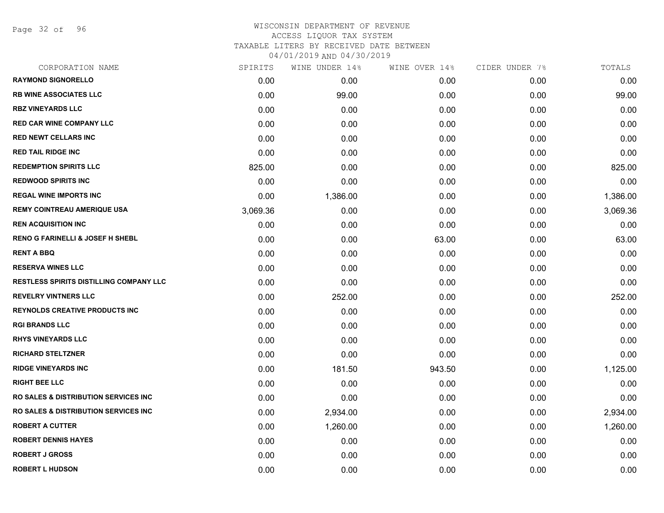Page 32 of 96

| CORPORATION NAME                                 | SPIRITS  | WINE UNDER 14% | WINE OVER 14% | CIDER UNDER 7% | TOTALS   |
|--------------------------------------------------|----------|----------------|---------------|----------------|----------|
| <b>RAYMOND SIGNORELLO</b>                        | 0.00     | 0.00           | 0.00          | 0.00           | 0.00     |
| <b>RB WINE ASSOCIATES LLC</b>                    | 0.00     | 99.00          | 0.00          | 0.00           | 99.00    |
| <b>RBZ VINEYARDS LLC</b>                         | 0.00     | 0.00           | 0.00          | 0.00           | 0.00     |
| RED CAR WINE COMPANY LLC                         | 0.00     | 0.00           | 0.00          | 0.00           | 0.00     |
| <b>RED NEWT CELLARS INC</b>                      | 0.00     | 0.00           | 0.00          | 0.00           | 0.00     |
| <b>RED TAIL RIDGE INC</b>                        | 0.00     | 0.00           | 0.00          | 0.00           | 0.00     |
| <b>REDEMPTION SPIRITS LLC</b>                    | 825.00   | 0.00           | 0.00          | 0.00           | 825.00   |
| <b>REDWOOD SPIRITS INC</b>                       | 0.00     | 0.00           | 0.00          | 0.00           | 0.00     |
| <b>REGAL WINE IMPORTS INC</b>                    | 0.00     | 1,386.00       | 0.00          | 0.00           | 1,386.00 |
| <b>REMY COINTREAU AMERIQUE USA</b>               | 3,069.36 | 0.00           | 0.00          | 0.00           | 3,069.36 |
| <b>REN ACQUISITION INC</b>                       | 0.00     | 0.00           | 0.00          | 0.00           | 0.00     |
| <b>RENO G FARINELLI &amp; JOSEF H SHEBL</b>      | 0.00     | 0.00           | 63.00         | 0.00           | 63.00    |
| <b>RENT A BBQ</b>                                | 0.00     | 0.00           | 0.00          | 0.00           | 0.00     |
| <b>RESERVA WINES LLC</b>                         | 0.00     | 0.00           | 0.00          | 0.00           | 0.00     |
| <b>RESTLESS SPIRITS DISTILLING COMPANY LLC</b>   | 0.00     | 0.00           | 0.00          | 0.00           | 0.00     |
| <b>REVELRY VINTNERS LLC</b>                      | 0.00     | 252.00         | 0.00          | 0.00           | 252.00   |
| <b>REYNOLDS CREATIVE PRODUCTS INC</b>            | 0.00     | 0.00           | 0.00          | 0.00           | 0.00     |
| <b>RGI BRANDS LLC</b>                            | 0.00     | 0.00           | 0.00          | 0.00           | 0.00     |
| <b>RHYS VINEYARDS LLC</b>                        | 0.00     | 0.00           | 0.00          | 0.00           | 0.00     |
| <b>RICHARD STELTZNER</b>                         | 0.00     | 0.00           | 0.00          | 0.00           | 0.00     |
| <b>RIDGE VINEYARDS INC</b>                       | 0.00     | 181.50         | 943.50        | 0.00           | 1,125.00 |
| <b>RIGHT BEE LLC</b>                             | 0.00     | 0.00           | 0.00          | 0.00           | 0.00     |
| <b>RO SALES &amp; DISTRIBUTION SERVICES INC.</b> | 0.00     | 0.00           | 0.00          | 0.00           | 0.00     |
| <b>RO SALES &amp; DISTRIBUTION SERVICES INC.</b> | 0.00     | 2,934.00       | 0.00          | 0.00           | 2,934.00 |
| <b>ROBERT A CUTTER</b>                           | 0.00     | 1,260.00       | 0.00          | 0.00           | 1,260.00 |
| <b>ROBERT DENNIS HAYES</b>                       | 0.00     | 0.00           | 0.00          | 0.00           | 0.00     |
| <b>ROBERT J GROSS</b>                            | 0.00     | 0.00           | 0.00          | 0.00           | 0.00     |
| <b>ROBERT L HUDSON</b>                           | 0.00     | 0.00           | 0.00          | 0.00           | 0.00     |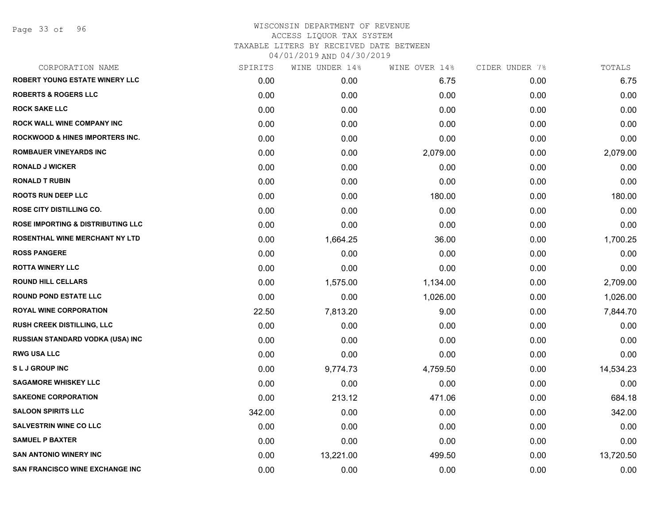| SPIRITS | WINE UNDER 14% | WINE OVER 14% | CIDER UNDER 7% | TOTALS    |
|---------|----------------|---------------|----------------|-----------|
| 0.00    | 0.00           | 6.75          | 0.00           | 6.75      |
| 0.00    | 0.00           | 0.00          | 0.00           | 0.00      |
| 0.00    | 0.00           | 0.00          | 0.00           | 0.00      |
| 0.00    | 0.00           | 0.00          | 0.00           | 0.00      |
| 0.00    | 0.00           | 0.00          | 0.00           | 0.00      |
| 0.00    | 0.00           | 2,079.00      | 0.00           | 2,079.00  |
| 0.00    | 0.00           | 0.00          | 0.00           | 0.00      |
| 0.00    | 0.00           | 0.00          | 0.00           | 0.00      |
| 0.00    | 0.00           | 180.00        | 0.00           | 180.00    |
| 0.00    | 0.00           | 0.00          | 0.00           | 0.00      |
| 0.00    | 0.00           | 0.00          | 0.00           | 0.00      |
| 0.00    | 1,664.25       | 36.00         | 0.00           | 1,700.25  |
| 0.00    | 0.00           | 0.00          | 0.00           | 0.00      |
| 0.00    | 0.00           | 0.00          | 0.00           | 0.00      |
| 0.00    | 1,575.00       | 1,134.00      | 0.00           | 2,709.00  |
| 0.00    | 0.00           | 1,026.00      | 0.00           | 1,026.00  |
| 22.50   | 7,813.20       | 9.00          | 0.00           | 7,844.70  |
| 0.00    | 0.00           | 0.00          | 0.00           | 0.00      |
| 0.00    | 0.00           | 0.00          | 0.00           | 0.00      |
| 0.00    | 0.00           | 0.00          | 0.00           | 0.00      |
| 0.00    | 9,774.73       | 4,759.50      | 0.00           | 14,534.23 |
| 0.00    | 0.00           | 0.00          | 0.00           | 0.00      |
| 0.00    | 213.12         | 471.06        | 0.00           | 684.18    |
| 342.00  | 0.00           | 0.00          | 0.00           | 342.00    |
| 0.00    | 0.00           | 0.00          | 0.00           | 0.00      |
| 0.00    | 0.00           | 0.00          | 0.00           | 0.00      |
| 0.00    | 13,221.00      | 499.50        | 0.00           | 13,720.50 |
| 0.00    | 0.00           | 0.00          | 0.00           | 0.00      |
|         |                |               |                |           |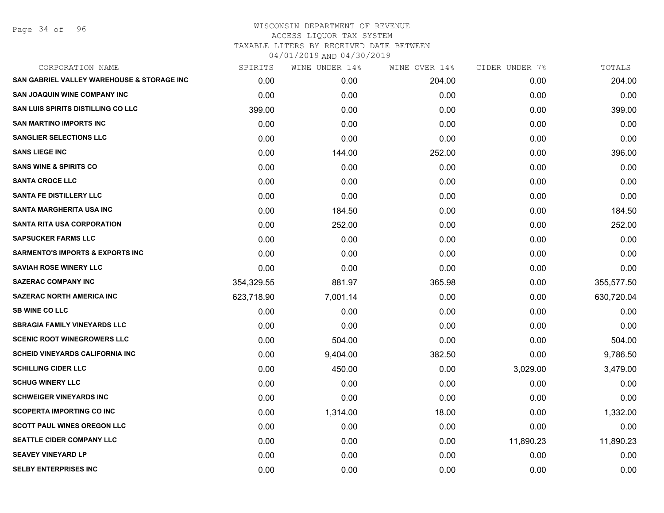Page 34 of 96

| CORPORATION NAME                            | SPIRITS    | WINE UNDER 14% | WINE OVER 14% | CIDER UNDER 7% | TOTALS     |
|---------------------------------------------|------------|----------------|---------------|----------------|------------|
| SAN GABRIEL VALLEY WAREHOUSE & STORAGE INC  | 0.00       | 0.00           | 204.00        | 0.00           | 204.00     |
| <b>SAN JOAQUIN WINE COMPANY INC</b>         | 0.00       | 0.00           | 0.00          | 0.00           | 0.00       |
| <b>SAN LUIS SPIRITS DISTILLING CO LLC</b>   | 399.00     | 0.00           | 0.00          | 0.00           | 399.00     |
| <b>SAN MARTINO IMPORTS INC</b>              | 0.00       | 0.00           | 0.00          | 0.00           | 0.00       |
| <b>SANGLIER SELECTIONS LLC</b>              | 0.00       | 0.00           | 0.00          | 0.00           | 0.00       |
| <b>SANS LIEGE INC</b>                       | 0.00       | 144.00         | 252.00        | 0.00           | 396.00     |
| <b>SANS WINE &amp; SPIRITS CO</b>           | 0.00       | 0.00           | 0.00          | 0.00           | 0.00       |
| <b>SANTA CROCE LLC</b>                      | 0.00       | 0.00           | 0.00          | 0.00           | 0.00       |
| <b>SANTA FE DISTILLERY LLC</b>              | 0.00       | 0.00           | 0.00          | 0.00           | 0.00       |
| <b>SANTA MARGHERITA USA INC</b>             | 0.00       | 184.50         | 0.00          | 0.00           | 184.50     |
| <b>SANTA RITA USA CORPORATION</b>           | 0.00       | 252.00         | 0.00          | 0.00           | 252.00     |
| <b>SAPSUCKER FARMS LLC</b>                  | 0.00       | 0.00           | 0.00          | 0.00           | 0.00       |
| <b>SARMENTO'S IMPORTS &amp; EXPORTS INC</b> | 0.00       | 0.00           | 0.00          | 0.00           | 0.00       |
| <b>SAVIAH ROSE WINERY LLC</b>               | 0.00       | 0.00           | 0.00          | 0.00           | 0.00       |
| <b>SAZERAC COMPANY INC</b>                  | 354,329.55 | 881.97         | 365.98        | 0.00           | 355,577.50 |
| <b>SAZERAC NORTH AMERICA INC</b>            | 623,718.90 | 7,001.14       | 0.00          | 0.00           | 630,720.04 |
| <b>SB WINE CO LLC</b>                       | 0.00       | 0.00           | 0.00          | 0.00           | 0.00       |
| <b>SBRAGIA FAMILY VINEYARDS LLC</b>         | 0.00       | 0.00           | 0.00          | 0.00           | 0.00       |
| <b>SCENIC ROOT WINEGROWERS LLC</b>          | 0.00       | 504.00         | 0.00          | 0.00           | 504.00     |
| <b>SCHEID VINEYARDS CALIFORNIA INC</b>      | 0.00       | 9,404.00       | 382.50        | 0.00           | 9,786.50   |
| <b>SCHILLING CIDER LLC</b>                  | 0.00       | 450.00         | 0.00          | 3,029.00       | 3,479.00   |
| <b>SCHUG WINERY LLC</b>                     | 0.00       | 0.00           | 0.00          | 0.00           | 0.00       |
| <b>SCHWEIGER VINEYARDS INC</b>              | 0.00       | 0.00           | 0.00          | 0.00           | 0.00       |
| <b>SCOPERTA IMPORTING CO INC</b>            | 0.00       | 1,314.00       | 18.00         | 0.00           | 1,332.00   |
| <b>SCOTT PAUL WINES OREGON LLC</b>          | 0.00       | 0.00           | 0.00          | 0.00           | 0.00       |
| <b>SEATTLE CIDER COMPANY LLC</b>            | 0.00       | 0.00           | 0.00          | 11,890.23      | 11,890.23  |
| <b>SEAVEY VINEYARD LP</b>                   | 0.00       | 0.00           | 0.00          | 0.00           | 0.00       |
| <b>SELBY ENTERPRISES INC</b>                | 0.00       | 0.00           | 0.00          | 0.00           | 0.00       |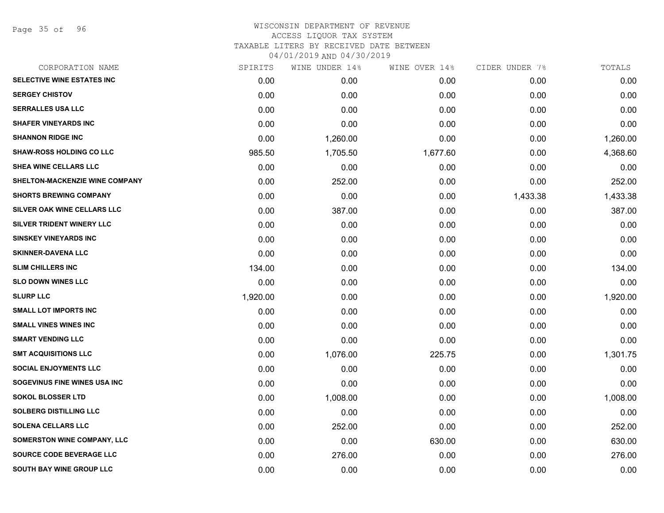Page 35 of 96

| CORPORATION NAME                      | SPIRITS  | WINE UNDER 14% | WINE OVER 14% | CIDER UNDER 7% | TOTALS   |
|---------------------------------------|----------|----------------|---------------|----------------|----------|
| <b>SELECTIVE WINE ESTATES INC</b>     | 0.00     | 0.00           | 0.00          | 0.00           | 0.00     |
| <b>SERGEY CHISTOV</b>                 | 0.00     | 0.00           | 0.00          | 0.00           | 0.00     |
| <b>SERRALLES USA LLC</b>              | 0.00     | 0.00           | 0.00          | 0.00           | 0.00     |
| <b>SHAFER VINEYARDS INC</b>           | 0.00     | 0.00           | 0.00          | 0.00           | 0.00     |
| <b>SHANNON RIDGE INC</b>              | 0.00     | 1,260.00       | 0.00          | 0.00           | 1,260.00 |
| <b>SHAW-ROSS HOLDING CO LLC</b>       | 985.50   | 1,705.50       | 1,677.60      | 0.00           | 4,368.60 |
| <b>SHEA WINE CELLARS LLC</b>          | 0.00     | 0.00           | 0.00          | 0.00           | 0.00     |
| <b>SHELTON-MACKENZIE WINE COMPANY</b> | 0.00     | 252.00         | 0.00          | 0.00           | 252.00   |
| <b>SHORTS BREWING COMPANY</b>         | 0.00     | 0.00           | 0.00          | 1,433.38       | 1,433.38 |
| SILVER OAK WINE CELLARS LLC           | 0.00     | 387.00         | 0.00          | 0.00           | 387.00   |
| SILVER TRIDENT WINERY LLC             | 0.00     | 0.00           | 0.00          | 0.00           | 0.00     |
| <b>SINSKEY VINEYARDS INC</b>          | 0.00     | 0.00           | 0.00          | 0.00           | 0.00     |
| <b>SKINNER-DAVENA LLC</b>             | 0.00     | 0.00           | 0.00          | 0.00           | 0.00     |
| <b>SLIM CHILLERS INC</b>              | 134.00   | 0.00           | 0.00          | 0.00           | 134.00   |
| <b>SLO DOWN WINES LLC</b>             | 0.00     | 0.00           | 0.00          | 0.00           | 0.00     |
| <b>SLURP LLC</b>                      | 1,920.00 | 0.00           | 0.00          | 0.00           | 1,920.00 |
| <b>SMALL LOT IMPORTS INC</b>          | 0.00     | 0.00           | 0.00          | 0.00           | 0.00     |
| <b>SMALL VINES WINES INC</b>          | 0.00     | 0.00           | 0.00          | 0.00           | 0.00     |
| <b>SMART VENDING LLC</b>              | 0.00     | 0.00           | 0.00          | 0.00           | 0.00     |
| <b>SMT ACQUISITIONS LLC</b>           | 0.00     | 1,076.00       | 225.75        | 0.00           | 1,301.75 |
| <b>SOCIAL ENJOYMENTS LLC</b>          | 0.00     | 0.00           | 0.00          | 0.00           | 0.00     |
| SOGEVINUS FINE WINES USA INC          | 0.00     | 0.00           | 0.00          | 0.00           | 0.00     |
| <b>SOKOL BLOSSER LTD</b>              | 0.00     | 1,008.00       | 0.00          | 0.00           | 1,008.00 |
| <b>SOLBERG DISTILLING LLC</b>         | 0.00     | 0.00           | 0.00          | 0.00           | 0.00     |
| <b>SOLENA CELLARS LLC</b>             | 0.00     | 252.00         | 0.00          | 0.00           | 252.00   |
| <b>SOMERSTON WINE COMPANY, LLC</b>    | 0.00     | 0.00           | 630.00        | 0.00           | 630.00   |
| SOURCE CODE BEVERAGE LLC              | 0.00     | 276.00         | 0.00          | 0.00           | 276.00   |
| SOUTH BAY WINE GROUP LLC              | 0.00     | 0.00           | 0.00          | 0.00           | 0.00     |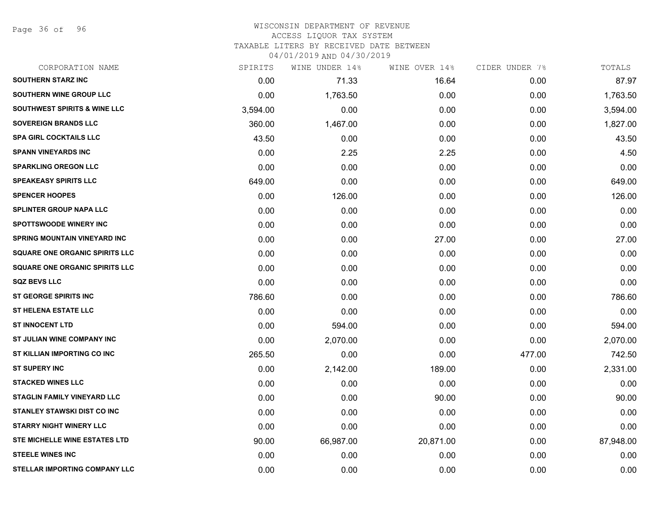Page 36 of 96

#### WISCONSIN DEPARTMENT OF REVENUE ACCESS LIQUOR TAX SYSTEM TAXABLE LITERS BY RECEIVED DATE BETWEEN

| CORPORATION NAME                        | SPIRITS  | WINE UNDER 14% | WINE OVER 14% | CIDER UNDER 7% | TOTALS    |
|-----------------------------------------|----------|----------------|---------------|----------------|-----------|
| <b>SOUTHERN STARZ INC</b>               | 0.00     | 71.33          | 16.64         | 0.00           | 87.97     |
| <b>SOUTHERN WINE GROUP LLC</b>          | 0.00     | 1,763.50       | 0.00          | 0.00           | 1,763.50  |
| <b>SOUTHWEST SPIRITS &amp; WINE LLC</b> | 3,594.00 | 0.00           | 0.00          | 0.00           | 3,594.00  |
| <b>SOVEREIGN BRANDS LLC</b>             | 360.00   | 1,467.00       | 0.00          | 0.00           | 1,827.00  |
| <b>SPA GIRL COCKTAILS LLC</b>           | 43.50    | 0.00           | 0.00          | 0.00           | 43.50     |
| <b>SPANN VINEYARDS INC</b>              | 0.00     | 2.25           | 2.25          | 0.00           | 4.50      |
| <b>SPARKLING OREGON LLC</b>             | 0.00     | 0.00           | 0.00          | 0.00           | 0.00      |
| <b>SPEAKEASY SPIRITS LLC</b>            | 649.00   | 0.00           | 0.00          | 0.00           | 649.00    |
| <b>SPENCER HOOPES</b>                   | 0.00     | 126.00         | 0.00          | 0.00           | 126.00    |
| <b>SPLINTER GROUP NAPA LLC</b>          | 0.00     | 0.00           | 0.00          | 0.00           | 0.00      |
| <b>SPOTTSWOODE WINERY INC</b>           | 0.00     | 0.00           | 0.00          | 0.00           | 0.00      |
| SPRING MOUNTAIN VINEYARD INC            | 0.00     | 0.00           | 27.00         | 0.00           | 27.00     |
| <b>SQUARE ONE ORGANIC SPIRITS LLC</b>   | 0.00     | 0.00           | 0.00          | 0.00           | 0.00      |
| <b>SQUARE ONE ORGANIC SPIRITS LLC</b>   | 0.00     | 0.00           | 0.00          | 0.00           | 0.00      |
| <b>SQZ BEVS LLC</b>                     | 0.00     | 0.00           | 0.00          | 0.00           | 0.00      |
| <b>ST GEORGE SPIRITS INC</b>            | 786.60   | 0.00           | 0.00          | 0.00           | 786.60    |
| <b>ST HELENA ESTATE LLC</b>             | 0.00     | 0.00           | 0.00          | 0.00           | 0.00      |
| <b>ST INNOCENT LTD</b>                  | 0.00     | 594.00         | 0.00          | 0.00           | 594.00    |
| <b>ST JULIAN WINE COMPANY INC</b>       | 0.00     | 2,070.00       | 0.00          | 0.00           | 2,070.00  |
| ST KILLIAN IMPORTING CO INC             | 265.50   | 0.00           | 0.00          | 477.00         | 742.50    |
| <b>ST SUPERY INC</b>                    | 0.00     | 2,142.00       | 189.00        | 0.00           | 2,331.00  |
| <b>STACKED WINES LLC</b>                | 0.00     | 0.00           | 0.00          | 0.00           | 0.00      |
| <b>STAGLIN FAMILY VINEYARD LLC</b>      | 0.00     | 0.00           | 90.00         | 0.00           | 90.00     |
| <b>STANLEY STAWSKI DIST CO INC</b>      | 0.00     | 0.00           | 0.00          | 0.00           | 0.00      |
| <b>STARRY NIGHT WINERY LLC</b>          | 0.00     | 0.00           | 0.00          | 0.00           | 0.00      |
| STE MICHELLE WINE ESTATES LTD           | 90.00    | 66,987.00      | 20,871.00     | 0.00           | 87,948.00 |
| <b>STEELE WINES INC</b>                 | 0.00     | 0.00           | 0.00          | 0.00           | 0.00      |
| STELLAR IMPORTING COMPANY LLC           | 0.00     | 0.00           | 0.00          | 0.00           | 0.00      |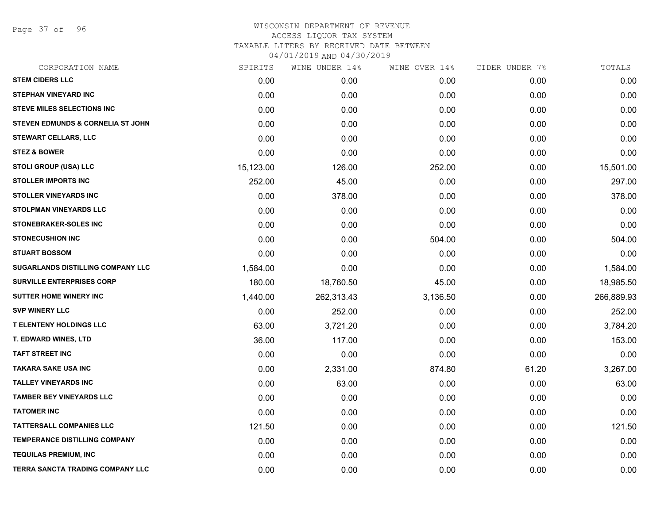Page 37 of 96

| CORPORATION NAME                             | SPIRITS   | WINE UNDER 14% | WINE OVER 14% | CIDER UNDER 7% | TOTALS     |
|----------------------------------------------|-----------|----------------|---------------|----------------|------------|
| <b>STEM CIDERS LLC</b>                       | 0.00      | 0.00           | 0.00          | 0.00           | 0.00       |
| <b>STEPHAN VINEYARD INC</b>                  | 0.00      | 0.00           | 0.00          | 0.00           | 0.00       |
| <b>STEVE MILES SELECTIONS INC</b>            | 0.00      | 0.00           | 0.00          | 0.00           | 0.00       |
| <b>STEVEN EDMUNDS &amp; CORNELIA ST JOHN</b> | 0.00      | 0.00           | 0.00          | 0.00           | 0.00       |
| <b>STEWART CELLARS, LLC</b>                  | 0.00      | 0.00           | 0.00          | 0.00           | 0.00       |
| <b>STEZ &amp; BOWER</b>                      | 0.00      | 0.00           | 0.00          | 0.00           | 0.00       |
| <b>STOLI GROUP (USA) LLC</b>                 | 15,123.00 | 126.00         | 252.00        | 0.00           | 15,501.00  |
| <b>STOLLER IMPORTS INC</b>                   | 252.00    | 45.00          | 0.00          | 0.00           | 297.00     |
| <b>STOLLER VINEYARDS INC</b>                 | 0.00      | 378.00         | 0.00          | 0.00           | 378.00     |
| <b>STOLPMAN VINEYARDS LLC</b>                | 0.00      | 0.00           | 0.00          | 0.00           | 0.00       |
| <b>STONEBRAKER-SOLES INC</b>                 | 0.00      | 0.00           | 0.00          | 0.00           | 0.00       |
| <b>STONECUSHION INC</b>                      | 0.00      | 0.00           | 504.00        | 0.00           | 504.00     |
| <b>STUART BOSSOM</b>                         | 0.00      | 0.00           | 0.00          | 0.00           | 0.00       |
| SUGARLANDS DISTILLING COMPANY LLC            | 1,584.00  | 0.00           | 0.00          | 0.00           | 1,584.00   |
| <b>SURVILLE ENTERPRISES CORP</b>             | 180.00    | 18,760.50      | 45.00         | 0.00           | 18,985.50  |
| SUTTER HOME WINERY INC                       | 1,440.00  | 262,313.43     | 3,136.50      | 0.00           | 266,889.93 |
| <b>SVP WINERY LLC</b>                        | 0.00      | 252.00         | 0.00          | 0.00           | 252.00     |
| <b>T ELENTENY HOLDINGS LLC</b>               | 63.00     | 3,721.20       | 0.00          | 0.00           | 3,784.20   |
| <b>T. EDWARD WINES, LTD</b>                  | 36.00     | 117.00         | 0.00          | 0.00           | 153.00     |
| <b>TAFT STREET INC</b>                       | 0.00      | 0.00           | 0.00          | 0.00           | 0.00       |
| <b>TAKARA SAKE USA INC</b>                   | 0.00      | 2,331.00       | 874.80        | 61.20          | 3,267.00   |
| <b>TALLEY VINEYARDS INC</b>                  | 0.00      | 63.00          | 0.00          | 0.00           | 63.00      |
| <b>TAMBER BEY VINEYARDS LLC</b>              | 0.00      | 0.00           | 0.00          | 0.00           | 0.00       |
| <b>TATOMER INC</b>                           | 0.00      | 0.00           | 0.00          | 0.00           | 0.00       |
| <b>TATTERSALL COMPANIES LLC</b>              | 121.50    | 0.00           | 0.00          | 0.00           | 121.50     |
| <b>TEMPERANCE DISTILLING COMPANY</b>         | 0.00      | 0.00           | 0.00          | 0.00           | 0.00       |
| <b>TEQUILAS PREMIUM, INC</b>                 | 0.00      | 0.00           | 0.00          | 0.00           | 0.00       |
| TERRA SANCTA TRADING COMPANY LLC             | 0.00      | 0.00           | 0.00          | 0.00           | 0.00       |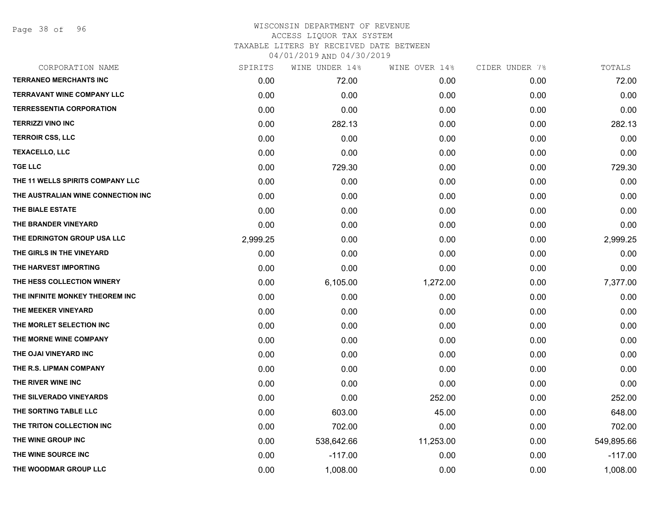Page 38 of 96

| CORPORATION NAME                   | SPIRITS  | WINE UNDER 14% | WINE OVER 14% | CIDER UNDER 7% | TOTALS     |
|------------------------------------|----------|----------------|---------------|----------------|------------|
| <b>TERRANEO MERCHANTS INC</b>      | 0.00     | 72.00          | 0.00          | 0.00           | 72.00      |
| <b>TERRAVANT WINE COMPANY LLC</b>  | 0.00     | 0.00           | 0.00          | 0.00           | 0.00       |
| <b>TERRESSENTIA CORPORATION</b>    | 0.00     | 0.00           | 0.00          | 0.00           | 0.00       |
| <b>TERRIZZI VINO INC</b>           | 0.00     | 282.13         | 0.00          | 0.00           | 282.13     |
| <b>TERROIR CSS, LLC</b>            | 0.00     | 0.00           | 0.00          | 0.00           | 0.00       |
| <b>TEXACELLO, LLC</b>              | 0.00     | 0.00           | 0.00          | 0.00           | 0.00       |
| <b>TGE LLC</b>                     | 0.00     | 729.30         | 0.00          | 0.00           | 729.30     |
| THE 11 WELLS SPIRITS COMPANY LLC   | 0.00     | 0.00           | 0.00          | 0.00           | 0.00       |
| THE AUSTRALIAN WINE CONNECTION INC | 0.00     | 0.00           | 0.00          | 0.00           | 0.00       |
| THE BIALE ESTATE                   | 0.00     | 0.00           | 0.00          | 0.00           | 0.00       |
| THE BRANDER VINEYARD               | 0.00     | 0.00           | 0.00          | 0.00           | 0.00       |
| THE EDRINGTON GROUP USA LLC        | 2,999.25 | 0.00           | 0.00          | 0.00           | 2,999.25   |
| THE GIRLS IN THE VINEYARD          | 0.00     | 0.00           | 0.00          | 0.00           | 0.00       |
| THE HARVEST IMPORTING              | 0.00     | 0.00           | 0.00          | 0.00           | 0.00       |
| THE HESS COLLECTION WINERY         | 0.00     | 6,105.00       | 1,272.00      | 0.00           | 7,377.00   |
| THE INFINITE MONKEY THEOREM INC    | 0.00     | 0.00           | 0.00          | 0.00           | 0.00       |
| THE MEEKER VINEYARD                | 0.00     | 0.00           | 0.00          | 0.00           | 0.00       |
| THE MORLET SELECTION INC           | 0.00     | 0.00           | 0.00          | 0.00           | 0.00       |
| THE MORNE WINE COMPANY             | 0.00     | 0.00           | 0.00          | 0.00           | 0.00       |
| THE OJAI VINEYARD INC              | 0.00     | 0.00           | 0.00          | 0.00           | 0.00       |
| THE R.S. LIPMAN COMPANY            | 0.00     | 0.00           | 0.00          | 0.00           | 0.00       |
| THE RIVER WINE INC                 | 0.00     | 0.00           | 0.00          | 0.00           | 0.00       |
| THE SILVERADO VINEYARDS            | 0.00     | 0.00           | 252.00        | 0.00           | 252.00     |
| THE SORTING TABLE LLC              | 0.00     | 603.00         | 45.00         | 0.00           | 648.00     |
| THE TRITON COLLECTION INC          | 0.00     | 702.00         | 0.00          | 0.00           | 702.00     |
| THE WINE GROUP INC                 | 0.00     | 538,642.66     | 11,253.00     | 0.00           | 549,895.66 |
| THE WINE SOURCE INC                | 0.00     | $-117.00$      | 0.00          | 0.00           | $-117.00$  |
| THE WOODMAR GROUP LLC              | 0.00     | 1,008.00       | 0.00          | 0.00           | 1,008.00   |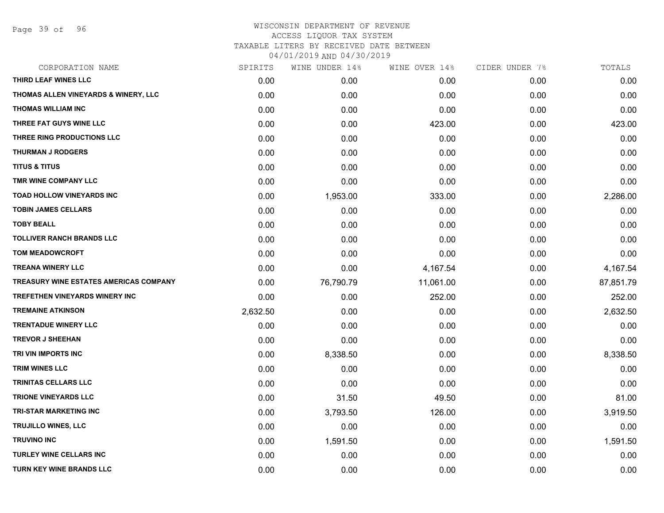Page 39 of 96

| CORPORATION NAME                              | SPIRITS  | WINE UNDER 14% | WINE OVER 14% | CIDER UNDER 7% | TOTALS    |
|-----------------------------------------------|----------|----------------|---------------|----------------|-----------|
| THIRD LEAF WINES LLC                          | 0.00     | 0.00           | 0.00          | 0.00           | 0.00      |
| THOMAS ALLEN VINEYARDS & WINERY, LLC          | 0.00     | 0.00           | 0.00          | 0.00           | 0.00      |
| <b>THOMAS WILLIAM INC</b>                     | 0.00     | 0.00           | 0.00          | 0.00           | 0.00      |
| THREE FAT GUYS WINE LLC                       | 0.00     | 0.00           | 423.00        | 0.00           | 423.00    |
| THREE RING PRODUCTIONS LLC                    | 0.00     | 0.00           | 0.00          | 0.00           | 0.00      |
| <b>THURMAN J RODGERS</b>                      | 0.00     | 0.00           | 0.00          | 0.00           | 0.00      |
| <b>TITUS &amp; TITUS</b>                      | 0.00     | 0.00           | 0.00          | 0.00           | 0.00      |
| TMR WINE COMPANY LLC                          | 0.00     | 0.00           | 0.00          | 0.00           | 0.00      |
| <b>TOAD HOLLOW VINEYARDS INC</b>              | 0.00     | 1,953.00       | 333.00        | 0.00           | 2,286.00  |
| <b>TOBIN JAMES CELLARS</b>                    | 0.00     | 0.00           | 0.00          | 0.00           | 0.00      |
| <b>TOBY BEALL</b>                             | 0.00     | 0.00           | 0.00          | 0.00           | 0.00      |
| <b>TOLLIVER RANCH BRANDS LLC</b>              | 0.00     | 0.00           | 0.00          | 0.00           | 0.00      |
| <b>TOM MEADOWCROFT</b>                        | 0.00     | 0.00           | 0.00          | 0.00           | 0.00      |
| <b>TREANA WINERY LLC</b>                      | 0.00     | 0.00           | 4,167.54      | 0.00           | 4,167.54  |
| <b>TREASURY WINE ESTATES AMERICAS COMPANY</b> | 0.00     | 76,790.79      | 11,061.00     | 0.00           | 87,851.79 |
| TREFETHEN VINEYARDS WINERY INC                | 0.00     | 0.00           | 252.00        | 0.00           | 252.00    |
| <b>TREMAINE ATKINSON</b>                      | 2,632.50 | 0.00           | 0.00          | 0.00           | 2,632.50  |
| <b>TRENTADUE WINERY LLC</b>                   | 0.00     | 0.00           | 0.00          | 0.00           | 0.00      |
| <b>TREVOR J SHEEHAN</b>                       | 0.00     | 0.00           | 0.00          | 0.00           | 0.00      |
| TRI VIN IMPORTS INC                           | 0.00     | 8,338.50       | 0.00          | 0.00           | 8,338.50  |
| <b>TRIM WINES LLC</b>                         | 0.00     | 0.00           | 0.00          | 0.00           | 0.00      |
| <b>TRINITAS CELLARS LLC</b>                   | 0.00     | 0.00           | 0.00          | 0.00           | 0.00      |
| <b>TRIONE VINEYARDS LLC</b>                   | 0.00     | 31.50          | 49.50         | 0.00           | 81.00     |
| <b>TRI-STAR MARKETING INC</b>                 | 0.00     | 3,793.50       | 126.00        | 0.00           | 3,919.50  |
| TRUJILLO WINES, LLC                           | 0.00     | 0.00           | 0.00          | 0.00           | 0.00      |
| <b>TRUVINO INC</b>                            | 0.00     | 1,591.50       | 0.00          | 0.00           | 1,591.50  |
| <b>TURLEY WINE CELLARS INC</b>                | 0.00     | 0.00           | 0.00          | 0.00           | 0.00      |
| TURN KEY WINE BRANDS LLC                      | 0.00     | 0.00           | 0.00          | 0.00           | 0.00      |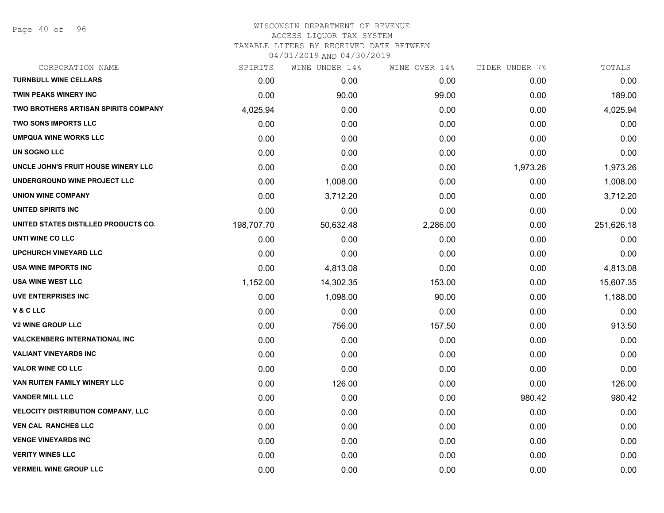| CORPORATION NAME                            | SPIRITS    | WINE UNDER 14% | WINE OVER 14% | CIDER UNDER 7% | TOTALS     |
|---------------------------------------------|------------|----------------|---------------|----------------|------------|
| <b>TURNBULL WINE CELLARS</b>                | 0.00       | 0.00           | 0.00          | 0.00           | 0.00       |
| <b>TWIN PEAKS WINERY INC</b>                | 0.00       | 90.00          | 99.00         | 0.00           | 189.00     |
| <b>TWO BROTHERS ARTISAN SPIRITS COMPANY</b> | 4,025.94   | 0.00           | 0.00          | 0.00           | 4,025.94   |
| <b>TWO SONS IMPORTS LLC</b>                 | 0.00       | 0.00           | 0.00          | 0.00           | 0.00       |
| <b>UMPQUA WINE WORKS LLC</b>                | 0.00       | 0.00           | 0.00          | 0.00           | 0.00       |
| UN SOGNO LLC                                | 0.00       | 0.00           | 0.00          | 0.00           | 0.00       |
| UNCLE JOHN'S FRUIT HOUSE WINERY LLC         | 0.00       | 0.00           | 0.00          | 1,973.26       | 1,973.26   |
| UNDERGROUND WINE PROJECT LLC                | 0.00       | 1,008.00       | 0.00          | 0.00           | 1,008.00   |
| <b>UNION WINE COMPANY</b>                   | 0.00       | 3,712.20       | 0.00          | 0.00           | 3,712.20   |
| UNITED SPIRITS INC                          | 0.00       | 0.00           | 0.00          | 0.00           | 0.00       |
| UNITED STATES DISTILLED PRODUCTS CO.        | 198,707.70 | 50,632.48      | 2,286.00      | 0.00           | 251,626.18 |
| UNTI WINE CO LLC                            | 0.00       | 0.00           | 0.00          | 0.00           | 0.00       |
| <b>UPCHURCH VINEYARD LLC</b>                | 0.00       | 0.00           | 0.00          | 0.00           | 0.00       |
| <b>USA WINE IMPORTS INC</b>                 | 0.00       | 4,813.08       | 0.00          | 0.00           | 4,813.08   |
| USA WINE WEST LLC                           | 1,152.00   | 14,302.35      | 153.00        | 0.00           | 15,607.35  |
| <b>UVE ENTERPRISES INC</b>                  | 0.00       | 1,098.00       | 90.00         | 0.00           | 1,188.00   |
| V&CLLC                                      | 0.00       | 0.00           | 0.00          | 0.00           | 0.00       |
| <b>V2 WINE GROUP LLC</b>                    | 0.00       | 756.00         | 157.50        | 0.00           | 913.50     |
| <b>VALCKENBERG INTERNATIONAL INC</b>        | 0.00       | 0.00           | 0.00          | 0.00           | 0.00       |
| <b>VALIANT VINEYARDS INC</b>                | 0.00       | 0.00           | 0.00          | 0.00           | 0.00       |
| <b>VALOR WINE CO LLC</b>                    | 0.00       | 0.00           | 0.00          | 0.00           | 0.00       |
| VAN RUITEN FAMILY WINERY LLC                | 0.00       | 126.00         | 0.00          | 0.00           | 126.00     |
| <b>VANDER MILL LLC</b>                      | 0.00       | 0.00           | 0.00          | 980.42         | 980.42     |
| <b>VELOCITY DISTRIBUTION COMPANY, LLC</b>   | 0.00       | 0.00           | 0.00          | 0.00           | 0.00       |
| <b>VEN CAL RANCHES LLC</b>                  | 0.00       | 0.00           | 0.00          | 0.00           | 0.00       |
| <b>VENGE VINEYARDS INC</b>                  | 0.00       | 0.00           | 0.00          | 0.00           | 0.00       |
| <b>VERITY WINES LLC</b>                     | 0.00       | 0.00           | 0.00          | 0.00           | 0.00       |
| <b>VERMEIL WINE GROUP LLC</b>               | 0.00       | 0.00           | 0.00          | 0.00           | 0.00       |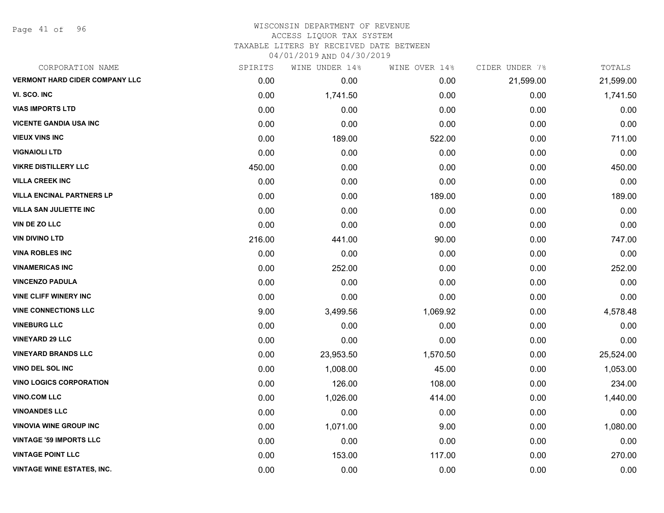Page 41 of 96

| CORPORATION NAME                      | SPIRITS | WINE UNDER 14% | WINE OVER 14% | CIDER UNDER 7% | TOTALS    |
|---------------------------------------|---------|----------------|---------------|----------------|-----------|
| <b>VERMONT HARD CIDER COMPANY LLC</b> | 0.00    | 0.00           | 0.00          | 21,599.00      | 21,599.00 |
| VI. SCO. INC                          | 0.00    | 1,741.50       | 0.00          | 0.00           | 1,741.50  |
| <b>VIAS IMPORTS LTD</b>               | 0.00    | 0.00           | 0.00          | 0.00           | 0.00      |
| <b>VICENTE GANDIA USA INC</b>         | 0.00    | 0.00           | 0.00          | 0.00           | 0.00      |
| <b>VIEUX VINS INC</b>                 | 0.00    | 189.00         | 522.00        | 0.00           | 711.00    |
| <b>VIGNAIOLI LTD</b>                  | 0.00    | 0.00           | 0.00          | 0.00           | 0.00      |
| <b>VIKRE DISTILLERY LLC</b>           | 450.00  | 0.00           | 0.00          | 0.00           | 450.00    |
| <b>VILLA CREEK INC</b>                | 0.00    | 0.00           | 0.00          | 0.00           | 0.00      |
| <b>VILLA ENCINAL PARTNERS LP</b>      | 0.00    | 0.00           | 189.00        | 0.00           | 189.00    |
| <b>VILLA SAN JULIETTE INC</b>         | 0.00    | 0.00           | 0.00          | 0.00           | 0.00      |
| VIN DE ZO LLC                         | 0.00    | 0.00           | 0.00          | 0.00           | 0.00      |
| <b>VIN DIVINO LTD</b>                 | 216.00  | 441.00         | 90.00         | 0.00           | 747.00    |
| <b>VINA ROBLES INC</b>                | 0.00    | 0.00           | 0.00          | 0.00           | 0.00      |
| <b>VINAMERICAS INC</b>                | 0.00    | 252.00         | 0.00          | 0.00           | 252.00    |
| <b>VINCENZO PADULA</b>                | 0.00    | 0.00           | 0.00          | 0.00           | 0.00      |
| <b>VINE CLIFF WINERY INC</b>          | 0.00    | 0.00           | 0.00          | 0.00           | 0.00      |
| <b>VINE CONNECTIONS LLC</b>           | 9.00    | 3,499.56       | 1,069.92      | 0.00           | 4,578.48  |
| <b>VINEBURG LLC</b>                   | 0.00    | 0.00           | 0.00          | 0.00           | 0.00      |
| <b>VINEYARD 29 LLC</b>                | 0.00    | 0.00           | 0.00          | 0.00           | 0.00      |
| <b>VINEYARD BRANDS LLC</b>            | 0.00    | 23,953.50      | 1,570.50      | 0.00           | 25,524.00 |
| <b>VINO DEL SOL INC</b>               | 0.00    | 1,008.00       | 45.00         | 0.00           | 1,053.00  |
| <b>VINO LOGICS CORPORATION</b>        | 0.00    | 126.00         | 108.00        | 0.00           | 234.00    |
| <b>VINO.COM LLC</b>                   | 0.00    | 1,026.00       | 414.00        | 0.00           | 1,440.00  |
| <b>VINOANDES LLC</b>                  | 0.00    | 0.00           | 0.00          | 0.00           | 0.00      |
| <b>VINOVIA WINE GROUP INC</b>         | 0.00    | 1,071.00       | 9.00          | 0.00           | 1,080.00  |
| <b>VINTAGE '59 IMPORTS LLC</b>        | 0.00    | 0.00           | 0.00          | 0.00           | 0.00      |
| <b>VINTAGE POINT LLC</b>              | 0.00    | 153.00         | 117.00        | 0.00           | 270.00    |
| <b>VINTAGE WINE ESTATES, INC.</b>     | 0.00    | 0.00           | 0.00          | 0.00           | 0.00      |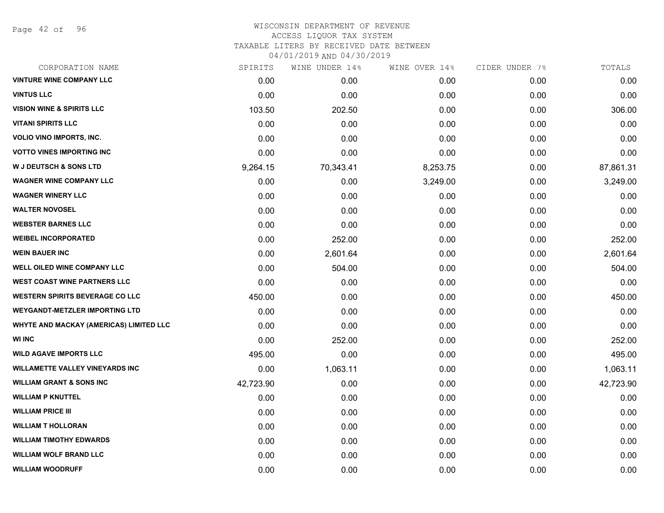Page 42 of 96

| CORPORATION NAME                        | SPIRITS   | WINE UNDER 14% | WINE OVER 14% | CIDER UNDER 7% | TOTALS    |
|-----------------------------------------|-----------|----------------|---------------|----------------|-----------|
| <b>VINTURE WINE COMPANY LLC</b>         | 0.00      | 0.00           | 0.00          | 0.00           | 0.00      |
| <b>VINTUS LLC</b>                       | 0.00      | 0.00           | 0.00          | 0.00           | 0.00      |
| <b>VISION WINE &amp; SPIRITS LLC</b>    | 103.50    | 202.50         | 0.00          | 0.00           | 306.00    |
| <b>VITANI SPIRITS LLC</b>               | 0.00      | 0.00           | 0.00          | 0.00           | 0.00      |
| <b>VOLIO VINO IMPORTS, INC.</b>         | 0.00      | 0.00           | 0.00          | 0.00           | 0.00      |
| <b>VOTTO VINES IMPORTING INC</b>        | 0.00      | 0.00           | 0.00          | 0.00           | 0.00      |
| <b>W J DEUTSCH &amp; SONS LTD</b>       | 9,264.15  | 70,343.41      | 8,253.75      | 0.00           | 87,861.31 |
| <b>WAGNER WINE COMPANY LLC</b>          | 0.00      | 0.00           | 3,249.00      | 0.00           | 3,249.00  |
| <b>WAGNER WINERY LLC</b>                | 0.00      | 0.00           | 0.00          | 0.00           | 0.00      |
| <b>WALTER NOVOSEL</b>                   | 0.00      | 0.00           | 0.00          | 0.00           | 0.00      |
| <b>WEBSTER BARNES LLC</b>               | 0.00      | 0.00           | 0.00          | 0.00           | 0.00      |
| <b>WEIBEL INCORPORATED</b>              | 0.00      | 252.00         | 0.00          | 0.00           | 252.00    |
| <b>WEIN BAUER INC</b>                   | 0.00      | 2,601.64       | 0.00          | 0.00           | 2,601.64  |
| <b>WELL OILED WINE COMPANY LLC</b>      | 0.00      | 504.00         | 0.00          | 0.00           | 504.00    |
| <b>WEST COAST WINE PARTNERS LLC</b>     | 0.00      | 0.00           | 0.00          | 0.00           | 0.00      |
| <b>WESTERN SPIRITS BEVERAGE CO LLC</b>  | 450.00    | 0.00           | 0.00          | 0.00           | 450.00    |
| <b>WEYGANDT-METZLER IMPORTING LTD</b>   | 0.00      | 0.00           | 0.00          | 0.00           | 0.00      |
| WHYTE AND MACKAY (AMERICAS) LIMITED LLC | 0.00      | 0.00           | 0.00          | 0.00           | 0.00      |
| <b>WI INC</b>                           | 0.00      | 252.00         | 0.00          | 0.00           | 252.00    |
| <b>WILD AGAVE IMPORTS LLC</b>           | 495.00    | 0.00           | 0.00          | 0.00           | 495.00    |
| <b>WILLAMETTE VALLEY VINEYARDS INC</b>  | 0.00      | 1,063.11       | 0.00          | 0.00           | 1,063.11  |
| <b>WILLIAM GRANT &amp; SONS INC</b>     | 42,723.90 | 0.00           | 0.00          | 0.00           | 42,723.90 |
| <b>WILLIAM P KNUTTEL</b>                | 0.00      | 0.00           | 0.00          | 0.00           | 0.00      |
| <b>WILLIAM PRICE III</b>                | 0.00      | 0.00           | 0.00          | 0.00           | 0.00      |
| <b>WILLIAM T HOLLORAN</b>               | 0.00      | 0.00           | 0.00          | 0.00           | 0.00      |
| <b>WILLIAM TIMOTHY EDWARDS</b>          | 0.00      | 0.00           | 0.00          | 0.00           | 0.00      |
| <b>WILLIAM WOLF BRAND LLC</b>           | 0.00      | 0.00           | 0.00          | 0.00           | 0.00      |
| <b>WILLIAM WOODRUFF</b>                 | 0.00      | 0.00           | 0.00          | 0.00           | 0.00      |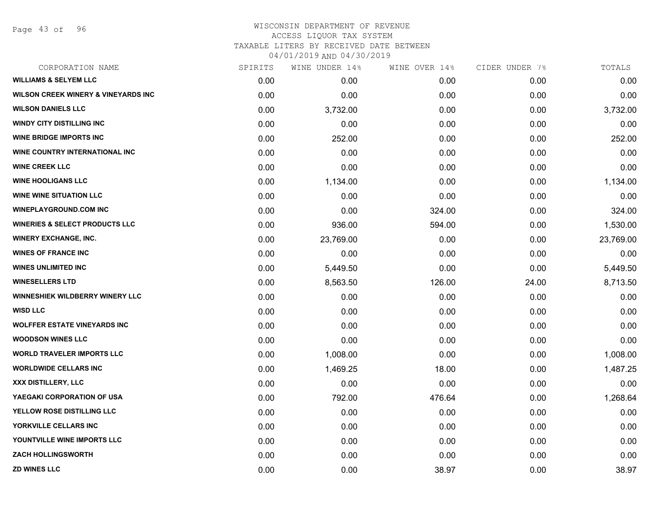Page 43 of 96

| CORPORATION NAME                               | SPIRITS | WINE UNDER 14% | WINE OVER 14% | CIDER UNDER 7% | TOTALS    |
|------------------------------------------------|---------|----------------|---------------|----------------|-----------|
| <b>WILLIAMS &amp; SELYEM LLC</b>               | 0.00    | 0.00           | 0.00          | 0.00           | 0.00      |
| <b>WILSON CREEK WINERY &amp; VINEYARDS INC</b> | 0.00    | 0.00           | 0.00          | 0.00           | 0.00      |
| <b>WILSON DANIELS LLC</b>                      | 0.00    | 3,732.00       | 0.00          | 0.00           | 3,732.00  |
| <b>WINDY CITY DISTILLING INC</b>               | 0.00    | 0.00           | 0.00          | 0.00           | 0.00      |
| <b>WINE BRIDGE IMPORTS INC</b>                 | 0.00    | 252.00         | 0.00          | 0.00           | 252.00    |
| WINE COUNTRY INTERNATIONAL INC                 | 0.00    | 0.00           | 0.00          | 0.00           | 0.00      |
| <b>WINE CREEK LLC</b>                          | 0.00    | 0.00           | 0.00          | 0.00           | 0.00      |
| <b>WINE HOOLIGANS LLC</b>                      | 0.00    | 1,134.00       | 0.00          | 0.00           | 1,134.00  |
| <b>WINE WINE SITUATION LLC</b>                 | 0.00    | 0.00           | 0.00          | 0.00           | 0.00      |
| <b>WINEPLAYGROUND.COM INC</b>                  | 0.00    | 0.00           | 324.00        | 0.00           | 324.00    |
| <b>WINERIES &amp; SELECT PRODUCTS LLC</b>      | 0.00    | 936.00         | 594.00        | 0.00           | 1,530.00  |
| <b>WINERY EXCHANGE, INC.</b>                   | 0.00    | 23,769.00      | 0.00          | 0.00           | 23,769.00 |
| <b>WINES OF FRANCE INC</b>                     | 0.00    | 0.00           | 0.00          | 0.00           | 0.00      |
| <b>WINES UNLIMITED INC</b>                     | 0.00    | 5,449.50       | 0.00          | 0.00           | 5,449.50  |
| <b>WINESELLERS LTD</b>                         | 0.00    | 8,563.50       | 126.00        | 24.00          | 8,713.50  |
| WINNESHIEK WILDBERRY WINERY LLC                | 0.00    | 0.00           | 0.00          | 0.00           | 0.00      |
| <b>WISD LLC</b>                                | 0.00    | 0.00           | 0.00          | 0.00           | 0.00      |
| <b>WOLFFER ESTATE VINEYARDS INC</b>            | 0.00    | 0.00           | 0.00          | 0.00           | 0.00      |
| <b>WOODSON WINES LLC</b>                       | 0.00    | 0.00           | 0.00          | 0.00           | 0.00      |
| <b>WORLD TRAVELER IMPORTS LLC</b>              | 0.00    | 1,008.00       | 0.00          | 0.00           | 1,008.00  |
| <b>WORLDWIDE CELLARS INC</b>                   | 0.00    | 1,469.25       | 18.00         | 0.00           | 1,487.25  |
| XXX DISTILLERY, LLC                            | 0.00    | 0.00           | 0.00          | 0.00           | 0.00      |
| YAEGAKI CORPORATION OF USA                     | 0.00    | 792.00         | 476.64        | 0.00           | 1,268.64  |
| <b>YELLOW ROSE DISTILLING LLC</b>              | 0.00    | 0.00           | 0.00          | 0.00           | 0.00      |
| YORKVILLE CELLARS INC                          | 0.00    | 0.00           | 0.00          | 0.00           | 0.00      |
| YOUNTVILLE WINE IMPORTS LLC                    | 0.00    | 0.00           | 0.00          | 0.00           | 0.00      |
| <b>ZACH HOLLINGSWORTH</b>                      | 0.00    | 0.00           | 0.00          | 0.00           | 0.00      |
| <b>ZD WINES LLC</b>                            | 0.00    | 0.00           | 38.97         | 0.00           | 38.97     |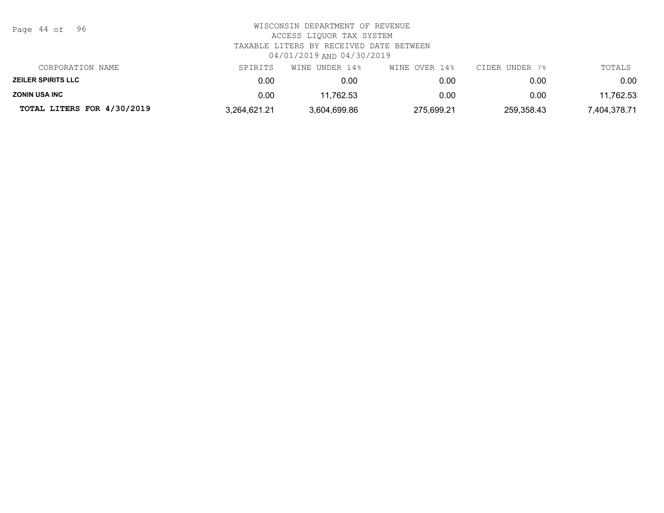| WISCONSIN DEPARTMENT OF REVENUE<br>ACCESS LIQUOR TAX SYSTEM<br>TAXABLE LITERS BY RECEIVED DATE BETWEEN<br>04/01/2019 AND 04/30/2019 |                |               |                |              |  |
|-------------------------------------------------------------------------------------------------------------------------------------|----------------|---------------|----------------|--------------|--|
| SPIRITS                                                                                                                             | WINE UNDER 14% | WINE OVER 14% | CIDER UNDER 7% | TOTALS       |  |
| 0.00                                                                                                                                | 0.00           | 0.00          | 0.00           | 0.00         |  |
| 0.00                                                                                                                                | 11,762.53      | 0.00          | 0.00           | 11,762.53    |  |
| 3,264,621.21                                                                                                                        | 3,604,699.86   | 275,699.21    | 259,358.43     | 7,404,378.71 |  |
|                                                                                                                                     |                |               |                |              |  |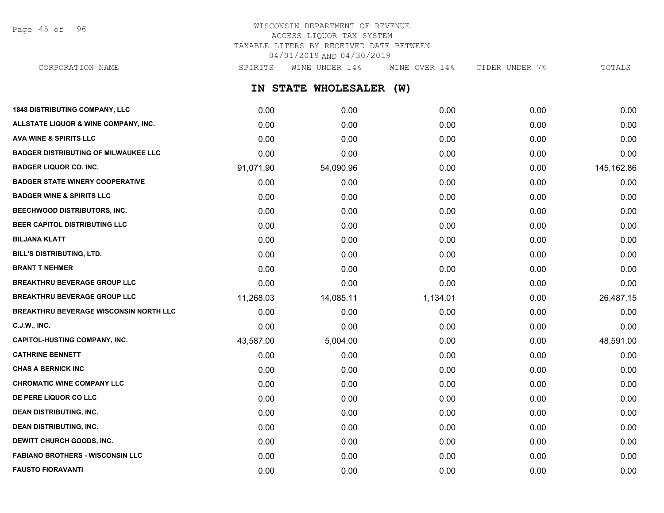Page 45 of 96

# WISCONSIN DEPARTMENT OF REVENUE ACCESS LIQUOR TAX SYSTEM TAXABLE LITERS BY RECEIVED DATE BETWEEN 04/01/2019 AND 04/30/2019

**IN STATE WHOLESALER (W) 1848 DISTRIBUTING COMPANY, LLC** 0.00 0.00 0.00 0.00 0.00 **ALLSTATE LIQUOR & WINE COMPANY, INC.** 0.00 0.00 0.00 0.00 0.00 **AVA WINE & SPIRITS LLC** 0.00 0.00 0.00 0.00 0.00 **BADGER DISTRIBUTING OF MILWAUKEE LLC** 0.00 0.00 0.00 0.00 0.00 **BADGER LIQUOR CO. INC.** 91,071.90 54,090.96 0.00 0.00 145,162.86 **BADGER STATE WINERY COOPERATIVE** 0.00 0.00 0.00 0.00 0.00 **BADGER WINE & SPIRITS LLC** 0.00 0.00 0.00 0.00 0.00 **BEECHWOOD DISTRIBUTORS, INC.** 0.00 0.00 0.00 0.00 0.00 **BEER CAPITOL DISTRIBUTING LLC** 0.00 0.00 0.00 0.00 0.00 **BILJANA KLATT** 0.00 0.00 0.00 0.00 0.00 **BILL'S DISTRIBUTING, LTD.** 0.00 0.00 0.00 0.00 0.00 **BRANT T NEHMER** 0.00 0.00 0.00 0.00 0.00 **BREAKTHRU BEVERAGE GROUP LLC**  $0.00$   $0.00$   $0.00$   $0.00$   $0.00$   $0.00$   $0.00$   $0.00$   $0.00$   $0.00$   $0.00$   $0.00$   $0.00$   $0.00$   $0.00$   $0.00$   $0.00$   $0.00$   $0.00$   $0.00$   $0.00$   $0.00$   $0.00$   $0.00$   $0.00$   $0.00$   $0.00$   $0$ **BREAKTHRU BEVERAGE GROUP LLC** 11,268.03 14,085.11 1,134.01 0.00 26,487.15 **BREAKTHRU BEVERAGE WISCONSIN NORTH LLC** 0.00 0.00 0.00 0.00 0.00 **C.J.W., INC.** 6.00 **0.00 0.00 0.00 0.00 0.00 0.00 0.00 0.00 0.00 0.00 0.00 0.00 0.00 CAPITOL-HUSTING COMPANY, INC.** 43,587.00 5,004.00 0.00 0.00 48,591.00 **CATHRINE BENNETT** 0.00 0.00 0.00 0.00 0.00 **CHAS A BERNICK INC** 0.00 0.00 0.00 0.00 0.00 **CHROMATIC WINE COMPANY LLC** 0.00 0.00 0.00 0.00 0.00 **DE PERE LIQUOR CO LLC** 0.00 0.00 0.00 0.00 0.00 **DEAN DISTRIBUTING, INC.** 0.00 0.00 0.00 0.00 0.00 **DEAN DISTRIBUTING, INC.** 0.00 0.00 0.00 0.00 0.00 **DEWITT CHURCH GOODS, INC.** 0.00 0.00 0.00 0.00 0.00 CORPORATION NAME SPIRITS WINE UNDER 14% WINE OVER 14% CIDER UNDER 7% TOTALS

**FABIANO BROTHERS - WISCONSIN LLC** 0.00 0.00 0.00 0.00 0.00 **FAUSTO FIORAVANTI** 0.00 0.00 0.00 0.00 0.00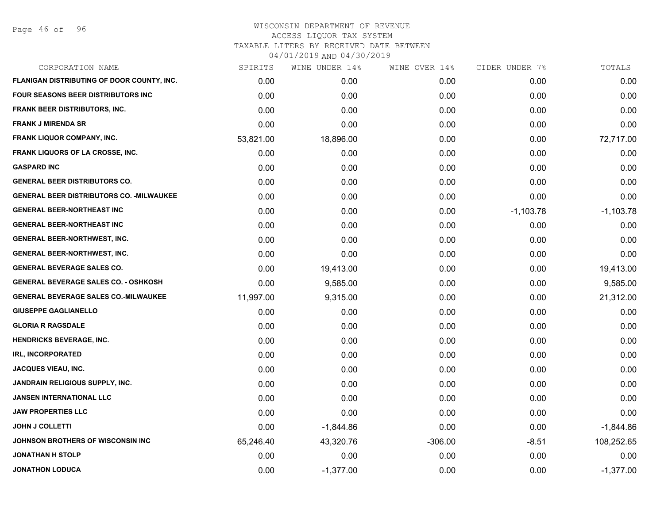Page 46 of 96

| CORPORATION NAME                                 | SPIRITS   | WINE UNDER 14% | WINE OVER 14% | CIDER UNDER 7% | TOTALS      |
|--------------------------------------------------|-----------|----------------|---------------|----------------|-------------|
| FLANIGAN DISTRIBUTING OF DOOR COUNTY, INC.       | 0.00      | 0.00           | 0.00          | 0.00           | 0.00        |
| FOUR SEASONS BEER DISTRIBUTORS INC               | 0.00      | 0.00           | 0.00          | 0.00           | 0.00        |
| FRANK BEER DISTRIBUTORS, INC.                    | 0.00      | 0.00           | 0.00          | 0.00           | 0.00        |
| <b>FRANK J MIRENDA SR</b>                        | 0.00      | 0.00           | 0.00          | 0.00           | 0.00        |
| <b>FRANK LIQUOR COMPANY, INC.</b>                | 53,821.00 | 18,896.00      | 0.00          | 0.00           | 72,717.00   |
| <b>FRANK LIQUORS OF LA CROSSE, INC.</b>          | 0.00      | 0.00           | 0.00          | 0.00           | 0.00        |
| <b>GASPARD INC</b>                               | 0.00      | 0.00           | 0.00          | 0.00           | 0.00        |
| <b>GENERAL BEER DISTRIBUTORS CO.</b>             | 0.00      | 0.00           | 0.00          | 0.00           | 0.00        |
| <b>GENERAL BEER DISTRIBUTORS CO. - MILWAUKEE</b> | 0.00      | 0.00           | 0.00          | 0.00           | 0.00        |
| <b>GENERAL BEER-NORTHEAST INC</b>                | 0.00      | 0.00           | 0.00          | $-1,103.78$    | $-1,103.78$ |
| <b>GENERAL BEER-NORTHEAST INC</b>                | 0.00      | 0.00           | 0.00          | 0.00           | 0.00        |
| <b>GENERAL BEER-NORTHWEST, INC.</b>              | 0.00      | 0.00           | 0.00          | 0.00           | 0.00        |
| <b>GENERAL BEER-NORTHWEST, INC.</b>              | 0.00      | 0.00           | 0.00          | 0.00           | 0.00        |
| <b>GENERAL BEVERAGE SALES CO.</b>                | 0.00      | 19,413.00      | 0.00          | 0.00           | 19,413.00   |
| <b>GENERAL BEVERAGE SALES CO. - OSHKOSH</b>      | 0.00      | 9,585.00       | 0.00          | 0.00           | 9,585.00    |
| <b>GENERAL BEVERAGE SALES CO.-MILWAUKEE</b>      | 11,997.00 | 9,315.00       | 0.00          | 0.00           | 21,312.00   |
| <b>GIUSEPPE GAGLIANELLO</b>                      | 0.00      | 0.00           | 0.00          | 0.00           | 0.00        |
| <b>GLORIA R RAGSDALE</b>                         | 0.00      | 0.00           | 0.00          | 0.00           | 0.00        |
| <b>HENDRICKS BEVERAGE, INC.</b>                  | 0.00      | 0.00           | 0.00          | 0.00           | 0.00        |
| <b>IRL, INCORPORATED</b>                         | 0.00      | 0.00           | 0.00          | 0.00           | 0.00        |
| JACQUES VIEAU, INC.                              | 0.00      | 0.00           | 0.00          | 0.00           | 0.00        |
| JANDRAIN RELIGIOUS SUPPLY, INC.                  | 0.00      | 0.00           | 0.00          | 0.00           | 0.00        |
| <b>JANSEN INTERNATIONAL LLC</b>                  | 0.00      | 0.00           | 0.00          | 0.00           | 0.00        |
| <b>JAW PROPERTIES LLC</b>                        | 0.00      | 0.00           | 0.00          | 0.00           | 0.00        |
| <b>JOHN J COLLETTI</b>                           | 0.00      | $-1,844.86$    | 0.00          | 0.00           | $-1,844.86$ |
| JOHNSON BROTHERS OF WISCONSIN INC                | 65,246.40 | 43,320.76      | $-306.00$     | $-8.51$        | 108,252.65  |
| <b>JONATHAN H STOLP</b>                          | 0.00      | 0.00           | 0.00          | 0.00           | 0.00        |
| <b>JONATHON LODUCA</b>                           | 0.00      | $-1,377.00$    | 0.00          | 0.00           | $-1,377.00$ |
|                                                  |           |                |               |                |             |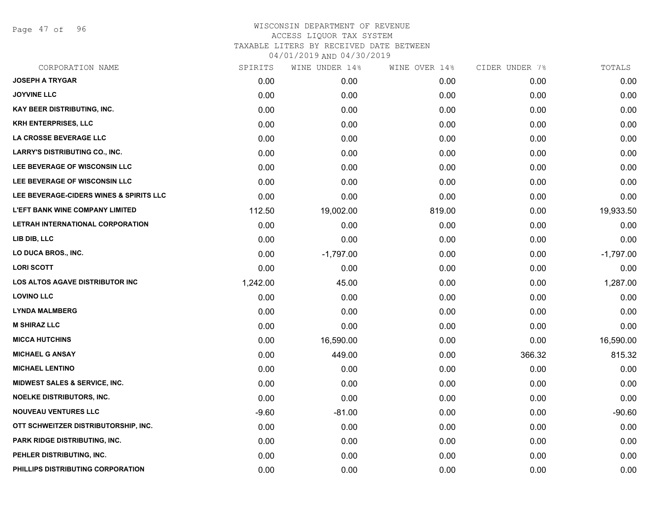Page 47 of 96

| CORPORATION NAME                        | SPIRITS  | WINE UNDER 14% | WINE OVER 14% | CIDER UNDER 7% | TOTALS      |
|-----------------------------------------|----------|----------------|---------------|----------------|-------------|
| <b>JOSEPH A TRYGAR</b>                  | 0.00     | 0.00           | 0.00          | 0.00           | 0.00        |
| <b>JOYVINE LLC</b>                      | 0.00     | 0.00           | 0.00          | 0.00           | 0.00        |
| <b>KAY BEER DISTRIBUTING, INC.</b>      | 0.00     | 0.00           | 0.00          | 0.00           | 0.00        |
| <b>KRH ENTERPRISES, LLC</b>             | 0.00     | 0.00           | 0.00          | 0.00           | 0.00        |
| LA CROSSE BEVERAGE LLC                  | 0.00     | 0.00           | 0.00          | 0.00           | 0.00        |
| <b>LARRY'S DISTRIBUTING CO., INC.</b>   | 0.00     | 0.00           | 0.00          | 0.00           | 0.00        |
| LEE BEVERAGE OF WISCONSIN LLC           | 0.00     | 0.00           | 0.00          | 0.00           | 0.00        |
| LEE BEVERAGE OF WISCONSIN LLC           | 0.00     | 0.00           | 0.00          | 0.00           | 0.00        |
| LEE BEVERAGE-CIDERS WINES & SPIRITS LLC | 0.00     | 0.00           | 0.00          | 0.00           | 0.00        |
| L'EFT BANK WINE COMPANY LIMITED         | 112.50   | 19,002.00      | 819.00        | 0.00           | 19,933.50   |
| LETRAH INTERNATIONAL CORPORATION        | 0.00     | 0.00           | 0.00          | 0.00           | 0.00        |
| LIB DIB, LLC                            | 0.00     | 0.00           | 0.00          | 0.00           | 0.00        |
| LO DUCA BROS., INC.                     | 0.00     | $-1,797.00$    | 0.00          | 0.00           | $-1,797.00$ |
| <b>LORI SCOTT</b>                       | 0.00     | 0.00           | 0.00          | 0.00           | 0.00        |
| <b>LOS ALTOS AGAVE DISTRIBUTOR INC</b>  | 1,242.00 | 45.00          | 0.00          | 0.00           | 1,287.00    |
| <b>LOVINO LLC</b>                       | 0.00     | 0.00           | 0.00          | 0.00           | 0.00        |
| <b>LYNDA MALMBERG</b>                   | 0.00     | 0.00           | 0.00          | 0.00           | 0.00        |
| <b>M SHIRAZ LLC</b>                     | 0.00     | 0.00           | 0.00          | 0.00           | 0.00        |
| <b>MICCA HUTCHINS</b>                   | 0.00     | 16,590.00      | 0.00          | 0.00           | 16,590.00   |
| <b>MICHAEL G ANSAY</b>                  | 0.00     | 449.00         | 0.00          | 366.32         | 815.32      |
| <b>MICHAEL LENTINO</b>                  | 0.00     | 0.00           | 0.00          | 0.00           | 0.00        |
| MIDWEST SALES & SERVICE, INC.           | 0.00     | 0.00           | 0.00          | 0.00           | 0.00        |
| <b>NOELKE DISTRIBUTORS, INC.</b>        | 0.00     | 0.00           | 0.00          | 0.00           | 0.00        |
| <b>NOUVEAU VENTURES LLC</b>             | $-9.60$  | $-81.00$       | 0.00          | 0.00           | $-90.60$    |
| OTT SCHWEITZER DISTRIBUTORSHIP, INC.    | 0.00     | 0.00           | 0.00          | 0.00           | 0.00        |
| PARK RIDGE DISTRIBUTING, INC.           | 0.00     | 0.00           | 0.00          | 0.00           | 0.00        |
| PEHLER DISTRIBUTING, INC.               | 0.00     | 0.00           | 0.00          | 0.00           | 0.00        |
| PHILLIPS DISTRIBUTING CORPORATION       | 0.00     | 0.00           | 0.00          | 0.00           | 0.00        |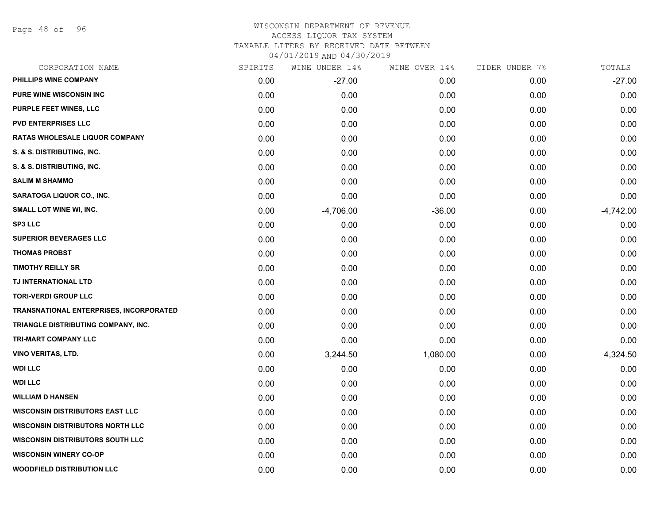Page 48 of 96

| CORPORATION NAME                               | SPIRITS | WINE UNDER 14% | WINE OVER 14% | CIDER UNDER 7% | TOTALS      |
|------------------------------------------------|---------|----------------|---------------|----------------|-------------|
| PHILLIPS WINE COMPANY                          | 0.00    | $-27.00$       | 0.00          | 0.00           | $-27.00$    |
| <b>PURE WINE WISCONSIN INC</b>                 | 0.00    | 0.00           | 0.00          | 0.00           | 0.00        |
| PURPLE FEET WINES, LLC                         | 0.00    | 0.00           | 0.00          | 0.00           | 0.00        |
| <b>PVD ENTERPRISES LLC</b>                     | 0.00    | 0.00           | 0.00          | 0.00           | 0.00        |
| <b>RATAS WHOLESALE LIQUOR COMPANY</b>          | 0.00    | 0.00           | 0.00          | 0.00           | 0.00        |
| S. & S. DISTRIBUTING, INC.                     | 0.00    | 0.00           | 0.00          | 0.00           | 0.00        |
| S. & S. DISTRIBUTING, INC.                     | 0.00    | 0.00           | 0.00          | 0.00           | 0.00        |
| <b>SALIM M SHAMMO</b>                          | 0.00    | 0.00           | 0.00          | 0.00           | 0.00        |
| SARATOGA LIQUOR CO., INC.                      | 0.00    | 0.00           | 0.00          | 0.00           | 0.00        |
| <b>SMALL LOT WINE WI, INC.</b>                 | 0.00    | $-4,706.00$    | $-36.00$      | 0.00           | $-4,742.00$ |
| <b>SP3 LLC</b>                                 | 0.00    | 0.00           | 0.00          | 0.00           | 0.00        |
| <b>SUPERIOR BEVERAGES LLC</b>                  | 0.00    | 0.00           | 0.00          | 0.00           | 0.00        |
| <b>THOMAS PROBST</b>                           | 0.00    | 0.00           | 0.00          | 0.00           | 0.00        |
| <b>TIMOTHY REILLY SR</b>                       | 0.00    | 0.00           | 0.00          | 0.00           | 0.00        |
| TJ INTERNATIONAL LTD                           | 0.00    | 0.00           | 0.00          | 0.00           | 0.00        |
| <b>TORI-VERDI GROUP LLC</b>                    | 0.00    | 0.00           | 0.00          | 0.00           | 0.00        |
| <b>TRANSNATIONAL ENTERPRISES, INCORPORATED</b> | 0.00    | 0.00           | 0.00          | 0.00           | 0.00        |
| TRIANGLE DISTRIBUTING COMPANY, INC.            | 0.00    | 0.00           | 0.00          | 0.00           | 0.00        |
| TRI-MART COMPANY LLC                           | 0.00    | 0.00           | 0.00          | 0.00           | 0.00        |
| <b>VINO VERITAS, LTD.</b>                      | 0.00    | 3,244.50       | 1,080.00      | 0.00           | 4,324.50    |
| <b>WDI LLC</b>                                 | 0.00    | 0.00           | 0.00          | 0.00           | 0.00        |
| <b>WDI LLC</b>                                 | 0.00    | 0.00           | 0.00          | 0.00           | 0.00        |
| <b>WILLIAM D HANSEN</b>                        | 0.00    | 0.00           | 0.00          | 0.00           | 0.00        |
| <b>WISCONSIN DISTRIBUTORS EAST LLC</b>         | 0.00    | 0.00           | 0.00          | 0.00           | 0.00        |
| <b>WISCONSIN DISTRIBUTORS NORTH LLC</b>        | 0.00    | 0.00           | 0.00          | 0.00           | 0.00        |
| <b>WISCONSIN DISTRIBUTORS SOUTH LLC</b>        | 0.00    | 0.00           | 0.00          | 0.00           | 0.00        |
| <b>WISCONSIN WINERY CO-OP</b>                  | 0.00    | 0.00           | 0.00          | 0.00           | 0.00        |
| <b>WOODFIELD DISTRIBUTION LLC</b>              | 0.00    | 0.00           | 0.00          | 0.00           | 0.00        |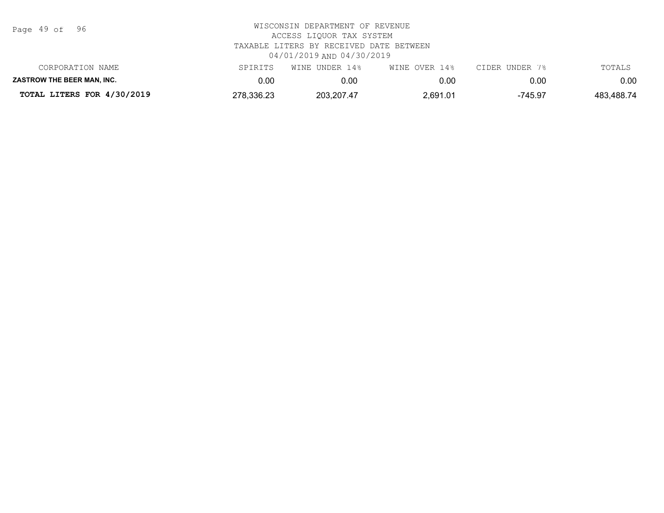| Page | 49 of |  | 96 |
|------|-------|--|----|
|------|-------|--|----|

| TOTAL LITERS FOR 4/30/2019        | 278,336.23 | 203,207.47     | 2,691.01      | $-745.97$      | 483,488.74 |
|-----------------------------------|------------|----------------|---------------|----------------|------------|
| <b>ZASTROW THE BEER MAN. INC.</b> | 0.00       | 0.00           |               | 0.00           | 0.00       |
| CORPORATION NAME                  | SPIRITS    | WINE UNDER 14% | WINE OVER 14% | CIDER UNDER 7% | TOTALS     |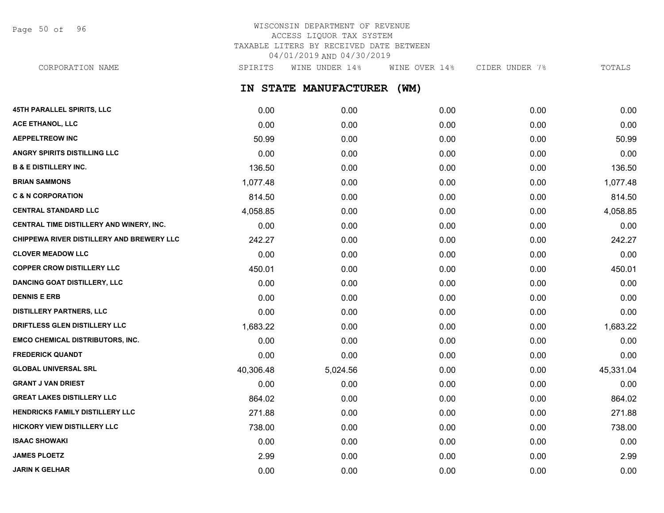Page 50 of 96

# WISCONSIN DEPARTMENT OF REVENUE ACCESS LIQUOR TAX SYSTEM TAXABLE LITERS BY RECEIVED DATE BETWEEN 04/01/2019 AND 04/30/2019

CORPORATION NAME SPIRITS WINE UNDER 14% WINE OVER 14% CIDER UNDER 7% TOTALS

**IN STATE MANUFACTURER (WM)**

| 45TH PARALLEL SPIRITS, LLC                | 0.00      | 0.00     | 0.00 | 0.00 | 0.00      |
|-------------------------------------------|-----------|----------|------|------|-----------|
| ACE ETHANOL, LLC                          | 0.00      | 0.00     | 0.00 | 0.00 | 0.00      |
| <b>AEPPELTREOW INC</b>                    | 50.99     | 0.00     | 0.00 | 0.00 | 50.99     |
| ANGRY SPIRITS DISTILLING LLC              | 0.00      | 0.00     | 0.00 | 0.00 | 0.00      |
| <b>B &amp; E DISTILLERY INC.</b>          | 136.50    | 0.00     | 0.00 | 0.00 | 136.50    |
| <b>BRIAN SAMMONS</b>                      | 1,077.48  | 0.00     | 0.00 | 0.00 | 1,077.48  |
| <b>C &amp; N CORPORATION</b>              | 814.50    | 0.00     | 0.00 | 0.00 | 814.50    |
| <b>CENTRAL STANDARD LLC</b>               | 4,058.85  | 0.00     | 0.00 | 0.00 | 4,058.85  |
| CENTRAL TIME DISTILLERY AND WINERY, INC.  | 0.00      | 0.00     | 0.00 | 0.00 | 0.00      |
| CHIPPEWA RIVER DISTILLERY AND BREWERY LLC | 242.27    | 0.00     | 0.00 | 0.00 | 242.27    |
| <b>CLOVER MEADOW LLC</b>                  | 0.00      | 0.00     | 0.00 | 0.00 | 0.00      |
| <b>COPPER CROW DISTILLERY LLC</b>         | 450.01    | 0.00     | 0.00 | 0.00 | 450.01    |
| <b>DANCING GOAT DISTILLERY, LLC</b>       | 0.00      | 0.00     | 0.00 | 0.00 | 0.00      |
| <b>DENNIS E ERB</b>                       | 0.00      | 0.00     | 0.00 | 0.00 | 0.00      |
| <b>DISTILLERY PARTNERS, LLC</b>           | 0.00      | 0.00     | 0.00 | 0.00 | 0.00      |
| DRIFTLESS GLEN DISTILLERY LLC             | 1,683.22  | 0.00     | 0.00 | 0.00 | 1,683.22  |
| <b>EMCO CHEMICAL DISTRIBUTORS, INC.</b>   | 0.00      | 0.00     | 0.00 | 0.00 | 0.00      |
| <b>FREDERICK QUANDT</b>                   | 0.00      | 0.00     | 0.00 | 0.00 | 0.00      |
| <b>GLOBAL UNIVERSAL SRL</b>               | 40,306.48 | 5,024.56 | 0.00 | 0.00 | 45,331.04 |
| <b>GRANT J VAN DRIEST</b>                 | 0.00      | 0.00     | 0.00 | 0.00 | 0.00      |
| <b>GREAT LAKES DISTILLERY LLC</b>         | 864.02    | 0.00     | 0.00 | 0.00 | 864.02    |
| HENDRICKS FAMILY DISTILLERY LLC           | 271.88    | 0.00     | 0.00 | 0.00 | 271.88    |
| <b>HICKORY VIEW DISTILLERY LLC</b>        | 738.00    | 0.00     | 0.00 | 0.00 | 738.00    |
| <b>ISAAC SHOWAKI</b>                      | 0.00      | 0.00     | 0.00 | 0.00 | 0.00      |
| <b>JAMES PLOETZ</b>                       | 2.99      | 0.00     | 0.00 | 0.00 | 2.99      |
| <b>JARIN K GELHAR</b>                     | 0.00      | 0.00     | 0.00 | 0.00 | 0.00      |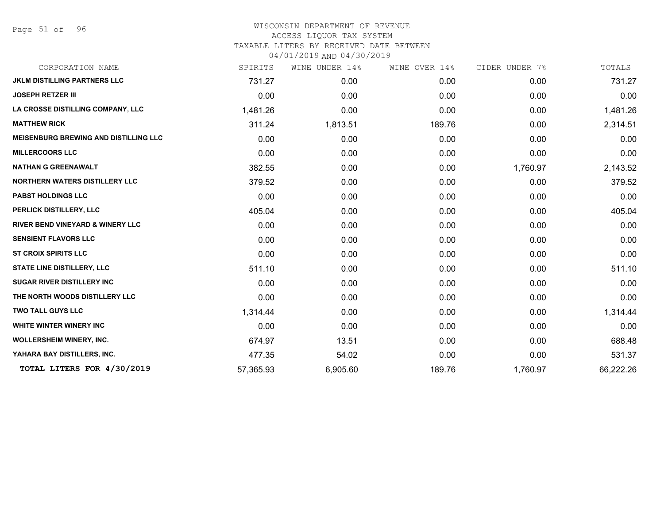Page 51 of 96

| CORPORATION NAME                             | SPIRITS   | WINE UNDER 14% | WINE OVER 14% | CIDER UNDER 7% | TOTALS    |
|----------------------------------------------|-----------|----------------|---------------|----------------|-----------|
| <b>JKLM DISTILLING PARTNERS LLC</b>          | 731.27    | 0.00           | 0.00          | 0.00           | 731.27    |
| <b>JOSEPH RETZER III</b>                     | 0.00      | 0.00           | 0.00          | 0.00           | 0.00      |
| LA CROSSE DISTILLING COMPANY, LLC            | 1,481.26  | 0.00           | 0.00          | 0.00           | 1,481.26  |
| <b>MATTHEW RICK</b>                          | 311.24    | 1,813.51       | 189.76        | 0.00           | 2,314.51  |
| <b>MEISENBURG BREWING AND DISTILLING LLC</b> | 0.00      | 0.00           | 0.00          | 0.00           | 0.00      |
| <b>MILLERCOORS LLC</b>                       | 0.00      | 0.00           | 0.00          | 0.00           | 0.00      |
| <b>NATHAN G GREENAWALT</b>                   | 382.55    | 0.00           | 0.00          | 1,760.97       | 2,143.52  |
| <b>NORTHERN WATERS DISTILLERY LLC</b>        | 379.52    | 0.00           | 0.00          | 0.00           | 379.52    |
| <b>PABST HOLDINGS LLC</b>                    | 0.00      | 0.00           | 0.00          | 0.00           | 0.00      |
| PERLICK DISTILLERY, LLC                      | 405.04    | 0.00           | 0.00          | 0.00           | 405.04    |
| <b>RIVER BEND VINEYARD &amp; WINERY LLC</b>  | 0.00      | 0.00           | 0.00          | 0.00           | 0.00      |
| <b>SENSIENT FLAVORS LLC</b>                  | 0.00      | 0.00           | 0.00          | 0.00           | 0.00      |
| <b>ST CROIX SPIRITS LLC</b>                  | 0.00      | 0.00           | 0.00          | 0.00           | 0.00      |
| <b>STATE LINE DISTILLERY, LLC</b>            | 511.10    | 0.00           | 0.00          | 0.00           | 511.10    |
| <b>SUGAR RIVER DISTILLERY INC</b>            | 0.00      | 0.00           | 0.00          | 0.00           | 0.00      |
| THE NORTH WOODS DISTILLERY LLC               | 0.00      | 0.00           | 0.00          | 0.00           | 0.00      |
| <b>TWO TALL GUYS LLC</b>                     | 1,314.44  | 0.00           | 0.00          | 0.00           | 1,314.44  |
| <b>WHITE WINTER WINERY INC</b>               | 0.00      | 0.00           | 0.00          | 0.00           | 0.00      |
| <b>WOLLERSHEIM WINERY, INC.</b>              | 674.97    | 13.51          | 0.00          | 0.00           | 688.48    |
| YAHARA BAY DISTILLERS, INC.                  | 477.35    | 54.02          | 0.00          | 0.00           | 531.37    |
| TOTAL LITERS FOR 4/30/2019                   | 57,365.93 | 6,905.60       | 189.76        | 1,760.97       | 66,222.26 |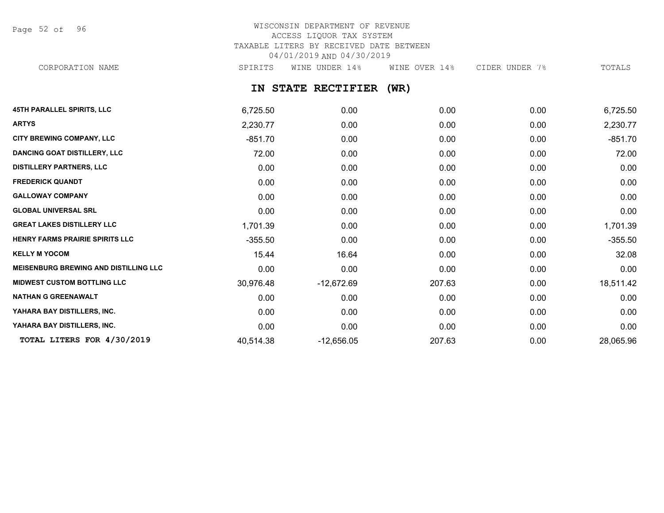Page 52 of 96

# WISCONSIN DEPARTMENT OF REVENUE ACCESS LIQUOR TAX SYSTEM TAXABLE LITERS BY RECEIVED DATE BETWEEN 04/01/2019 AND 04/30/2019

CORPORATION NAME SPIRITS WINE UNDER 14% WINE OVER 14% CIDER UNDER 7% TOTALS

**IN STATE RECTIFIER (WR)**

| <b>45TH PARALLEL SPIRITS, LLC</b>            | 6,725.50  | 0.00         | 0.00   | 0.00 | 6,725.50  |
|----------------------------------------------|-----------|--------------|--------|------|-----------|
| <b>ARTYS</b>                                 | 2,230.77  | 0.00         | 0.00   | 0.00 | 2,230.77  |
| CITY BREWING COMPANY, LLC                    | $-851.70$ | 0.00         | 0.00   | 0.00 | $-851.70$ |
| <b>DANCING GOAT DISTILLERY, LLC</b>          | 72.00     | 0.00         | 0.00   | 0.00 | 72.00     |
| <b>DISTILLERY PARTNERS, LLC</b>              | 0.00      | 0.00         | 0.00   | 0.00 | 0.00      |
| <b>FREDERICK QUANDT</b>                      | 0.00      | 0.00         | 0.00   | 0.00 | 0.00      |
| <b>GALLOWAY COMPANY</b>                      | 0.00      | 0.00         | 0.00   | 0.00 | 0.00      |
| <b>GLOBAL UNIVERSAL SRL</b>                  | 0.00      | 0.00         | 0.00   | 0.00 | 0.00      |
| <b>GREAT LAKES DISTILLERY LLC</b>            | 1,701.39  | 0.00         | 0.00   | 0.00 | 1,701.39  |
| <b>HENRY FARMS PRAIRIE SPIRITS LLC</b>       | $-355.50$ | 0.00         | 0.00   | 0.00 | $-355.50$ |
| <b>KELLY M YOCOM</b>                         | 15.44     | 16.64        | 0.00   | 0.00 | 32.08     |
| <b>MEISENBURG BREWING AND DISTILLING LLC</b> | 0.00      | 0.00         | 0.00   | 0.00 | 0.00      |
| <b>MIDWEST CUSTOM BOTTLING LLC</b>           | 30,976.48 | $-12,672.69$ | 207.63 | 0.00 | 18,511.42 |
| <b>NATHAN G GREENAWALT</b>                   | 0.00      | 0.00         | 0.00   | 0.00 | 0.00      |
| YAHARA BAY DISTILLERS, INC.                  | 0.00      | 0.00         | 0.00   | 0.00 | 0.00      |
| YAHARA BAY DISTILLERS, INC.                  | 0.00      | 0.00         | 0.00   | 0.00 | 0.00      |
| TOTAL LITERS FOR 4/30/2019                   | 40,514.38 | $-12,656.05$ | 207.63 | 0.00 | 28,065.96 |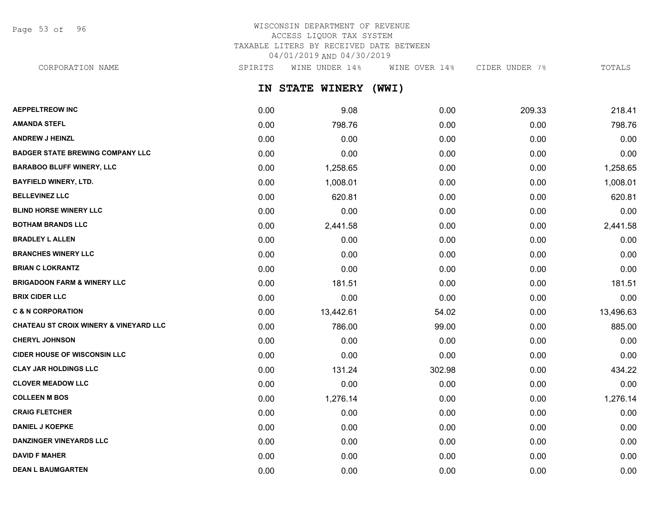Page 53 of 96

# WISCONSIN DEPARTMENT OF REVENUE ACCESS LIQUOR TAX SYSTEM TAXABLE LITERS BY RECEIVED DATE BETWEEN 04/01/2019 AND 04/30/2019

CORPORATION NAME SPIRITS WINE UNDER 14% WINE OVER 14% CIDER UNDER 7% TOTALS

**IN STATE WINERY (WWI)**

| <b>AEPPELTREOW INC</b>                            | 0.00 | 9.08      | 0.00   | 209.33 | 218.41    |
|---------------------------------------------------|------|-----------|--------|--------|-----------|
| <b>AMANDA STEFL</b>                               | 0.00 | 798.76    | 0.00   | 0.00   | 798.76    |
| <b>ANDREW J HEINZL</b>                            | 0.00 | 0.00      | 0.00   | 0.00   | 0.00      |
| <b>BADGER STATE BREWING COMPANY LLC</b>           | 0.00 | 0.00      | 0.00   | 0.00   | 0.00      |
| <b>BARABOO BLUFF WINERY, LLC</b>                  | 0.00 | 1,258.65  | 0.00   | 0.00   | 1,258.65  |
| <b>BAYFIELD WINERY, LTD.</b>                      | 0.00 | 1,008.01  | 0.00   | 0.00   | 1,008.01  |
| <b>BELLEVINEZ LLC</b>                             | 0.00 | 620.81    | 0.00   | 0.00   | 620.81    |
| <b>BLIND HORSE WINERY LLC</b>                     | 0.00 | 0.00      | 0.00   | 0.00   | 0.00      |
| <b>BOTHAM BRANDS LLC</b>                          | 0.00 | 2,441.58  | 0.00   | 0.00   | 2,441.58  |
| <b>BRADLEY L ALLEN</b>                            | 0.00 | 0.00      | 0.00   | 0.00   | 0.00      |
| <b>BRANCHES WINERY LLC</b>                        | 0.00 | 0.00      | 0.00   | 0.00   | 0.00      |
| <b>BRIAN C LOKRANTZ</b>                           | 0.00 | 0.00      | 0.00   | 0.00   | 0.00      |
| <b>BRIGADOON FARM &amp; WINERY LLC</b>            | 0.00 | 181.51    | 0.00   | 0.00   | 181.51    |
| <b>BRIX CIDER LLC</b>                             | 0.00 | 0.00      | 0.00   | 0.00   | 0.00      |
| <b>C &amp; N CORPORATION</b>                      | 0.00 | 13,442.61 | 54.02  | 0.00   | 13,496.63 |
| <b>CHATEAU ST CROIX WINERY &amp; VINEYARD LLC</b> | 0.00 | 786.00    | 99.00  | 0.00   | 885.00    |
| <b>CHERYL JOHNSON</b>                             | 0.00 | 0.00      | 0.00   | 0.00   | 0.00      |
| <b>CIDER HOUSE OF WISCONSIN LLC</b>               | 0.00 | 0.00      | 0.00   | 0.00   | 0.00      |
| <b>CLAY JAR HOLDINGS LLC</b>                      | 0.00 | 131.24    | 302.98 | 0.00   | 434.22    |
| <b>CLOVER MEADOW LLC</b>                          | 0.00 | 0.00      | 0.00   | 0.00   | 0.00      |
| <b>COLLEEN M BOS</b>                              | 0.00 | 1,276.14  | 0.00   | 0.00   | 1,276.14  |
| <b>CRAIG FLETCHER</b>                             | 0.00 | 0.00      | 0.00   | 0.00   | 0.00      |
| <b>DANIEL J KOEPKE</b>                            | 0.00 | 0.00      | 0.00   | 0.00   | 0.00      |
| <b>DANZINGER VINEYARDS LLC</b>                    | 0.00 | 0.00      | 0.00   | 0.00   | 0.00      |
| <b>DAVID F MAHER</b>                              | 0.00 | 0.00      | 0.00   | 0.00   | 0.00      |
| <b>DEAN L BAUMGARTEN</b>                          | 0.00 | 0.00      | 0.00   | 0.00   | 0.00      |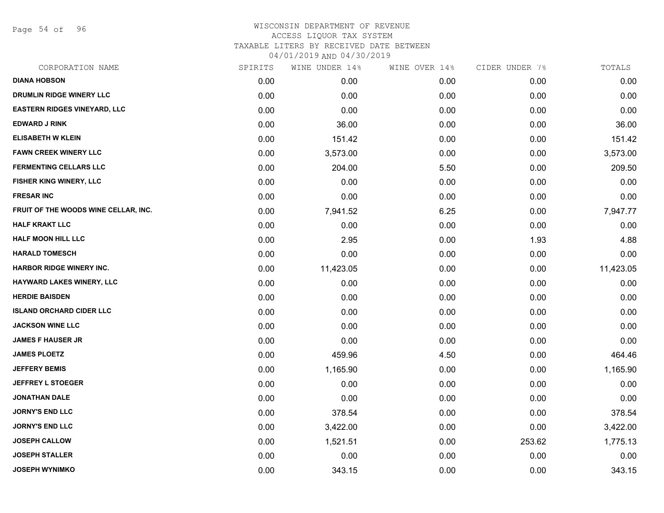Page 54 of 96

| SPIRITS | WINE UNDER 14% | WINE OVER 14% | CIDER UNDER 7% | TOTALS    |
|---------|----------------|---------------|----------------|-----------|
| 0.00    | 0.00           | 0.00          | 0.00           | 0.00      |
| 0.00    | 0.00           | 0.00          | 0.00           | 0.00      |
| 0.00    | 0.00           | 0.00          | 0.00           | 0.00      |
| 0.00    | 36.00          | 0.00          | 0.00           | 36.00     |
| 0.00    | 151.42         | 0.00          | 0.00           | 151.42    |
| 0.00    | 3,573.00       | 0.00          | 0.00           | 3,573.00  |
| 0.00    | 204.00         | 5.50          | 0.00           | 209.50    |
| 0.00    | 0.00           | 0.00          | 0.00           | 0.00      |
| 0.00    | 0.00           | 0.00          | 0.00           | 0.00      |
| 0.00    | 7,941.52       | 6.25          | 0.00           | 7,947.77  |
| 0.00    | 0.00           | 0.00          | 0.00           | 0.00      |
| 0.00    | 2.95           | 0.00          | 1.93           | 4.88      |
| 0.00    | 0.00           | 0.00          | 0.00           | 0.00      |
| 0.00    | 11,423.05      | 0.00          | 0.00           | 11,423.05 |
| 0.00    | 0.00           | 0.00          | 0.00           | 0.00      |
| 0.00    | 0.00           | 0.00          | 0.00           | 0.00      |
| 0.00    | 0.00           | 0.00          | 0.00           | 0.00      |
| 0.00    | 0.00           | 0.00          | 0.00           | 0.00      |
| 0.00    | 0.00           | 0.00          | 0.00           | 0.00      |
| 0.00    | 459.96         | 4.50          | 0.00           | 464.46    |
| 0.00    | 1,165.90       | 0.00          | 0.00           | 1,165.90  |
| 0.00    | 0.00           | 0.00          | 0.00           | 0.00      |
| 0.00    | 0.00           | 0.00          | 0.00           | 0.00      |
| 0.00    | 378.54         | 0.00          | 0.00           | 378.54    |
| 0.00    | 3,422.00       | 0.00          | 0.00           | 3,422.00  |
| 0.00    | 1,521.51       | 0.00          | 253.62         | 1,775.13  |
| 0.00    | 0.00           | 0.00          | 0.00           | 0.00      |
| 0.00    | 343.15         | 0.00          | 0.00           | 343.15    |
|         |                |               |                |           |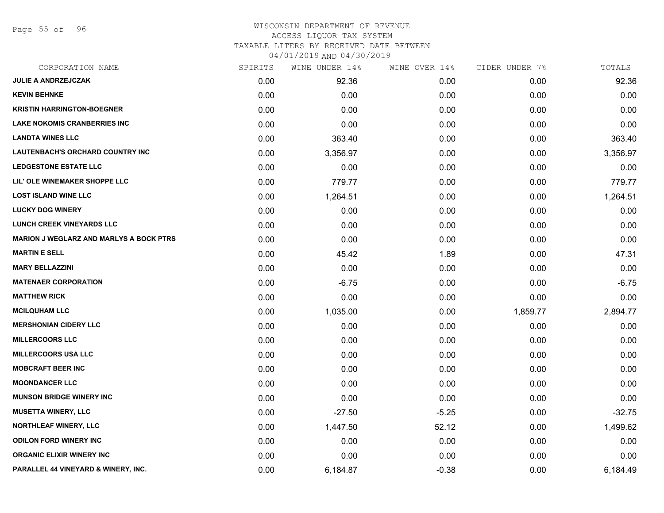Page 55 of 96

#### WISCONSIN DEPARTMENT OF REVENUE ACCESS LIQUOR TAX SYSTEM TAXABLE LITERS BY RECEIVED DATE BETWEEN

04/01/2019 AND 04/30/2019

| CORPORATION NAME                               | SPIRITS | WINE UNDER 14% | WINE OVER 14% | CIDER UNDER 7% | TOTALS   |
|------------------------------------------------|---------|----------------|---------------|----------------|----------|
| <b>JULIE A ANDRZEJCZAK</b>                     | 0.00    | 92.36          | 0.00          | 0.00           | 92.36    |
| <b>KEVIN BEHNKE</b>                            | 0.00    | 0.00           | 0.00          | 0.00           | 0.00     |
| <b>KRISTIN HARRINGTON-BOEGNER</b>              | 0.00    | 0.00           | 0.00          | 0.00           | 0.00     |
| <b>LAKE NOKOMIS CRANBERRIES INC</b>            | 0.00    | 0.00           | 0.00          | 0.00           | 0.00     |
| <b>LANDTA WINES LLC</b>                        | 0.00    | 363.40         | 0.00          | 0.00           | 363.40   |
| <b>LAUTENBACH'S ORCHARD COUNTRY INC</b>        | 0.00    | 3,356.97       | 0.00          | 0.00           | 3,356.97 |
| <b>LEDGESTONE ESTATE LLC</b>                   | 0.00    | 0.00           | 0.00          | 0.00           | 0.00     |
| LIL' OLE WINEMAKER SHOPPE LLC                  | 0.00    | 779.77         | 0.00          | 0.00           | 779.77   |
| <b>LOST ISLAND WINE LLC</b>                    | 0.00    | 1,264.51       | 0.00          | 0.00           | 1,264.51 |
| <b>LUCKY DOG WINERY</b>                        | 0.00    | 0.00           | 0.00          | 0.00           | 0.00     |
| <b>LUNCH CREEK VINEYARDS LLC</b>               | 0.00    | 0.00           | 0.00          | 0.00           | 0.00     |
| <b>MARION J WEGLARZ AND MARLYS A BOCK PTRS</b> | 0.00    | 0.00           | 0.00          | 0.00           | 0.00     |
| <b>MARTIN E SELL</b>                           | 0.00    | 45.42          | 1.89          | 0.00           | 47.31    |
| <b>MARY BELLAZZINI</b>                         | 0.00    | 0.00           | 0.00          | 0.00           | 0.00     |
| <b>MATENAER CORPORATION</b>                    | 0.00    | $-6.75$        | 0.00          | 0.00           | $-6.75$  |
| <b>MATTHEW RICK</b>                            | 0.00    | 0.00           | 0.00          | 0.00           | 0.00     |
| <b>MCILQUHAM LLC</b>                           | 0.00    | 1,035.00       | 0.00          | 1,859.77       | 2,894.77 |
| <b>MERSHONIAN CIDERY LLC</b>                   | 0.00    | 0.00           | 0.00          | 0.00           | 0.00     |
| <b>MILLERCOORS LLC</b>                         | 0.00    | 0.00           | 0.00          | 0.00           | 0.00     |
| <b>MILLERCOORS USA LLC</b>                     | 0.00    | 0.00           | 0.00          | 0.00           | 0.00     |
| <b>MOBCRAFT BEER INC</b>                       | 0.00    | 0.00           | 0.00          | 0.00           | 0.00     |
| <b>MOONDANCER LLC</b>                          | 0.00    | 0.00           | 0.00          | 0.00           | 0.00     |
| <b>MUNSON BRIDGE WINERY INC</b>                | 0.00    | 0.00           | 0.00          | 0.00           | 0.00     |
| <b>MUSETTA WINERY, LLC</b>                     | 0.00    | $-27.50$       | $-5.25$       | 0.00           | $-32.75$ |
| <b>NORTHLEAF WINERY, LLC</b>                   | 0.00    | 1,447.50       | 52.12         | 0.00           | 1,499.62 |
| <b>ODILON FORD WINERY INC</b>                  | 0.00    | 0.00           | 0.00          | 0.00           | 0.00     |
| <b>ORGANIC ELIXIR WINERY INC</b>               | 0.00    | 0.00           | 0.00          | 0.00           | 0.00     |
| PARALLEL 44 VINEYARD & WINERY, INC.            | 0.00    | 6,184.87       | $-0.38$       | 0.00           | 6,184.49 |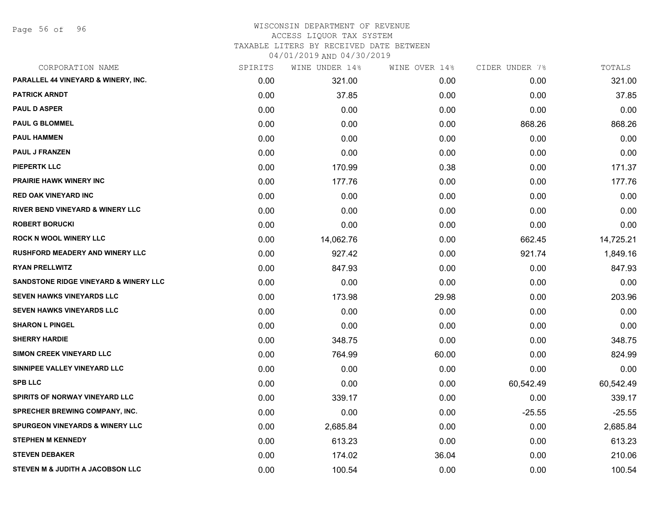Page 56 of 96

| CORPORATION NAME                                 | SPIRITS | WINE UNDER 14% | WINE OVER 14% | CIDER UNDER 7% | TOTALS    |
|--------------------------------------------------|---------|----------------|---------------|----------------|-----------|
| PARALLEL 44 VINEYARD & WINERY, INC.              | 0.00    | 321.00         | 0.00          | 0.00           | 321.00    |
| <b>PATRICK ARNDT</b>                             | 0.00    | 37.85          | 0.00          | 0.00           | 37.85     |
| <b>PAUL D ASPER</b>                              | 0.00    | 0.00           | 0.00          | 0.00           | 0.00      |
| <b>PAUL G BLOMMEL</b>                            | 0.00    | 0.00           | 0.00          | 868.26         | 868.26    |
| <b>PAUL HAMMEN</b>                               | 0.00    | 0.00           | 0.00          | 0.00           | 0.00      |
| <b>PAUL J FRANZEN</b>                            | 0.00    | 0.00           | 0.00          | 0.00           | 0.00      |
| <b>PIEPERTK LLC</b>                              | 0.00    | 170.99         | 0.38          | 0.00           | 171.37    |
| <b>PRAIRIE HAWK WINERY INC</b>                   | 0.00    | 177.76         | 0.00          | 0.00           | 177.76    |
| <b>RED OAK VINEYARD INC</b>                      | 0.00    | 0.00           | 0.00          | 0.00           | 0.00      |
| <b>RIVER BEND VINEYARD &amp; WINERY LLC</b>      | 0.00    | 0.00           | 0.00          | 0.00           | 0.00      |
| <b>ROBERT BORUCKI</b>                            | 0.00    | 0.00           | 0.00          | 0.00           | 0.00      |
| <b>ROCK N WOOL WINERY LLC</b>                    | 0.00    | 14,062.76      | 0.00          | 662.45         | 14,725.21 |
| <b>RUSHFORD MEADERY AND WINERY LLC</b>           | 0.00    | 927.42         | 0.00          | 921.74         | 1,849.16  |
| <b>RYAN PRELLWITZ</b>                            | 0.00    | 847.93         | 0.00          | 0.00           | 847.93    |
| <b>SANDSTONE RIDGE VINEYARD &amp; WINERY LLC</b> | 0.00    | 0.00           | 0.00          | 0.00           | 0.00      |
| <b>SEVEN HAWKS VINEYARDS LLC</b>                 | 0.00    | 173.98         | 29.98         | 0.00           | 203.96    |
| <b>SEVEN HAWKS VINEYARDS LLC</b>                 | 0.00    | 0.00           | 0.00          | 0.00           | 0.00      |
| <b>SHARON L PINGEL</b>                           | 0.00    | 0.00           | 0.00          | 0.00           | 0.00      |
| <b>SHERRY HARDIE</b>                             | 0.00    | 348.75         | 0.00          | 0.00           | 348.75    |
| <b>SIMON CREEK VINEYARD LLC</b>                  | 0.00    | 764.99         | 60.00         | 0.00           | 824.99    |
| SINNIPEE VALLEY VINEYARD LLC                     | 0.00    | 0.00           | 0.00          | 0.00           | 0.00      |
| <b>SPB LLC</b>                                   | 0.00    | 0.00           | 0.00          | 60,542.49      | 60,542.49 |
| SPIRITS OF NORWAY VINEYARD LLC                   | 0.00    | 339.17         | 0.00          | 0.00           | 339.17    |
| SPRECHER BREWING COMPANY, INC.                   | 0.00    | 0.00           | 0.00          | $-25.55$       | $-25.55$  |
| <b>SPURGEON VINEYARDS &amp; WINERY LLC</b>       | 0.00    | 2,685.84       | 0.00          | 0.00           | 2,685.84  |
| <b>STEPHEN M KENNEDY</b>                         | 0.00    | 613.23         | 0.00          | 0.00           | 613.23    |
| <b>STEVEN DEBAKER</b>                            | 0.00    | 174.02         | 36.04         | 0.00           | 210.06    |
| <b>STEVEN M &amp; JUDITH A JACOBSON LLC</b>      | 0.00    | 100.54         | 0.00          | 0.00           | 100.54    |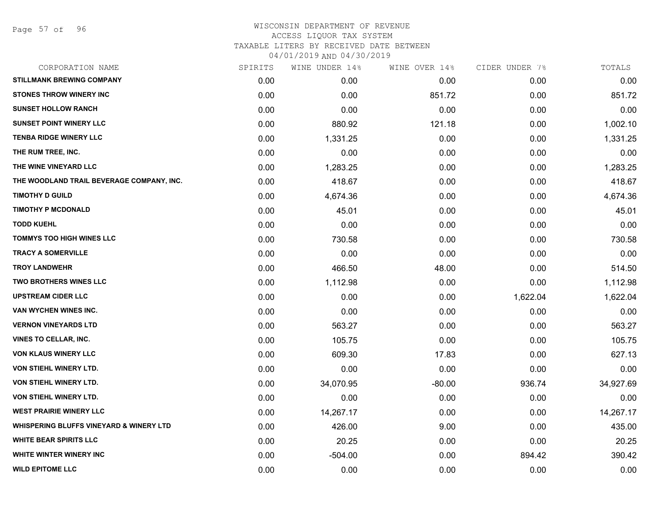Page 57 of 96

| CORPORATION NAME                                   | SPIRITS | WINE UNDER 14% | WINE OVER 14% | CIDER UNDER 7% | TOTALS    |
|----------------------------------------------------|---------|----------------|---------------|----------------|-----------|
| <b>STILLMANK BREWING COMPANY</b>                   | 0.00    | 0.00           | 0.00          | 0.00           | 0.00      |
| <b>STONES THROW WINERY INC</b>                     | 0.00    | 0.00           | 851.72        | 0.00           | 851.72    |
| <b>SUNSET HOLLOW RANCH</b>                         | 0.00    | 0.00           | 0.00          | 0.00           | 0.00      |
| SUNSET POINT WINERY LLC                            | 0.00    | 880.92         | 121.18        | 0.00           | 1,002.10  |
| <b>TENBA RIDGE WINERY LLC</b>                      | 0.00    | 1,331.25       | 0.00          | 0.00           | 1,331.25  |
| THE RUM TREE, INC.                                 | 0.00    | 0.00           | 0.00          | 0.00           | 0.00      |
| THE WINE VINEYARD LLC                              | 0.00    | 1,283.25       | 0.00          | 0.00           | 1,283.25  |
| THE WOODLAND TRAIL BEVERAGE COMPANY, INC.          | 0.00    | 418.67         | 0.00          | 0.00           | 418.67    |
| <b>TIMOTHY D GUILD</b>                             | 0.00    | 4,674.36       | 0.00          | 0.00           | 4,674.36  |
| <b>TIMOTHY P MCDONALD</b>                          | 0.00    | 45.01          | 0.00          | 0.00           | 45.01     |
| <b>TODD KUEHL</b>                                  | 0.00    | 0.00           | 0.00          | 0.00           | 0.00      |
| <b>TOMMYS TOO HIGH WINES LLC</b>                   | 0.00    | 730.58         | 0.00          | 0.00           | 730.58    |
| <b>TRACY A SOMERVILLE</b>                          | 0.00    | 0.00           | 0.00          | 0.00           | 0.00      |
| <b>TROY LANDWEHR</b>                               | 0.00    | 466.50         | 48.00         | 0.00           | 514.50    |
| <b>TWO BROTHERS WINES LLC</b>                      | 0.00    | 1,112.98       | 0.00          | 0.00           | 1,112.98  |
| <b>UPSTREAM CIDER LLC</b>                          | 0.00    | 0.00           | 0.00          | 1,622.04       | 1,622.04  |
| <b>VAN WYCHEN WINES INC.</b>                       | 0.00    | 0.00           | 0.00          | 0.00           | 0.00      |
| <b>VERNON VINEYARDS LTD</b>                        | 0.00    | 563.27         | 0.00          | 0.00           | 563.27    |
| <b>VINES TO CELLAR, INC.</b>                       | 0.00    | 105.75         | 0.00          | 0.00           | 105.75    |
| <b>VON KLAUS WINERY LLC</b>                        | 0.00    | 609.30         | 17.83         | 0.00           | 627.13    |
| VON STIEHL WINERY LTD.                             | 0.00    | 0.00           | 0.00          | 0.00           | 0.00      |
| VON STIEHL WINERY LTD.                             | 0.00    | 34,070.95      | $-80.00$      | 936.74         | 34,927.69 |
| VON STIEHL WINERY LTD.                             | 0.00    | 0.00           | 0.00          | 0.00           | 0.00      |
| <b>WEST PRAIRIE WINERY LLC</b>                     | 0.00    | 14,267.17      | 0.00          | 0.00           | 14,267.17 |
| <b>WHISPERING BLUFFS VINEYARD &amp; WINERY LTD</b> | 0.00    | 426.00         | 9.00          | 0.00           | 435.00    |
| <b>WHITE BEAR SPIRITS LLC</b>                      | 0.00    | 20.25          | 0.00          | 0.00           | 20.25     |
| WHITE WINTER WINERY INC                            | 0.00    | $-504.00$      | 0.00          | 894.42         | 390.42    |
| <b>WILD EPITOME LLC</b>                            | 0.00    | 0.00           | 0.00          | 0.00           | 0.00      |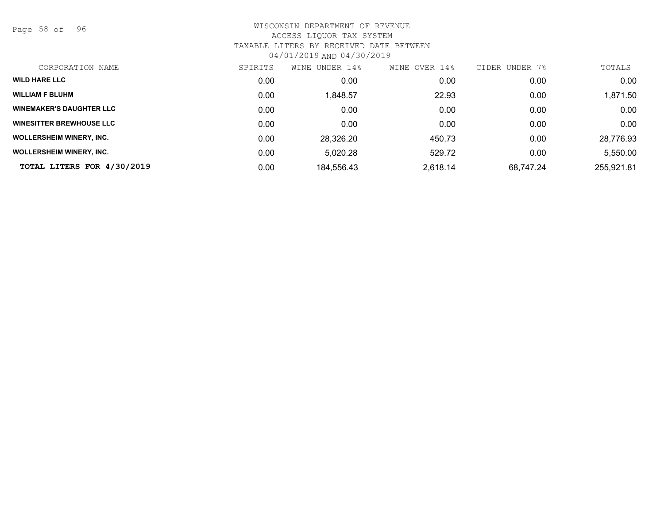Page 58 of 96

| CORPORATION NAME                | SPIRITS | UNDER 14%<br>WINE | WINE OVER 14% | CIDER UNDER 7% | TOTALS     |
|---------------------------------|---------|-------------------|---------------|----------------|------------|
| <b>WILD HARE LLC</b>            | 0.00    | 0.00              | 0.00          | 0.00           | 0.00       |
| <b>WILLIAM F BLUHM</b>          | 0.00    | 1,848.57          | 22.93         | 0.00           | 1,871.50   |
| <b>WINEMAKER'S DAUGHTER LLC</b> | 0.00    | 0.00              | 0.00          | 0.00           | 0.00       |
| <b>WINESITTER BREWHOUSE LLC</b> | 0.00    | 0.00              | 0.00          | 0.00           | 0.00       |
| <b>WOLLERSHEIM WINERY, INC.</b> | 0.00    | 28,326.20         | 450.73        | 0.00           | 28,776.93  |
| <b>WOLLERSHEIM WINERY, INC.</b> | 0.00    | 5,020.28          | 529.72        | 0.00           | 5,550.00   |
| TOTAL LITERS FOR 4/30/2019      | 0.00    | 184,556.43        | 2,618.14      | 68.747.24      | 255,921.81 |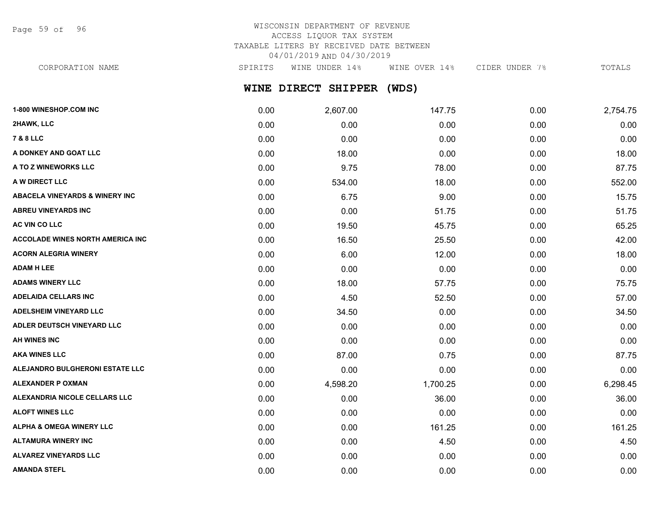Page 59 of 96

# WISCONSIN DEPARTMENT OF REVENUE ACCESS LIQUOR TAX SYSTEM TAXABLE LITERS BY RECEIVED DATE BETWEEN 04/01/2019 AND 04/30/2019

**WINE DIRECT SHIPPER (WDS)** CORPORATION NAME SPIRITS WINE UNDER 14% WINE OVER 14% CIDER UNDER 7% TOTALS

| 1-800 WINESHOP.COM INC                    | 0.00 | 2,607.00 | 147.75   | 0.00 | 2,754.75 |
|-------------------------------------------|------|----------|----------|------|----------|
| 2HAWK, LLC                                | 0.00 | 0.00     | 0.00     | 0.00 | 0.00     |
| <b>7 &amp; 8 LLC</b>                      | 0.00 | 0.00     | 0.00     | 0.00 | 0.00     |
| A DONKEY AND GOAT LLC                     | 0.00 | 18.00    | 0.00     | 0.00 | 18.00    |
| <b>A TO Z WINEWORKS LLC</b>               | 0.00 | 9.75     | 78.00    | 0.00 | 87.75    |
| <b>A W DIRECT LLC</b>                     | 0.00 | 534.00   | 18.00    | 0.00 | 552.00   |
| <b>ABACELA VINEYARDS &amp; WINERY INC</b> | 0.00 | 6.75     | 9.00     | 0.00 | 15.75    |
| ABREU VINEYARDS INC                       | 0.00 | 0.00     | 51.75    | 0.00 | 51.75    |
| <b>AC VIN CO LLC</b>                      | 0.00 | 19.50    | 45.75    | 0.00 | 65.25    |
| <b>ACCOLADE WINES NORTH AMERICA INC</b>   | 0.00 | 16.50    | 25.50    | 0.00 | 42.00    |
| ACORN ALEGRIA WINERY                      | 0.00 | 6.00     | 12.00    | 0.00 | 18.00    |
| ADAM H LEE                                | 0.00 | 0.00     | 0.00     | 0.00 | 0.00     |
| <b>ADAMS WINERY LLC</b>                   | 0.00 | 18.00    | 57.75    | 0.00 | 75.75    |
| ADELAIDA CELLARS INC                      | 0.00 | 4.50     | 52.50    | 0.00 | 57.00    |
| <b>ADELSHEIM VINEYARD LLC</b>             | 0.00 | 34.50    | 0.00     | 0.00 | 34.50    |
| <b>ADLER DEUTSCH VINEYARD LLC</b>         | 0.00 | 0.00     | 0.00     | 0.00 | 0.00     |
| AH WINES INC                              | 0.00 | 0.00     | 0.00     | 0.00 | 0.00     |
| <b>AKA WINES LLC</b>                      | 0.00 | 87.00    | 0.75     | 0.00 | 87.75    |
| <b>ALEJANDRO BULGHERONI ESTATE LLC</b>    | 0.00 | 0.00     | 0.00     | 0.00 | 0.00     |
| ALEXANDER P OXMAN                         | 0.00 | 4,598.20 | 1,700.25 | 0.00 | 6,298.45 |
| <b>ALEXANDRIA NICOLE CELLARS LLC</b>      | 0.00 | 0.00     | 36.00    | 0.00 | 36.00    |
| <b>ALOFT WINES LLC</b>                    | 0.00 | 0.00     | 0.00     | 0.00 | 0.00     |
| ALPHA & OMEGA WINERY LLC                  | 0.00 | 0.00     | 161.25   | 0.00 | 161.25   |
| ALTAMURA WINERY INC                       | 0.00 | 0.00     | 4.50     | 0.00 | 4.50     |
| <b>ALVAREZ VINEYARDS LLC</b>              | 0.00 | 0.00     | 0.00     | 0.00 | 0.00     |
| AMANDA STEFL                              | 0.00 | 0.00     | 0.00     | 0.00 | 0.00     |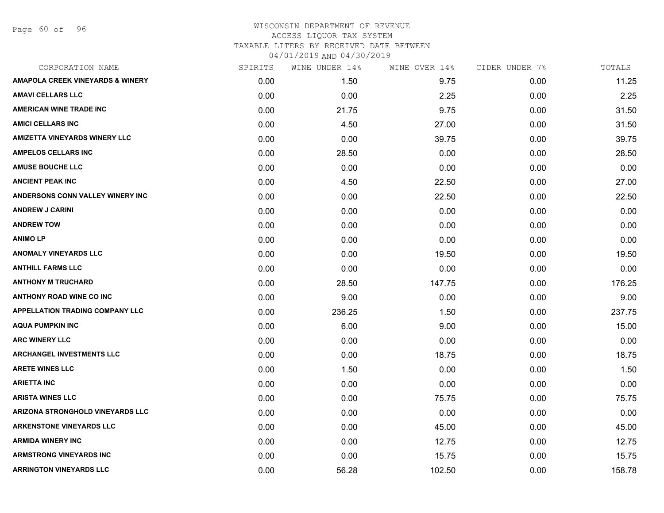Page 60 of 96

| CORPORATION NAME                            | SPIRITS | WINE UNDER 14% | WINE OVER 14% | CIDER UNDER 7% | TOTALS |
|---------------------------------------------|---------|----------------|---------------|----------------|--------|
| <b>AMAPOLA CREEK VINEYARDS &amp; WINERY</b> | 0.00    | 1.50           | 9.75          | 0.00           | 11.25  |
| <b>AMAVI CELLARS LLC</b>                    | 0.00    | 0.00           | 2.25          | 0.00           | 2.25   |
| <b>AMERICAN WINE TRADE INC</b>              | 0.00    | 21.75          | 9.75          | 0.00           | 31.50  |
| <b>AMICI CELLARS INC</b>                    | 0.00    | 4.50           | 27.00         | 0.00           | 31.50  |
| <b>AMIZETTA VINEYARDS WINERY LLC</b>        | 0.00    | 0.00           | 39.75         | 0.00           | 39.75  |
| <b>AMPELOS CELLARS INC</b>                  | 0.00    | 28.50          | 0.00          | 0.00           | 28.50  |
| <b>AMUSE BOUCHE LLC</b>                     | 0.00    | 0.00           | 0.00          | 0.00           | 0.00   |
| <b>ANCIENT PEAK INC</b>                     | 0.00    | 4.50           | 22.50         | 0.00           | 27.00  |
| ANDERSONS CONN VALLEY WINERY INC            | 0.00    | 0.00           | 22.50         | 0.00           | 22.50  |
| <b>ANDREW J CARINI</b>                      | 0.00    | 0.00           | 0.00          | 0.00           | 0.00   |
| <b>ANDREW TOW</b>                           | 0.00    | 0.00           | 0.00          | 0.00           | 0.00   |
| <b>ANIMOLP</b>                              | 0.00    | 0.00           | 0.00          | 0.00           | 0.00   |
| <b>ANOMALY VINEYARDS LLC</b>                | 0.00    | 0.00           | 19.50         | 0.00           | 19.50  |
| <b>ANTHILL FARMS LLC</b>                    | 0.00    | 0.00           | 0.00          | 0.00           | 0.00   |
| <b>ANTHONY M TRUCHARD</b>                   | 0.00    | 28.50          | 147.75        | 0.00           | 176.25 |
| <b>ANTHONY ROAD WINE CO INC</b>             | 0.00    | 9.00           | 0.00          | 0.00           | 9.00   |
| <b>APPELLATION TRADING COMPANY LLC</b>      | 0.00    | 236.25         | 1.50          | 0.00           | 237.75 |
| <b>AQUA PUMPKIN INC</b>                     | 0.00    | 6.00           | 9.00          | 0.00           | 15.00  |
| <b>ARC WINERY LLC</b>                       | 0.00    | 0.00           | 0.00          | 0.00           | 0.00   |
| <b>ARCHANGEL INVESTMENTS LLC</b>            | 0.00    | 0.00           | 18.75         | 0.00           | 18.75  |
| <b>ARETE WINES LLC</b>                      | 0.00    | 1.50           | 0.00          | 0.00           | 1.50   |
| <b>ARIETTA INC</b>                          | 0.00    | 0.00           | 0.00          | 0.00           | 0.00   |
| <b>ARISTA WINES LLC</b>                     | 0.00    | 0.00           | 75.75         | 0.00           | 75.75  |
| <b>ARIZONA STRONGHOLD VINEYARDS LLC</b>     | 0.00    | 0.00           | 0.00          | 0.00           | 0.00   |
| <b>ARKENSTONE VINEYARDS LLC</b>             | 0.00    | 0.00           | 45.00         | 0.00           | 45.00  |
| <b>ARMIDA WINERY INC</b>                    | 0.00    | 0.00           | 12.75         | 0.00           | 12.75  |
| <b>ARMSTRONG VINEYARDS INC</b>              | 0.00    | 0.00           | 15.75         | 0.00           | 15.75  |
| <b>ARRINGTON VINEYARDS LLC</b>              | 0.00    | 56.28          | 102.50        | 0.00           | 158.78 |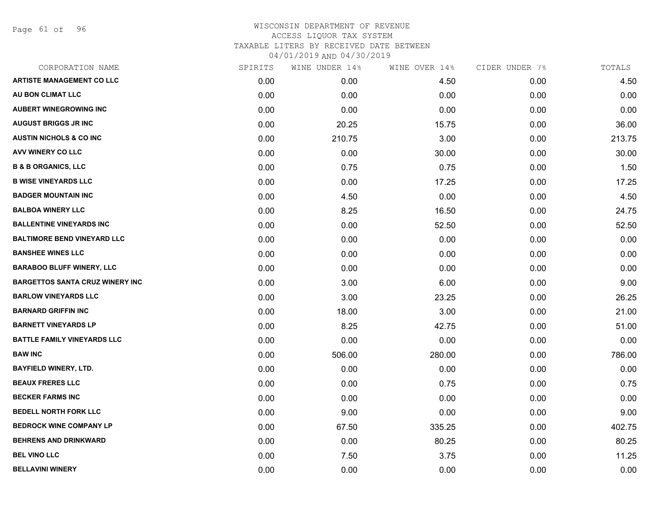Page 61 of 96

| CORPORATION NAME                       | SPIRITS | WINE UNDER 14% | WINE OVER 14% | CIDER UNDER 7% | TOTALS |
|----------------------------------------|---------|----------------|---------------|----------------|--------|
| <b>ARTISTE MANAGEMENT CO LLC</b>       | 0.00    | 0.00           | 4.50          | 0.00           | 4.50   |
| AU BON CLIMAT LLC                      | 0.00    | 0.00           | 0.00          | 0.00           | 0.00   |
| <b>AUBERT WINEGROWING INC</b>          | 0.00    | 0.00           | 0.00          | 0.00           | 0.00   |
| <b>AUGUST BRIGGS JR INC</b>            | 0.00    | 20.25          | 15.75         | 0.00           | 36.00  |
| <b>AUSTIN NICHOLS &amp; CO INC</b>     | 0.00    | 210.75         | 3.00          | 0.00           | 213.75 |
| AVV WINERY CO LLC                      | 0.00    | 0.00           | 30.00         | 0.00           | 30.00  |
| <b>B &amp; B ORGANICS, LLC</b>         | 0.00    | 0.75           | 0.75          | 0.00           | 1.50   |
| <b>B WISE VINEYARDS LLC</b>            | 0.00    | 0.00           | 17.25         | 0.00           | 17.25  |
| <b>BADGER MOUNTAIN INC</b>             | 0.00    | 4.50           | 0.00          | 0.00           | 4.50   |
| <b>BALBOA WINERY LLC</b>               | 0.00    | 8.25           | 16.50         | 0.00           | 24.75  |
| <b>BALLENTINE VINEYARDS INC</b>        | 0.00    | 0.00           | 52.50         | 0.00           | 52.50  |
| <b>BALTIMORE BEND VINEYARD LLC</b>     | 0.00    | 0.00           | 0.00          | 0.00           | 0.00   |
| <b>BANSHEE WINES LLC</b>               | 0.00    | 0.00           | 0.00          | 0.00           | 0.00   |
| <b>BARABOO BLUFF WINERY, LLC</b>       | 0.00    | 0.00           | 0.00          | 0.00           | 0.00   |
| <b>BARGETTOS SANTA CRUZ WINERY INC</b> | 0.00    | 3.00           | 6.00          | 0.00           | 9.00   |
| <b>BARLOW VINEYARDS LLC</b>            | 0.00    | 3.00           | 23.25         | 0.00           | 26.25  |
| <b>BARNARD GRIFFIN INC</b>             | 0.00    | 18.00          | 3.00          | 0.00           | 21.00  |
| <b>BARNETT VINEYARDS LP</b>            | 0.00    | 8.25           | 42.75         | 0.00           | 51.00  |
| <b>BATTLE FAMILY VINEYARDS LLC</b>     | 0.00    | 0.00           | 0.00          | 0.00           | 0.00   |
| <b>BAW INC</b>                         | 0.00    | 506.00         | 280.00        | 0.00           | 786.00 |
| <b>BAYFIELD WINERY, LTD.</b>           | 0.00    | 0.00           | 0.00          | 0.00           | 0.00   |
| <b>BEAUX FRERES LLC</b>                | 0.00    | 0.00           | 0.75          | 0.00           | 0.75   |
| <b>BECKER FARMS INC</b>                | 0.00    | 0.00           | 0.00          | 0.00           | 0.00   |
| <b>BEDELL NORTH FORK LLC</b>           | 0.00    | 9.00           | 0.00          | 0.00           | 9.00   |
| <b>BEDROCK WINE COMPANY LP</b>         | 0.00    | 67.50          | 335.25        | 0.00           | 402.75 |
| <b>BEHRENS AND DRINKWARD</b>           | 0.00    | 0.00           | 80.25         | 0.00           | 80.25  |
| <b>BEL VINO LLC</b>                    | 0.00    | 7.50           | 3.75          | 0.00           | 11.25  |
| <b>BELLAVINI WINERY</b>                | 0.00    | 0.00           | 0.00          | 0.00           | 0.00   |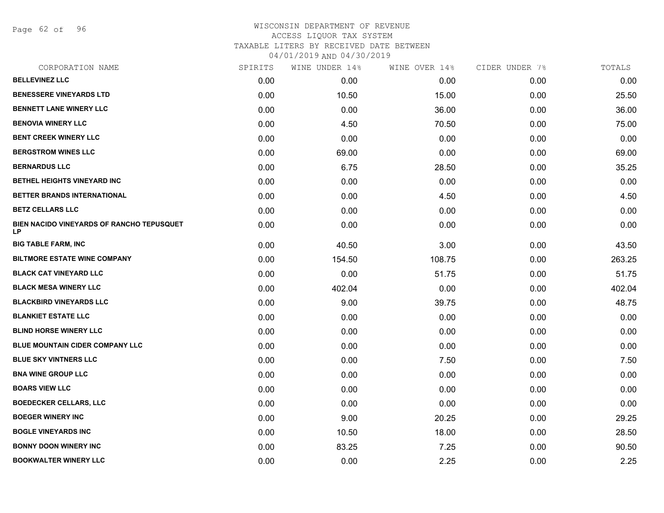Page 62 of 96

| CORPORATION NAME                                       | SPIRITS | WINE UNDER 14% | WINE OVER 14% | CIDER UNDER 7% | TOTALS |
|--------------------------------------------------------|---------|----------------|---------------|----------------|--------|
| <b>BELLEVINEZ LLC</b>                                  | 0.00    | 0.00           | 0.00          | 0.00           | 0.00   |
| <b>BENESSERE VINEYARDS LTD</b>                         | 0.00    | 10.50          | 15.00         | 0.00           | 25.50  |
| <b>BENNETT LANE WINERY LLC</b>                         | 0.00    | 0.00           | 36.00         | 0.00           | 36.00  |
| <b>BENOVIA WINERY LLC</b>                              | 0.00    | 4.50           | 70.50         | 0.00           | 75.00  |
| <b>BENT CREEK WINERY LLC</b>                           | 0.00    | 0.00           | 0.00          | 0.00           | 0.00   |
| <b>BERGSTROM WINES LLC</b>                             | 0.00    | 69.00          | 0.00          | 0.00           | 69.00  |
| <b>BERNARDUS LLC</b>                                   | 0.00    | 6.75           | 28.50         | 0.00           | 35.25  |
| BETHEL HEIGHTS VINEYARD INC                            | 0.00    | 0.00           | 0.00          | 0.00           | 0.00   |
| BETTER BRANDS INTERNATIONAL                            | 0.00    | 0.00           | 4.50          | 0.00           | 4.50   |
| <b>BETZ CELLARS LLC</b>                                | 0.00    | 0.00           | 0.00          | 0.00           | 0.00   |
| <b>BIEN NACIDO VINEYARDS OF RANCHO TEPUSQUET</b><br>LP | 0.00    | 0.00           | 0.00          | 0.00           | 0.00   |
| <b>BIG TABLE FARM, INC</b>                             | 0.00    | 40.50          | 3.00          | 0.00           | 43.50  |
| <b>BILTMORE ESTATE WINE COMPANY</b>                    | 0.00    | 154.50         | 108.75        | 0.00           | 263.25 |
| <b>BLACK CAT VINEYARD LLC</b>                          | 0.00    | 0.00           | 51.75         | 0.00           | 51.75  |
| <b>BLACK MESA WINERY LLC</b>                           | 0.00    | 402.04         | 0.00          | 0.00           | 402.04 |
| <b>BLACKBIRD VINEYARDS LLC</b>                         | 0.00    | 9.00           | 39.75         | 0.00           | 48.75  |
| <b>BLANKIET ESTATE LLC</b>                             | 0.00    | 0.00           | 0.00          | 0.00           | 0.00   |
| <b>BLIND HORSE WINERY LLC</b>                          | 0.00    | 0.00           | 0.00          | 0.00           | 0.00   |
| BLUE MOUNTAIN CIDER COMPANY LLC                        | 0.00    | 0.00           | 0.00          | 0.00           | 0.00   |
| <b>BLUE SKY VINTNERS LLC</b>                           | 0.00    | 0.00           | 7.50          | 0.00           | 7.50   |
| <b>BNA WINE GROUP LLC</b>                              | 0.00    | 0.00           | 0.00          | 0.00           | 0.00   |
| <b>BOARS VIEW LLC</b>                                  | 0.00    | 0.00           | 0.00          | 0.00           | 0.00   |
| <b>BOEDECKER CELLARS, LLC</b>                          | 0.00    | 0.00           | 0.00          | 0.00           | 0.00   |
| <b>BOEGER WINERY INC</b>                               | 0.00    | 9.00           | 20.25         | 0.00           | 29.25  |
| <b>BOGLE VINEYARDS INC</b>                             | 0.00    | 10.50          | 18.00         | 0.00           | 28.50  |
| <b>BONNY DOON WINERY INC</b>                           | 0.00    | 83.25          | 7.25          | 0.00           | 90.50  |
| <b>BOOKWALTER WINERY LLC</b>                           | 0.00    | 0.00           | 2.25          | 0.00           | 2.25   |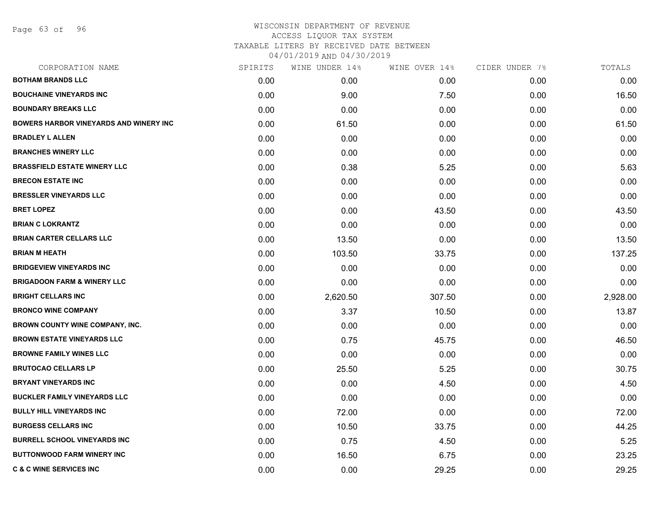Page 63 of 96

| CORPORATION NAME                              | SPIRITS | WINE UNDER 14% | WINE OVER 14% | CIDER UNDER 7% | TOTALS   |
|-----------------------------------------------|---------|----------------|---------------|----------------|----------|
| <b>BOTHAM BRANDS LLC</b>                      | 0.00    | 0.00           | 0.00          | 0.00           | 0.00     |
| <b>BOUCHAINE VINEYARDS INC</b>                | 0.00    | 9.00           | 7.50          | 0.00           | 16.50    |
| <b>BOUNDARY BREAKS LLC</b>                    | 0.00    | 0.00           | 0.00          | 0.00           | 0.00     |
| <b>BOWERS HARBOR VINEYARDS AND WINERY INC</b> | 0.00    | 61.50          | 0.00          | 0.00           | 61.50    |
| <b>BRADLEY L ALLEN</b>                        | 0.00    | 0.00           | 0.00          | 0.00           | 0.00     |
| <b>BRANCHES WINERY LLC</b>                    | 0.00    | 0.00           | 0.00          | 0.00           | 0.00     |
| <b>BRASSFIELD ESTATE WINERY LLC</b>           | 0.00    | 0.38           | 5.25          | 0.00           | 5.63     |
| <b>BRECON ESTATE INC</b>                      | 0.00    | 0.00           | 0.00          | 0.00           | 0.00     |
| <b>BRESSLER VINEYARDS LLC</b>                 | 0.00    | 0.00           | 0.00          | 0.00           | 0.00     |
| <b>BRET LOPEZ</b>                             | 0.00    | 0.00           | 43.50         | 0.00           | 43.50    |
| <b>BRIAN C LOKRANTZ</b>                       | 0.00    | 0.00           | 0.00          | 0.00           | 0.00     |
| <b>BRIAN CARTER CELLARS LLC</b>               | 0.00    | 13.50          | 0.00          | 0.00           | 13.50    |
| <b>BRIAN M HEATH</b>                          | 0.00    | 103.50         | 33.75         | 0.00           | 137.25   |
| <b>BRIDGEVIEW VINEYARDS INC</b>               | 0.00    | 0.00           | 0.00          | 0.00           | 0.00     |
| <b>BRIGADOON FARM &amp; WINERY LLC</b>        | 0.00    | 0.00           | 0.00          | 0.00           | 0.00     |
| <b>BRIGHT CELLARS INC</b>                     | 0.00    | 2,620.50       | 307.50        | 0.00           | 2,928.00 |
| <b>BRONCO WINE COMPANY</b>                    | 0.00    | 3.37           | 10.50         | 0.00           | 13.87    |
| <b>BROWN COUNTY WINE COMPANY, INC.</b>        | 0.00    | 0.00           | 0.00          | 0.00           | 0.00     |
| <b>BROWN ESTATE VINEYARDS LLC</b>             | 0.00    | 0.75           | 45.75         | 0.00           | 46.50    |
| <b>BROWNE FAMILY WINES LLC</b>                | 0.00    | 0.00           | 0.00          | 0.00           | 0.00     |
| <b>BRUTOCAO CELLARS LP</b>                    | 0.00    | 25.50          | 5.25          | 0.00           | 30.75    |
| <b>BRYANT VINEYARDS INC</b>                   | 0.00    | 0.00           | 4.50          | 0.00           | 4.50     |
| <b>BUCKLER FAMILY VINEYARDS LLC</b>           | 0.00    | 0.00           | 0.00          | 0.00           | 0.00     |
| <b>BULLY HILL VINEYARDS INC</b>               | 0.00    | 72.00          | 0.00          | 0.00           | 72.00    |
| <b>BURGESS CELLARS INC</b>                    | 0.00    | 10.50          | 33.75         | 0.00           | 44.25    |
| <b>BURRELL SCHOOL VINEYARDS INC</b>           | 0.00    | 0.75           | 4.50          | 0.00           | 5.25     |
| <b>BUTTONWOOD FARM WINERY INC</b>             | 0.00    | 16.50          | 6.75          | 0.00           | 23.25    |
| <b>C &amp; C WINE SERVICES INC</b>            | 0.00    | 0.00           | 29.25         | 0.00           | 29.25    |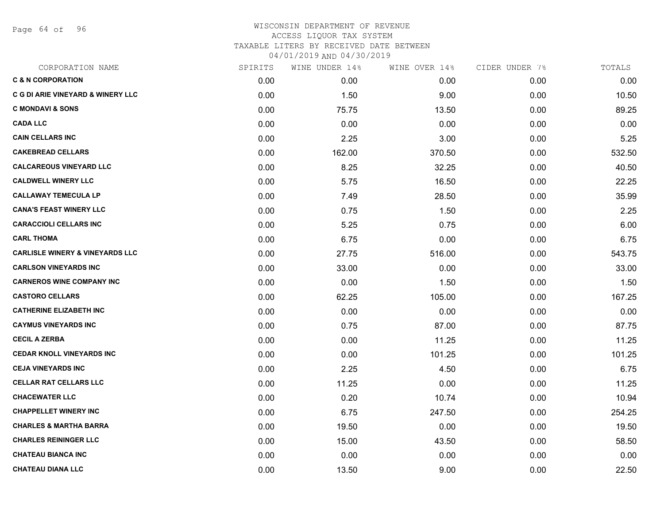Page 64 of 96

| CORPORATION NAME                             | SPIRITS | WINE UNDER 14% | WINE OVER 14% | CIDER UNDER 7% | TOTALS |
|----------------------------------------------|---------|----------------|---------------|----------------|--------|
| <b>C &amp; N CORPORATION</b>                 | 0.00    | 0.00           | 0.00          | 0.00           | 0.00   |
| <b>C G DI ARIE VINEYARD &amp; WINERY LLC</b> | 0.00    | 1.50           | 9.00          | 0.00           | 10.50  |
| <b>C MONDAVI &amp; SONS</b>                  | 0.00    | 75.75          | 13.50         | 0.00           | 89.25  |
| <b>CADA LLC</b>                              | 0.00    | 0.00           | 0.00          | 0.00           | 0.00   |
| <b>CAIN CELLARS INC</b>                      | 0.00    | 2.25           | 3.00          | 0.00           | 5.25   |
| <b>CAKEBREAD CELLARS</b>                     | 0.00    | 162.00         | 370.50        | 0.00           | 532.50 |
| <b>CALCAREOUS VINEYARD LLC</b>               | 0.00    | 8.25           | 32.25         | 0.00           | 40.50  |
| <b>CALDWELL WINERY LLC</b>                   | 0.00    | 5.75           | 16.50         | 0.00           | 22.25  |
| <b>CALLAWAY TEMECULA LP</b>                  | 0.00    | 7.49           | 28.50         | 0.00           | 35.99  |
| <b>CANA'S FEAST WINERY LLC</b>               | 0.00    | 0.75           | 1.50          | 0.00           | 2.25   |
| <b>CARACCIOLI CELLARS INC</b>                | 0.00    | 5.25           | 0.75          | 0.00           | 6.00   |
| <b>CARL THOMA</b>                            | 0.00    | 6.75           | 0.00          | 0.00           | 6.75   |
| <b>CARLISLE WINERY &amp; VINEYARDS LLC</b>   | 0.00    | 27.75          | 516.00        | 0.00           | 543.75 |
| <b>CARLSON VINEYARDS INC</b>                 | 0.00    | 33.00          | 0.00          | 0.00           | 33.00  |
| <b>CARNEROS WINE COMPANY INC</b>             | 0.00    | 0.00           | 1.50          | 0.00           | 1.50   |
| <b>CASTORO CELLARS</b>                       | 0.00    | 62.25          | 105.00        | 0.00           | 167.25 |
| <b>CATHERINE ELIZABETH INC</b>               | 0.00    | 0.00           | 0.00          | 0.00           | 0.00   |
| <b>CAYMUS VINEYARDS INC</b>                  | 0.00    | 0.75           | 87.00         | 0.00           | 87.75  |
| <b>CECIL A ZERBA</b>                         | 0.00    | 0.00           | 11.25         | 0.00           | 11.25  |
| <b>CEDAR KNOLL VINEYARDS INC</b>             | 0.00    | 0.00           | 101.25        | 0.00           | 101.25 |
| <b>CEJA VINEYARDS INC</b>                    | 0.00    | 2.25           | 4.50          | 0.00           | 6.75   |
| <b>CELLAR RAT CELLARS LLC</b>                | 0.00    | 11.25          | 0.00          | 0.00           | 11.25  |
| <b>CHACEWATER LLC</b>                        | 0.00    | 0.20           | 10.74         | 0.00           | 10.94  |
| <b>CHAPPELLET WINERY INC</b>                 | 0.00    | 6.75           | 247.50        | 0.00           | 254.25 |
| <b>CHARLES &amp; MARTHA BARRA</b>            | 0.00    | 19.50          | 0.00          | 0.00           | 19.50  |
| <b>CHARLES REININGER LLC</b>                 | 0.00    | 15.00          | 43.50         | 0.00           | 58.50  |
| <b>CHATEAU BIANCA INC</b>                    | 0.00    | 0.00           | 0.00          | 0.00           | 0.00   |
| <b>CHATEAU DIANA LLC</b>                     | 0.00    | 13.50          | 9.00          | 0.00           | 22.50  |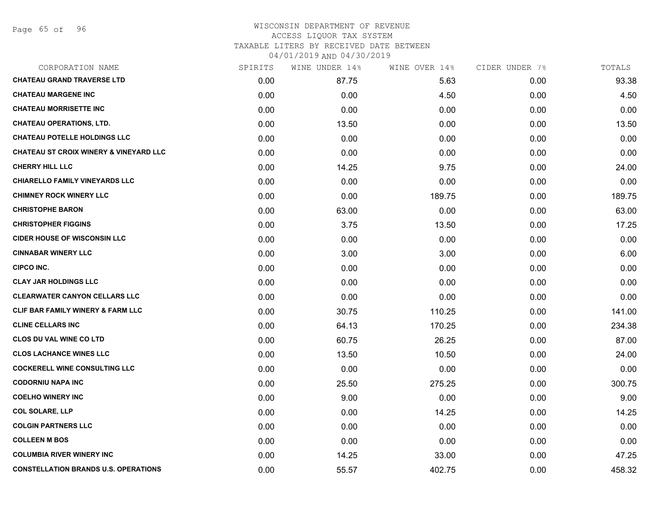| CORPORATION NAME                                  | SPIRITS | WINE UNDER 14% | WINE OVER 14% | CIDER UNDER 7% | TOTALS |
|---------------------------------------------------|---------|----------------|---------------|----------------|--------|
| <b>CHATEAU GRAND TRAVERSE LTD</b>                 | 0.00    | 87.75          | 5.63          | 0.00           | 93.38  |
| <b>CHATEAU MARGENE INC</b>                        | 0.00    | 0.00           | 4.50          | 0.00           | 4.50   |
| <b>CHATEAU MORRISETTE INC</b>                     | 0.00    | 0.00           | 0.00          | 0.00           | 0.00   |
| <b>CHATEAU OPERATIONS, LTD.</b>                   | 0.00    | 13.50          | 0.00          | 0.00           | 13.50  |
| <b>CHATEAU POTELLE HOLDINGS LLC</b>               | 0.00    | 0.00           | 0.00          | 0.00           | 0.00   |
| <b>CHATEAU ST CROIX WINERY &amp; VINEYARD LLC</b> | 0.00    | 0.00           | 0.00          | 0.00           | 0.00   |
| <b>CHERRY HILL LLC</b>                            | 0.00    | 14.25          | 9.75          | 0.00           | 24.00  |
| <b>CHIARELLO FAMILY VINEYARDS LLC</b>             | 0.00    | 0.00           | 0.00          | 0.00           | 0.00   |
| <b>CHIMNEY ROCK WINERY LLC</b>                    | 0.00    | 0.00           | 189.75        | 0.00           | 189.75 |
| <b>CHRISTOPHE BARON</b>                           | 0.00    | 63.00          | 0.00          | 0.00           | 63.00  |
| <b>CHRISTOPHER FIGGINS</b>                        | 0.00    | 3.75           | 13.50         | 0.00           | 17.25  |
| <b>CIDER HOUSE OF WISCONSIN LLC</b>               | 0.00    | 0.00           | 0.00          | 0.00           | 0.00   |
| <b>CINNABAR WINERY LLC</b>                        | 0.00    | 3.00           | 3.00          | 0.00           | 6.00   |
| <b>CIPCO INC.</b>                                 | 0.00    | 0.00           | 0.00          | 0.00           | 0.00   |
| <b>CLAY JAR HOLDINGS LLC</b>                      | 0.00    | 0.00           | 0.00          | 0.00           | 0.00   |
| <b>CLEARWATER CANYON CELLARS LLC</b>              | 0.00    | 0.00           | 0.00          | 0.00           | 0.00   |
| CLIF BAR FAMILY WINERY & FARM LLC                 | 0.00    | 30.75          | 110.25        | 0.00           | 141.00 |
| <b>CLINE CELLARS INC</b>                          | 0.00    | 64.13          | 170.25        | 0.00           | 234.38 |
| <b>CLOS DU VAL WINE CO LTD</b>                    | 0.00    | 60.75          | 26.25         | 0.00           | 87.00  |
| <b>CLOS LACHANCE WINES LLC</b>                    | 0.00    | 13.50          | 10.50         | 0.00           | 24.00  |
| <b>COCKERELL WINE CONSULTING LLC</b>              | 0.00    | 0.00           | 0.00          | 0.00           | 0.00   |
| <b>CODORNIU NAPA INC</b>                          | 0.00    | 25.50          | 275.25        | 0.00           | 300.75 |
| <b>COELHO WINERY INC</b>                          | 0.00    | 9.00           | 0.00          | 0.00           | 9.00   |
| <b>COL SOLARE, LLP</b>                            | 0.00    | 0.00           | 14.25         | 0.00           | 14.25  |
| <b>COLGIN PARTNERS LLC</b>                        | 0.00    | 0.00           | 0.00          | 0.00           | 0.00   |
| <b>COLLEEN M BOS</b>                              | 0.00    | 0.00           | 0.00          | 0.00           | 0.00   |
| <b>COLUMBIA RIVER WINERY INC</b>                  | 0.00    | 14.25          | 33.00         | 0.00           | 47.25  |
| <b>CONSTELLATION BRANDS U.S. OPERATIONS</b>       | 0.00    | 55.57          | 402.75        | 0.00           | 458.32 |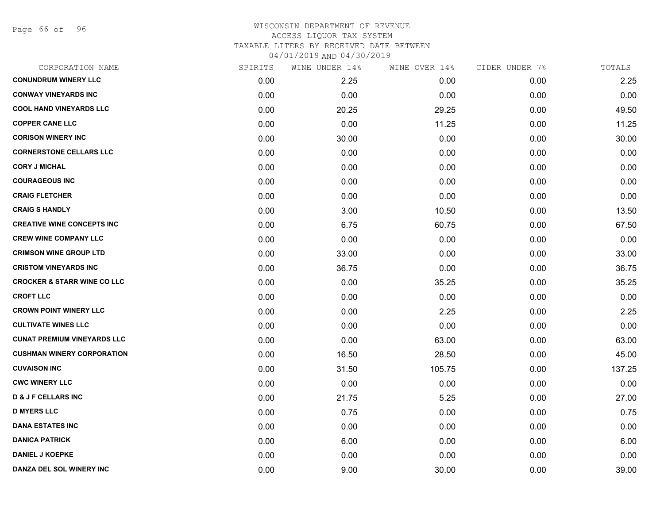Page 66 of 96

| CORPORATION NAME                       | SPIRITS | WINE UNDER 14% | WINE OVER 14% | CIDER UNDER 7% | TOTALS |
|----------------------------------------|---------|----------------|---------------|----------------|--------|
| <b>CONUNDRUM WINERY LLC</b>            | 0.00    | 2.25           | 0.00          | 0.00           | 2.25   |
| <b>CONWAY VINEYARDS INC</b>            | 0.00    | 0.00           | 0.00          | 0.00           | 0.00   |
| <b>COOL HAND VINEYARDS LLC</b>         | 0.00    | 20.25          | 29.25         | 0.00           | 49.50  |
| <b>COPPER CANE LLC</b>                 | 0.00    | 0.00           | 11.25         | 0.00           | 11.25  |
| <b>CORISON WINERY INC</b>              | 0.00    | 30.00          | 0.00          | 0.00           | 30.00  |
| <b>CORNERSTONE CELLARS LLC</b>         | 0.00    | 0.00           | 0.00          | 0.00           | 0.00   |
| <b>CORY J MICHAL</b>                   | 0.00    | 0.00           | 0.00          | 0.00           | 0.00   |
| <b>COURAGEOUS INC</b>                  | 0.00    | 0.00           | 0.00          | 0.00           | 0.00   |
| <b>CRAIG FLETCHER</b>                  | 0.00    | 0.00           | 0.00          | 0.00           | 0.00   |
| <b>CRAIG S HANDLY</b>                  | 0.00    | 3.00           | 10.50         | 0.00           | 13.50  |
| <b>CREATIVE WINE CONCEPTS INC</b>      | 0.00    | 6.75           | 60.75         | 0.00           | 67.50  |
| <b>CREW WINE COMPANY LLC</b>           | 0.00    | 0.00           | 0.00          | 0.00           | 0.00   |
| <b>CRIMSON WINE GROUP LTD</b>          | 0.00    | 33.00          | 0.00          | 0.00           | 33.00  |
| <b>CRISTOM VINEYARDS INC</b>           | 0.00    | 36.75          | 0.00          | 0.00           | 36.75  |
| <b>CROCKER &amp; STARR WINE CO LLC</b> | 0.00    | 0.00           | 35.25         | 0.00           | 35.25  |
| <b>CROFT LLC</b>                       | 0.00    | 0.00           | 0.00          | 0.00           | 0.00   |
| <b>CROWN POINT WINERY LLC</b>          | 0.00    | 0.00           | 2.25          | 0.00           | 2.25   |
| <b>CULTIVATE WINES LLC</b>             | 0.00    | 0.00           | 0.00          | 0.00           | 0.00   |
| <b>CUNAT PREMIUM VINEYARDS LLC</b>     | 0.00    | 0.00           | 63.00         | 0.00           | 63.00  |
| <b>CUSHMAN WINERY CORPORATION</b>      | 0.00    | 16.50          | 28.50         | 0.00           | 45.00  |
| <b>CUVAISON INC</b>                    | 0.00    | 31.50          | 105.75        | 0.00           | 137.25 |
| <b>CWC WINERY LLC</b>                  | 0.00    | 0.00           | 0.00          | 0.00           | 0.00   |
| <b>D &amp; J F CELLARS INC</b>         | 0.00    | 21.75          | 5.25          | 0.00           | 27.00  |
| <b>D MYERS LLC</b>                     | 0.00    | 0.75           | 0.00          | 0.00           | 0.75   |
| <b>DANA ESTATES INC</b>                | 0.00    | 0.00           | 0.00          | 0.00           | 0.00   |
| <b>DANICA PATRICK</b>                  | 0.00    | 6.00           | 0.00          | 0.00           | 6.00   |
| <b>DANIEL J KOEPKE</b>                 | 0.00    | 0.00           | 0.00          | 0.00           | 0.00   |
| DANZA DEL SOL WINERY INC               | 0.00    | 9.00           | 30.00         | 0.00           | 39.00  |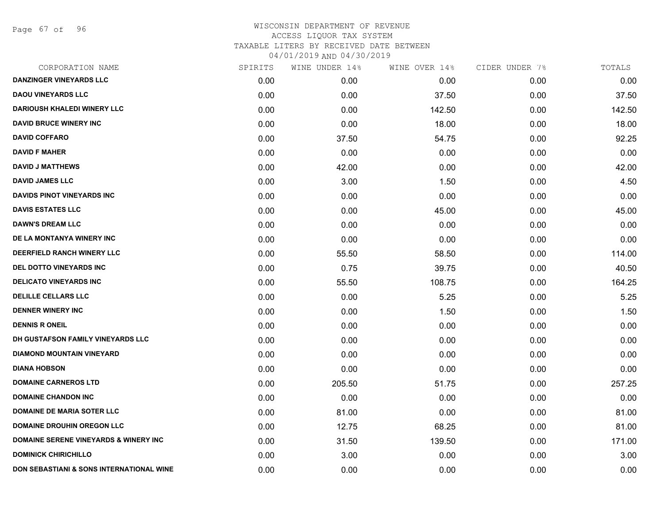Page 67 of 96

| CORPORATION NAME                                 | SPIRITS | WINE UNDER 14% | WINE OVER 14% | CIDER UNDER 7% | TOTALS |
|--------------------------------------------------|---------|----------------|---------------|----------------|--------|
| <b>DANZINGER VINEYARDS LLC</b>                   | 0.00    | 0.00           | 0.00          | 0.00           | 0.00   |
| <b>DAOU VINEYARDS LLC</b>                        | 0.00    | 0.00           | 37.50         | 0.00           | 37.50  |
| <b>DARIOUSH KHALEDI WINERY LLC</b>               | 0.00    | 0.00           | 142.50        | 0.00           | 142.50 |
| <b>DAVID BRUCE WINERY INC</b>                    | 0.00    | 0.00           | 18.00         | 0.00           | 18.00  |
| <b>DAVID COFFARO</b>                             | 0.00    | 37.50          | 54.75         | 0.00           | 92.25  |
| <b>DAVID F MAHER</b>                             | 0.00    | 0.00           | 0.00          | 0.00           | 0.00   |
| <b>DAVID J MATTHEWS</b>                          | 0.00    | 42.00          | 0.00          | 0.00           | 42.00  |
| <b>DAVID JAMES LLC</b>                           | 0.00    | 3.00           | 1.50          | 0.00           | 4.50   |
| <b>DAVIDS PINOT VINEYARDS INC</b>                | 0.00    | 0.00           | 0.00          | 0.00           | 0.00   |
| <b>DAVIS ESTATES LLC</b>                         | 0.00    | 0.00           | 45.00         | 0.00           | 45.00  |
| <b>DAWN'S DREAM LLC</b>                          | 0.00    | 0.00           | 0.00          | 0.00           | 0.00   |
| DE LA MONTANYA WINERY INC                        | 0.00    | 0.00           | 0.00          | 0.00           | 0.00   |
| DEERFIELD RANCH WINERY LLC                       | 0.00    | 55.50          | 58.50         | 0.00           | 114.00 |
| DEL DOTTO VINEYARDS INC                          | 0.00    | 0.75           | 39.75         | 0.00           | 40.50  |
| <b>DELICATO VINEYARDS INC</b>                    | 0.00    | 55.50          | 108.75        | 0.00           | 164.25 |
| <b>DELILLE CELLARS LLC</b>                       | 0.00    | 0.00           | 5.25          | 0.00           | 5.25   |
| <b>DENNER WINERY INC</b>                         | 0.00    | 0.00           | 1.50          | 0.00           | 1.50   |
| <b>DENNIS R ONEIL</b>                            | 0.00    | 0.00           | 0.00          | 0.00           | 0.00   |
| DH GUSTAFSON FAMILY VINEYARDS LLC                | 0.00    | 0.00           | 0.00          | 0.00           | 0.00   |
| <b>DIAMOND MOUNTAIN VINEYARD</b>                 | 0.00    | 0.00           | 0.00          | 0.00           | 0.00   |
| <b>DIANA HOBSON</b>                              | 0.00    | 0.00           | 0.00          | 0.00           | 0.00   |
| <b>DOMAINE CARNEROS LTD</b>                      | 0.00    | 205.50         | 51.75         | 0.00           | 257.25 |
| <b>DOMAINE CHANDON INC</b>                       | 0.00    | 0.00           | 0.00          | 0.00           | 0.00   |
| <b>DOMAINE DE MARIA SOTER LLC</b>                | 0.00    | 81.00          | 0.00          | 0.00           | 81.00  |
| <b>DOMAINE DROUHIN OREGON LLC</b>                | 0.00    | 12.75          | 68.25         | 0.00           | 81.00  |
| <b>DOMAINE SERENE VINEYARDS &amp; WINERY INC</b> | 0.00    | 31.50          | 139.50        | 0.00           | 171.00 |
| <b>DOMINICK CHIRICHILLO</b>                      | 0.00    | 3.00           | 0.00          | 0.00           | 3.00   |
| DON SEBASTIANI & SONS INTERNATIONAL WINE         | 0.00    | 0.00           | 0.00          | 0.00           | 0.00   |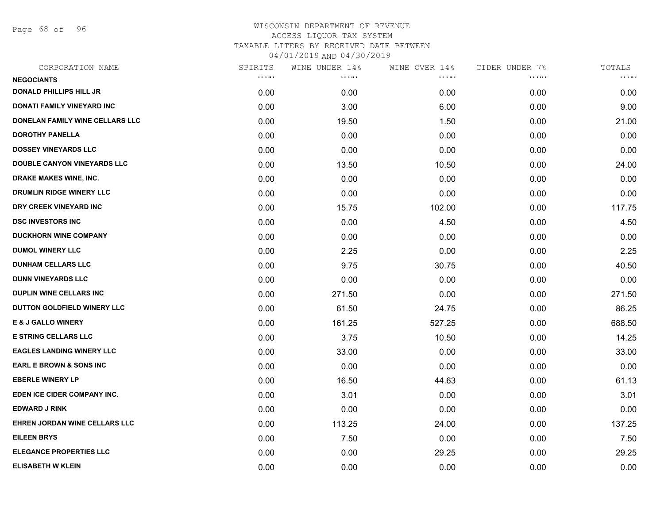Page 68 of 96

| SPIRITS | WINE UNDER 14% | WINE OVER 14% | CIDER UNDER 7% | TOTALS |
|---------|----------------|---------------|----------------|--------|
|         |                |               |                | .      |
| 0.00    | 0.00           | 0.00          | 0.00           | 0.00   |
| 0.00    | 3.00           | 6.00          | 0.00           | 9.00   |
| 0.00    | 19.50          | 1.50          | 0.00           | 21.00  |
| 0.00    | 0.00           | 0.00          | 0.00           | 0.00   |
| 0.00    | 0.00           | 0.00          | 0.00           | 0.00   |
| 0.00    | 13.50          | 10.50         | 0.00           | 24.00  |
| 0.00    | 0.00           | 0.00          | 0.00           | 0.00   |
| 0.00    | 0.00           | 0.00          | 0.00           | 0.00   |
| 0.00    | 15.75          | 102.00        | 0.00           | 117.75 |
| 0.00    | 0.00           | 4.50          | 0.00           | 4.50   |
| 0.00    | 0.00           | 0.00          | 0.00           | 0.00   |
| 0.00    | 2.25           | 0.00          | 0.00           | 2.25   |
| 0.00    | 9.75           | 30.75         | 0.00           | 40.50  |
| 0.00    | 0.00           | 0.00          | 0.00           | 0.00   |
| 0.00    | 271.50         | 0.00          | 0.00           | 271.50 |
| 0.00    | 61.50          | 24.75         | 0.00           | 86.25  |
| 0.00    | 161.25         | 527.25        | 0.00           | 688.50 |
| 0.00    | 3.75           | 10.50         | 0.00           | 14.25  |
| 0.00    | 33.00          | 0.00          | 0.00           | 33.00  |
| 0.00    | 0.00           | 0.00          | 0.00           | 0.00   |
| 0.00    | 16.50          | 44.63         | 0.00           | 61.13  |
| 0.00    | 3.01           | 0.00          | 0.00           | 3.01   |
| 0.00    | 0.00           | 0.00          | 0.00           | 0.00   |
| 0.00    | 113.25         | 24.00         | 0.00           | 137.25 |
| 0.00    | 7.50           | 0.00          | 0.00           | 7.50   |
| 0.00    | 0.00           | 29.25         | 0.00           | 29.25  |
| 0.00    | 0.00           | 0.00          | 0.00           | 0.00   |
|         | <b>COLOR</b>   | .             | .              | .      |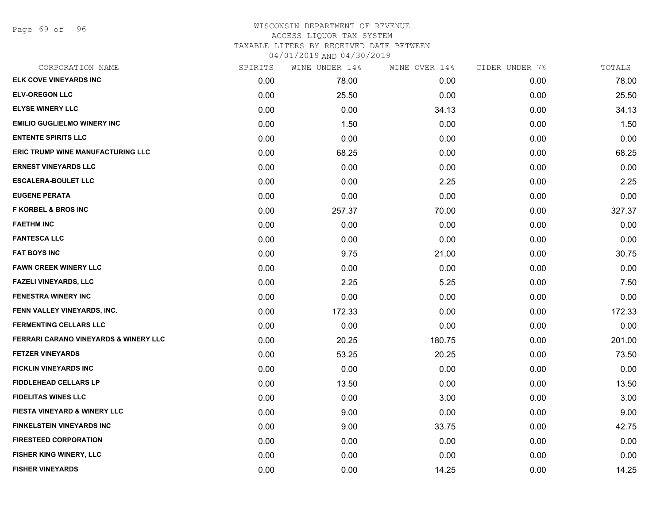Page 69 of 96

| CORPORATION NAME                         | SPIRITS | WINE UNDER 14% | WINE OVER 14% | CIDER UNDER 7% | TOTALS |
|------------------------------------------|---------|----------------|---------------|----------------|--------|
| ELK COVE VINEYARDS INC                   | 0.00    | 78.00          | 0.00          | 0.00           | 78.00  |
| <b>ELV-OREGON LLC</b>                    | 0.00    | 25.50          | 0.00          | 0.00           | 25.50  |
| <b>ELYSE WINERY LLC</b>                  | 0.00    | 0.00           | 34.13         | 0.00           | 34.13  |
| <b>EMILIO GUGLIELMO WINERY INC</b>       | 0.00    | 1.50           | 0.00          | 0.00           | 1.50   |
| <b>ENTENTE SPIRITS LLC</b>               | 0.00    | 0.00           | 0.00          | 0.00           | 0.00   |
| <b>ERIC TRUMP WINE MANUFACTURING LLC</b> | 0.00    | 68.25          | 0.00          | 0.00           | 68.25  |
| <b>ERNEST VINEYARDS LLC</b>              | 0.00    | 0.00           | 0.00          | 0.00           | 0.00   |
| <b>ESCALERA-BOULET LLC</b>               | 0.00    | 0.00           | 2.25          | 0.00           | 2.25   |
| <b>EUGENE PERATA</b>                     | 0.00    | 0.00           | 0.00          | 0.00           | 0.00   |
| <b>F KORBEL &amp; BROS INC</b>           | 0.00    | 257.37         | 70.00         | 0.00           | 327.37 |
| <b>FAETHM INC</b>                        | 0.00    | 0.00           | 0.00          | 0.00           | 0.00   |
| <b>FANTESCA LLC</b>                      | 0.00    | 0.00           | 0.00          | 0.00           | 0.00   |
| <b>FAT BOYS INC</b>                      | 0.00    | 9.75           | 21.00         | 0.00           | 30.75  |
| FAWN CREEK WINERY LLC                    | 0.00    | 0.00           | 0.00          | 0.00           | 0.00   |
| <b>FAZELI VINEYARDS, LLC</b>             | 0.00    | 2.25           | 5.25          | 0.00           | 7.50   |
| <b>FENESTRA WINERY INC</b>               | 0.00    | 0.00           | 0.00          | 0.00           | 0.00   |
| FENN VALLEY VINEYARDS, INC.              | 0.00    | 172.33         | 0.00          | 0.00           | 172.33 |
| <b>FERMENTING CELLARS LLC</b>            | 0.00    | 0.00           | 0.00          | 0.00           | 0.00   |
| FERRARI CARANO VINEYARDS & WINERY LLC    | 0.00    | 20.25          | 180.75        | 0.00           | 201.00 |
| <b>FETZER VINEYARDS</b>                  | 0.00    | 53.25          | 20.25         | 0.00           | 73.50  |
| <b>FICKLIN VINEYARDS INC</b>             | 0.00    | 0.00           | 0.00          | 0.00           | 0.00   |
| <b>FIDDLEHEAD CELLARS LP</b>             | 0.00    | 13.50          | 0.00          | 0.00           | 13.50  |
| <b>FIDELITAS WINES LLC</b>               | 0.00    | 0.00           | 3.00          | 0.00           | 3.00   |
| <b>FIESTA VINEYARD &amp; WINERY LLC</b>  | 0.00    | 9.00           | 0.00          | 0.00           | 9.00   |
| <b>FINKELSTEIN VINEYARDS INC</b>         | 0.00    | 9.00           | 33.75         | 0.00           | 42.75  |
| <b>FIRESTEED CORPORATION</b>             | 0.00    | 0.00           | 0.00          | 0.00           | 0.00   |
| <b>FISHER KING WINERY, LLC</b>           | 0.00    | 0.00           | 0.00          | 0.00           | 0.00   |
| <b>FISHER VINEYARDS</b>                  | 0.00    | 0.00           | 14.25         | 0.00           | 14.25  |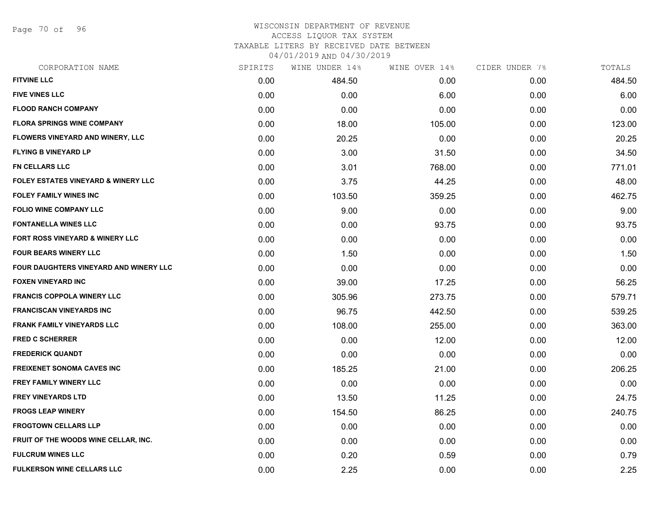Page 70 of 96

# WISCONSIN DEPARTMENT OF REVENUE ACCESS LIQUOR TAX SYSTEM TAXABLE LITERS BY RECEIVED DATE BETWEEN

04/01/2019 AND 04/30/2019

| CORPORATION NAME                              | SPIRITS | WINE UNDER 14% | WINE OVER 14% | CIDER UNDER 7% | TOTALS |
|-----------------------------------------------|---------|----------------|---------------|----------------|--------|
| <b>FITVINE LLC</b>                            | 0.00    | 484.50         | 0.00          | 0.00           | 484.50 |
| <b>FIVE VINES LLC</b>                         | 0.00    | 0.00           | 6.00          | 0.00           | 6.00   |
| <b>FLOOD RANCH COMPANY</b>                    | 0.00    | 0.00           | 0.00          | 0.00           | 0.00   |
| <b>FLORA SPRINGS WINE COMPANY</b>             | 0.00    | 18.00          | 105.00        | 0.00           | 123.00 |
| FLOWERS VINEYARD AND WINERY, LLC              | 0.00    | 20.25          | 0.00          | 0.00           | 20.25  |
| <b>FLYING B VINEYARD LP</b>                   | 0.00    | 3.00           | 31.50         | 0.00           | 34.50  |
| <b>FN CELLARS LLC</b>                         | 0.00    | 3.01           | 768.00        | 0.00           | 771.01 |
| FOLEY ESTATES VINEYARD & WINERY LLC           | 0.00    | 3.75           | 44.25         | 0.00           | 48.00  |
| <b>FOLEY FAMILY WINES INC</b>                 | 0.00    | 103.50         | 359.25        | 0.00           | 462.75 |
| <b>FOLIO WINE COMPANY LLC</b>                 | 0.00    | 9.00           | 0.00          | 0.00           | 9.00   |
| <b>FONTANELLA WINES LLC</b>                   | 0.00    | 0.00           | 93.75         | 0.00           | 93.75  |
| FORT ROSS VINEYARD & WINERY LLC               | 0.00    | 0.00           | 0.00          | 0.00           | 0.00   |
| <b>FOUR BEARS WINERY LLC</b>                  | 0.00    | 1.50           | 0.00          | 0.00           | 1.50   |
| <b>FOUR DAUGHTERS VINEYARD AND WINERY LLC</b> | 0.00    | 0.00           | 0.00          | 0.00           | 0.00   |
| <b>FOXEN VINEYARD INC</b>                     | 0.00    | 39.00          | 17.25         | 0.00           | 56.25  |
| <b>FRANCIS COPPOLA WINERY LLC</b>             | 0.00    | 305.96         | 273.75        | 0.00           | 579.71 |
| <b>FRANCISCAN VINEYARDS INC</b>               | 0.00    | 96.75          | 442.50        | 0.00           | 539.25 |
| <b>FRANK FAMILY VINEYARDS LLC</b>             | 0.00    | 108.00         | 255.00        | 0.00           | 363.00 |
| <b>FRED C SCHERRER</b>                        | 0.00    | 0.00           | 12.00         | 0.00           | 12.00  |
| <b>FREDERICK QUANDT</b>                       | 0.00    | 0.00           | 0.00          | 0.00           | 0.00   |
| <b>FREIXENET SONOMA CAVES INC</b>             | 0.00    | 185.25         | 21.00         | 0.00           | 206.25 |
| FREY FAMILY WINERY LLC                        | 0.00    | 0.00           | 0.00          | 0.00           | 0.00   |
| <b>FREY VINEYARDS LTD</b>                     | 0.00    | 13.50          | 11.25         | 0.00           | 24.75  |
| <b>FROGS LEAP WINERY</b>                      | 0.00    | 154.50         | 86.25         | 0.00           | 240.75 |
| <b>FROGTOWN CELLARS LLP</b>                   | 0.00    | 0.00           | 0.00          | 0.00           | 0.00   |
| FRUIT OF THE WOODS WINE CELLAR, INC.          | 0.00    | 0.00           | 0.00          | 0.00           | 0.00   |
| <b>FULCRUM WINES LLC</b>                      | 0.00    | 0.20           | 0.59          | 0.00           | 0.79   |
| <b>FULKERSON WINE CELLARS LLC</b>             | 0.00    | 2.25           | 0.00          | 0.00           | 2.25   |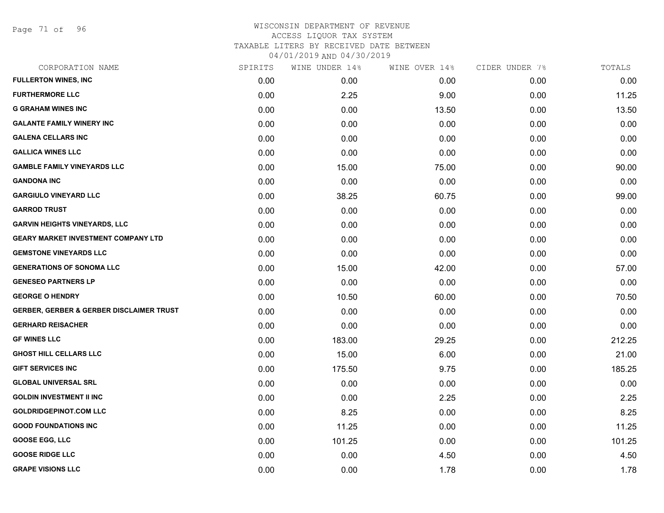Page 71 of 96

| CORPORATION NAME                                    | SPIRITS | WINE UNDER 14% | WINE OVER 14% | CIDER UNDER 7% | TOTALS |
|-----------------------------------------------------|---------|----------------|---------------|----------------|--------|
| <b>FULLERTON WINES, INC</b>                         | 0.00    | 0.00           | 0.00          | 0.00           | 0.00   |
| <b>FURTHERMORE LLC</b>                              | 0.00    | 2.25           | 9.00          | 0.00           | 11.25  |
| <b>G GRAHAM WINES INC</b>                           | 0.00    | 0.00           | 13.50         | 0.00           | 13.50  |
| <b>GALANTE FAMILY WINERY INC</b>                    | 0.00    | 0.00           | 0.00          | 0.00           | 0.00   |
| <b>GALENA CELLARS INC</b>                           | 0.00    | 0.00           | 0.00          | 0.00           | 0.00   |
| <b>GALLICA WINES LLC</b>                            | 0.00    | 0.00           | 0.00          | 0.00           | 0.00   |
| <b>GAMBLE FAMILY VINEYARDS LLC</b>                  | 0.00    | 15.00          | 75.00         | 0.00           | 90.00  |
| <b>GANDONA INC</b>                                  | 0.00    | 0.00           | 0.00          | 0.00           | 0.00   |
| <b>GARGIULO VINEYARD LLC</b>                        | 0.00    | 38.25          | 60.75         | 0.00           | 99.00  |
| <b>GARROD TRUST</b>                                 | 0.00    | 0.00           | 0.00          | 0.00           | 0.00   |
| <b>GARVIN HEIGHTS VINEYARDS, LLC</b>                | 0.00    | 0.00           | 0.00          | 0.00           | 0.00   |
| <b>GEARY MARKET INVESTMENT COMPANY LTD</b>          | 0.00    | 0.00           | 0.00          | 0.00           | 0.00   |
| <b>GEMSTONE VINEYARDS LLC</b>                       | 0.00    | 0.00           | 0.00          | 0.00           | 0.00   |
| <b>GENERATIONS OF SONOMA LLC</b>                    | 0.00    | 15.00          | 42.00         | 0.00           | 57.00  |
| <b>GENESEO PARTNERS LP</b>                          | 0.00    | 0.00           | 0.00          | 0.00           | 0.00   |
| <b>GEORGE O HENDRY</b>                              | 0.00    | 10.50          | 60.00         | 0.00           | 70.50  |
| <b>GERBER, GERBER &amp; GERBER DISCLAIMER TRUST</b> | 0.00    | 0.00           | 0.00          | 0.00           | 0.00   |
| <b>GERHARD REISACHER</b>                            | 0.00    | 0.00           | 0.00          | 0.00           | 0.00   |
| <b>GF WINES LLC</b>                                 | 0.00    | 183.00         | 29.25         | 0.00           | 212.25 |
| <b>GHOST HILL CELLARS LLC</b>                       | 0.00    | 15.00          | 6.00          | 0.00           | 21.00  |
| <b>GIFT SERVICES INC</b>                            | 0.00    | 175.50         | 9.75          | 0.00           | 185.25 |
| <b>GLOBAL UNIVERSAL SRL</b>                         | 0.00    | 0.00           | 0.00          | 0.00           | 0.00   |
| <b>GOLDIN INVESTMENT II INC</b>                     | 0.00    | 0.00           | 2.25          | 0.00           | 2.25   |
| <b>GOLDRIDGEPINOT.COM LLC</b>                       | 0.00    | 8.25           | 0.00          | 0.00           | 8.25   |
| <b>GOOD FOUNDATIONS INC</b>                         | 0.00    | 11.25          | 0.00          | 0.00           | 11.25  |
| <b>GOOSE EGG, LLC</b>                               | 0.00    | 101.25         | 0.00          | 0.00           | 101.25 |
| <b>GOOSE RIDGE LLC</b>                              | 0.00    | 0.00           | 4.50          | 0.00           | 4.50   |
| <b>GRAPE VISIONS LLC</b>                            | 0.00    | 0.00           | 1.78          | 0.00           | 1.78   |
|                                                     |         |                |               |                |        |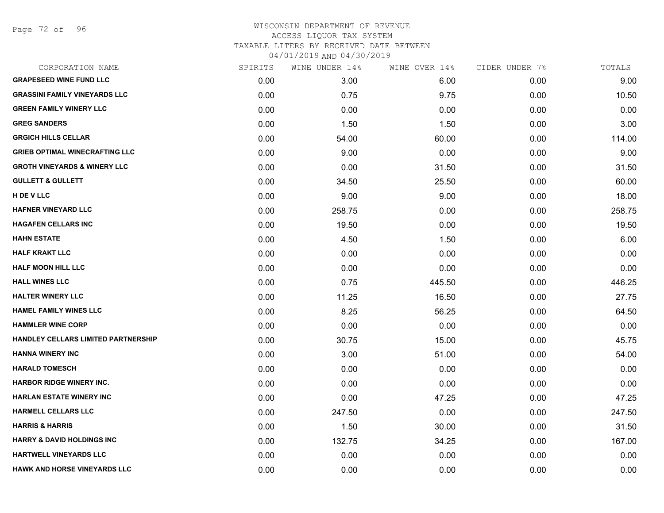Page 72 of 96

| CORPORATION NAME                        | SPIRITS | WINE UNDER 14% | WINE OVER 14% | CIDER UNDER 7% | TOTALS |
|-----------------------------------------|---------|----------------|---------------|----------------|--------|
| <b>GRAPESEED WINE FUND LLC</b>          | 0.00    | 3.00           | 6.00          | 0.00           | 9.00   |
| <b>GRASSINI FAMILY VINEYARDS LLC</b>    | 0.00    | 0.75           | 9.75          | 0.00           | 10.50  |
| <b>GREEN FAMILY WINERY LLC</b>          | 0.00    | 0.00           | 0.00          | 0.00           | 0.00   |
| <b>GREG SANDERS</b>                     | 0.00    | 1.50           | 1.50          | 0.00           | 3.00   |
| <b>GRGICH HILLS CELLAR</b>              | 0.00    | 54.00          | 60.00         | 0.00           | 114.00 |
| <b>GRIEB OPTIMAL WINECRAFTING LLC</b>   | 0.00    | 9.00           | 0.00          | 0.00           | 9.00   |
| <b>GROTH VINEYARDS &amp; WINERY LLC</b> | 0.00    | 0.00           | 31.50         | 0.00           | 31.50  |
| <b>GULLETT &amp; GULLETT</b>            | 0.00    | 34.50          | 25.50         | 0.00           | 60.00  |
| H DE V LLC                              | 0.00    | 9.00           | 9.00          | 0.00           | 18.00  |
| <b>HAFNER VINEYARD LLC</b>              | 0.00    | 258.75         | 0.00          | 0.00           | 258.75 |
| <b>HAGAFEN CELLARS INC</b>              | 0.00    | 19.50          | 0.00          | 0.00           | 19.50  |
| <b>HAHN ESTATE</b>                      | 0.00    | 4.50           | 1.50          | 0.00           | 6.00   |
| <b>HALF KRAKT LLC</b>                   | 0.00    | 0.00           | 0.00          | 0.00           | 0.00   |
| <b>HALF MOON HILL LLC</b>               | 0.00    | 0.00           | 0.00          | 0.00           | 0.00   |
| <b>HALL WINES LLC</b>                   | 0.00    | 0.75           | 445.50        | 0.00           | 446.25 |
| <b>HALTER WINERY LLC</b>                | 0.00    | 11.25          | 16.50         | 0.00           | 27.75  |
| <b>HAMEL FAMILY WINES LLC</b>           | 0.00    | 8.25           | 56.25         | 0.00           | 64.50  |
| <b>HAMMLER WINE CORP</b>                | 0.00    | 0.00           | 0.00          | 0.00           | 0.00   |
| HANDLEY CELLARS LIMITED PARTNERSHIP     | 0.00    | 30.75          | 15.00         | 0.00           | 45.75  |
| <b>HANNA WINERY INC</b>                 | 0.00    | 3.00           | 51.00         | 0.00           | 54.00  |
| <b>HARALD TOMESCH</b>                   | 0.00    | 0.00           | 0.00          | 0.00           | 0.00   |
| <b>HARBOR RIDGE WINERY INC.</b>         | 0.00    | 0.00           | 0.00          | 0.00           | 0.00   |
| <b>HARLAN ESTATE WINERY INC</b>         | 0.00    | 0.00           | 47.25         | 0.00           | 47.25  |
| <b>HARMELL CELLARS LLC</b>              | 0.00    | 247.50         | 0.00          | 0.00           | 247.50 |
| <b>HARRIS &amp; HARRIS</b>              | 0.00    | 1.50           | 30.00         | 0.00           | 31.50  |
| <b>HARRY &amp; DAVID HOLDINGS INC</b>   | 0.00    | 132.75         | 34.25         | 0.00           | 167.00 |
| <b>HARTWELL VINEYARDS LLC</b>           | 0.00    | 0.00           | 0.00          | 0.00           | 0.00   |
| <b>HAWK AND HORSE VINEYARDS LLC</b>     | 0.00    | 0.00           | 0.00          | 0.00           | 0.00   |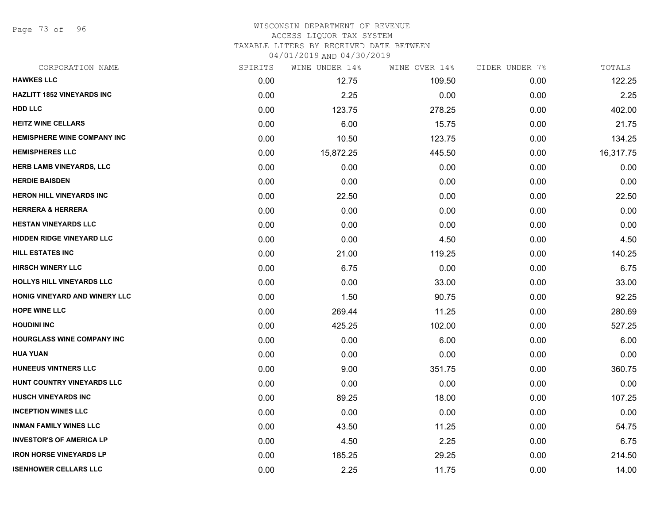Page 73 of 96

## WISCONSIN DEPARTMENT OF REVENUE ACCESS LIQUOR TAX SYSTEM

TAXABLE LITERS BY RECEIVED DATE BETWEEN

| CORPORATION NAME                   | SPIRITS | WINE UNDER 14% | WINE OVER 14% | CIDER UNDER 7% | TOTALS    |
|------------------------------------|---------|----------------|---------------|----------------|-----------|
| <b>HAWKES LLC</b>                  | 0.00    | 12.75          | 109.50        | 0.00           | 122.25    |
| <b>HAZLITT 1852 VINEYARDS INC</b>  | 0.00    | 2.25           | 0.00          | 0.00           | 2.25      |
| <b>HDD LLC</b>                     | 0.00    | 123.75         | 278.25        | 0.00           | 402.00    |
| <b>HEITZ WINE CELLARS</b>          | 0.00    | 6.00           | 15.75         | 0.00           | 21.75     |
| <b>HEMISPHERE WINE COMPANY INC</b> | 0.00    | 10.50          | 123.75        | 0.00           | 134.25    |
| <b>HEMISPHERES LLC</b>             | 0.00    | 15,872.25      | 445.50        | 0.00           | 16,317.75 |
| <b>HERB LAMB VINEYARDS, LLC</b>    | 0.00    | 0.00           | 0.00          | 0.00           | 0.00      |
| <b>HERDIE BAISDEN</b>              | 0.00    | 0.00           | 0.00          | 0.00           | 0.00      |
| <b>HERON HILL VINEYARDS INC</b>    | 0.00    | 22.50          | 0.00          | 0.00           | 22.50     |
| <b>HERRERA &amp; HERRERA</b>       | 0.00    | 0.00           | 0.00          | 0.00           | 0.00      |
| <b>HESTAN VINEYARDS LLC</b>        | 0.00    | 0.00           | 0.00          | 0.00           | 0.00      |
| <b>HIDDEN RIDGE VINEYARD LLC</b>   | 0.00    | 0.00           | 4.50          | 0.00           | 4.50      |
| <b>HILL ESTATES INC</b>            | 0.00    | 21.00          | 119.25        | 0.00           | 140.25    |
| <b>HIRSCH WINERY LLC</b>           | 0.00    | 6.75           | 0.00          | 0.00           | 6.75      |
| <b>HOLLYS HILL VINEYARDS LLC</b>   | 0.00    | 0.00           | 33.00         | 0.00           | 33.00     |
| HONIG VINEYARD AND WINERY LLC      | 0.00    | 1.50           | 90.75         | 0.00           | 92.25     |
| <b>HOPE WINE LLC</b>               | 0.00    | 269.44         | 11.25         | 0.00           | 280.69    |
| <b>HOUDINI INC</b>                 | 0.00    | 425.25         | 102.00        | 0.00           | 527.25    |
| <b>HOURGLASS WINE COMPANY INC</b>  | 0.00    | 0.00           | 6.00          | 0.00           | 6.00      |
| <b>HUA YUAN</b>                    | 0.00    | 0.00           | 0.00          | 0.00           | 0.00      |
| <b>HUNEEUS VINTNERS LLC</b>        | 0.00    | 9.00           | 351.75        | 0.00           | 360.75    |
| HUNT COUNTRY VINEYARDS LLC         | 0.00    | 0.00           | 0.00          | 0.00           | 0.00      |
| <b>HUSCH VINEYARDS INC</b>         | 0.00    | 89.25          | 18.00         | 0.00           | 107.25    |
| <b>INCEPTION WINES LLC</b>         | 0.00    | 0.00           | 0.00          | 0.00           | 0.00      |
| <b>INMAN FAMILY WINES LLC</b>      | 0.00    | 43.50          | 11.25         | 0.00           | 54.75     |
| <b>INVESTOR'S OF AMERICA LP</b>    | 0.00    | 4.50           | 2.25          | 0.00           | 6.75      |
| <b>IRON HORSE VINEYARDS LP</b>     | 0.00    | 185.25         | 29.25         | 0.00           | 214.50    |
| <b>ISENHOWER CELLARS LLC</b>       | 0.00    | 2.25           | 11.75         | 0.00           | 14.00     |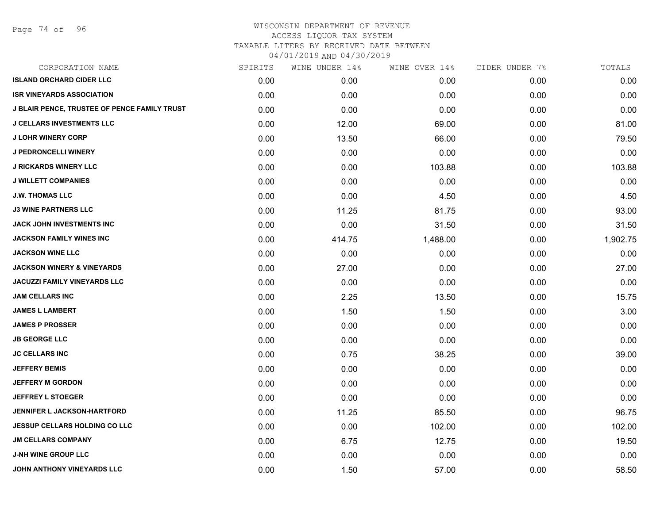| CORPORATION NAME                             | SPIRITS | WINE UNDER 14% | WINE OVER 14% | CIDER UNDER 7% | TOTALS   |
|----------------------------------------------|---------|----------------|---------------|----------------|----------|
| <b>ISLAND ORCHARD CIDER LLC</b>              | 0.00    | 0.00           | 0.00          | 0.00           | 0.00     |
| <b>ISR VINEYARDS ASSOCIATION</b>             | 0.00    | 0.00           | 0.00          | 0.00           | 0.00     |
| J BLAIR PENCE, TRUSTEE OF PENCE FAMILY TRUST | 0.00    | 0.00           | 0.00          | 0.00           | 0.00     |
| <b>J CELLARS INVESTMENTS LLC</b>             | 0.00    | 12.00          | 69.00         | 0.00           | 81.00    |
| <b>J LOHR WINERY CORP</b>                    | 0.00    | 13.50          | 66.00         | 0.00           | 79.50    |
| <b>J PEDRONCELLI WINERY</b>                  | 0.00    | 0.00           | 0.00          | 0.00           | 0.00     |
| <b>J RICKARDS WINERY LLC</b>                 | 0.00    | 0.00           | 103.88        | 0.00           | 103.88   |
| <b>J WILLETT COMPANIES</b>                   | 0.00    | 0.00           | 0.00          | 0.00           | 0.00     |
| <b>J.W. THOMAS LLC</b>                       | 0.00    | 0.00           | 4.50          | 0.00           | 4.50     |
| <b>J3 WINE PARTNERS LLC</b>                  | 0.00    | 11.25          | 81.75         | 0.00           | 93.00    |
| JACK JOHN INVESTMENTS INC                    | 0.00    | 0.00           | 31.50         | 0.00           | 31.50    |
| <b>JACKSON FAMILY WINES INC</b>              | 0.00    | 414.75         | 1,488.00      | 0.00           | 1,902.75 |
| <b>JACKSON WINE LLC</b>                      | 0.00    | 0.00           | 0.00          | 0.00           | 0.00     |
| <b>JACKSON WINERY &amp; VINEYARDS</b>        | 0.00    | 27.00          | 0.00          | 0.00           | 27.00    |
| <b>JACUZZI FAMILY VINEYARDS LLC</b>          | 0.00    | 0.00           | 0.00          | 0.00           | 0.00     |
| <b>JAM CELLARS INC</b>                       | 0.00    | 2.25           | 13.50         | 0.00           | 15.75    |
| <b>JAMES L LAMBERT</b>                       | 0.00    | 1.50           | 1.50          | 0.00           | 3.00     |
| <b>JAMES P PROSSER</b>                       | 0.00    | 0.00           | 0.00          | 0.00           | 0.00     |
| <b>JB GEORGE LLC</b>                         | 0.00    | 0.00           | 0.00          | 0.00           | 0.00     |
| <b>JC CELLARS INC</b>                        | 0.00    | 0.75           | 38.25         | 0.00           | 39.00    |
| <b>JEFFERY BEMIS</b>                         | 0.00    | 0.00           | 0.00          | 0.00           | 0.00     |
| <b>JEFFERY M GORDON</b>                      | 0.00    | 0.00           | 0.00          | 0.00           | 0.00     |
| <b>JEFFREY L STOEGER</b>                     | 0.00    | 0.00           | 0.00          | 0.00           | 0.00     |
| JENNIFER L JACKSON-HARTFORD                  | 0.00    | 11.25          | 85.50         | 0.00           | 96.75    |
| <b>JESSUP CELLARS HOLDING CO LLC</b>         | 0.00    | 0.00           | 102.00        | 0.00           | 102.00   |
| <b>JM CELLARS COMPANY</b>                    | 0.00    | 6.75           | 12.75         | 0.00           | 19.50    |
| <b>J-NH WINE GROUP LLC</b>                   | 0.00    | 0.00           | 0.00          | 0.00           | 0.00     |
| JOHN ANTHONY VINEYARDS LLC                   | 0.00    | 1.50           | 57.00         | 0.00           | 58.50    |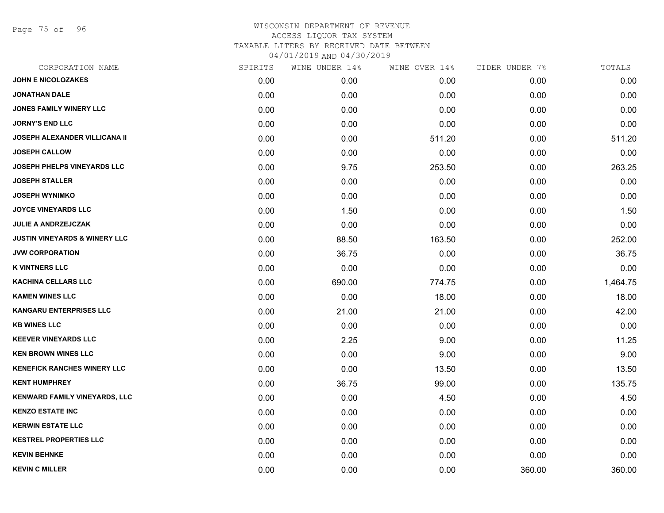Page 75 of 96

| CORPORATION NAME                         | SPIRITS | WINE UNDER 14% | WINE OVER 14% | CIDER UNDER 7% | TOTALS   |
|------------------------------------------|---------|----------------|---------------|----------------|----------|
| <b>JOHN E NICOLOZAKES</b>                | 0.00    | 0.00           | 0.00          | 0.00           | 0.00     |
| JONATHAN DALE                            | 0.00    | 0.00           | 0.00          | 0.00           | 0.00     |
| JONES FAMILY WINERY LLC                  | 0.00    | 0.00           | 0.00          | 0.00           | 0.00     |
| <b>JORNY'S END LLC</b>                   | 0.00    | 0.00           | 0.00          | 0.00           | 0.00     |
| JOSEPH ALEXANDER VILLICANA II            | 0.00    | 0.00           | 511.20        | 0.00           | 511.20   |
| <b>JOSEPH CALLOW</b>                     | 0.00    | 0.00           | 0.00          | 0.00           | 0.00     |
| <b>JOSEPH PHELPS VINEYARDS LLC</b>       | 0.00    | 9.75           | 253.50        | 0.00           | 263.25   |
| <b>JOSEPH STALLER</b>                    | 0.00    | 0.00           | 0.00          | 0.00           | 0.00     |
| <b>JOSEPH WYNIMKO</b>                    | 0.00    | 0.00           | 0.00          | 0.00           | 0.00     |
| <b>JOYCE VINEYARDS LLC</b>               | 0.00    | 1.50           | 0.00          | 0.00           | 1.50     |
| <b>JULIE A ANDRZEJCZAK</b>               | 0.00    | 0.00           | 0.00          | 0.00           | 0.00     |
| <b>JUSTIN VINEYARDS &amp; WINERY LLC</b> | 0.00    | 88.50          | 163.50        | 0.00           | 252.00   |
| <b>JVW CORPORATION</b>                   | 0.00    | 36.75          | 0.00          | 0.00           | 36.75    |
| <b>K VINTNERS LLC</b>                    | 0.00    | 0.00           | 0.00          | 0.00           | 0.00     |
| <b>KACHINA CELLARS LLC</b>               | 0.00    | 690.00         | 774.75        | 0.00           | 1,464.75 |
| <b>KAMEN WINES LLC</b>                   | 0.00    | 0.00           | 18.00         | 0.00           | 18.00    |
| <b>KANGARU ENTERPRISES LLC</b>           | 0.00    | 21.00          | 21.00         | 0.00           | 42.00    |
| <b>KB WINES LLC</b>                      | 0.00    | 0.00           | 0.00          | 0.00           | 0.00     |
| <b>KEEVER VINEYARDS LLC</b>              | 0.00    | 2.25           | 9.00          | 0.00           | 11.25    |
| <b>KEN BROWN WINES LLC</b>               | 0.00    | 0.00           | 9.00          | 0.00           | 9.00     |
| <b>KENEFICK RANCHES WINERY LLC</b>       | 0.00    | 0.00           | 13.50         | 0.00           | 13.50    |
| <b>KENT HUMPHREY</b>                     | 0.00    | 36.75          | 99.00         | 0.00           | 135.75   |
| <b>KENWARD FAMILY VINEYARDS, LLC</b>     | 0.00    | 0.00           | 4.50          | 0.00           | 4.50     |
| <b>KENZO ESTATE INC</b>                  | 0.00    | 0.00           | 0.00          | 0.00           | 0.00     |
| <b>KERWIN ESTATE LLC</b>                 | 0.00    | 0.00           | 0.00          | 0.00           | 0.00     |
| <b>KESTREL PROPERTIES LLC</b>            | 0.00    | 0.00           | 0.00          | 0.00           | 0.00     |
| <b>KEVIN BEHNKE</b>                      | 0.00    | 0.00           | 0.00          | 0.00           | 0.00     |
| <b>KEVIN C MILLER</b>                    | 0.00    | 0.00           | 0.00          | 360.00         | 360.00   |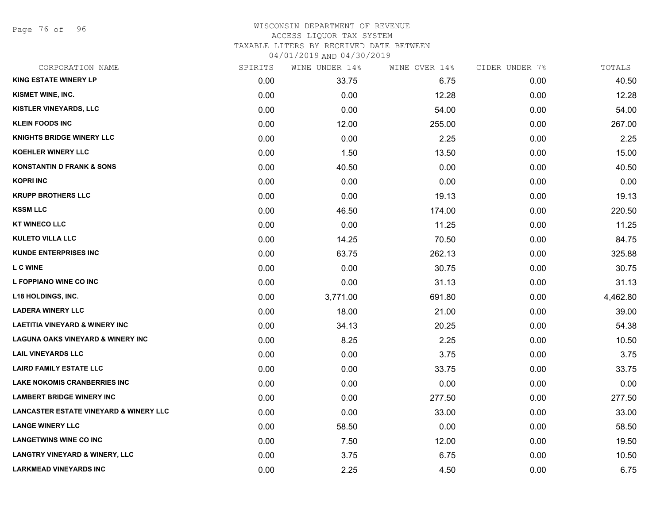Page 76 of 96

| CORPORATION NAME                                  | SPIRITS | WINE UNDER 14% | WINE OVER 14% | CIDER UNDER 7% | TOTALS   |
|---------------------------------------------------|---------|----------------|---------------|----------------|----------|
| <b>KING ESTATE WINERY LP</b>                      | 0.00    | 33.75          | 6.75          | 0.00           | 40.50    |
| KISMET WINE, INC.                                 | 0.00    | 0.00           | 12.28         | 0.00           | 12.28    |
| <b>KISTLER VINEYARDS, LLC</b>                     | 0.00    | 0.00           | 54.00         | 0.00           | 54.00    |
| <b>KLEIN FOODS INC</b>                            | 0.00    | 12.00          | 255.00        | 0.00           | 267.00   |
| <b>KNIGHTS BRIDGE WINERY LLC</b>                  | 0.00    | 0.00           | 2.25          | 0.00           | 2.25     |
| <b>KOEHLER WINERY LLC</b>                         | 0.00    | 1.50           | 13.50         | 0.00           | 15.00    |
| <b>KONSTANTIN D FRANK &amp; SONS</b>              | 0.00    | 40.50          | 0.00          | 0.00           | 40.50    |
| <b>KOPRI INC</b>                                  | 0.00    | 0.00           | 0.00          | 0.00           | 0.00     |
| <b>KRUPP BROTHERS LLC</b>                         | 0.00    | 0.00           | 19.13         | 0.00           | 19.13    |
| <b>KSSM LLC</b>                                   | 0.00    | 46.50          | 174.00        | 0.00           | 220.50   |
| <b>KT WINECO LLC</b>                              | 0.00    | 0.00           | 11.25         | 0.00           | 11.25    |
| <b>KULETO VILLA LLC</b>                           | 0.00    | 14.25          | 70.50         | 0.00           | 84.75    |
| <b>KUNDE ENTERPRISES INC</b>                      | 0.00    | 63.75          | 262.13        | 0.00           | 325.88   |
| <b>L C WINE</b>                                   | 0.00    | 0.00           | 30.75         | 0.00           | 30.75    |
| L FOPPIANO WINE CO INC                            | 0.00    | 0.00           | 31.13         | 0.00           | 31.13    |
| <b>L18 HOLDINGS, INC.</b>                         | 0.00    | 3,771.00       | 691.80        | 0.00           | 4,462.80 |
| <b>LADERA WINERY LLC</b>                          | 0.00    | 18.00          | 21.00         | 0.00           | 39.00    |
| <b>LAETITIA VINEYARD &amp; WINERY INC</b>         | 0.00    | 34.13          | 20.25         | 0.00           | 54.38    |
| <b>LAGUNA OAKS VINEYARD &amp; WINERY INC</b>      | 0.00    | 8.25           | 2.25          | 0.00           | 10.50    |
| <b>LAIL VINEYARDS LLC</b>                         | 0.00    | 0.00           | 3.75          | 0.00           | 3.75     |
| <b>LAIRD FAMILY ESTATE LLC</b>                    | 0.00    | 0.00           | 33.75         | 0.00           | 33.75    |
| <b>LAKE NOKOMIS CRANBERRIES INC</b>               | 0.00    | 0.00           | 0.00          | 0.00           | 0.00     |
| <b>LAMBERT BRIDGE WINERY INC</b>                  | 0.00    | 0.00           | 277.50        | 0.00           | 277.50   |
| <b>LANCASTER ESTATE VINEYARD &amp; WINERY LLC</b> | 0.00    | 0.00           | 33.00         | 0.00           | 33.00    |
| <b>LANGE WINERY LLC</b>                           | 0.00    | 58.50          | 0.00          | 0.00           | 58.50    |
| <b>LANGETWINS WINE CO INC</b>                     | 0.00    | 7.50           | 12.00         | 0.00           | 19.50    |
| <b>LANGTRY VINEYARD &amp; WINERY, LLC</b>         | 0.00    | 3.75           | 6.75          | 0.00           | 10.50    |
| <b>LARKMEAD VINEYARDS INC</b>                     | 0.00    | 2.25           | 4.50          | 0.00           | 6.75     |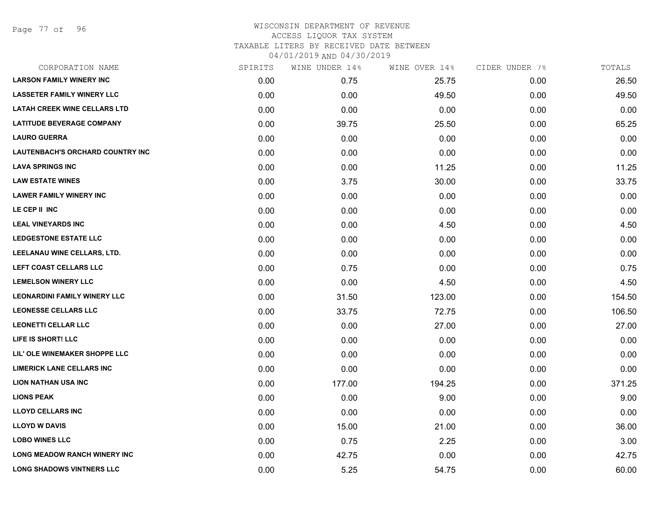Page 77 of 96

| CORPORATION NAME                        | SPIRITS | WINE UNDER 14% | WINE OVER 14% | CIDER UNDER 7% | TOTALS |
|-----------------------------------------|---------|----------------|---------------|----------------|--------|
| <b>LARSON FAMILY WINERY INC</b>         | 0.00    | 0.75           | 25.75         | 0.00           | 26.50  |
| <b>LASSETER FAMILY WINERY LLC</b>       | 0.00    | 0.00           | 49.50         | 0.00           | 49.50  |
| <b>LATAH CREEK WINE CELLARS LTD</b>     | 0.00    | 0.00           | 0.00          | 0.00           | 0.00   |
| <b>LATITUDE BEVERAGE COMPANY</b>        | 0.00    | 39.75          | 25.50         | 0.00           | 65.25  |
| <b>LAURO GUERRA</b>                     | 0.00    | 0.00           | 0.00          | 0.00           | 0.00   |
| <b>LAUTENBACH'S ORCHARD COUNTRY INC</b> | 0.00    | 0.00           | 0.00          | 0.00           | 0.00   |
| <b>LAVA SPRINGS INC</b>                 | 0.00    | 0.00           | 11.25         | 0.00           | 11.25  |
| <b>LAW ESTATE WINES</b>                 | 0.00    | 3.75           | 30.00         | 0.00           | 33.75  |
| <b>LAWER FAMILY WINERY INC</b>          | 0.00    | 0.00           | 0.00          | 0.00           | 0.00   |
| LE CEP II INC                           | 0.00    | 0.00           | 0.00          | 0.00           | 0.00   |
| <b>LEAL VINEYARDS INC</b>               | 0.00    | 0.00           | 4.50          | 0.00           | 4.50   |
| <b>LEDGESTONE ESTATE LLC</b>            | 0.00    | 0.00           | 0.00          | 0.00           | 0.00   |
| LEELANAU WINE CELLARS, LTD.             | 0.00    | 0.00           | 0.00          | 0.00           | 0.00   |
| LEFT COAST CELLARS LLC                  | 0.00    | 0.75           | 0.00          | 0.00           | 0.75   |
| <b>LEMELSON WINERY LLC</b>              | 0.00    | 0.00           | 4.50          | 0.00           | 4.50   |
| <b>LEONARDINI FAMILY WINERY LLC</b>     | 0.00    | 31.50          | 123.00        | 0.00           | 154.50 |
| <b>LEONESSE CELLARS LLC</b>             | 0.00    | 33.75          | 72.75         | 0.00           | 106.50 |
| <b>LEONETTI CELLAR LLC</b>              | 0.00    | 0.00           | 27.00         | 0.00           | 27.00  |
| LIFE IS SHORT! LLC                      | 0.00    | 0.00           | 0.00          | 0.00           | 0.00   |
| LIL' OLE WINEMAKER SHOPPE LLC           | 0.00    | 0.00           | 0.00          | 0.00           | 0.00   |
| <b>LIMERICK LANE CELLARS INC</b>        | 0.00    | 0.00           | 0.00          | 0.00           | 0.00   |
| <b>LION NATHAN USA INC</b>              | 0.00    | 177.00         | 194.25        | 0.00           | 371.25 |
| <b>LIONS PEAK</b>                       | 0.00    | 0.00           | 9.00          | 0.00           | 9.00   |
| <b>LLOYD CELLARS INC</b>                | 0.00    | 0.00           | 0.00          | 0.00           | 0.00   |
| <b>LLOYD W DAVIS</b>                    | 0.00    | 15.00          | 21.00         | 0.00           | 36.00  |
| <b>LOBO WINES LLC</b>                   | 0.00    | 0.75           | 2.25          | 0.00           | 3.00   |
| <b>LONG MEADOW RANCH WINERY INC</b>     | 0.00    | 42.75          | 0.00          | 0.00           | 42.75  |
| <b>LONG SHADOWS VINTNERS LLC</b>        | 0.00    | 5.25           | 54.75         | 0.00           | 60.00  |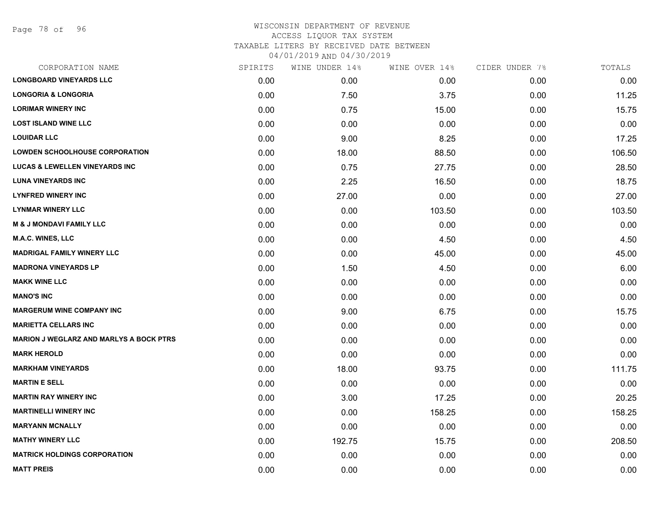| SPIRITS | WINE UNDER 14% | WINE OVER 14% | CIDER UNDER 7% | TOTALS |
|---------|----------------|---------------|----------------|--------|
| 0.00    | 0.00           | 0.00          | 0.00           | 0.00   |
| 0.00    | 7.50           | 3.75          | 0.00           | 11.25  |
| 0.00    | 0.75           | 15.00         | 0.00           | 15.75  |
| 0.00    | 0.00           | 0.00          | 0.00           | 0.00   |
| 0.00    | 9.00           | 8.25          | 0.00           | 17.25  |
| 0.00    | 18.00          | 88.50         | 0.00           | 106.50 |
| 0.00    | 0.75           | 27.75         | 0.00           | 28.50  |
| 0.00    | 2.25           | 16.50         | 0.00           | 18.75  |
| 0.00    | 27.00          | 0.00          | 0.00           | 27.00  |
| 0.00    | 0.00           | 103.50        | 0.00           | 103.50 |
| 0.00    | 0.00           | 0.00          | 0.00           | 0.00   |
| 0.00    | 0.00           | 4.50          | 0.00           | 4.50   |
| 0.00    | 0.00           | 45.00         | 0.00           | 45.00  |
| 0.00    | 1.50           | 4.50          | 0.00           | 6.00   |
| 0.00    | 0.00           | 0.00          | 0.00           | 0.00   |
| 0.00    | 0.00           | 0.00          | 0.00           | 0.00   |
| 0.00    | 9.00           | 6.75          | 0.00           | 15.75  |
| 0.00    | 0.00           | 0.00          | 0.00           | 0.00   |
| 0.00    | 0.00           | 0.00          | 0.00           | 0.00   |
| 0.00    | 0.00           | 0.00          | 0.00           | 0.00   |
| 0.00    | 18.00          | 93.75         | 0.00           | 111.75 |
| 0.00    | 0.00           | 0.00          | 0.00           | 0.00   |
| 0.00    | 3.00           | 17.25         | 0.00           | 20.25  |
| 0.00    | 0.00           | 158.25        | 0.00           | 158.25 |
| 0.00    | 0.00           | 0.00          | 0.00           | 0.00   |
| 0.00    | 192.75         | 15.75         | 0.00           | 208.50 |
| 0.00    | 0.00           | 0.00          | 0.00           | 0.00   |
| 0.00    | 0.00           | 0.00          | 0.00           | 0.00   |
|         |                |               |                |        |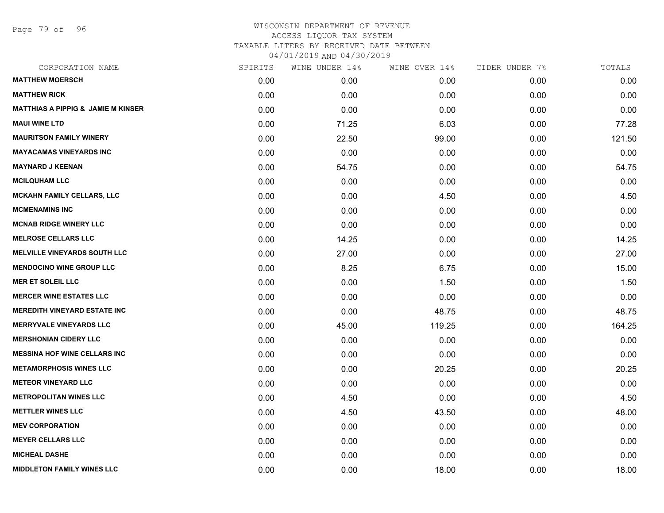Page 79 of 96

| CORPORATION NAME                              | SPIRITS | WINE UNDER 14% | WINE OVER 14% | CIDER UNDER 7% | TOTALS |
|-----------------------------------------------|---------|----------------|---------------|----------------|--------|
| <b>MATTHEW MOERSCH</b>                        | 0.00    | 0.00           | 0.00          | 0.00           | 0.00   |
| <b>MATTHEW RICK</b>                           | 0.00    | 0.00           | 0.00          | 0.00           | 0.00   |
| <b>MATTHIAS A PIPPIG &amp; JAMIE M KINSER</b> | 0.00    | 0.00           | 0.00          | 0.00           | 0.00   |
| <b>MAUI WINE LTD</b>                          | 0.00    | 71.25          | 6.03          | 0.00           | 77.28  |
| <b>MAURITSON FAMILY WINERY</b>                | 0.00    | 22.50          | 99.00         | 0.00           | 121.50 |
| <b>MAYACAMAS VINEYARDS INC</b>                | 0.00    | 0.00           | 0.00          | 0.00           | 0.00   |
| <b>MAYNARD J KEENAN</b>                       | 0.00    | 54.75          | 0.00          | 0.00           | 54.75  |
| <b>MCILQUHAM LLC</b>                          | 0.00    | 0.00           | 0.00          | 0.00           | 0.00   |
| <b>MCKAHN FAMILY CELLARS, LLC</b>             | 0.00    | 0.00           | 4.50          | 0.00           | 4.50   |
| <b>MCMENAMINS INC</b>                         | 0.00    | 0.00           | 0.00          | 0.00           | 0.00   |
| <b>MCNAB RIDGE WINERY LLC</b>                 | 0.00    | 0.00           | 0.00          | 0.00           | 0.00   |
| <b>MELROSE CELLARS LLC</b>                    | 0.00    | 14.25          | 0.00          | 0.00           | 14.25  |
| <b>MELVILLE VINEYARDS SOUTH LLC</b>           | 0.00    | 27.00          | 0.00          | 0.00           | 27.00  |
| <b>MENDOCINO WINE GROUP LLC</b>               | 0.00    | 8.25           | 6.75          | 0.00           | 15.00  |
| <b>MER ET SOLEIL LLC</b>                      | 0.00    | 0.00           | 1.50          | 0.00           | 1.50   |
| <b>MERCER WINE ESTATES LLC</b>                | 0.00    | 0.00           | 0.00          | 0.00           | 0.00   |
| <b>MEREDITH VINEYARD ESTATE INC</b>           | 0.00    | 0.00           | 48.75         | 0.00           | 48.75  |
| <b>MERRYVALE VINEYARDS LLC</b>                | 0.00    | 45.00          | 119.25        | 0.00           | 164.25 |
| <b>MERSHONIAN CIDERY LLC</b>                  | 0.00    | 0.00           | 0.00          | 0.00           | 0.00   |
| <b>MESSINA HOF WINE CELLARS INC</b>           | 0.00    | 0.00           | 0.00          | 0.00           | 0.00   |
| <b>METAMORPHOSIS WINES LLC</b>                | 0.00    | 0.00           | 20.25         | 0.00           | 20.25  |
| <b>METEOR VINEYARD LLC</b>                    | 0.00    | 0.00           | 0.00          | 0.00           | 0.00   |
| <b>METROPOLITAN WINES LLC</b>                 | 0.00    | 4.50           | 0.00          | 0.00           | 4.50   |
| <b>METTLER WINES LLC</b>                      | 0.00    | 4.50           | 43.50         | 0.00           | 48.00  |
| <b>MEV CORPORATION</b>                        | 0.00    | 0.00           | 0.00          | 0.00           | 0.00   |
| <b>MEYER CELLARS LLC</b>                      | 0.00    | 0.00           | 0.00          | 0.00           | 0.00   |
| <b>MICHEAL DASHE</b>                          | 0.00    | 0.00           | 0.00          | 0.00           | 0.00   |
| <b>MIDDLETON FAMILY WINES LLC</b>             | 0.00    | 0.00           | 18.00         | 0.00           | 18.00  |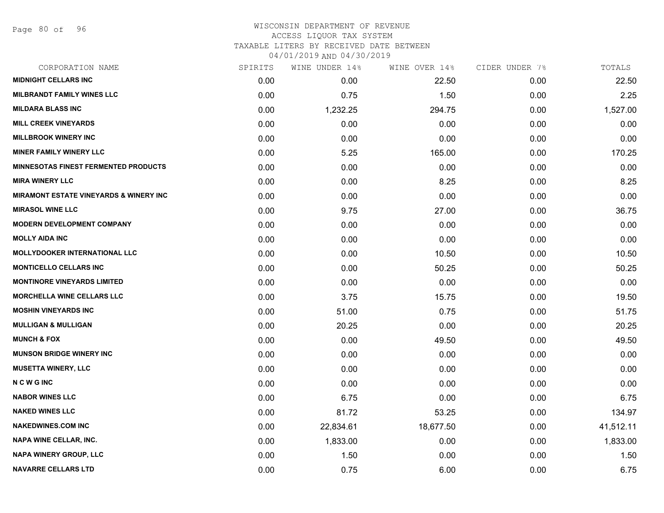Page 80 of 96

#### WISCONSIN DEPARTMENT OF REVENUE ACCESS LIQUOR TAX SYSTEM TAXABLE LITERS BY RECEIVED DATE BETWEEN

| CORPORATION NAME                            | SPIRITS | WINE UNDER 14% | WINE OVER 14% | CIDER UNDER 7% | TOTALS    |
|---------------------------------------------|---------|----------------|---------------|----------------|-----------|
| <b>MIDNIGHT CELLARS INC</b>                 | 0.00    | 0.00           | 22.50         | 0.00           | 22.50     |
| <b>MILBRANDT FAMILY WINES LLC</b>           | 0.00    | 0.75           | 1.50          | 0.00           | 2.25      |
| <b>MILDARA BLASS INC</b>                    | 0.00    | 1,232.25       | 294.75        | 0.00           | 1,527.00  |
| <b>MILL CREEK VINEYARDS</b>                 | 0.00    | 0.00           | 0.00          | 0.00           | 0.00      |
| <b>MILLBROOK WINERY INC</b>                 | 0.00    | 0.00           | 0.00          | 0.00           | 0.00      |
| <b>MINER FAMILY WINERY LLC</b>              | 0.00    | 5.25           | 165.00        | 0.00           | 170.25    |
| <b>MINNESOTAS FINEST FERMENTED PRODUCTS</b> | 0.00    | 0.00           | 0.00          | 0.00           | 0.00      |
| <b>MIRA WINERY LLC</b>                      | 0.00    | 0.00           | 8.25          | 0.00           | 8.25      |
| MIRAMONT ESTATE VINEYARDS & WINERY INC      | 0.00    | 0.00           | 0.00          | 0.00           | 0.00      |
| <b>MIRASOL WINE LLC</b>                     | 0.00    | 9.75           | 27.00         | 0.00           | 36.75     |
| <b>MODERN DEVELOPMENT COMPANY</b>           | 0.00    | 0.00           | 0.00          | 0.00           | 0.00      |
| <b>MOLLY AIDA INC</b>                       | 0.00    | 0.00           | 0.00          | 0.00           | 0.00      |
| <b>MOLLYDOOKER INTERNATIONAL LLC</b>        | 0.00    | 0.00           | 10.50         | 0.00           | 10.50     |
| <b>MONTICELLO CELLARS INC</b>               | 0.00    | 0.00           | 50.25         | 0.00           | 50.25     |
| <b>MONTINORE VINEYARDS LIMITED</b>          | 0.00    | 0.00           | 0.00          | 0.00           | 0.00      |
| <b>MORCHELLA WINE CELLARS LLC</b>           | 0.00    | 3.75           | 15.75         | 0.00           | 19.50     |
| <b>MOSHIN VINEYARDS INC</b>                 | 0.00    | 51.00          | 0.75          | 0.00           | 51.75     |
| <b>MULLIGAN &amp; MULLIGAN</b>              | 0.00    | 20.25          | 0.00          | 0.00           | 20.25     |
| <b>MUNCH &amp; FOX</b>                      | 0.00    | 0.00           | 49.50         | 0.00           | 49.50     |
| <b>MUNSON BRIDGE WINERY INC</b>             | 0.00    | 0.00           | 0.00          | 0.00           | 0.00      |
| <b>MUSETTA WINERY, LLC</b>                  | 0.00    | 0.00           | 0.00          | 0.00           | 0.00      |
| <b>NCWGINC</b>                              | 0.00    | 0.00           | 0.00          | 0.00           | 0.00      |
| <b>NABOR WINES LLC</b>                      | 0.00    | 6.75           | 0.00          | 0.00           | 6.75      |
| <b>NAKED WINES LLC</b>                      | 0.00    | 81.72          | 53.25         | 0.00           | 134.97    |
| <b>NAKEDWINES.COM INC</b>                   | 0.00    | 22,834.61      | 18,677.50     | 0.00           | 41,512.11 |
| <b>NAPA WINE CELLAR, INC.</b>               | 0.00    | 1,833.00       | 0.00          | 0.00           | 1,833.00  |
| <b>NAPA WINERY GROUP, LLC</b>               | 0.00    | 1.50           | 0.00          | 0.00           | 1.50      |
| <b>NAVARRE CELLARS LTD</b>                  | 0.00    | 0.75           | 6.00          | 0.00           | 6.75      |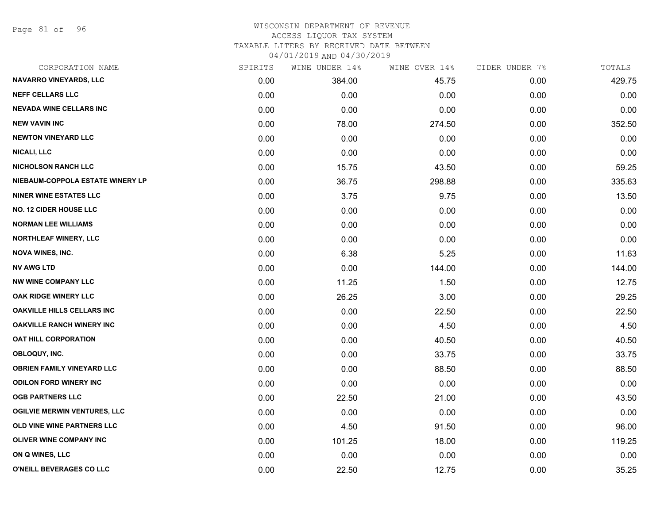Page 81 of 96

#### WISCONSIN DEPARTMENT OF REVENUE ACCESS LIQUOR TAX SYSTEM TAXABLE LITERS BY RECEIVED DATE BETWEEN

| CORPORATION NAME                    | SPIRITS | WINE UNDER 14% | WINE OVER 14% | CIDER UNDER 7% | TOTALS |
|-------------------------------------|---------|----------------|---------------|----------------|--------|
| <b>NAVARRO VINEYARDS, LLC</b>       | 0.00    | 384.00         | 45.75         | 0.00           | 429.75 |
| <b>NEFF CELLARS LLC</b>             | 0.00    | 0.00           | 0.00          | 0.00           | 0.00   |
| <b>NEVADA WINE CELLARS INC</b>      | 0.00    | 0.00           | 0.00          | 0.00           | 0.00   |
| <b>NEW VAVIN INC</b>                | 0.00    | 78.00          | 274.50        | 0.00           | 352.50 |
| <b>NEWTON VINEYARD LLC</b>          | 0.00    | 0.00           | 0.00          | 0.00           | 0.00   |
| <b>NICALI, LLC</b>                  | 0.00    | 0.00           | 0.00          | 0.00           | 0.00   |
| <b>NICHOLSON RANCH LLC</b>          | 0.00    | 15.75          | 43.50         | 0.00           | 59.25  |
| NIEBAUM-COPPOLA ESTATE WINERY LP    | 0.00    | 36.75          | 298.88        | 0.00           | 335.63 |
| <b>NINER WINE ESTATES LLC</b>       | 0.00    | 3.75           | 9.75          | 0.00           | 13.50  |
| <b>NO. 12 CIDER HOUSE LLC</b>       | 0.00    | 0.00           | 0.00          | 0.00           | 0.00   |
| <b>NORMAN LEE WILLIAMS</b>          | 0.00    | 0.00           | 0.00          | 0.00           | 0.00   |
| <b>NORTHLEAF WINERY, LLC</b>        | 0.00    | 0.00           | 0.00          | 0.00           | 0.00   |
| <b>NOVA WINES, INC.</b>             | 0.00    | 6.38           | 5.25          | 0.00           | 11.63  |
| <b>NV AWG LTD</b>                   | 0.00    | 0.00           | 144.00        | 0.00           | 144.00 |
| <b>NW WINE COMPANY LLC</b>          | 0.00    | 11.25          | 1.50          | 0.00           | 12.75  |
| OAK RIDGE WINERY LLC                | 0.00    | 26.25          | 3.00          | 0.00           | 29.25  |
| <b>OAKVILLE HILLS CELLARS INC</b>   | 0.00    | 0.00           | 22.50         | 0.00           | 22.50  |
| <b>OAKVILLE RANCH WINERY INC</b>    | 0.00    | 0.00           | 4.50          | 0.00           | 4.50   |
| <b>OAT HILL CORPORATION</b>         | 0.00    | 0.00           | 40.50         | 0.00           | 40.50  |
| OBLOQUY, INC.                       | 0.00    | 0.00           | 33.75         | 0.00           | 33.75  |
| <b>OBRIEN FAMILY VINEYARD LLC</b>   | 0.00    | 0.00           | 88.50         | 0.00           | 88.50  |
| <b>ODILON FORD WINERY INC</b>       | 0.00    | 0.00           | 0.00          | 0.00           | 0.00   |
| <b>OGB PARTNERS LLC</b>             | 0.00    | 22.50          | 21.00         | 0.00           | 43.50  |
| <b>OGILVIE MERWIN VENTURES, LLC</b> | 0.00    | 0.00           | 0.00          | 0.00           | 0.00   |
| OLD VINE WINE PARTNERS LLC          | 0.00    | 4.50           | 91.50         | 0.00           | 96.00  |
| <b>OLIVER WINE COMPANY INC</b>      | 0.00    | 101.25         | 18.00         | 0.00           | 119.25 |
| ON Q WINES, LLC                     | 0.00    | 0.00           | 0.00          | 0.00           | 0.00   |
| O'NEILL BEVERAGES CO LLC            | 0.00    | 22.50          | 12.75         | 0.00           | 35.25  |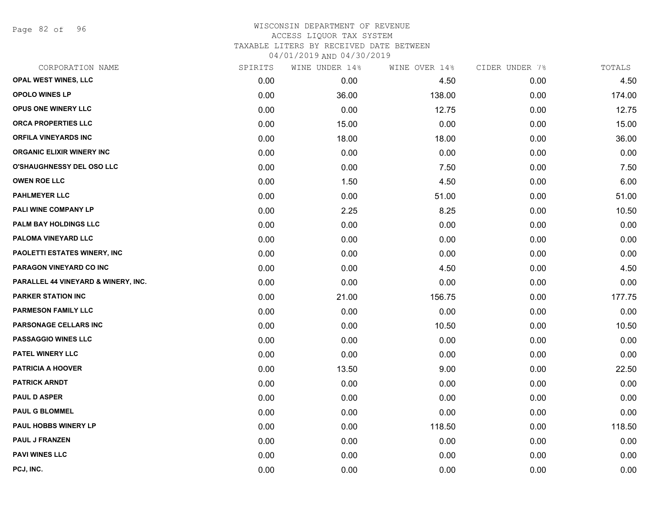Page 82 of 96

| CORPORATION NAME                    | SPIRITS | WINE UNDER 14% | WINE OVER 14% | CIDER UNDER 7% | TOTALS |
|-------------------------------------|---------|----------------|---------------|----------------|--------|
| OPAL WEST WINES, LLC                | 0.00    | 0.00           | 4.50          | 0.00           | 4.50   |
| <b>OPOLO WINES LP</b>               | 0.00    | 36.00          | 138.00        | 0.00           | 174.00 |
| OPUS ONE WINERY LLC                 | 0.00    | 0.00           | 12.75         | 0.00           | 12.75  |
| ORCA PROPERTIES LLC                 | 0.00    | 15.00          | 0.00          | 0.00           | 15.00  |
| <b>ORFILA VINEYARDS INC</b>         | 0.00    | 18.00          | 18.00         | 0.00           | 36.00  |
| <b>ORGANIC ELIXIR WINERY INC</b>    | 0.00    | 0.00           | 0.00          | 0.00           | 0.00   |
| <b>O'SHAUGHNESSY DEL OSO LLC</b>    | 0.00    | 0.00           | 7.50          | 0.00           | 7.50   |
| <b>OWEN ROE LLC</b>                 | 0.00    | 1.50           | 4.50          | 0.00           | 6.00   |
| <b>PAHLMEYER LLC</b>                | 0.00    | 0.00           | 51.00         | 0.00           | 51.00  |
| PALI WINE COMPANY LP                | 0.00    | 2.25           | 8.25          | 0.00           | 10.50  |
| PALM BAY HOLDINGS LLC               | 0.00    | 0.00           | 0.00          | 0.00           | 0.00   |
| PALOMA VINEYARD LLC                 | 0.00    | 0.00           | 0.00          | 0.00           | 0.00   |
| PAOLETTI ESTATES WINERY, INC        | 0.00    | 0.00           | 0.00          | 0.00           | 0.00   |
| PARAGON VINEYARD CO INC             | 0.00    | 0.00           | 4.50          | 0.00           | 4.50   |
| PARALLEL 44 VINEYARD & WINERY, INC. | 0.00    | 0.00           | 0.00          | 0.00           | 0.00   |
| <b>PARKER STATION INC</b>           | 0.00    | 21.00          | 156.75        | 0.00           | 177.75 |
| <b>PARMESON FAMILY LLC</b>          | 0.00    | 0.00           | 0.00          | 0.00           | 0.00   |
| <b>PARSONAGE CELLARS INC</b>        | 0.00    | 0.00           | 10.50         | 0.00           | 10.50  |
| PASSAGGIO WINES LLC                 | 0.00    | 0.00           | 0.00          | 0.00           | 0.00   |
| PATEL WINERY LLC                    | 0.00    | 0.00           | 0.00          | 0.00           | 0.00   |
| <b>PATRICIA A HOOVER</b>            | 0.00    | 13.50          | 9.00          | 0.00           | 22.50  |
| <b>PATRICK ARNDT</b>                | 0.00    | 0.00           | 0.00          | 0.00           | 0.00   |
| <b>PAUL D ASPER</b>                 | 0.00    | 0.00           | 0.00          | 0.00           | 0.00   |
| <b>PAUL G BLOMMEL</b>               | 0.00    | 0.00           | 0.00          | 0.00           | 0.00   |
| PAUL HOBBS WINERY LP                | 0.00    | 0.00           | 118.50        | 0.00           | 118.50 |
| PAUL J FRANZEN                      | 0.00    | 0.00           | 0.00          | 0.00           | 0.00   |
| <b>PAVI WINES LLC</b>               | 0.00    | 0.00           | 0.00          | 0.00           | 0.00   |
| PCJ, INC.                           | 0.00    | 0.00           | 0.00          | 0.00           | 0.00   |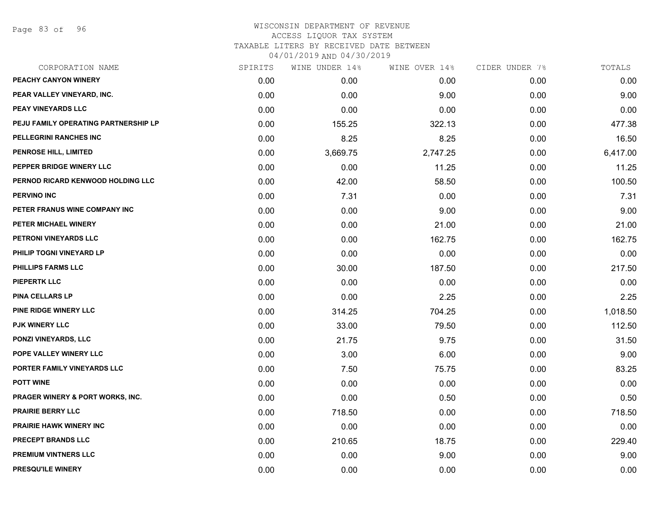| CORPORATION NAME                            | SPIRITS | WINE UNDER 14% | WINE OVER 14% | CIDER UNDER 7% | TOTALS   |
|---------------------------------------------|---------|----------------|---------------|----------------|----------|
| PEACHY CANYON WINERY                        | 0.00    | 0.00           | 0.00          | 0.00           | 0.00     |
| PEAR VALLEY VINEYARD, INC.                  | 0.00    | 0.00           | 9.00          | 0.00           | 9.00     |
| PEAY VINEYARDS LLC                          | 0.00    | 0.00           | 0.00          | 0.00           | 0.00     |
| PEJU FAMILY OPERATING PARTNERSHIP LP        | 0.00    | 155.25         | 322.13        | 0.00           | 477.38   |
| PELLEGRINI RANCHES INC                      | 0.00    | 8.25           | 8.25          | 0.00           | 16.50    |
| PENROSE HILL, LIMITED                       | 0.00    | 3,669.75       | 2,747.25      | 0.00           | 6,417.00 |
| PEPPER BRIDGE WINERY LLC                    | 0.00    | 0.00           | 11.25         | 0.00           | 11.25    |
| PERNOD RICARD KENWOOD HOLDING LLC           | 0.00    | 42.00          | 58.50         | 0.00           | 100.50   |
| <b>PERVINO INC</b>                          | 0.00    | 7.31           | 0.00          | 0.00           | 7.31     |
| PETER FRANUS WINE COMPANY INC               | 0.00    | 0.00           | 9.00          | 0.00           | 9.00     |
| PETER MICHAEL WINERY                        | 0.00    | 0.00           | 21.00         | 0.00           | 21.00    |
| PETRONI VINEYARDS LLC                       | 0.00    | 0.00           | 162.75        | 0.00           | 162.75   |
| PHILIP TOGNI VINEYARD LP                    | 0.00    | 0.00           | 0.00          | 0.00           | 0.00     |
| <b>PHILLIPS FARMS LLC</b>                   | 0.00    | 30.00          | 187.50        | 0.00           | 217.50   |
| <b>PIEPERTK LLC</b>                         | 0.00    | 0.00           | 0.00          | 0.00           | 0.00     |
| PINA CELLARS LP                             | 0.00    | 0.00           | 2.25          | 0.00           | 2.25     |
| PINE RIDGE WINERY LLC                       | 0.00    | 314.25         | 704.25        | 0.00           | 1,018.50 |
| <b>PJK WINERY LLC</b>                       | 0.00    | 33.00          | 79.50         | 0.00           | 112.50   |
| PONZI VINEYARDS, LLC                        | 0.00    | 21.75          | 9.75          | 0.00           | 31.50    |
| POPE VALLEY WINERY LLC                      | 0.00    | 3.00           | 6.00          | 0.00           | 9.00     |
| PORTER FAMILY VINEYARDS LLC                 | 0.00    | 7.50           | 75.75         | 0.00           | 83.25    |
| <b>POTT WINE</b>                            | 0.00    | 0.00           | 0.00          | 0.00           | 0.00     |
| <b>PRAGER WINERY &amp; PORT WORKS, INC.</b> | 0.00    | 0.00           | 0.50          | 0.00           | 0.50     |
| <b>PRAIRIE BERRY LLC</b>                    | 0.00    | 718.50         | 0.00          | 0.00           | 718.50   |
| <b>PRAIRIE HAWK WINERY INC</b>              | 0.00    | 0.00           | 0.00          | 0.00           | 0.00     |
| PRECEPT BRANDS LLC                          | 0.00    | 210.65         | 18.75         | 0.00           | 229.40   |
| <b>PREMIUM VINTNERS LLC</b>                 | 0.00    | 0.00           | 9.00          | 0.00           | 9.00     |
| PRESQU'ILE WINERY                           | 0.00    | 0.00           | 0.00          | 0.00           | 0.00     |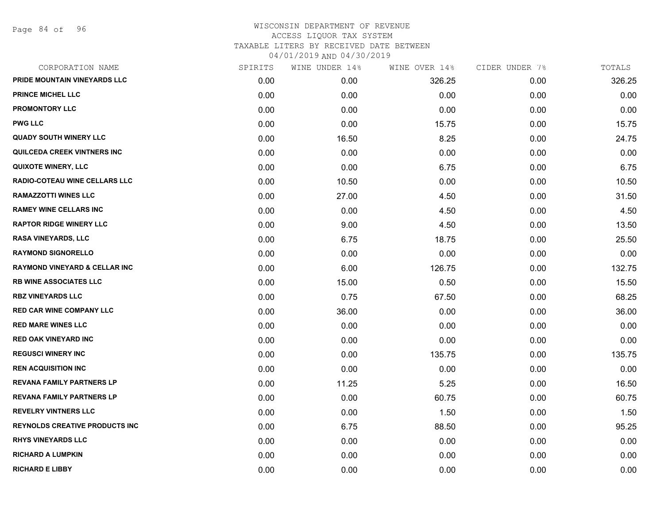| CORPORATION NAME                         | SPIRITS | WINE UNDER 14% | WINE OVER 14% | CIDER UNDER 7% | TOTALS |
|------------------------------------------|---------|----------------|---------------|----------------|--------|
| PRIDE MOUNTAIN VINEYARDS LLC             | 0.00    | 0.00           | 326.25        | 0.00           | 326.25 |
| <b>PRINCE MICHEL LLC</b>                 | 0.00    | 0.00           | 0.00          | 0.00           | 0.00   |
| <b>PROMONTORY LLC</b>                    | 0.00    | 0.00           | 0.00          | 0.00           | 0.00   |
| <b>PWG LLC</b>                           | 0.00    | 0.00           | 15.75         | 0.00           | 15.75  |
| <b>QUADY SOUTH WINERY LLC</b>            | 0.00    | 16.50          | 8.25          | 0.00           | 24.75  |
| QUILCEDA CREEK VINTNERS INC              | 0.00    | 0.00           | 0.00          | 0.00           | 0.00   |
| <b>QUIXOTE WINERY, LLC</b>               | 0.00    | 0.00           | 6.75          | 0.00           | 6.75   |
| RADIO-COTEAU WINE CELLARS LLC            | 0.00    | 10.50          | 0.00          | 0.00           | 10.50  |
| <b>RAMAZZOTTI WINES LLC</b>              | 0.00    | 27.00          | 4.50          | 0.00           | 31.50  |
| <b>RAMEY WINE CELLARS INC</b>            | 0.00    | 0.00           | 4.50          | 0.00           | 4.50   |
| <b>RAPTOR RIDGE WINERY LLC</b>           | 0.00    | 9.00           | 4.50          | 0.00           | 13.50  |
| RASA VINEYARDS, LLC                      | 0.00    | 6.75           | 18.75         | 0.00           | 25.50  |
| <b>RAYMOND SIGNORELLO</b>                | 0.00    | 0.00           | 0.00          | 0.00           | 0.00   |
| <b>RAYMOND VINEYARD &amp; CELLAR INC</b> | 0.00    | 6.00           | 126.75        | 0.00           | 132.75 |
| <b>RB WINE ASSOCIATES LLC</b>            | 0.00    | 15.00          | 0.50          | 0.00           | 15.50  |
| <b>RBZ VINEYARDS LLC</b>                 | 0.00    | 0.75           | 67.50         | 0.00           | 68.25  |
| <b>RED CAR WINE COMPANY LLC</b>          | 0.00    | 36.00          | 0.00          | 0.00           | 36.00  |
| <b>RED MARE WINES LLC</b>                | 0.00    | 0.00           | 0.00          | 0.00           | 0.00   |
| <b>RED OAK VINEYARD INC</b>              | 0.00    | 0.00           | 0.00          | 0.00           | 0.00   |
| <b>REGUSCI WINERY INC</b>                | 0.00    | 0.00           | 135.75        | 0.00           | 135.75 |
| <b>REN ACQUISITION INC</b>               | 0.00    | 0.00           | 0.00          | 0.00           | 0.00   |
| <b>REVANA FAMILY PARTNERS LP</b>         | 0.00    | 11.25          | 5.25          | 0.00           | 16.50  |
| <b>REVANA FAMILY PARTNERS LP</b>         | 0.00    | 0.00           | 60.75         | 0.00           | 60.75  |
| <b>REVELRY VINTNERS LLC</b>              | 0.00    | 0.00           | 1.50          | 0.00           | 1.50   |
| <b>REYNOLDS CREATIVE PRODUCTS INC</b>    | 0.00    | 6.75           | 88.50         | 0.00           | 95.25  |
| <b>RHYS VINEYARDS LLC</b>                | 0.00    | 0.00           | 0.00          | 0.00           | 0.00   |
| <b>RICHARD A LUMPKIN</b>                 | 0.00    | 0.00           | 0.00          | 0.00           | 0.00   |
| <b>RICHARD E LIBBY</b>                   | 0.00    | 0.00           | 0.00          | 0.00           | 0.00   |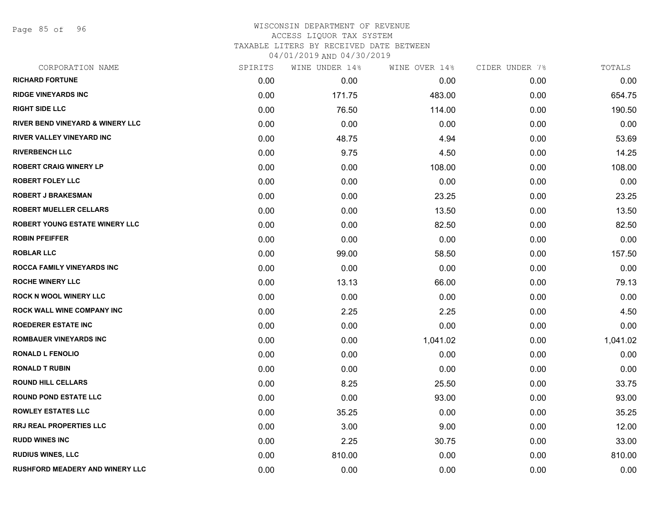Page 85 of 96

| CORPORATION NAME                            | SPIRITS | WINE UNDER 14% | WINE OVER 14% | CIDER UNDER 7% | TOTALS   |
|---------------------------------------------|---------|----------------|---------------|----------------|----------|
| <b>RICHARD FORTUNE</b>                      | 0.00    | 0.00           | 0.00          | 0.00           | 0.00     |
| <b>RIDGE VINEYARDS INC</b>                  | 0.00    | 171.75         | 483.00        | 0.00           | 654.75   |
| <b>RIGHT SIDE LLC</b>                       | 0.00    | 76.50          | 114.00        | 0.00           | 190.50   |
| <b>RIVER BEND VINEYARD &amp; WINERY LLC</b> | 0.00    | 0.00           | 0.00          | 0.00           | 0.00     |
| <b>RIVER VALLEY VINEYARD INC</b>            | 0.00    | 48.75          | 4.94          | 0.00           | 53.69    |
| <b>RIVERBENCH LLC</b>                       | 0.00    | 9.75           | 4.50          | 0.00           | 14.25    |
| <b>ROBERT CRAIG WINERY LP</b>               | 0.00    | 0.00           | 108.00        | 0.00           | 108.00   |
| <b>ROBERT FOLEY LLC</b>                     | 0.00    | 0.00           | 0.00          | 0.00           | 0.00     |
| <b>ROBERT J BRAKESMAN</b>                   | 0.00    | 0.00           | 23.25         | 0.00           | 23.25    |
| <b>ROBERT MUELLER CELLARS</b>               | 0.00    | 0.00           | 13.50         | 0.00           | 13.50    |
| ROBERT YOUNG ESTATE WINERY LLC              | 0.00    | 0.00           | 82.50         | 0.00           | 82.50    |
| <b>ROBIN PFEIFFER</b>                       | 0.00    | 0.00           | 0.00          | 0.00           | 0.00     |
| <b>ROBLAR LLC</b>                           | 0.00    | 99.00          | 58.50         | 0.00           | 157.50   |
| ROCCA FAMILY VINEYARDS INC                  | 0.00    | 0.00           | 0.00          | 0.00           | 0.00     |
| <b>ROCHE WINERY LLC</b>                     | 0.00    | 13.13          | 66.00         | 0.00           | 79.13    |
| <b>ROCK N WOOL WINERY LLC</b>               | 0.00    | 0.00           | 0.00          | 0.00           | 0.00     |
| ROCK WALL WINE COMPANY INC                  | 0.00    | 2.25           | 2.25          | 0.00           | 4.50     |
| <b>ROEDERER ESTATE INC</b>                  | 0.00    | 0.00           | 0.00          | 0.00           | 0.00     |
| <b>ROMBAUER VINEYARDS INC</b>               | 0.00    | 0.00           | 1,041.02      | 0.00           | 1,041.02 |
| <b>RONALD L FENOLIO</b>                     | 0.00    | 0.00           | 0.00          | 0.00           | 0.00     |
| <b>RONALD T RUBIN</b>                       | 0.00    | 0.00           | 0.00          | 0.00           | 0.00     |
| <b>ROUND HILL CELLARS</b>                   | 0.00    | 8.25           | 25.50         | 0.00           | 33.75    |
| <b>ROUND POND ESTATE LLC</b>                | 0.00    | 0.00           | 93.00         | 0.00           | 93.00    |
| <b>ROWLEY ESTATES LLC</b>                   | 0.00    | 35.25          | 0.00          | 0.00           | 35.25    |
| RRJ REAL PROPERTIES LLC                     | 0.00    | 3.00           | 9.00          | 0.00           | 12.00    |
| <b>RUDD WINES INC</b>                       | 0.00    | 2.25           | 30.75         | 0.00           | 33.00    |
| <b>RUDIUS WINES, LLC</b>                    | 0.00    | 810.00         | 0.00          | 0.00           | 810.00   |
| <b>RUSHFORD MEADERY AND WINERY LLC</b>      | 0.00    | 0.00           | 0.00          | 0.00           | 0.00     |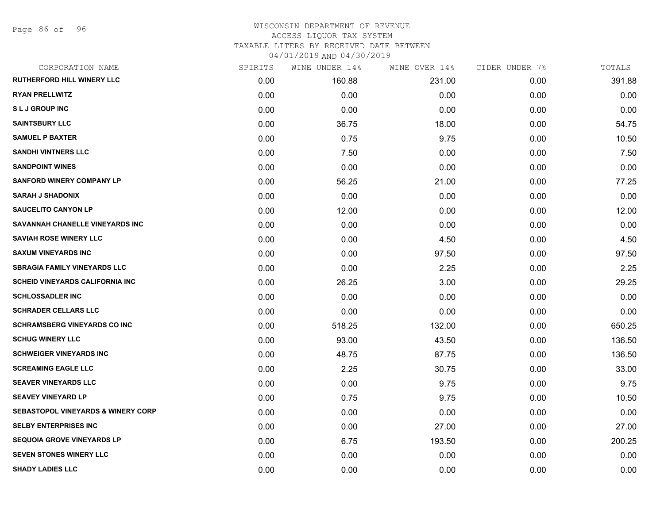Page 86 of 96

## WISCONSIN DEPARTMENT OF REVENUE ACCESS LIQUOR TAX SYSTEM

TAXABLE LITERS BY RECEIVED DATE BETWEEN

| CORPORATION NAME                              | SPIRITS | WINE UNDER 14% | WINE OVER 14% | CIDER UNDER 7% | TOTALS |
|-----------------------------------------------|---------|----------------|---------------|----------------|--------|
| <b>RUTHERFORD HILL WINERY LLC</b>             | 0.00    | 160.88         | 231.00        | 0.00           | 391.88 |
| <b>RYAN PRELLWITZ</b>                         | 0.00    | 0.00           | 0.00          | 0.00           | 0.00   |
| <b>SLJ GROUP INC</b>                          | 0.00    | 0.00           | 0.00          | 0.00           | 0.00   |
| <b>SAINTSBURY LLC</b>                         | 0.00    | 36.75          | 18.00         | 0.00           | 54.75  |
| <b>SAMUEL P BAXTER</b>                        | 0.00    | 0.75           | 9.75          | 0.00           | 10.50  |
| <b>SANDHI VINTNERS LLC</b>                    | 0.00    | 7.50           | 0.00          | 0.00           | 7.50   |
| <b>SANDPOINT WINES</b>                        | 0.00    | 0.00           | 0.00          | 0.00           | 0.00   |
| <b>SANFORD WINERY COMPANY LP</b>              | 0.00    | 56.25          | 21.00         | 0.00           | 77.25  |
| <b>SARAH J SHADONIX</b>                       | 0.00    | 0.00           | 0.00          | 0.00           | 0.00   |
| <b>SAUCELITO CANYON LP</b>                    | 0.00    | 12.00          | 0.00          | 0.00           | 12.00  |
| SAVANNAH CHANELLE VINEYARDS INC               | 0.00    | 0.00           | 0.00          | 0.00           | 0.00   |
| <b>SAVIAH ROSE WINERY LLC</b>                 | 0.00    | 0.00           | 4.50          | 0.00           | 4.50   |
| <b>SAXUM VINEYARDS INC</b>                    | 0.00    | 0.00           | 97.50         | 0.00           | 97.50  |
| <b>SBRAGIA FAMILY VINEYARDS LLC</b>           | 0.00    | 0.00           | 2.25          | 0.00           | 2.25   |
| <b>SCHEID VINEYARDS CALIFORNIA INC</b>        | 0.00    | 26.25          | 3.00          | 0.00           | 29.25  |
| <b>SCHLOSSADLER INC</b>                       | 0.00    | 0.00           | 0.00          | 0.00           | 0.00   |
| <b>SCHRADER CELLARS LLC</b>                   | 0.00    | 0.00           | 0.00          | 0.00           | 0.00   |
| <b>SCHRAMSBERG VINEYARDS CO INC</b>           | 0.00    | 518.25         | 132.00        | 0.00           | 650.25 |
| <b>SCHUG WINERY LLC</b>                       | 0.00    | 93.00          | 43.50         | 0.00           | 136.50 |
| <b>SCHWEIGER VINEYARDS INC</b>                | 0.00    | 48.75          | 87.75         | 0.00           | 136.50 |
| <b>SCREAMING EAGLE LLC</b>                    | 0.00    | 2.25           | 30.75         | 0.00           | 33.00  |
| <b>SEAVER VINEYARDS LLC</b>                   | 0.00    | 0.00           | 9.75          | 0.00           | 9.75   |
| <b>SEAVEY VINEYARD LP</b>                     | 0.00    | 0.75           | 9.75          | 0.00           | 10.50  |
| <b>SEBASTOPOL VINEYARDS &amp; WINERY CORP</b> | 0.00    | 0.00           | 0.00          | 0.00           | 0.00   |
| <b>SELBY ENTERPRISES INC</b>                  | 0.00    | 0.00           | 27.00         | 0.00           | 27.00  |
| <b>SEQUOIA GROVE VINEYARDS LP</b>             | 0.00    | 6.75           | 193.50        | 0.00           | 200.25 |
| <b>SEVEN STONES WINERY LLC</b>                | 0.00    | 0.00           | 0.00          | 0.00           | 0.00   |
| <b>SHADY LADIES LLC</b>                       | 0.00    | 0.00           | 0.00          | 0.00           | 0.00   |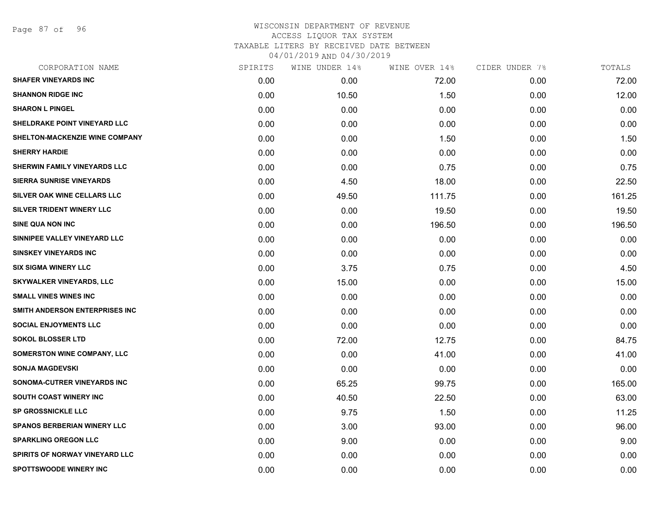Page 87 of 96

| CORPORATION NAME                    | SPIRITS | WINE UNDER 14% | WINE OVER 14% | CIDER UNDER 7% | TOTALS |
|-------------------------------------|---------|----------------|---------------|----------------|--------|
| <b>SHAFER VINEYARDS INC</b>         | 0.00    | 0.00           | 72.00         | 0.00           | 72.00  |
| <b>SHANNON RIDGE INC</b>            | 0.00    | 10.50          | 1.50          | 0.00           | 12.00  |
| <b>SHARON L PINGEL</b>              | 0.00    | 0.00           | 0.00          | 0.00           | 0.00   |
| <b>SHELDRAKE POINT VINEYARD LLC</b> | 0.00    | 0.00           | 0.00          | 0.00           | 0.00   |
| SHELTON-MACKENZIE WINE COMPANY      | 0.00    | 0.00           | 1.50          | 0.00           | 1.50   |
| <b>SHERRY HARDIE</b>                | 0.00    | 0.00           | 0.00          | 0.00           | 0.00   |
| <b>SHERWIN FAMILY VINEYARDS LLC</b> | 0.00    | 0.00           | 0.75          | 0.00           | 0.75   |
| <b>SIERRA SUNRISE VINEYARDS</b>     | 0.00    | 4.50           | 18.00         | 0.00           | 22.50  |
| SILVER OAK WINE CELLARS LLC         | 0.00    | 49.50          | 111.75        | 0.00           | 161.25 |
| SILVER TRIDENT WINERY LLC           | 0.00    | 0.00           | 19.50         | 0.00           | 19.50  |
| <b>SINE QUA NON INC</b>             | 0.00    | 0.00           | 196.50        | 0.00           | 196.50 |
| SINNIPEE VALLEY VINEYARD LLC        | 0.00    | 0.00           | 0.00          | 0.00           | 0.00   |
| <b>SINSKEY VINEYARDS INC</b>        | 0.00    | 0.00           | 0.00          | 0.00           | 0.00   |
| <b>SIX SIGMA WINERY LLC</b>         | 0.00    | 3.75           | 0.75          | 0.00           | 4.50   |
| <b>SKYWALKER VINEYARDS, LLC</b>     | 0.00    | 15.00          | 0.00          | 0.00           | 15.00  |
| <b>SMALL VINES WINES INC</b>        | 0.00    | 0.00           | 0.00          | 0.00           | 0.00   |
| SMITH ANDERSON ENTERPRISES INC      | 0.00    | 0.00           | 0.00          | 0.00           | 0.00   |
| <b>SOCIAL ENJOYMENTS LLC</b>        | 0.00    | 0.00           | 0.00          | 0.00           | 0.00   |
| <b>SOKOL BLOSSER LTD</b>            | 0.00    | 72.00          | 12.75         | 0.00           | 84.75  |
| <b>SOMERSTON WINE COMPANY, LLC</b>  | 0.00    | 0.00           | 41.00         | 0.00           | 41.00  |
| <b>SONJA MAGDEVSKI</b>              | 0.00    | 0.00           | 0.00          | 0.00           | 0.00   |
| SONOMA-CUTRER VINEYARDS INC         | 0.00    | 65.25          | 99.75         | 0.00           | 165.00 |
| SOUTH COAST WINERY INC              | 0.00    | 40.50          | 22.50         | 0.00           | 63.00  |
| <b>SP GROSSNICKLE LLC</b>           | 0.00    | 9.75           | 1.50          | 0.00           | 11.25  |
| <b>SPANOS BERBERIAN WINERY LLC</b>  | 0.00    | 3.00           | 93.00         | 0.00           | 96.00  |
| <b>SPARKLING OREGON LLC</b>         | 0.00    | 9.00           | 0.00          | 0.00           | 9.00   |
| SPIRITS OF NORWAY VINEYARD LLC      | 0.00    | 0.00           | 0.00          | 0.00           | 0.00   |
| <b>SPOTTSWOODE WINERY INC</b>       | 0.00    | 0.00           | 0.00          | 0.00           | 0.00   |
|                                     |         |                |               |                |        |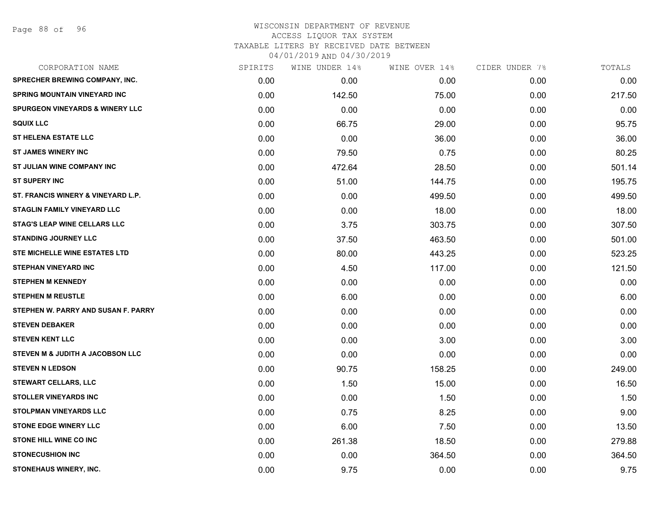| CORPORATION NAME                           | SPIRITS | WINE UNDER 14% | WINE OVER 14% | CIDER UNDER 7% | TOTALS |
|--------------------------------------------|---------|----------------|---------------|----------------|--------|
| <b>SPRECHER BREWING COMPANY, INC.</b>      | 0.00    | 0.00           | 0.00          | 0.00           | 0.00   |
| <b>SPRING MOUNTAIN VINEYARD INC</b>        | 0.00    | 142.50         | 75.00         | 0.00           | 217.50 |
| <b>SPURGEON VINEYARDS &amp; WINERY LLC</b> | 0.00    | 0.00           | 0.00          | 0.00           | 0.00   |
| <b>SQUIX LLC</b>                           | 0.00    | 66.75          | 29.00         | 0.00           | 95.75  |
| <b>ST HELENA ESTATE LLC</b>                | 0.00    | 0.00           | 36.00         | 0.00           | 36.00  |
| <b>ST JAMES WINERY INC</b>                 | 0.00    | 79.50          | 0.75          | 0.00           | 80.25  |
| ST JULIAN WINE COMPANY INC                 | 0.00    | 472.64         | 28.50         | 0.00           | 501.14 |
| <b>ST SUPERY INC</b>                       | 0.00    | 51.00          | 144.75        | 0.00           | 195.75 |
| ST. FRANCIS WINERY & VINEYARD L.P.         | 0.00    | 0.00           | 499.50        | 0.00           | 499.50 |
| STAGLIN FAMILY VINEYARD LLC                | 0.00    | 0.00           | 18.00         | 0.00           | 18.00  |
| <b>STAG'S LEAP WINE CELLARS LLC</b>        | 0.00    | 3.75           | 303.75        | 0.00           | 307.50 |
| <b>STANDING JOURNEY LLC</b>                | 0.00    | 37.50          | 463.50        | 0.00           | 501.00 |
| STE MICHELLE WINE ESTATES LTD              | 0.00    | 80.00          | 443.25        | 0.00           | 523.25 |
| <b>STEPHAN VINEYARD INC</b>                | 0.00    | 4.50           | 117.00        | 0.00           | 121.50 |
| <b>STEPHEN M KENNEDY</b>                   | 0.00    | 0.00           | 0.00          | 0.00           | 0.00   |
| <b>STEPHEN M REUSTLE</b>                   | 0.00    | 6.00           | 0.00          | 0.00           | 6.00   |
| STEPHEN W. PARRY AND SUSAN F. PARRY        | 0.00    | 0.00           | 0.00          | 0.00           | 0.00   |
| <b>STEVEN DEBAKER</b>                      | 0.00    | 0.00           | 0.00          | 0.00           | 0.00   |
| <b>STEVEN KENT LLC</b>                     | 0.00    | 0.00           | 3.00          | 0.00           | 3.00   |
| STEVEN M & JUDITH A JACOBSON LLC           | 0.00    | 0.00           | 0.00          | 0.00           | 0.00   |
| <b>STEVEN N LEDSON</b>                     | 0.00    | 90.75          | 158.25        | 0.00           | 249.00 |
| <b>STEWART CELLARS, LLC</b>                | 0.00    | 1.50           | 15.00         | 0.00           | 16.50  |
| <b>STOLLER VINEYARDS INC</b>               | 0.00    | 0.00           | 1.50          | 0.00           | 1.50   |
| <b>STOLPMAN VINEYARDS LLC</b>              | 0.00    | 0.75           | 8.25          | 0.00           | 9.00   |
| <b>STONE EDGE WINERY LLC</b>               | 0.00    | 6.00           | 7.50          | 0.00           | 13.50  |
| STONE HILL WINE CO INC                     | 0.00    | 261.38         | 18.50         | 0.00           | 279.88 |
| <b>STONECUSHION INC</b>                    | 0.00    | 0.00           | 364.50        | 0.00           | 364.50 |
| STONEHAUS WINERY, INC.                     | 0.00    | 9.75           | 0.00          | 0.00           | 9.75   |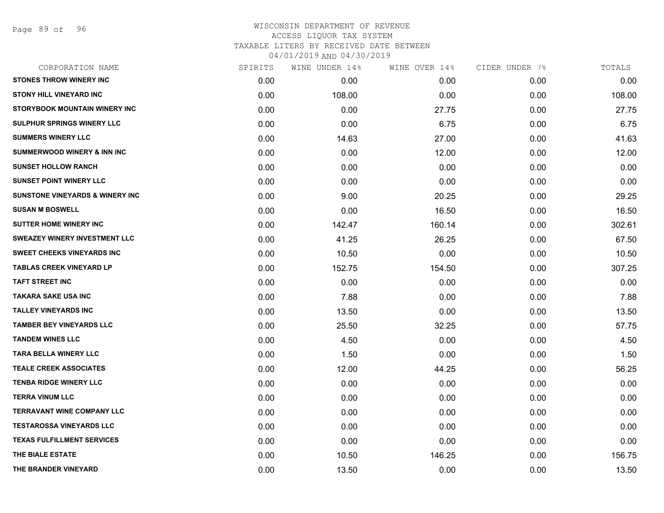Page 89 of 96

| CORPORATION NAME                           | SPIRITS | WINE UNDER 14% | WINE OVER 14% | CIDER UNDER 7% | TOTALS |
|--------------------------------------------|---------|----------------|---------------|----------------|--------|
| <b>STONES THROW WINERY INC</b>             | 0.00    | 0.00           | 0.00          | 0.00           | 0.00   |
| <b>STONY HILL VINEYARD INC</b>             | 0.00    | 108.00         | 0.00          | 0.00           | 108.00 |
| STORYBOOK MOUNTAIN WINERY INC              | 0.00    | 0.00           | 27.75         | 0.00           | 27.75  |
| <b>SULPHUR SPRINGS WINERY LLC</b>          | 0.00    | 0.00           | 6.75          | 0.00           | 6.75   |
| <b>SUMMERS WINERY LLC</b>                  | 0.00    | 14.63          | 27.00         | 0.00           | 41.63  |
| <b>SUMMERWOOD WINERY &amp; INN INC</b>     | 0.00    | 0.00           | 12.00         | 0.00           | 12.00  |
| <b>SUNSET HOLLOW RANCH</b>                 | 0.00    | 0.00           | 0.00          | 0.00           | 0.00   |
| <b>SUNSET POINT WINERY LLC</b>             | 0.00    | 0.00           | 0.00          | 0.00           | 0.00   |
| <b>SUNSTONE VINEYARDS &amp; WINERY INC</b> | 0.00    | 9.00           | 20.25         | 0.00           | 29.25  |
| <b>SUSAN M BOSWELL</b>                     | 0.00    | 0.00           | 16.50         | 0.00           | 16.50  |
| <b>SUTTER HOME WINERY INC</b>              | 0.00    | 142.47         | 160.14        | 0.00           | 302.61 |
| <b>SWEAZEY WINERY INVESTMENT LLC</b>       | 0.00    | 41.25          | 26.25         | 0.00           | 67.50  |
| <b>SWEET CHEEKS VINEYARDS INC</b>          | 0.00    | 10.50          | 0.00          | 0.00           | 10.50  |
| <b>TABLAS CREEK VINEYARD LP</b>            | 0.00    | 152.75         | 154.50        | 0.00           | 307.25 |
| <b>TAFT STREET INC</b>                     | 0.00    | 0.00           | 0.00          | 0.00           | 0.00   |
| <b>TAKARA SAKE USA INC</b>                 | 0.00    | 7.88           | 0.00          | 0.00           | 7.88   |
| <b>TALLEY VINEYARDS INC</b>                | 0.00    | 13.50          | 0.00          | 0.00           | 13.50  |
| <b>TAMBER BEY VINEYARDS LLC</b>            | 0.00    | 25.50          | 32.25         | 0.00           | 57.75  |
| <b>TANDEM WINES LLC</b>                    | 0.00    | 4.50           | 0.00          | 0.00           | 4.50   |
| <b>TARA BELLA WINERY LLC</b>               | 0.00    | 1.50           | 0.00          | 0.00           | 1.50   |
| <b>TEALE CREEK ASSOCIATES</b>              | 0.00    | 12.00          | 44.25         | 0.00           | 56.25  |
| <b>TENBA RIDGE WINERY LLC</b>              | 0.00    | 0.00           | 0.00          | 0.00           | 0.00   |
| <b>TERRA VINUM LLC</b>                     | 0.00    | 0.00           | 0.00          | 0.00           | 0.00   |
| <b>TERRAVANT WINE COMPANY LLC</b>          | 0.00    | 0.00           | 0.00          | 0.00           | 0.00   |
| <b>TESTAROSSA VINEYARDS LLC</b>            | 0.00    | 0.00           | 0.00          | 0.00           | 0.00   |
| <b>TEXAS FULFILLMENT SERVICES</b>          | 0.00    | 0.00           | 0.00          | 0.00           | 0.00   |
| THE BIALE ESTATE                           | 0.00    | 10.50          | 146.25        | 0.00           | 156.75 |
| THE BRANDER VINEYARD                       | 0.00    | 13.50          | 0.00          | 0.00           | 13.50  |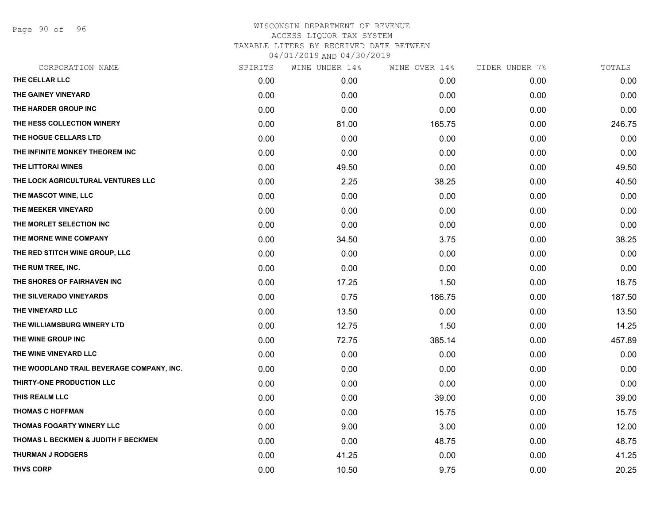Page 90 of 96

| CORPORATION NAME                          | SPIRITS | WINE UNDER 14% | WINE OVER 14% | CIDER UNDER 7% | TOTALS |
|-------------------------------------------|---------|----------------|---------------|----------------|--------|
| THE CELLAR LLC                            | 0.00    | 0.00           | 0.00          | 0.00           | 0.00   |
| THE GAINEY VINEYARD                       | 0.00    | 0.00           | 0.00          | 0.00           | 0.00   |
| THE HARDER GROUP INC                      | 0.00    | 0.00           | 0.00          | 0.00           | 0.00   |
| THE HESS COLLECTION WINERY                | 0.00    | 81.00          | 165.75        | 0.00           | 246.75 |
| THE HOGUE CELLARS LTD                     | 0.00    | 0.00           | 0.00          | 0.00           | 0.00   |
| THE INFINITE MONKEY THEOREM INC           | 0.00    | 0.00           | 0.00          | 0.00           | 0.00   |
| THE LITTORAI WINES                        | 0.00    | 49.50          | 0.00          | 0.00           | 49.50  |
| THE LOCK AGRICULTURAL VENTURES LLC        | 0.00    | 2.25           | 38.25         | 0.00           | 40.50  |
| THE MASCOT WINE, LLC                      | 0.00    | 0.00           | 0.00          | 0.00           | 0.00   |
| THE MEEKER VINEYARD                       | 0.00    | 0.00           | 0.00          | 0.00           | 0.00   |
| THE MORLET SELECTION INC                  | 0.00    | 0.00           | 0.00          | 0.00           | 0.00   |
| THE MORNE WINE COMPANY                    | 0.00    | 34.50          | 3.75          | 0.00           | 38.25  |
| THE RED STITCH WINE GROUP, LLC            | 0.00    | 0.00           | 0.00          | 0.00           | 0.00   |
| THE RUM TREE, INC.                        | 0.00    | 0.00           | 0.00          | 0.00           | 0.00   |
| THE SHORES OF FAIRHAVEN INC               | 0.00    | 17.25          | 1.50          | 0.00           | 18.75  |
| THE SILVERADO VINEYARDS                   | 0.00    | 0.75           | 186.75        | 0.00           | 187.50 |
| THE VINEYARD LLC                          | 0.00    | 13.50          | 0.00          | 0.00           | 13.50  |
| THE WILLIAMSBURG WINERY LTD               | 0.00    | 12.75          | 1.50          | 0.00           | 14.25  |
| THE WINE GROUP INC                        | 0.00    | 72.75          | 385.14        | 0.00           | 457.89 |
| THE WINE VINEYARD LLC                     | 0.00    | 0.00           | 0.00          | 0.00           | 0.00   |
| THE WOODLAND TRAIL BEVERAGE COMPANY, INC. | 0.00    | 0.00           | 0.00          | 0.00           | 0.00   |
| THIRTY-ONE PRODUCTION LLC                 | 0.00    | 0.00           | 0.00          | 0.00           | 0.00   |
| THIS REALM LLC                            | 0.00    | 0.00           | 39.00         | 0.00           | 39.00  |
| <b>THOMAS C HOFFMAN</b>                   | 0.00    | 0.00           | 15.75         | 0.00           | 15.75  |
| THOMAS FOGARTY WINERY LLC                 | 0.00    | 9.00           | 3.00          | 0.00           | 12.00  |
| THOMAS L BECKMEN & JUDITH F BECKMEN       | 0.00    | 0.00           | 48.75         | 0.00           | 48.75  |
| <b>THURMAN J RODGERS</b>                  | 0.00    | 41.25          | 0.00          | 0.00           | 41.25  |
| <b>THVS CORP</b>                          | 0.00    | 10.50          | 9.75          | 0.00           | 20.25  |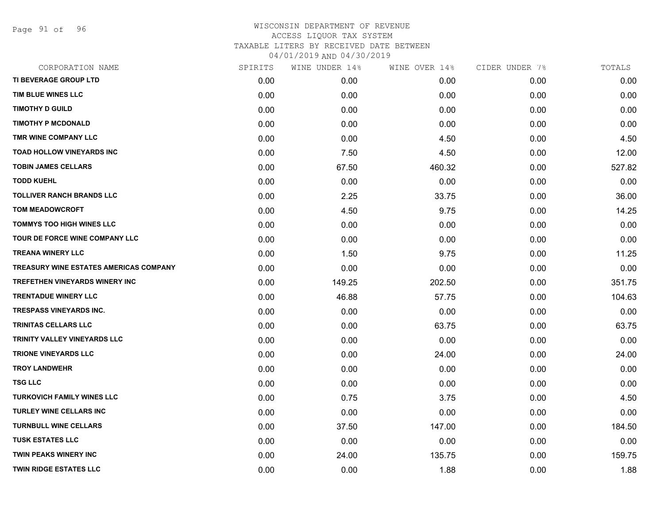Page 91 of 96

| CORPORATION NAME                       | SPIRITS | WINE UNDER 14% | WINE OVER 14% | CIDER UNDER 7% | TOTALS |
|----------------------------------------|---------|----------------|---------------|----------------|--------|
| TI BEVERAGE GROUP LTD                  | 0.00    | 0.00           | 0.00          | 0.00           | 0.00   |
| TIM BLUE WINES LLC                     | 0.00    | 0.00           | 0.00          | 0.00           | 0.00   |
| <b>TIMOTHY D GUILD</b>                 | 0.00    | 0.00           | 0.00          | 0.00           | 0.00   |
| <b>TIMOTHY P MCDONALD</b>              | 0.00    | 0.00           | 0.00          | 0.00           | 0.00   |
| TMR WINE COMPANY LLC                   | 0.00    | 0.00           | 4.50          | 0.00           | 4.50   |
| <b>TOAD HOLLOW VINEYARDS INC</b>       | 0.00    | 7.50           | 4.50          | 0.00           | 12.00  |
| <b>TOBIN JAMES CELLARS</b>             | 0.00    | 67.50          | 460.32        | 0.00           | 527.82 |
| <b>TODD KUEHL</b>                      | 0.00    | 0.00           | 0.00          | 0.00           | 0.00   |
| <b>TOLLIVER RANCH BRANDS LLC</b>       | 0.00    | 2.25           | 33.75         | 0.00           | 36.00  |
| <b>TOM MEADOWCROFT</b>                 | 0.00    | 4.50           | 9.75          | 0.00           | 14.25  |
| <b>TOMMYS TOO HIGH WINES LLC</b>       | 0.00    | 0.00           | 0.00          | 0.00           | 0.00   |
| TOUR DE FORCE WINE COMPANY LLC         | 0.00    | 0.00           | 0.00          | 0.00           | 0.00   |
| <b>TREANA WINERY LLC</b>               | 0.00    | 1.50           | 9.75          | 0.00           | 11.25  |
| TREASURY WINE ESTATES AMERICAS COMPANY | 0.00    | 0.00           | 0.00          | 0.00           | 0.00   |
| TREFETHEN VINEYARDS WINERY INC         | 0.00    | 149.25         | 202.50        | 0.00           | 351.75 |
| <b>TRENTADUE WINERY LLC</b>            | 0.00    | 46.88          | 57.75         | 0.00           | 104.63 |
| <b>TRESPASS VINEYARDS INC.</b>         | 0.00    | 0.00           | 0.00          | 0.00           | 0.00   |
| <b>TRINITAS CELLARS LLC</b>            | 0.00    | 0.00           | 63.75         | 0.00           | 63.75  |
| TRINITY VALLEY VINEYARDS LLC           | 0.00    | 0.00           | 0.00          | 0.00           | 0.00   |
| <b>TRIONE VINEYARDS LLC</b>            | 0.00    | 0.00           | 24.00         | 0.00           | 24.00  |
| <b>TROY LANDWEHR</b>                   | 0.00    | 0.00           | 0.00          | 0.00           | 0.00   |
| <b>TSG LLC</b>                         | 0.00    | 0.00           | 0.00          | 0.00           | 0.00   |
| <b>TURKOVICH FAMILY WINES LLC</b>      | 0.00    | 0.75           | 3.75          | 0.00           | 4.50   |
| <b>TURLEY WINE CELLARS INC</b>         | 0.00    | 0.00           | 0.00          | 0.00           | 0.00   |
| <b>TURNBULL WINE CELLARS</b>           | 0.00    | 37.50          | 147.00        | 0.00           | 184.50 |
| <b>TUSK ESTATES LLC</b>                | 0.00    | 0.00           | 0.00          | 0.00           | 0.00   |
| <b>TWIN PEAKS WINERY INC</b>           | 0.00    | 24.00          | 135.75        | 0.00           | 159.75 |
| <b>TWIN RIDGE ESTATES LLC</b>          | 0.00    | 0.00           | 1.88          | 0.00           | 1.88   |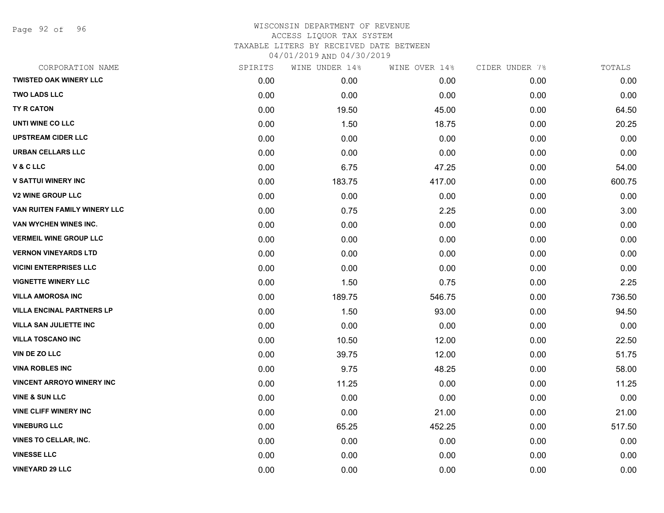Page 92 of 96

| CORPORATION NAME                 | SPIRITS | WINE UNDER 14% | WINE OVER 14% | CIDER UNDER 7% | TOTALS |
|----------------------------------|---------|----------------|---------------|----------------|--------|
| <b>TWISTED OAK WINERY LLC</b>    | 0.00    | 0.00           | 0.00          | 0.00           | 0.00   |
| <b>TWO LADS LLC</b>              | 0.00    | 0.00           | 0.00          | 0.00           | 0.00   |
| TY R CATON                       | 0.00    | 19.50          | 45.00         | 0.00           | 64.50  |
| UNTI WINE CO LLC                 | 0.00    | 1.50           | 18.75         | 0.00           | 20.25  |
| <b>UPSTREAM CIDER LLC</b>        | 0.00    | 0.00           | 0.00          | 0.00           | 0.00   |
| <b>URBAN CELLARS LLC</b>         | 0.00    | 0.00           | 0.00          | 0.00           | 0.00   |
| V & C LLC                        | 0.00    | 6.75           | 47.25         | 0.00           | 54.00  |
| <b>V SATTUI WINERY INC</b>       | 0.00    | 183.75         | 417.00        | 0.00           | 600.75 |
| <b>V2 WINE GROUP LLC</b>         | 0.00    | 0.00           | 0.00          | 0.00           | 0.00   |
| VAN RUITEN FAMILY WINERY LLC     | 0.00    | 0.75           | 2.25          | 0.00           | 3.00   |
| VAN WYCHEN WINES INC.            | 0.00    | 0.00           | 0.00          | 0.00           | 0.00   |
| <b>VERMEIL WINE GROUP LLC</b>    | 0.00    | 0.00           | 0.00          | 0.00           | 0.00   |
| <b>VERNON VINEYARDS LTD</b>      | 0.00    | 0.00           | 0.00          | 0.00           | 0.00   |
| <b>VICINI ENTERPRISES LLC</b>    | 0.00    | 0.00           | 0.00          | 0.00           | 0.00   |
| <b>VIGNETTE WINERY LLC</b>       | 0.00    | 1.50           | 0.75          | 0.00           | 2.25   |
| <b>VILLA AMOROSA INC</b>         | 0.00    | 189.75         | 546.75        | 0.00           | 736.50 |
| <b>VILLA ENCINAL PARTNERS LP</b> | 0.00    | 1.50           | 93.00         | 0.00           | 94.50  |
| <b>VILLA SAN JULIETTE INC</b>    | 0.00    | 0.00           | 0.00          | 0.00           | 0.00   |
| <b>VILLA TOSCANO INC</b>         | 0.00    | 10.50          | 12.00         | 0.00           | 22.50  |
| <b>VIN DE ZO LLC</b>             | 0.00    | 39.75          | 12.00         | 0.00           | 51.75  |
| <b>VINA ROBLES INC</b>           | 0.00    | 9.75           | 48.25         | 0.00           | 58.00  |
| <b>VINCENT ARROYO WINERY INC</b> | 0.00    | 11.25          | 0.00          | 0.00           | 11.25  |
| <b>VINE &amp; SUN LLC</b>        | 0.00    | 0.00           | 0.00          | 0.00           | 0.00   |
| <b>VINE CLIFF WINERY INC</b>     | 0.00    | 0.00           | 21.00         | 0.00           | 21.00  |
| <b>VINEBURG LLC</b>              | 0.00    | 65.25          | 452.25        | 0.00           | 517.50 |
| VINES TO CELLAR, INC.            | 0.00    | 0.00           | 0.00          | 0.00           | 0.00   |
| <b>VINESSE LLC</b>               | 0.00    | 0.00           | 0.00          | 0.00           | 0.00   |
| <b>VINEYARD 29 LLC</b>           | 0.00    | 0.00           | 0.00          | 0.00           | 0.00   |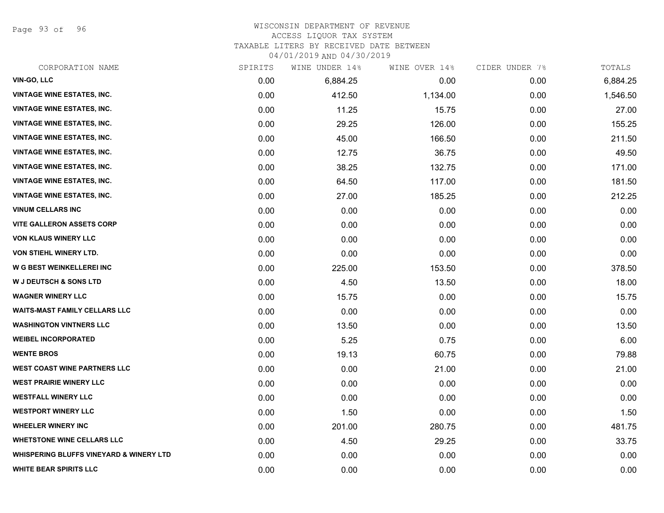Page 93 of 96

#### WISCONSIN DEPARTMENT OF REVENUE ACCESS LIQUOR TAX SYSTEM

TAXABLE LITERS BY RECEIVED DATE BETWEEN

| CORPORATION NAME                                   | SPIRITS | WINE UNDER 14% | WINE OVER 14% | CIDER UNDER 7% | TOTALS   |
|----------------------------------------------------|---------|----------------|---------------|----------------|----------|
| VIN-GO, LLC                                        | 0.00    | 6,884.25       | 0.00          | 0.00           | 6,884.25 |
| <b>VINTAGE WINE ESTATES, INC.</b>                  | 0.00    | 412.50         | 1,134.00      | 0.00           | 1,546.50 |
| <b>VINTAGE WINE ESTATES, INC.</b>                  | 0.00    | 11.25          | 15.75         | 0.00           | 27.00    |
| <b>VINTAGE WINE ESTATES, INC.</b>                  | 0.00    | 29.25          | 126.00        | 0.00           | 155.25   |
| <b>VINTAGE WINE ESTATES, INC.</b>                  | 0.00    | 45.00          | 166.50        | 0.00           | 211.50   |
| <b>VINTAGE WINE ESTATES, INC.</b>                  | 0.00    | 12.75          | 36.75         | 0.00           | 49.50    |
| <b>VINTAGE WINE ESTATES, INC.</b>                  | 0.00    | 38.25          | 132.75        | 0.00           | 171.00   |
| <b>VINTAGE WINE ESTATES, INC.</b>                  | 0.00    | 64.50          | 117.00        | 0.00           | 181.50   |
| <b>VINTAGE WINE ESTATES, INC.</b>                  | 0.00    | 27.00          | 185.25        | 0.00           | 212.25   |
| <b>VINUM CELLARS INC</b>                           | 0.00    | 0.00           | 0.00          | 0.00           | 0.00     |
| <b>VITE GALLERON ASSETS CORP</b>                   | 0.00    | 0.00           | 0.00          | 0.00           | 0.00     |
| <b>VON KLAUS WINERY LLC</b>                        | 0.00    | 0.00           | 0.00          | 0.00           | 0.00     |
| VON STIEHL WINERY LTD.                             | 0.00    | 0.00           | 0.00          | 0.00           | 0.00     |
| <b>W G BEST WEINKELLEREI INC</b>                   | 0.00    | 225.00         | 153.50        | 0.00           | 378.50   |
| <b>W J DEUTSCH &amp; SONS LTD</b>                  | 0.00    | 4.50           | 13.50         | 0.00           | 18.00    |
| <b>WAGNER WINERY LLC</b>                           | 0.00    | 15.75          | 0.00          | 0.00           | 15.75    |
| <b>WAITS-MAST FAMILY CELLARS LLC</b>               | 0.00    | 0.00           | 0.00          | 0.00           | 0.00     |
| <b>WASHINGTON VINTNERS LLC</b>                     | 0.00    | 13.50          | 0.00          | 0.00           | 13.50    |
| <b>WEIBEL INCORPORATED</b>                         | 0.00    | 5.25           | 0.75          | 0.00           | 6.00     |
| <b>WENTE BROS</b>                                  | 0.00    | 19.13          | 60.75         | 0.00           | 79.88    |
| <b>WEST COAST WINE PARTNERS LLC</b>                | 0.00    | 0.00           | 21.00         | 0.00           | 21.00    |
| <b>WEST PRAIRIE WINERY LLC</b>                     | 0.00    | 0.00           | 0.00          | 0.00           | 0.00     |
| <b>WESTFALL WINERY LLC</b>                         | 0.00    | 0.00           | 0.00          | 0.00           | 0.00     |
| <b>WESTPORT WINERY LLC</b>                         | 0.00    | 1.50           | 0.00          | 0.00           | 1.50     |
| <b>WHEELER WINERY INC</b>                          | 0.00    | 201.00         | 280.75        | 0.00           | 481.75   |
| <b>WHETSTONE WINE CELLARS LLC</b>                  | 0.00    | 4.50           | 29.25         | 0.00           | 33.75    |
| <b>WHISPERING BLUFFS VINEYARD &amp; WINERY LTD</b> | 0.00    | 0.00           | 0.00          | 0.00           | 0.00     |
| <b>WHITE BEAR SPIRITS LLC</b>                      | 0.00    | 0.00           | 0.00          | 0.00           | 0.00     |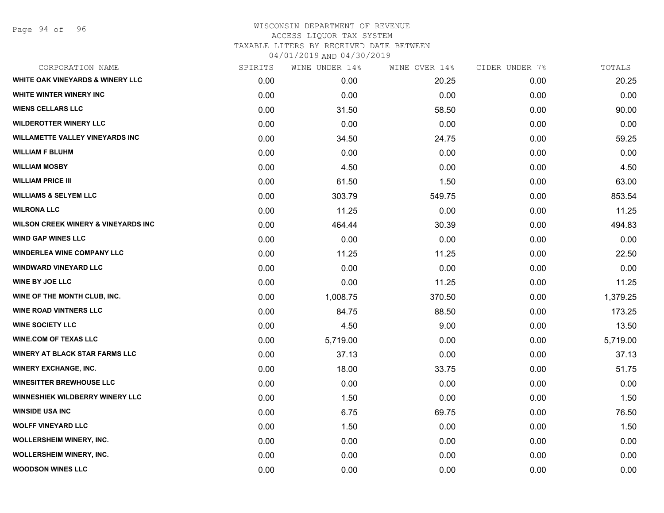Page 94 of 96

| CORPORATION NAME                               | SPIRITS | WINE UNDER 14% | WINE OVER 14% | CIDER UNDER 7% | TOTALS   |
|------------------------------------------------|---------|----------------|---------------|----------------|----------|
| <b>WHITE OAK VINEYARDS &amp; WINERY LLC</b>    | 0.00    | 0.00           | 20.25         | 0.00           | 20.25    |
| WHITE WINTER WINERY INC                        | 0.00    | 0.00           | 0.00          | 0.00           | 0.00     |
| <b>WIENS CELLARS LLC</b>                       | 0.00    | 31.50          | 58.50         | 0.00           | 90.00    |
| <b>WILDEROTTER WINERY LLC</b>                  | 0.00    | 0.00           | 0.00          | 0.00           | 0.00     |
| <b>WILLAMETTE VALLEY VINEYARDS INC</b>         | 0.00    | 34.50          | 24.75         | 0.00           | 59.25    |
| <b>WILLIAM F BLUHM</b>                         | 0.00    | 0.00           | 0.00          | 0.00           | 0.00     |
| <b>WILLIAM MOSBY</b>                           | 0.00    | 4.50           | 0.00          | 0.00           | 4.50     |
| <b>WILLIAM PRICE III</b>                       | 0.00    | 61.50          | 1.50          | 0.00           | 63.00    |
| <b>WILLIAMS &amp; SELYEM LLC</b>               | 0.00    | 303.79         | 549.75        | 0.00           | 853.54   |
| <b>WILRONA LLC</b>                             | 0.00    | 11.25          | 0.00          | 0.00           | 11.25    |
| <b>WILSON CREEK WINERY &amp; VINEYARDS INC</b> | 0.00    | 464.44         | 30.39         | 0.00           | 494.83   |
| <b>WIND GAP WINES LLC</b>                      | 0.00    | 0.00           | 0.00          | 0.00           | 0.00     |
| <b>WINDERLEA WINE COMPANY LLC</b>              | 0.00    | 11.25          | 11.25         | 0.00           | 22.50    |
| <b>WINDWARD VINEYARD LLC</b>                   | 0.00    | 0.00           | 0.00          | 0.00           | 0.00     |
| <b>WINE BY JOE LLC</b>                         | 0.00    | 0.00           | 11.25         | 0.00           | 11.25    |
| WINE OF THE MONTH CLUB, INC.                   | 0.00    | 1,008.75       | 370.50        | 0.00           | 1,379.25 |
| <b>WINE ROAD VINTNERS LLC</b>                  | 0.00    | 84.75          | 88.50         | 0.00           | 173.25   |
| <b>WINE SOCIETY LLC</b>                        | 0.00    | 4.50           | 9.00          | 0.00           | 13.50    |
| <b>WINE.COM OF TEXAS LLC</b>                   | 0.00    | 5,719.00       | 0.00          | 0.00           | 5,719.00 |
| <b>WINERY AT BLACK STAR FARMS LLC</b>          | 0.00    | 37.13          | 0.00          | 0.00           | 37.13    |
| <b>WINERY EXCHANGE, INC.</b>                   | 0.00    | 18.00          | 33.75         | 0.00           | 51.75    |
| <b>WINESITTER BREWHOUSE LLC</b>                | 0.00    | 0.00           | 0.00          | 0.00           | 0.00     |
| WINNESHIEK WILDBERRY WINERY LLC                | 0.00    | 1.50           | 0.00          | 0.00           | 1.50     |
| <b>WINSIDE USA INC</b>                         | 0.00    | 6.75           | 69.75         | 0.00           | 76.50    |
| <b>WOLFF VINEYARD LLC</b>                      | 0.00    | 1.50           | 0.00          | 0.00           | 1.50     |
| <b>WOLLERSHEIM WINERY, INC.</b>                | 0.00    | 0.00           | 0.00          | 0.00           | 0.00     |
| <b>WOLLERSHEIM WINERY, INC.</b>                | 0.00    | 0.00           | 0.00          | 0.00           | 0.00     |
| <b>WOODSON WINES LLC</b>                       | 0.00    | 0.00           | 0.00          | 0.00           | 0.00     |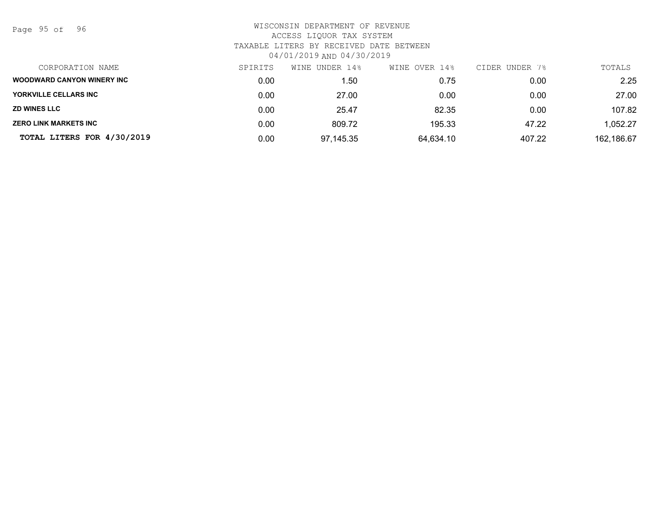Page 95 of 96

| CORPORATION NAME                  | SPIRITS | WINE UNDER 14% | WINE OVER 14% | CIDER UNDER 7% | TOTALS     |
|-----------------------------------|---------|----------------|---------------|----------------|------------|
| <b>WOODWARD CANYON WINERY INC</b> | 0.00    | l.50           | 0.75          | 0.00           | 2.25       |
| YORKVILLE CELLARS INC             | 0.00    | 27.00          | 0.00          | 0.00           | 27.00      |
| <b>ZD WINES LLC</b>               | 0.00    | 25.47          | 82.35         | 0.00           | 107.82     |
| ZERO LINK MARKETS INC             | 0.00    | 809.72         | 195.33        | 47.22          | 1,052.27   |
| TOTAL LITERS FOR 4/30/2019        | 0.00    | 97.145.35      | 64,634.10     | 407.22         | 162,186.67 |